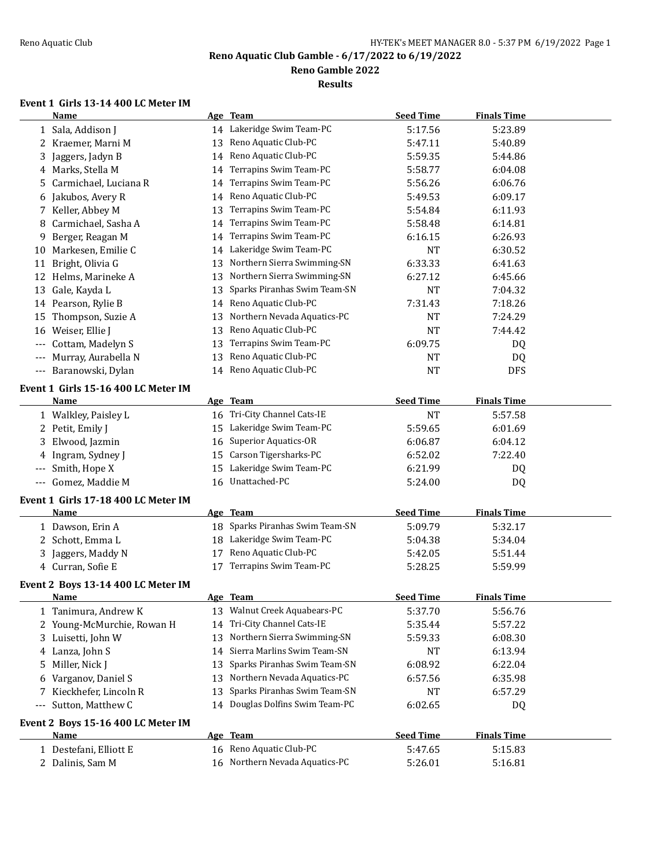**Reno Gamble 2022**

**Results**

# **Event 1 Girls 13-14 400 LC Meter IM**

|       | Name                                        |    | Age Team                        | <b>Seed Time</b>     | <b>Finals Time</b> |  |
|-------|---------------------------------------------|----|---------------------------------|----------------------|--------------------|--|
|       | 1 Sala, Addison J                           |    | 14 Lakeridge Swim Team-PC       | 5:17.56              | 5:23.89            |  |
|       | 2 Kraemer, Marni M                          | 13 | Reno Aquatic Club-PC            | 5:47.11              | 5:40.89            |  |
| 3     | Jaggers, Jadyn B                            | 14 | Reno Aquatic Club-PC            | 5:59.35              | 5:44.86            |  |
|       | 4 Marks, Stella M                           | 14 | Terrapins Swim Team-PC          | 5:58.77              | 6:04.08            |  |
| 5.    | Carmichael, Luciana R                       | 14 | Terrapins Swim Team-PC          | 5:56.26              | 6:06.76            |  |
|       | 6 Jakubos, Avery R                          | 14 | Reno Aquatic Club-PC            | 5:49.53              | 6:09.17            |  |
|       | 7 Keller, Abbey M                           | 13 | Terrapins Swim Team-PC          | 5:54.84              | 6:11.93            |  |
| 8     | Carmichael, Sasha A                         | 14 | Terrapins Swim Team-PC          | 5:58.48              | 6:14.81            |  |
|       | Berger, Reagan M                            |    | Terrapins Swim Team-PC          |                      | 6:26.93            |  |
| 9     | 10 Markesen, Emilie C                       | 14 | Lakeridge Swim Team-PC          | 6:16.15<br><b>NT</b> |                    |  |
|       |                                             | 14 | Northern Sierra Swimming-SN     |                      | 6:30.52            |  |
| 11    | Bright, Olivia G                            | 13 |                                 | 6:33.33              | 6:41.63            |  |
|       | 12 Helms, Marineke A                        | 13 | Northern Sierra Swimming-SN     | 6:27.12              | 6:45.66            |  |
| 13    | Gale, Kayda L                               | 13 | Sparks Piranhas Swim Team-SN    | <b>NT</b>            | 7:04.32            |  |
|       | 14 Pearson, Rylie B                         | 14 | Reno Aquatic Club-PC            | 7:31.43              | 7:18.26            |  |
| 15    | Thompson, Suzie A                           | 13 | Northern Nevada Aquatics-PC     | <b>NT</b>            | 7:24.29            |  |
| 16    | Weiser, Ellie J                             | 13 | Reno Aquatic Club-PC            | <b>NT</b>            | 7:44.42            |  |
| ---   | Cottam, Madelyn S                           | 13 | Terrapins Swim Team-PC          | 6:09.75              | DQ                 |  |
|       | Murray, Aurabella N                         | 13 | Reno Aquatic Club-PC            | <b>NT</b>            | DQ                 |  |
|       | --- Baranowski, Dylan                       |    | 14 Reno Aquatic Club-PC         | <b>NT</b>            | <b>DFS</b>         |  |
|       | Event 1 Girls 15-16 400 LC Meter IM         |    |                                 |                      |                    |  |
|       | <u>Name</u>                                 |    | Age Team                        | <b>Seed Time</b>     | <b>Finals Time</b> |  |
|       | 1 Walkley, Paisley L                        | 16 | Tri-City Channel Cats-IE        | <b>NT</b>            | 5:57.58            |  |
|       | 2 Petit, Emily J                            | 15 | Lakeridge Swim Team-PC          | 5:59.65              | 6:01.69            |  |
| 3     | Elwood, Jazmin                              | 16 | <b>Superior Aquatics-OR</b>     | 6:06.87              | 6:04.12            |  |
| 4     | Ingram, Sydney J                            | 15 | Carson Tigersharks-PC           | 6:52.02              | 7:22.40            |  |
|       | Smith, Hope X                               | 15 | Lakeridge Swim Team-PC          | 6:21.99              | DQ                 |  |
| $---$ | Gomez, Maddie M                             | 16 | Unattached-PC                   | 5:24.00              | DQ                 |  |
|       |                                             |    |                                 |                      |                    |  |
|       | Event 1 Girls 17-18 400 LC Meter IM<br>Name |    | Age Team                        | <b>Seed Time</b>     | <b>Finals Time</b> |  |
|       |                                             |    | 18 Sparks Piranhas Swim Team-SN |                      |                    |  |
|       | 1 Dawson, Erin A                            |    |                                 | 5:09.79              | 5:32.17            |  |
|       | 2 Schott, Emma L                            |    | 18 Lakeridge Swim Team-PC       | 5:04.38              | 5:34.04            |  |
| 3     | Jaggers, Maddy N                            | 17 | Reno Aquatic Club-PC            | 5:42.05              | 5:51.44            |  |
|       | 4 Curran, Sofie E                           | 17 | Terrapins Swim Team-PC          | 5:28.25              | 5:59.99            |  |
|       | Event 2 Boys 13-14 400 LC Meter IM          |    |                                 |                      |                    |  |
|       | <b>Name</b>                                 |    | Age Team                        | <b>Seed Time</b>     | <b>Finals Time</b> |  |
|       | 1 Tanimura, Andrew K                        | 13 | Walnut Creek Aquabears-PC       | 5:37.70              | 5:56.76            |  |
|       | 2 Young-McMurchie, Rowan H                  | 14 | Tri-City Channel Cats-IE        | 5:35.44              | 5:57.22            |  |
|       | 3 Luisetti, John W                          | 13 | Northern Sierra Swimming-SN     | 5:59.33              | 6:08.30            |  |
|       | 4 Lanza, John S                             | 14 | Sierra Marlins Swim Team-SN     | <b>NT</b>            | 6:13.94            |  |
| 5     | Miller, Nick J                              | 13 | Sparks Piranhas Swim Team-SN    | 6:08.92              | 6:22.04            |  |
| 6     | Varganov, Daniel S                          | 13 | Northern Nevada Aquatics-PC     | 6:57.56              | 6:35.98            |  |
| 7     | Kieckhefer, Lincoln R                       | 13 | Sparks Piranhas Swim Team-SN    | NT                   | 6:57.29            |  |
| ---   | Sutton, Matthew C                           |    | 14 Douglas Dolfins Swim Team-PC | 6:02.65              | DQ                 |  |
|       |                                             |    |                                 |                      |                    |  |
|       | Event 2 Boys 15-16 400 LC Meter IM          |    |                                 |                      |                    |  |
|       | <u>Name</u>                                 |    | Age Team                        | <b>Seed Time</b>     | <b>Finals Time</b> |  |
|       | 1 Destefani, Elliott E                      |    | 16 Reno Aquatic Club-PC         | 5:47.65              | 5:15.83            |  |
|       | 2 Dalinis, Sam M                            | 16 | Northern Nevada Aquatics-PC     | 5:26.01              | 5:16.81            |  |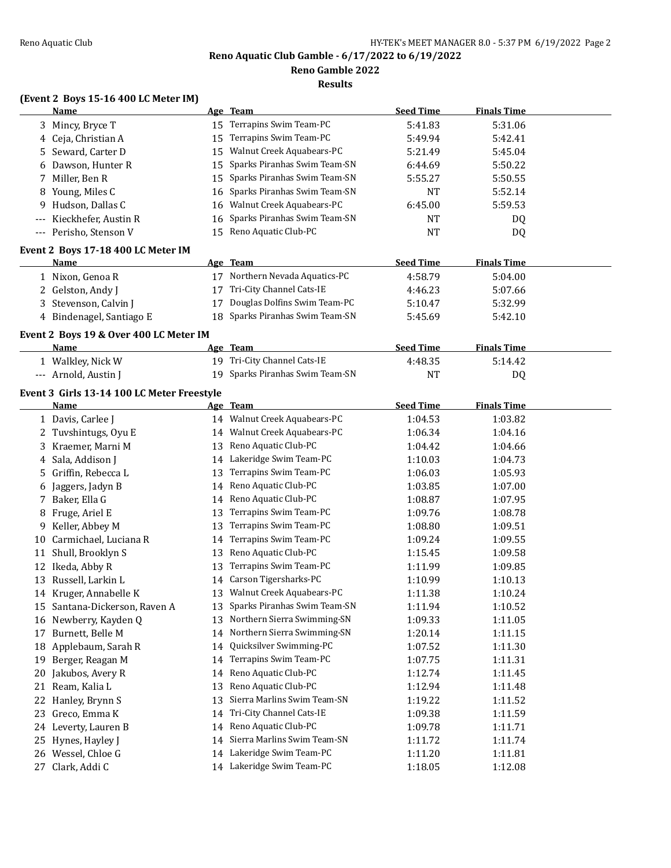**Reno Gamble 2022**

**Results**

# **(Event 2 Boys 15-16 400 LC Meter IM)**

|    | <b>Name</b>                                |    | Age Team                        | <b>Seed Time</b> | <b>Finals Time</b> |  |
|----|--------------------------------------------|----|---------------------------------|------------------|--------------------|--|
|    | 3 Mincy, Bryce T                           |    | 15 Terrapins Swim Team-PC       | 5:41.83          | 5:31.06            |  |
|    | 4 Ceja, Christian A                        | 15 | Terrapins Swim Team-PC          | 5:49.94          | 5:42.41            |  |
|    | 5 Seward, Carter D                         |    | 15 Walnut Creek Aquabears-PC    | 5:21.49          | 5:45.04            |  |
|    | 6 Dawson, Hunter R                         | 15 | Sparks Piranhas Swim Team-SN    | 6:44.69          | 5:50.22            |  |
|    | 7 Miller, Ben R                            | 15 | Sparks Piranhas Swim Team-SN    | 5:55.27          | 5:50.55            |  |
|    | 8 Young, Miles C                           | 16 | Sparks Piranhas Swim Team-SN    | <b>NT</b>        | 5:52.14            |  |
|    | 9 Hudson, Dallas C                         | 16 | Walnut Creek Aquabears-PC       | 6:45.00          | 5:59.53            |  |
|    | Kieckhefer, Austin R                       | 16 | Sparks Piranhas Swim Team-SN    | <b>NT</b>        | DQ                 |  |
|    | --- Perisho, Stenson V                     |    | 15 Reno Aquatic Club-PC         | <b>NT</b>        | DQ                 |  |
|    | Event 2 Boys 17-18 400 LC Meter IM         |    |                                 |                  |                    |  |
|    | Name                                       |    | Age Team                        | <b>Seed Time</b> | <b>Finals Time</b> |  |
|    |                                            |    | 17 Northern Nevada Aquatics-PC  |                  |                    |  |
|    | 1 Nixon, Genoa R                           |    | 17 Tri-City Channel Cats-IE     | 4:58.79          | 5:04.00            |  |
|    | 2 Gelston, Andy J                          |    |                                 | 4:46.23          | 5:07.66            |  |
|    | 3 Stevenson, Calvin J                      | 17 | Douglas Dolfins Swim Team-PC    | 5:10.47          | 5:32.99            |  |
|    | 4 Bindenagel, Santiago E                   |    | 18 Sparks Piranhas Swim Team-SN | 5:45.69          | 5:42.10            |  |
|    | Event 2 Boys 19 & Over 400 LC Meter IM     |    |                                 |                  |                    |  |
|    | Name                                       |    | Age Team                        | <b>Seed Time</b> | <b>Finals Time</b> |  |
|    | 1 Walkley, Nick W                          |    | 19 Tri-City Channel Cats-IE     | 4:48.35          | 5:14.42            |  |
|    | --- Arnold, Austin J                       |    | 19 Sparks Piranhas Swim Team-SN | <b>NT</b>        | <b>DQ</b>          |  |
|    | Event 3 Girls 13-14 100 LC Meter Freestyle |    |                                 |                  |                    |  |
|    | <u>Name</u>                                |    | <u>Age Team</u>                 | <b>Seed Time</b> | <b>Finals Time</b> |  |
|    | 1 Davis, Carlee J                          |    | 14 Walnut Creek Aquabears-PC    | 1:04.53          | 1:03.82            |  |
|    | 2 Tuvshintugs, Oyu E                       |    | 14 Walnut Creek Aquabears-PC    | 1:06.34          | 1:04.16            |  |
|    | 3 Kraemer, Marni M                         |    | 13 Reno Aquatic Club-PC         | 1:04.42          | 1:04.66            |  |
|    | 4 Sala, Addison J                          |    | 14 Lakeridge Swim Team-PC       | 1:10.03          | 1:04.73            |  |
|    | 5 Griffin, Rebecca L                       | 13 | Terrapins Swim Team-PC          | 1:06.03          | 1:05.93            |  |
|    |                                            |    | Reno Aquatic Club-PC            |                  |                    |  |
|    | 6 Jaggers, Jadyn B                         | 14 |                                 | 1:03.85          | 1:07.00            |  |
|    | 7 Baker, Ella G                            |    | 14 Reno Aquatic Club-PC         | 1:08.87          | 1:07.95            |  |
| 8  | Fruge, Ariel E                             | 13 | Terrapins Swim Team-PC          | 1:09.76          | 1:08.78            |  |
| 9. | Keller, Abbey M                            | 13 | Terrapins Swim Team-PC          | 1:08.80          | 1:09.51            |  |
| 10 | Carmichael, Luciana R                      | 14 | Terrapins Swim Team-PC          | 1:09.24          | 1:09.55            |  |
| 11 | Shull, Brooklyn S                          | 13 | Reno Aquatic Club-PC            | 1:15.45          | 1:09.58            |  |
|    | 12 Ikeda, Abby R                           | 13 | Terrapins Swim Team-PC          | 1:11.99          | 1:09.85            |  |
|    | 13 Russell, Larkin L                       |    | 14 Carson Tigersharks-PC        | 1:10.99          | 1:10.13            |  |
|    | 14 Kruger, Annabelle K                     |    | 13 Walnut Creek Aquabears-PC    | 1:11.38          | 1:10.24            |  |
|    | 15 Santana-Dickerson, Raven A              | 13 | Sparks Piranhas Swim Team-SN    | 1:11.94          | 1:10.52            |  |
|    | 16 Newberry, Kayden Q                      | 13 | Northern Sierra Swimming-SN     | 1:09.33          | 1:11.05            |  |
|    | 17 Burnett, Belle M                        | 14 | Northern Sierra Swimming-SN     | 1:20.14          | 1:11.15            |  |
|    | 18 Applebaum, Sarah R                      | 14 | Quicksilver Swimming-PC         | 1:07.52          | 1:11.30            |  |
| 19 | Berger, Reagan M                           | 14 | Terrapins Swim Team-PC          | 1:07.75          | 1:11.31            |  |
| 20 | Jakubos, Avery R                           | 14 | Reno Aquatic Club-PC            | 1:12.74          | 1:11.45            |  |
| 21 | Ream, Kalia L                              | 13 | Reno Aquatic Club-PC            | 1:12.94          | 1:11.48            |  |
| 22 | Hanley, Brynn S                            | 13 | Sierra Marlins Swim Team-SN     | 1:19.22          | 1:11.52            |  |
| 23 | Greco, Emma K                              | 14 | Tri-City Channel Cats-IE        | 1:09.38          | 1:11.59            |  |
|    | 24 Leverty, Lauren B                       | 14 | Reno Aquatic Club-PC            | 1:09.78          | 1:11.71            |  |
|    | 25 Hynes, Hayley J                         | 14 | Sierra Marlins Swim Team-SN     | 1:11.72          | 1:11.74            |  |
|    | 26 Wessel, Chloe G                         | 14 | Lakeridge Swim Team-PC          | 1:11.20          | 1:11.81            |  |
|    | 27 Clark, Addi C                           |    | 14 Lakeridge Swim Team-PC       | 1:18.05          | 1:12.08            |  |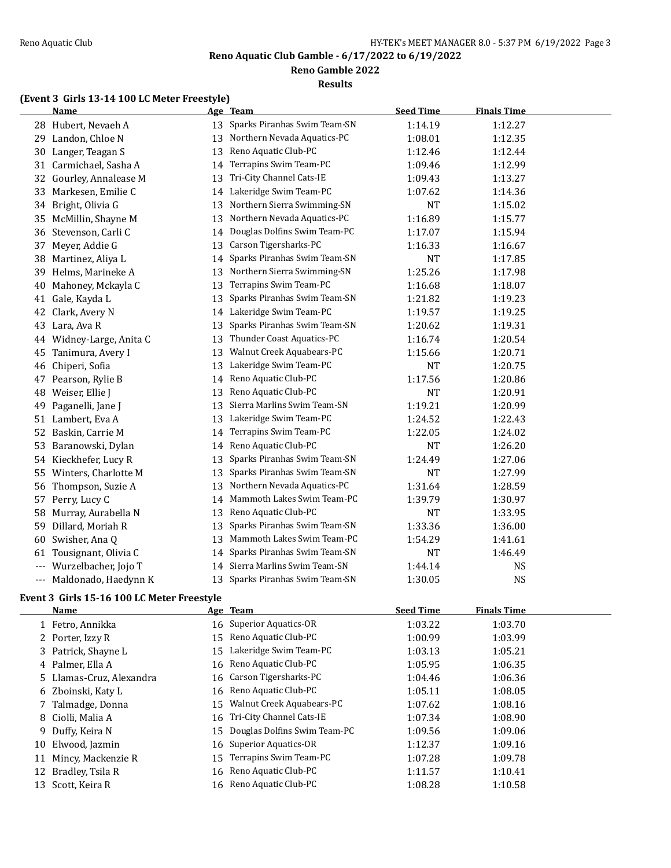**Reno Gamble 2022**

#### **Results**

# **(Event 3 Girls 13-14 100 LC Meter Freestyle)**

|       | <b>Name</b>                                |    | Age Team                     | <b>Seed Time</b> | <b>Finals Time</b> |  |
|-------|--------------------------------------------|----|------------------------------|------------------|--------------------|--|
|       | 28 Hubert, Nevaeh A                        | 13 | Sparks Piranhas Swim Team-SN | 1:14.19          | 1:12.27            |  |
|       | 29 Landon, Chloe N                         | 13 | Northern Nevada Aquatics-PC  | 1:08.01          | 1:12.35            |  |
| 30    | Langer, Teagan S                           | 13 | Reno Aquatic Club-PC         | 1:12.46          | 1:12.44            |  |
| 31    | Carmichael, Sasha A                        | 14 | Terrapins Swim Team-PC       | 1:09.46          | 1:12.99            |  |
| 32    | Gourley, Annalease M                       | 13 | Tri-City Channel Cats-IE     | 1:09.43          | 1:13.27            |  |
| 33    | Markesen, Emilie C                         | 14 | Lakeridge Swim Team-PC       | 1:07.62          | 1:14.36            |  |
| 34    | Bright, Olivia G                           | 13 | Northern Sierra Swimming-SN  | <b>NT</b>        | 1:15.02            |  |
| 35    | McMillin, Shayne M                         | 13 | Northern Nevada Aquatics-PC  | 1:16.89          | 1:15.77            |  |
| 36    | Stevenson, Carli C                         | 14 | Douglas Dolfins Swim Team-PC | 1:17.07          | 1:15.94            |  |
| 37    | Meyer, Addie G                             | 13 | Carson Tigersharks-PC        | 1:16.33          | 1:16.67            |  |
| 38    | Martinez, Aliya L                          | 14 | Sparks Piranhas Swim Team-SN | <b>NT</b>        | 1:17.85            |  |
| 39    | Helms, Marineke A                          | 13 | Northern Sierra Swimming-SN  | 1:25.26          | 1:17.98            |  |
| 40    | Mahoney, Mckayla C                         | 13 | Terrapins Swim Team-PC       | 1:16.68          | 1:18.07            |  |
| 41    | Gale, Kayda L                              | 13 | Sparks Piranhas Swim Team-SN | 1:21.82          | 1:19.23            |  |
| 42    | Clark, Avery N                             | 14 | Lakeridge Swim Team-PC       | 1:19.57          | 1:19.25            |  |
| 43    | Lara, Ava R                                | 13 | Sparks Piranhas Swim Team-SN | 1:20.62          | 1:19.31            |  |
|       | 44 Widney-Large, Anita C                   | 13 | Thunder Coast Aquatics-PC    | 1:16.74          | 1:20.54            |  |
| 45    | Tanimura, Avery I                          | 13 | Walnut Creek Aquabears-PC    | 1:15.66          | 1:20.71            |  |
| 46    | Chiperi, Sofia                             | 13 | Lakeridge Swim Team-PC       | NT               | 1:20.75            |  |
| 47    | Pearson, Rylie B                           | 14 | Reno Aquatic Club-PC         | 1:17.56          | 1:20.86            |  |
| 48    | Weiser, Ellie J                            | 13 | Reno Aquatic Club-PC         | <b>NT</b>        | 1:20.91            |  |
| 49    | Paganelli, Jane J                          | 13 | Sierra Marlins Swim Team-SN  | 1:19.21          | 1:20.99            |  |
| 51    | Lambert, Eva A                             | 13 | Lakeridge Swim Team-PC       | 1:24.52          | 1:22.43            |  |
| 52    | Baskin, Carrie M                           | 14 | Terrapins Swim Team-PC       | 1:22.05          | 1:24.02            |  |
| 53    | Baranowski, Dylan                          | 14 | Reno Aquatic Club-PC         | NT               | 1:26.20            |  |
| 54    | Kieckhefer, Lucy R                         | 13 | Sparks Piranhas Swim Team-SN | 1:24.49          | 1:27.06            |  |
| 55    | Winters, Charlotte M                       | 13 | Sparks Piranhas Swim Team-SN | <b>NT</b>        | 1:27.99            |  |
| 56    | Thompson, Suzie A                          | 13 | Northern Nevada Aquatics-PC  | 1:31.64          | 1:28.59            |  |
| 57    | Perry, Lucy C                              | 14 | Mammoth Lakes Swim Team-PC   | 1:39.79          | 1:30.97            |  |
| 58    | Murray, Aurabella N                        | 13 | Reno Aquatic Club-PC         | <b>NT</b>        | 1:33.95            |  |
| 59    | Dillard, Moriah R                          | 13 | Sparks Piranhas Swim Team-SN | 1:33.36          | 1:36.00            |  |
| 60    | Swisher, Ana Q                             | 13 | Mammoth Lakes Swim Team-PC   | 1:54.29          | 1:41.61            |  |
| 61    | Tousignant, Olivia C                       | 14 | Sparks Piranhas Swim Team-SN | <b>NT</b>        | 1:46.49            |  |
| $---$ | Wurzelbacher, Jojo T                       | 14 | Sierra Marlins Swim Team-SN  | 1:44.14          | <b>NS</b>          |  |
| ---   | Maldonado, Haedynn K                       | 13 | Sparks Piranhas Swim Team-SN | 1:30.05          | NS                 |  |
|       | Event 3 Girls 15-16 100 LC Meter Freestyle |    |                              |                  |                    |  |
|       | <u>Name</u>                                |    | Age Team                     | <b>Seed Time</b> | <b>Finals Time</b> |  |
|       | 1 Fetro, Annikka                           |    | 16 Superior Aquatics-OR      | 1:03.22          | 1:03.70            |  |
|       | 2 Porter, Izzy R                           | 15 | Reno Aquatic Club-PC         | 1:00.99          | 1:03.99            |  |
|       | 3 Patrick, Shayne L                        | 15 | Lakeridge Swim Team-PC       | 1:03.13          | 1:05.21            |  |
| 4     | Palmer, Ella A                             | 16 | Reno Aquatic Club-PC         | 1:05.95          | 1:06.35            |  |
| 5     | Llamas-Cruz, Alexandra                     | 16 | Carson Tigersharks-PC        | 1:04.46          | 1:06.36            |  |
| 6     | Zboinski, Katy L                           | 16 | Reno Aquatic Club-PC         | 1:05.11          | 1:08.05            |  |
| 7     | Talmadge, Donna                            | 15 | Walnut Creek Aquabears-PC    | 1:07.62          | 1:08.16            |  |
| 8     | Ciolli, Malia A                            | 16 | Tri-City Channel Cats-IE     | 1:07.34          | 1:08.90            |  |
| 9     | Duffy, Keira N                             | 15 | Douglas Dolfins Swim Team-PC | 1:09.56          | 1:09.06            |  |
| 10    | Elwood, Jazmin                             | 16 | <b>Superior Aquatics-OR</b>  | 1:12.37          | 1:09.16            |  |
|       | 11 Mincy, Mackenzie R                      |    | 15 Terrapins Swim Team-PC    | 1:07.28          | 1:09.78            |  |

12 Bradley, Tsila R 16 Reno Aquatic Club-PC 1:11.57 1:10.41 13 Scott, Keira R 16 Reno Aquatic Club-PC 1:08.28 1:10.58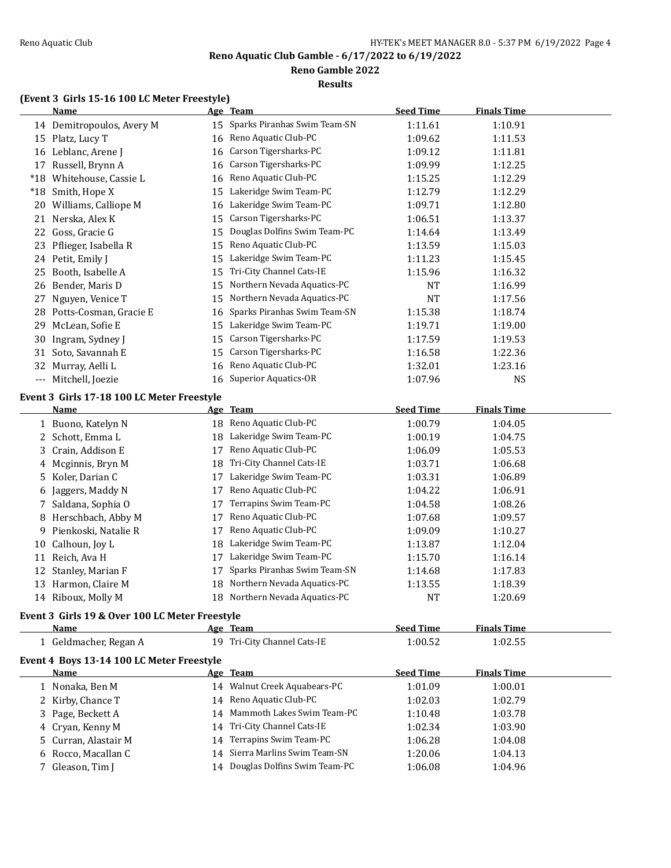**Reno Gamble 2022**

#### **Results**

# **(Event 3 Girls 15-16 100 LC Meter Freestyle)**

|                                          | and to too be meter recognes<br><b>Name</b>    |    | Age Team                        | <b>Seed Time</b>   | <b>Finals Time</b> |  |
|------------------------------------------|------------------------------------------------|----|---------------------------------|--------------------|--------------------|--|
|                                          | 14 Demitropoulos, Avery M                      |    | 15 Sparks Piranhas Swim Team-SN | 1:11.61            | 1:10.91            |  |
|                                          | 15 Platz, Lucy T                               |    | 16 Reno Aquatic Club-PC         | 1:09.62            | 1:11.53            |  |
|                                          | 16 Leblanc, Arene J                            |    | 16 Carson Tigersharks-PC        | 1:09.12            | 1:11.81            |  |
|                                          | 17 Russell, Brynn A                            |    | 16 Carson Tigersharks-PC        | 1:09.99            | 1:12.25            |  |
|                                          | *18 Whitehouse, Cassie L                       |    | 16 Reno Aquatic Club-PC         | 1:15.25            | 1:12.29            |  |
|                                          | *18 Smith, Hope X                              | 15 | Lakeridge Swim Team-PC          | 1:12.79            | 1:12.29            |  |
|                                          | 20 Williams, Calliope M                        |    | 16 Lakeridge Swim Team-PC       | 1:09.71            | 1:12.80            |  |
|                                          | 21 Nerska, Alex K                              | 15 | Carson Tigersharks-PC           | 1:06.51            | 1:13.37            |  |
|                                          | 22 Goss, Gracie G                              | 15 | Douglas Dolfins Swim Team-PC    | 1:14.64            | 1:13.49            |  |
| 23                                       | Pflieger, Isabella R                           | 15 | Reno Aquatic Club-PC            | 1:13.59            | 1:15.03            |  |
|                                          | 24 Petit, Emily J                              | 15 | Lakeridge Swim Team-PC          | 1:11.23            | 1:15.45            |  |
| 25                                       | Booth, Isabelle A                              | 15 | Tri-City Channel Cats-IE        | 1:15.96            | 1:16.32            |  |
|                                          | 26 Bender, Maris D                             | 15 | Northern Nevada Aquatics-PC     | <b>NT</b>          | 1:16.99            |  |
|                                          | 27 Nguyen, Venice T                            | 15 | Northern Nevada Aquatics-PC     | <b>NT</b>          | 1:17.56            |  |
|                                          | 28 Potts-Cosman, Gracie E                      | 16 | Sparks Piranhas Swim Team-SN    | 1:15.38            | 1:18.74            |  |
| 29                                       | McLean, Sofie E                                | 15 | Lakeridge Swim Team-PC          | 1:19.71            | 1:19.00            |  |
| 30                                       | Ingram, Sydney J                               | 15 | Carson Tigersharks-PC           | 1:17.59            | 1:19.53            |  |
| 31                                       | Soto, Savannah E                               | 15 | Carson Tigersharks-PC           | 1:16.58            | 1:22.36            |  |
| 32                                       | Murray, Aelli L                                | 16 | Reno Aquatic Club-PC            |                    |                    |  |
|                                          | Mitchell, Joezie                               |    | 16 Superior Aquatics-OR         | 1:32.01<br>1:07.96 | 1:23.16<br>NS.     |  |
| $\hspace{0.05cm} \ldots \hspace{0.05cm}$ |                                                |    |                                 |                    |                    |  |
|                                          | Event 3 Girls 17-18 100 LC Meter Freestyle     |    |                                 |                    |                    |  |
|                                          | <b>Name</b>                                    |    | Age Team                        | <b>Seed Time</b>   | <b>Finals Time</b> |  |
|                                          | 1 Buono, Katelyn N                             |    | 18 Reno Aquatic Club-PC         | 1:00.79            | 1:04.05            |  |
|                                          | 2 Schott, Emma L                               | 18 | Lakeridge Swim Team-PC          | 1:00.19            | 1:04.75            |  |
| 3                                        | Crain, Addison E                               | 17 | Reno Aquatic Club-PC            | 1:06.09            | 1:05.53            |  |
| 4                                        | Mcginnis, Bryn M                               | 18 | Tri-City Channel Cats-IE        | 1:03.71            | 1:06.68            |  |
| 5.                                       | Koler, Darian C                                | 17 | Lakeridge Swim Team-PC          | 1:03.31            | 1:06.89            |  |
| 6                                        | Jaggers, Maddy N                               | 17 | Reno Aquatic Club-PC            | 1:04.22            | 1:06.91            |  |
| 7.                                       | Saldana, Sophia O                              | 17 | Terrapins Swim Team-PC          | 1:04.58            | 1:08.26            |  |
|                                          | 8 Herschbach, Abby M                           | 17 | Reno Aquatic Club-PC            | 1:07.68            | 1:09.57            |  |
| 9                                        | Pienkoski, Natalie R                           | 17 | Reno Aquatic Club-PC            | 1:09.09            | 1:10.27            |  |
| 10                                       | Calhoun, Joy L                                 | 18 | Lakeridge Swim Team-PC          | 1:13.87            | 1:12.04            |  |
|                                          | 11 Reich, Ava H                                | 17 | Lakeridge Swim Team-PC          | 1:15.70            | 1:16.14            |  |
|                                          | 12 Stanley, Marian F                           | 17 | Sparks Piranhas Swim Team-SN    | 1:14.68            | 1:17.83            |  |
|                                          | 13 Harmon, Claire M                            |    | 18 Northern Nevada Aquatics-PC  | 1:13.55            | 1:18.39            |  |
|                                          | 14 Riboux, Molly M                             |    | 18 Northern Nevada Aquatics-PC  | NT                 | 1:20.69            |  |
|                                          | Event 3 Girls 19 & Over 100 LC Meter Freestyle |    |                                 |                    |                    |  |
|                                          | Name                                           |    | Age Team                        | <b>Seed Time</b>   | <b>Finals Time</b> |  |
|                                          | 1 Geldmacher, Regan A                          |    | 19 Tri-City Channel Cats-IE     | 1:00.52            | 1:02.55            |  |
|                                          |                                                |    |                                 |                    |                    |  |
|                                          | Event 4 Boys 13-14 100 LC Meter Freestyle      |    |                                 |                    |                    |  |
|                                          | <u>Name</u>                                    |    | Age Team                        | <b>Seed Time</b>   | <b>Finals Time</b> |  |
|                                          | 1 Nonaka, Ben M                                |    | 14 Walnut Creek Aquabears-PC    | 1:01.09            | 1:00.01            |  |
|                                          | 2 Kirby, Chance T                              |    | 14 Reno Aquatic Club-PC         | 1:02.03            | 1:02.79            |  |
| 3                                        | Page, Beckett A                                | 14 | Mammoth Lakes Swim Team-PC      | 1:10.48            | 1:03.78            |  |
| 4                                        | Cryan, Kenny M                                 |    | 14 Tri-City Channel Cats-IE     | 1:02.34            | 1:03.90            |  |
|                                          | Curran, Alastair M                             | 14 | Terrapins Swim Team-PC          | 1:06.28            | 1:04.08            |  |
| 6                                        | Rocco, Macallan C                              | 14 | Sierra Marlins Swim Team-SN     | 1:20.06            | 1:04.13            |  |
|                                          | 7 Gleason, Tim J                               |    | 14 Douglas Dolfins Swim Team-PC | 1:06.08            | 1:04.96            |  |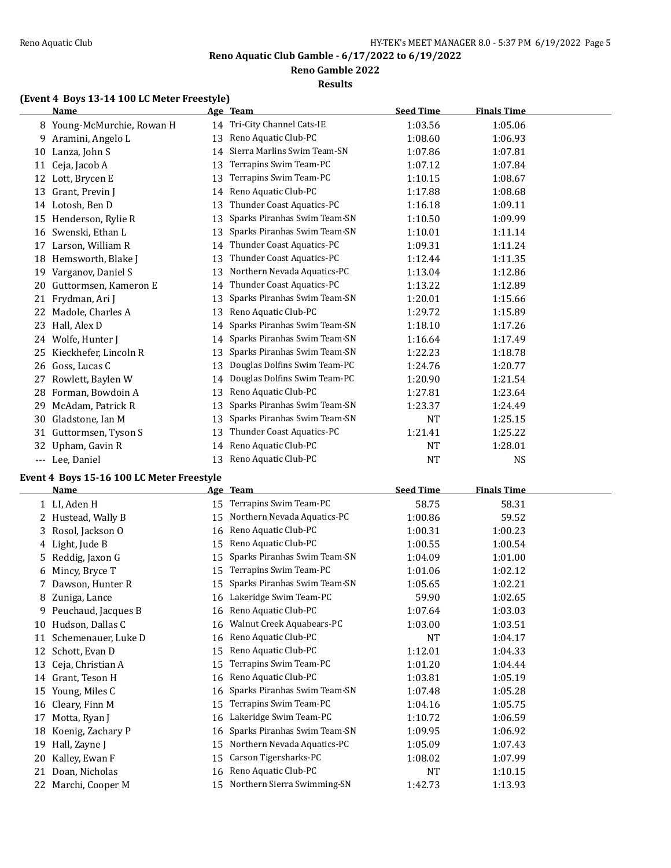**Reno Gamble 2022**

### **Results**

# **(Event 4 Boys 13-14 100 LC Meter Freestyle)**

|       | <b>Name</b>                |    | Age Team                     | <b>Seed Time</b> | <b>Finals Time</b> |  |
|-------|----------------------------|----|------------------------------|------------------|--------------------|--|
|       | 8 Young-McMurchie, Rowan H | 14 | Tri-City Channel Cats-IE     | 1:03.56          | 1:05.06            |  |
| 9     | Aramini, Angelo L          | 13 | Reno Aquatic Club-PC         | 1:08.60          | 1:06.93            |  |
| 10    | Lanza, John S              | 14 | Sierra Marlins Swim Team-SN  | 1:07.86          | 1:07.81            |  |
| 11    | Ceja, Jacob A              | 13 | Terrapins Swim Team-PC       | 1:07.12          | 1:07.84            |  |
| 12    | Lott, Brycen E             | 13 | Terrapins Swim Team-PC       | 1:10.15          | 1:08.67            |  |
| 13    | Grant, Previn I            | 14 | Reno Aquatic Club-PC         | 1:17.88          | 1:08.68            |  |
|       | 14 Lotosh, Ben D           | 13 | Thunder Coast Aquatics-PC    | 1:16.18          | 1:09.11            |  |
| 15    | Henderson, Rylie R         | 13 | Sparks Piranhas Swim Team-SN | 1:10.50          | 1:09.99            |  |
| 16    | Swenski, Ethan L           | 13 | Sparks Piranhas Swim Team-SN | 1:10.01          | 1:11.14            |  |
| 17    | Larson, William R          | 14 | Thunder Coast Aquatics-PC    | 1:09.31          | 1:11.24            |  |
| 18    | Hemsworth, Blake J         | 13 | Thunder Coast Aquatics-PC    | 1:12.44          | 1:11.35            |  |
| 19    | Varganov, Daniel S         | 13 | Northern Nevada Aquatics-PC  | 1:13.04          | 1:12.86            |  |
| 20    | Guttormsen, Kameron E      | 14 | Thunder Coast Aquatics-PC    | 1:13.22          | 1:12.89            |  |
| 21    | Frydman, Ari J             | 13 | Sparks Piranhas Swim Team-SN | 1:20.01          | 1:15.66            |  |
| 22    | Madole, Charles A          | 13 | Reno Aquatic Club-PC         | 1:29.72          | 1:15.89            |  |
| 23    | Hall, Alex D               | 14 | Sparks Piranhas Swim Team-SN | 1:18.10          | 1:17.26            |  |
| 24    | Wolfe, Hunter J            | 14 | Sparks Piranhas Swim Team-SN | 1:16.64          | 1:17.49            |  |
| 25    | Kieckhefer, Lincoln R      | 13 | Sparks Piranhas Swim Team-SN | 1:22.23          | 1:18.78            |  |
| 26    | Goss, Lucas C              | 13 | Douglas Dolfins Swim Team-PC | 1:24.76          | 1:20.77            |  |
| 27    | Rowlett, Baylen W          | 14 | Douglas Dolfins Swim Team-PC | 1:20.90          | 1:21.54            |  |
| 28    | Forman, Bowdoin A          | 13 | Reno Aquatic Club-PC         | 1:27.81          | 1:23.64            |  |
| 29    | McAdam, Patrick R          | 13 | Sparks Piranhas Swim Team-SN | 1:23.37          | 1:24.49            |  |
| 30    | Gladstone, Ian M           | 13 | Sparks Piranhas Swim Team-SN | NT               | 1:25.15            |  |
| 31    | Guttormsen, Tyson S        | 13 | Thunder Coast Aquatics-PC    | 1:21.41          | 1:25.22            |  |
| 32    | Upham, Gavin R             | 14 | Reno Aquatic Club-PC         | NT               | 1:28.01            |  |
| $---$ | Lee, Daniel                | 13 | Reno Aquatic Club-PC         | NT               | <b>NS</b>          |  |

# **Event 4 Boys 15-16 100 LC Meter Freestyle**

|    | Name                |    | Age Team                     | <b>Seed Time</b> | <b>Finals Time</b> |
|----|---------------------|----|------------------------------|------------------|--------------------|
|    | 1 LI, Aden H        | 15 | Terrapins Swim Team-PC       | 58.75            | 58.31              |
|    | Hustead, Wally B    | 15 | Northern Nevada Aquatics-PC  | 1:00.86          | 59.52              |
| 3  | Rosol, Jackson O    | 16 | Reno Aquatic Club-PC         | 1:00.31          | 1:00.23            |
|    | 4 Light, Jude B     | 15 | Reno Aquatic Club-PC         | 1:00.55          | 1:00.54            |
| 5. | Reddig, Jaxon G     | 15 | Sparks Piranhas Swim Team-SN | 1:04.09          | 1:01.00            |
| 6  | Mincy, Bryce T      | 15 | Terrapins Swim Team-PC       | 1:01.06          | 1:02.12            |
| 7  | Dawson, Hunter R    | 15 | Sparks Piranhas Swim Team-SN | 1:05.65          | 1:02.21            |
| 8  | Zuniga, Lance       | 16 | Lakeridge Swim Team-PC       | 59.90            | 1:02.65            |
| 9. | Peuchaud, Jacques B | 16 | Reno Aquatic Club-PC         | 1:07.64          | 1:03.03            |
| 10 | Hudson, Dallas C    | 16 | Walnut Creek Aquabears-PC    | 1:03.00          | 1:03.51            |
| 11 | Schemenauer, Luke D | 16 | Reno Aquatic Club-PC         | <b>NT</b>        | 1:04.17            |
| 12 | Schott, Evan D      | 15 | Reno Aquatic Club-PC         | 1:12.01          | 1:04.33            |
| 13 | Ceja, Christian A   | 15 | Terrapins Swim Team-PC       | 1:01.20          | 1:04.44            |
| 14 | Grant, Teson H      | 16 | Reno Aquatic Club-PC         | 1:03.81          | 1:05.19            |
| 15 | Young, Miles C      | 16 | Sparks Piranhas Swim Team-SN | 1:07.48          | 1:05.28            |
| 16 | Cleary, Finn M      | 15 | Terrapins Swim Team-PC       | 1:04.16          | 1:05.75            |
| 17 | Motta, Ryan J       | 16 | Lakeridge Swim Team-PC       | 1:10.72          | 1:06.59            |
| 18 | Koenig, Zachary P   | 16 | Sparks Piranhas Swim Team-SN | 1:09.95          | 1:06.92            |
| 19 | Hall, Zayne J       | 15 | Northern Nevada Aquatics-PC  | 1:05.09          | 1:07.43            |
| 20 | Kalley, Ewan F      | 15 | Carson Tigersharks-PC        | 1:08.02          | 1:07.99            |
| 21 | Doan, Nicholas      | 16 | Reno Aquatic Club-PC         | <b>NT</b>        | 1:10.15            |
| 22 | Marchi, Cooper M    | 15 | Northern Sierra Swimming-SN  | 1:42.73          | 1:13.93            |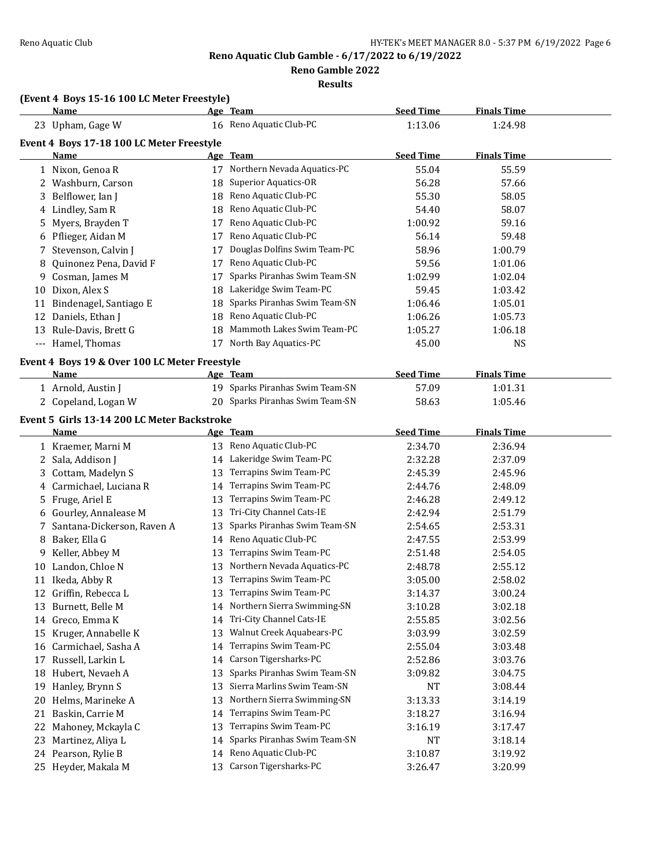**Reno Gamble 2022**

**Results**

# **(Event 4 Boys 15-16 100 LC Meter Freestyle)**

|          | Name                                          |          | Age Team                                             | <b>Seed Time</b>   | <b>Finals Time</b> |  |
|----------|-----------------------------------------------|----------|------------------------------------------------------|--------------------|--------------------|--|
|          | 23 Upham, Gage W                              |          | 16 Reno Aquatic Club-PC                              | 1:13.06            | 1:24.98            |  |
|          | Event 4 Boys 17-18 100 LC Meter Freestyle     |          |                                                      |                    |                    |  |
|          | Name                                          |          | Age Team                                             | <b>Seed Time</b>   | <b>Finals Time</b> |  |
|          | 1 Nixon, Genoa R                              |          | 17 Northern Nevada Aquatics-PC                       | 55.04              | 55.59              |  |
|          | 2 Washburn, Carson                            |          | 18 Superior Aquatics-OR                              | 56.28              | 57.66              |  |
| 3        | Belflower, Ian J                              |          | 18 Reno Aquatic Club-PC                              | 55.30              | 58.05              |  |
| 4        | Lindley, Sam R                                | 18       | Reno Aquatic Club-PC                                 | 54.40              | 58.07              |  |
| 5        | Myers, Brayden T                              | 17       | Reno Aquatic Club-PC                                 | 1:00.92            | 59.16              |  |
| 6        | Pflieger, Aidan M                             | 17       | Reno Aquatic Club-PC                                 | 56.14              | 59.48              |  |
| 7        | Stevenson, Calvin J                           | 17       | Douglas Dolfins Swim Team-PC                         | 58.96              | 1:00.79            |  |
| 8        | Quinonez Pena, David F                        | 17       | Reno Aquatic Club-PC                                 | 59.56              | 1:01.06            |  |
| 9        | Cosman, James M                               | 17       | Sparks Piranhas Swim Team-SN                         | 1:02.99            | 1:02.04            |  |
| 10       | Dixon, Alex S                                 | 18       | Lakeridge Swim Team-PC                               | 59.45              | 1:03.42            |  |
|          | 11 Bindenagel, Santiago E                     | 18       | Sparks Piranhas Swim Team-SN                         | 1:06.46            | 1:05.01            |  |
|          | 12 Daniels, Ethan J                           | 18       | Reno Aquatic Club-PC                                 | 1:06.26            | 1:05.73            |  |
|          | 13 Rule-Davis, Brett G                        | 18       | Mammoth Lakes Swim Team-PC                           | 1:05.27            | 1:06.18            |  |
|          | --- Hamel, Thomas                             | 17       | North Bay Aquatics-PC                                | 45.00              | <b>NS</b>          |  |
|          | Event 4 Boys 19 & Over 100 LC Meter Freestyle |          |                                                      |                    |                    |  |
|          | <b>Name</b>                                   |          | Age Team                                             | <b>Seed Time</b>   | <b>Finals Time</b> |  |
|          | 1 Arnold, Austin J                            |          | 19 Sparks Piranhas Swim Team-SN                      | 57.09              | 1:01.31            |  |
|          | 2 Copeland, Logan W                           |          | 20 Sparks Piranhas Swim Team-SN                      | 58.63              | 1:05.46            |  |
|          |                                               |          |                                                      |                    |                    |  |
|          | Event 5 Girls 13-14 200 LC Meter Backstroke   |          |                                                      |                    |                    |  |
|          | <u>Name</u>                                   |          | Age Team                                             | <b>Seed Time</b>   | <b>Finals Time</b> |  |
|          | 1 Kraemer, Marni M                            |          | 13 Reno Aquatic Club-PC<br>14 Lakeridge Swim Team-PC | 2:34.70            | 2:36.94            |  |
|          | 2 Sala, Addison J                             |          | Terrapins Swim Team-PC                               | 2:32.28            | 2:37.09            |  |
| 3        | Cottam, Madelyn S                             | 13       | Terrapins Swim Team-PC                               | 2:45.39            | 2:45.96            |  |
| 4        | Carmichael, Luciana R                         | 14       | Terrapins Swim Team-PC                               | 2:44.76<br>2:46.28 | 2:48.09            |  |
| 5        | Fruge, Ariel E                                | 13       | Tri-City Channel Cats-IE                             |                    | 2:49.12            |  |
| 6        | Gourley, Annalease M                          | 13       | Sparks Piranhas Swim Team-SN                         | 2:42.94            | 2:51.79<br>2:53.31 |  |
| 7        | Santana-Dickerson, Raven A                    | 13       | Reno Aquatic Club-PC                                 | 2:54.65            |                    |  |
| 8        | Baker, Ella G                                 | 14       | Terrapins Swim Team-PC                               | 2:47.55            | 2:53.99<br>2:54.05 |  |
| 9        | Keller, Abbey M<br>Landon, Chloe N            | 13<br>13 | Northern Nevada Aquatics-PC                          | 2:51.48            |                    |  |
| 10       | 11 Ikeda, Abby R                              | 13       | Terrapins Swim Team-PC                               | 2:48.78<br>3:05.00 | 2:55.12<br>2:58.02 |  |
|          | 12 Griffin, Rebecca L                         | 13       | Terrapins Swim Team-PC                               | 3:14.37            |                    |  |
|          |                                               |          | 14 Northern Sierra Swimming-SN                       |                    | 3:00.24<br>3:02.18 |  |
|          | 13 Burnett, Belle M<br>Greco, Emma K          | 14       | Tri-City Channel Cats-IE                             | 3:10.28<br>2:55.85 | 3:02.56            |  |
| 14<br>15 | Kruger, Annabelle K                           | 13       | Walnut Creek Aquabears-PC                            | 3:03.99            | 3:02.59            |  |
| 16       | Carmichael, Sasha A                           | 14       | Terrapins Swim Team-PC                               | 2:55.04            | 3:03.48            |  |
| 17       | Russell, Larkin L                             | 14       | Carson Tigersharks-PC                                | 2:52.86            | 3:03.76            |  |
| 18       | Hubert, Nevaeh A                              | 13       | Sparks Piranhas Swim Team-SN                         | 3:09.82            | 3:04.75            |  |
| 19       | Hanley, Brynn S                               | 13       | Sierra Marlins Swim Team-SN                          | <b>NT</b>          | 3:08.44            |  |
| 20       | Helms, Marineke A                             | 13       | Northern Sierra Swimming-SN                          | 3:13.33            | 3:14.19            |  |
|          | Baskin, Carrie M                              |          | Terrapins Swim Team-PC                               |                    |                    |  |
| 21<br>22 | Mahoney, Mckayla C                            | 14<br>13 | Terrapins Swim Team-PC                               | 3:18.27<br>3:16.19 | 3:16.94<br>3:17.47 |  |
| 23       | Martinez, Aliya L                             | 14       | Sparks Piranhas Swim Team-SN                         | <b>NT</b>          | 3:18.14            |  |
|          | 24 Pearson, Rylie B                           | 14       | Reno Aquatic Club-PC                                 | 3:10.87            | 3:19.92            |  |
|          | 25 Heyder, Makala M                           | 13       | Carson Tigersharks-PC                                | 3:26.47            | 3:20.99            |  |
|          |                                               |          |                                                      |                    |                    |  |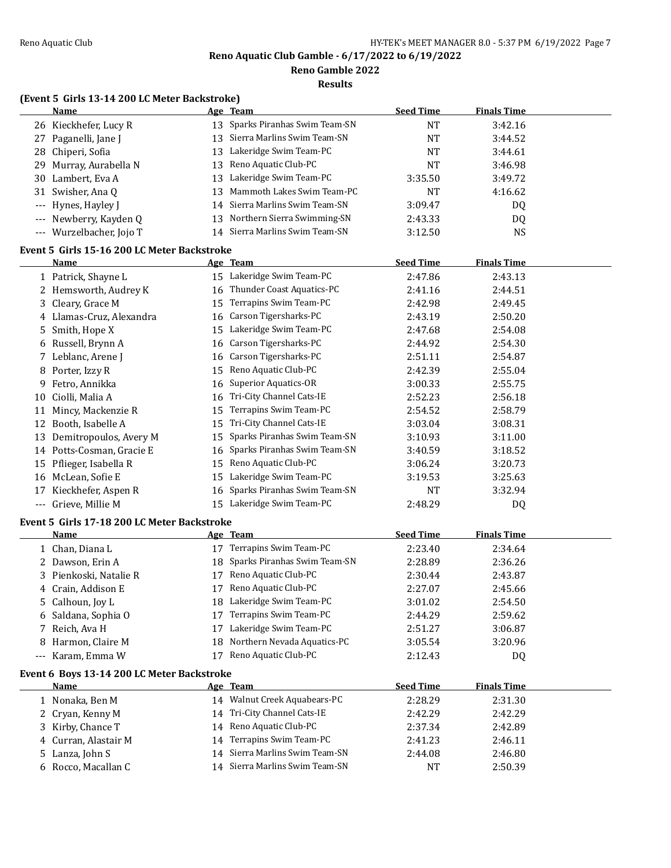**Reno Gamble 2022**

**Results**

# **(Event 5 Girls 13-14 200 LC Meter Backstroke)**

|       | <b>Name</b>                                 |          | Age Team                        | <b>Seed Time</b> | <b>Finals Time</b> |  |
|-------|---------------------------------------------|----------|---------------------------------|------------------|--------------------|--|
|       | 26 Kieckhefer, Lucy R                       |          | 13 Sparks Piranhas Swim Team-SN | <b>NT</b>        | 3:42.16            |  |
|       | 27 Paganelli, Jane J                        | 13       | Sierra Marlins Swim Team-SN     | <b>NT</b>        | 3:44.52            |  |
| 28    | Chiperi, Sofia                              | 13       | Lakeridge Swim Team-PC          | <b>NT</b>        | 3:44.61            |  |
| 29    | Murray, Aurabella N                         | 13       | Reno Aquatic Club-PC            | <b>NT</b>        | 3:46.98            |  |
| 30    | Lambert, Eva A                              | 13       | Lakeridge Swim Team-PC          | 3:35.50          | 3:49.72            |  |
| 31    | Swisher, Ana Q                              | 13       | Mammoth Lakes Swim Team-PC      | <b>NT</b>        | 4:16.62            |  |
| ---   | Hynes, Hayley J                             | 14       | Sierra Marlins Swim Team-SN     | 3:09.47          | DQ                 |  |
|       | Newberry, Kayden Q                          | 13       | Northern Sierra Swimming-SN     | 2:43.33          | DQ                 |  |
| $---$ | Wurzelbacher, Jojo T                        | 14       | Sierra Marlins Swim Team-SN     | 3:12.50          | <b>NS</b>          |  |
|       | Event 5 Girls 15-16 200 LC Meter Backstroke |          |                                 |                  |                    |  |
|       | Name                                        |          | Age Team                        | <b>Seed Time</b> | <b>Finals Time</b> |  |
|       | 1 Patrick, Shayne L                         |          | 15 Lakeridge Swim Team-PC       | 2:47.86          | 2:43.13            |  |
|       | 2 Hemsworth, Audrey K                       |          | 16 Thunder Coast Aquatics-PC    | 2:41.16          | 2:44.51            |  |
|       | 3 Cleary, Grace M                           | 15       | Terrapins Swim Team-PC          | 2:42.98          | 2:49.45            |  |
|       | 4 Llamas-Cruz, Alexandra                    | 16       | Carson Tigersharks-PC           | 2:43.19          | 2:50.20            |  |
|       | 5 Smith, Hope X                             | 15       | Lakeridge Swim Team-PC          | 2:47.68          | 2:54.08            |  |
|       |                                             |          | Carson Tigersharks-PC           | 2:44.92          |                    |  |
| 6     | Russell, Brynn A                            | 16<br>16 | Carson Tigersharks-PC           |                  | 2:54.30            |  |
| 7     | Leblanc, Arene J                            |          | Reno Aquatic Club-PC            | 2:51.11          | 2:54.87            |  |
| 8     | Porter, Izzy R                              | 15       |                                 | 2:42.39          | 2:55.04            |  |
| 9     | Fetro, Annikka                              | 16       | <b>Superior Aquatics-OR</b>     | 3:00.33          | 2:55.75            |  |
| 10    | Ciolli, Malia A                             | 16       | Tri-City Channel Cats-IE        | 2:52.23          | 2:56.18            |  |
| 11    | Mincy, Mackenzie R                          | 15       | Terrapins Swim Team-PC          | 2:54.52          | 2:58.79            |  |
|       | 12 Booth, Isabelle A                        | 15       | Tri-City Channel Cats-IE        | 3:03.04          | 3:08.31            |  |
|       | 13 Demitropoulos, Avery M                   | 15       | Sparks Piranhas Swim Team-SN    | 3:10.93          | 3:11.00            |  |
|       | 14 Potts-Cosman, Gracie E                   | 16       | Sparks Piranhas Swim Team-SN    | 3:40.59          | 3:18.52            |  |
| 15    | Pflieger, Isabella R                        | 15       | Reno Aquatic Club-PC            | 3:06.24          | 3:20.73            |  |
|       | 16 McLean, Sofie E                          | 15       | Lakeridge Swim Team-PC          | 3:19.53          | 3:25.63            |  |
| 17    | Kieckhefer, Aspen R                         | 16       | Sparks Piranhas Swim Team-SN    | <b>NT</b>        | 3:32.94            |  |
| ---   | Grieve, Millie M                            |          | 15 Lakeridge Swim Team-PC       | 2:48.29          | DQ                 |  |
|       | Event 5 Girls 17-18 200 LC Meter Backstroke |          |                                 |                  |                    |  |
|       | Name                                        |          | <u>Age Team</u>                 | <b>Seed Time</b> | <b>Finals Time</b> |  |
|       | 1 Chan, Diana L                             |          | 17 Terrapins Swim Team-PC       | 2:23.40          | 2:34.64            |  |
|       | 2 Dawson, Erin A                            | 18       | Sparks Piranhas Swim Team-SN    | 2:28.89          | 2:36.26            |  |
|       | 3 Pienkoski, Natalie R                      | 17       | Reno Aquatic Club-PC            | 2:30.44          | 2:43.87            |  |
|       | 4 Crain, Addison E                          | 17       | Reno Aquatic Club-PC            | 2:27.07          | 2:45.66            |  |
| 5     | Calhoun, Joy L                              |          | 18 Lakeridge Swim Team-PC       | 3:01.02          | 2:54.50            |  |
|       | 6 Saldana, Sophia O                         | 17       | Terrapins Swim Team-PC          | 2:44.29          | 2:59.62            |  |
| 7     | Reich, Ava H                                | 17       | Lakeridge Swim Team-PC          | 2:51.27          | 3:06.87            |  |
| 8     | Harmon, Claire M                            | 18       | Northern Nevada Aquatics-PC     | 3:05.54          | 3:20.96            |  |
|       | --- Karam, Emma W                           | 17       | Reno Aquatic Club-PC            | 2:12.43          | DQ                 |  |
|       | Event 6 Boys 13-14 200 LC Meter Backstroke  |          |                                 |                  |                    |  |
|       | <b>Name</b>                                 |          | Age Team                        | <b>Seed Time</b> | <b>Finals Time</b> |  |
|       | 1 Nonaka, Ben M                             |          | 14 Walnut Creek Aquabears-PC    | 2:28.29          | 2:31.30            |  |
|       | 2 Cryan, Kenny M                            |          | 14 Tri-City Channel Cats-IE     | 2:42.29          | 2:42.29            |  |
|       | 3 Kirby, Chance T                           | 14       | Reno Aquatic Club-PC            | 2:37.34          | 2:42.89            |  |
|       | 4 Curran, Alastair M                        | 14       | Terrapins Swim Team-PC          | 2:41.23          | 2:46.11            |  |
|       | 5 Lanza, John S                             | 14       | Sierra Marlins Swim Team-SN     | 2:44.08          | 2:46.80            |  |
|       | 6 Rocco, Macallan C                         |          | 14 Sierra Marlins Swim Team-SN  | NT               | 2:50.39            |  |
|       |                                             |          |                                 |                  |                    |  |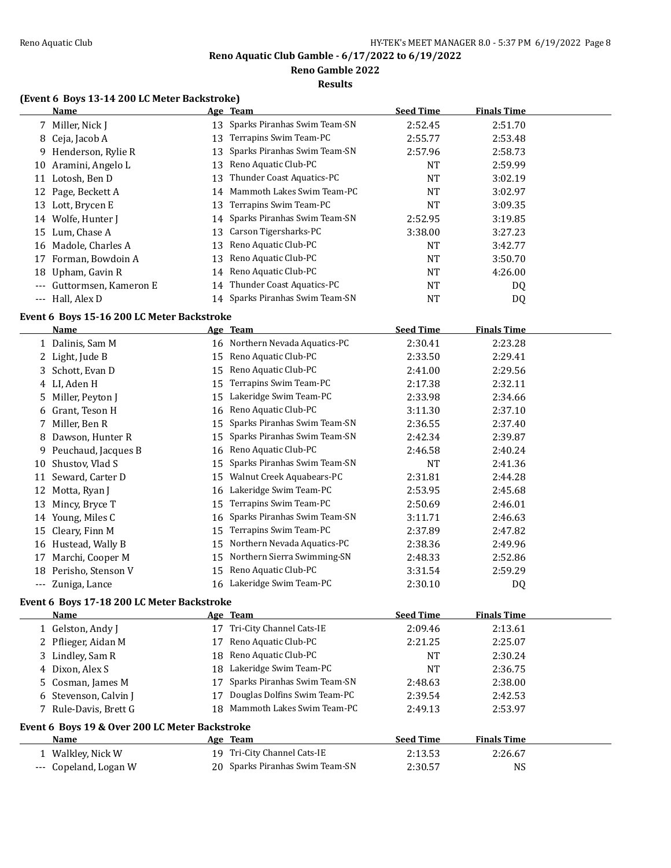**Reno Gamble 2022**

**Results**

# **(Event 6 Boys 13-14 200 LC Meter Backstroke)**

|                     | <b>Name</b>           |    | Age Team                        | <b>Seed Time</b> | <b>Finals Time</b> |  |
|---------------------|-----------------------|----|---------------------------------|------------------|--------------------|--|
|                     | 7 Miller, Nick J      |    | 13 Sparks Piranhas Swim Team-SN | 2:52.45          | 2:51.70            |  |
| 8                   | Ceja, Jacob A         | 13 | Terrapins Swim Team-PC          | 2:55.77          | 2:53.48            |  |
|                     | 9 Henderson, Rylie R  | 13 | Sparks Piranhas Swim Team-SN    | 2:57.96          | 2:58.73            |  |
|                     | 10 Aramini, Angelo L  | 13 | Reno Aquatic Club-PC            | NT               | 2:59.99            |  |
| 11                  | Lotosh, Ben D         | 13 | Thunder Coast Aquatics-PC       | NT               | 3:02.19            |  |
|                     | 12 Page, Beckett A    |    | 14 Mammoth Lakes Swim Team-PC   | <b>NT</b>        | 3:02.97            |  |
| 13                  | Lott, Brycen E        | 13 | Terrapins Swim Team-PC          | NT               | 3:09.35            |  |
| 14                  | Wolfe, Hunter J       |    | 14 Sparks Piranhas Swim Team-SN | 2:52.95          | 3:19.85            |  |
| 15                  | Lum, Chase A          |    | 13 Carson Tigersharks-PC        | 3:38.00          | 3:27.23            |  |
| 16                  | Madole, Charles A     | 13 | Reno Aquatic Club-PC            | <b>NT</b>        | 3:42.77            |  |
| 17                  | Forman, Bowdoin A     | 13 | Reno Aquatic Club-PC            | <b>NT</b>        | 3:50.70            |  |
| 18                  | Upham, Gavin R        |    | 14 Reno Aquatic Club-PC         | NT               | 4:26.00            |  |
| $---$               | Guttormsen, Kameron E |    | 14 Thunder Coast Aquatics-PC    | <b>NT</b>        | DQ                 |  |
| $\qquad \qquad - -$ | Hall, Alex D          |    | 14 Sparks Piranhas Swim Team-SN | NT               | DQ                 |  |

### **Event 6 Boys 15-16 200 LC Meter Backstroke**

|       | Name                |    | Age Team                       | <b>Seed Time</b> | Finals Time |
|-------|---------------------|----|--------------------------------|------------------|-------------|
|       | 1 Dalinis, Sam M    |    | 16 Northern Nevada Aquatics-PC | 2:30.41          | 2:23.28     |
|       | 2 Light, Jude B     | 15 | Reno Aquatic Club-PC           | 2:33.50          | 2:29.41     |
|       | 3 Schott, Evan D    | 15 | Reno Aquatic Club-PC           | 2:41.00          | 2:29.56     |
|       | 4 LI, Aden H        | 15 | Terrapins Swim Team-PC         | 2:17.38          | 2:32.11     |
| 5     | Miller, Peyton J    | 15 | Lakeridge Swim Team-PC         | 2:33.98          | 2:34.66     |
|       | 6 Grant, Teson H    |    | 16 Reno Aquatic Club-PC        | 3:11.30          | 2:37.10     |
|       | 7 Miller, Ben R     | 15 | Sparks Piranhas Swim Team-SN   | 2:36.55          | 2:37.40     |
| 8.    | Dawson, Hunter R    | 15 | Sparks Piranhas Swim Team-SN   | 2:42.34          | 2:39.87     |
| 9     | Peuchaud, Jacques B | 16 | Reno Aquatic Club-PC           | 2:46.58          | 2:40.24     |
| 10    | Shustov, Vlad S     | 15 | Sparks Piranhas Swim Team-SN   | NT               | 2:41.36     |
| 11    | Seward, Carter D    | 15 | Walnut Creek Aquabears-PC      | 2:31.81          | 2:44.28     |
| 12    | Motta, Ryan J       | 16 | Lakeridge Swim Team-PC         | 2:53.95          | 2:45.68     |
| 13    | Mincy, Bryce T      | 15 | Terrapins Swim Team-PC         | 2:50.69          | 2:46.01     |
| 14    | Young, Miles C      | 16 | Sparks Piranhas Swim Team-SN   | 3:11.71          | 2:46.63     |
| 15    | Cleary, Finn M      | 15 | Terrapins Swim Team-PC         | 2:37.89          | 2:47.82     |
| 16    | Hustead, Wally B    | 15 | Northern Nevada Aquatics-PC    | 2:38.36          | 2:49.96     |
| 17    | Marchi, Cooper M    | 15 | Northern Sierra Swimming-SN    | 2:48.33          | 2:52.86     |
| 18    | Perisho, Stenson V  | 15 | Reno Aquatic Club-PC           | 3:31.54          | 2:59.29     |
| $---$ | Zuniga, Lance       |    | 16 Lakeridge Swim Team-PC      | 2:30.10          | DQ          |

# **Event 6 Boys 17-18 200 LC Meter Backstroke**

| Name                  |                                                |    | Age Team                        | <b>Seed Time</b> | <b>Finals Time</b> |  |
|-----------------------|------------------------------------------------|----|---------------------------------|------------------|--------------------|--|
| 1 Gelston, Andy J     |                                                | 17 | Tri-City Channel Cats-IE        | 2:09.46          | 2:13.61            |  |
| 2 Pflieger, Aidan M   |                                                | 17 | Reno Aquatic Club-PC            | 2:21.25          | 2:25.07            |  |
| 3 Lindley, Sam R      |                                                |    | 18 Reno Aquatic Club-PC         | <b>NT</b>        | 2:30.24            |  |
| 4 Dixon, Alex S       |                                                |    | 18 Lakeridge Swim Team-PC       | NT               | 2:36.75            |  |
| 5 Cosman, James M     |                                                | 17 | Sparks Piranhas Swim Team-SN    | 2:48.63          | 2:38.00            |  |
| 6 Stevenson, Calvin J |                                                | 17 | Douglas Dolfins Swim Team-PC    | 2:39.54          | 2:42.53            |  |
| 7 Rule-Davis, Brett G |                                                |    | 18 Mammoth Lakes Swim Team-PC   | 2:49.13          | 2:53.97            |  |
|                       | Event 6 Boys 19 & Over 200 LC Meter Backstroke |    |                                 |                  |                    |  |
| <b>Name</b>           |                                                |    | Age Team                        | <b>Seed Time</b> | <b>Finals Time</b> |  |
| 1 Walkley, Nick W     |                                                | 19 | Tri-City Channel Cats-IE        | 2:13.53          | 2:26.67            |  |
| --- Copeland, Logan W |                                                |    | 20 Sparks Piranhas Swim Team-SN | 2:30.57          | NS                 |  |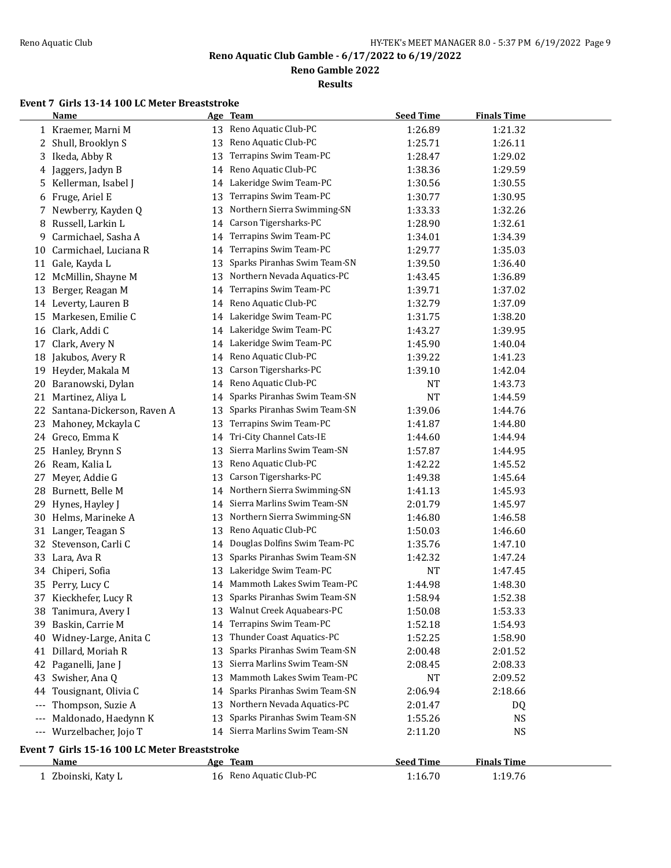**Reno Gamble 2022**

**Results**

### **Event 7 Girls 13-14 100 LC Meter Breaststroke**

|       | <b>Name</b>                                   |    | Age Team                        | <b>Seed Time</b> | <b>Finals Time</b> |  |
|-------|-----------------------------------------------|----|---------------------------------|------------------|--------------------|--|
|       | 1 Kraemer, Marni M                            | 13 | Reno Aquatic Club-PC            | 1:26.89          | 1:21.32            |  |
| 2     | Shull, Brooklyn S                             | 13 | Reno Aquatic Club-PC            | 1:25.71          | 1:26.11            |  |
| 3     | Ikeda, Abby R                                 | 13 | Terrapins Swim Team-PC          | 1:28.47          | 1:29.02            |  |
| 4     | Jaggers, Jadyn B                              | 14 | Reno Aquatic Club-PC            | 1:38.36          | 1:29.59            |  |
| 5     | Kellerman, Isabel J                           | 14 | Lakeridge Swim Team-PC          | 1:30.56          | 1:30.55            |  |
| 6     | Fruge, Ariel E                                | 13 | Terrapins Swim Team-PC          | 1:30.77          | 1:30.95            |  |
| 7     | Newberry, Kayden Q                            | 13 | Northern Sierra Swimming-SN     | 1:33.33          | 1:32.26            |  |
| 8     | Russell, Larkin L                             | 14 | Carson Tigersharks-PC           | 1:28.90          | 1:32.61            |  |
| 9     | Carmichael, Sasha A                           | 14 | Terrapins Swim Team-PC          | 1:34.01          | 1:34.39            |  |
| 10    | Carmichael, Luciana R                         | 14 | Terrapins Swim Team-PC          | 1:29.77          | 1:35.03            |  |
| 11    | Gale, Kayda L                                 | 13 | Sparks Piranhas Swim Team-SN    | 1:39.50          | 1:36.40            |  |
| 12    | McMillin, Shayne M                            | 13 | Northern Nevada Aquatics-PC     | 1:43.45          | 1:36.89            |  |
| 13    | Berger, Reagan M                              | 14 | Terrapins Swim Team-PC          | 1:39.71          | 1:37.02            |  |
| 14    | Leverty, Lauren B                             | 14 | Reno Aquatic Club-PC            | 1:32.79          | 1:37.09            |  |
| 15    | Markesen, Emilie C                            | 14 | Lakeridge Swim Team-PC          | 1:31.75          | 1:38.20            |  |
| 16    | Clark, Addi C                                 | 14 | Lakeridge Swim Team-PC          | 1:43.27          | 1:39.95            |  |
| 17    | Clark, Avery N                                | 14 | Lakeridge Swim Team-PC          | 1:45.90          | 1:40.04            |  |
| 18    | Jakubos, Avery R                              | 14 | Reno Aquatic Club-PC            | 1:39.22          | 1:41.23            |  |
| 19    | Heyder, Makala M                              | 13 | Carson Tigersharks-PC           | 1:39.10          | 1:42.04            |  |
| 20    | Baranowski, Dylan                             | 14 | Reno Aquatic Club-PC            | NT               | 1:43.73            |  |
| 21    | Martinez, Aliya L                             | 14 | Sparks Piranhas Swim Team-SN    | <b>NT</b>        | 1:44.59            |  |
| 22    | Santana-Dickerson, Raven A                    | 13 | Sparks Piranhas Swim Team-SN    | 1:39.06          | 1:44.76            |  |
| 23    | Mahoney, Mckayla C                            | 13 | Terrapins Swim Team-PC          | 1:41.87          | 1:44.80            |  |
| 24    | Greco, Emma K                                 | 14 | Tri-City Channel Cats-IE        | 1:44.60          | 1:44.94            |  |
| 25    | Hanley, Brynn S                               | 13 | Sierra Marlins Swim Team-SN     | 1:57.87          | 1:44.95            |  |
| 26    | Ream, Kalia L                                 | 13 | Reno Aquatic Club-PC            | 1:42.22          | 1:45.52            |  |
| 27    | Meyer, Addie G                                | 13 | Carson Tigersharks-PC           | 1:49.38          | 1:45.64            |  |
| 28    | Burnett, Belle M                              | 14 | Northern Sierra Swimming-SN     | 1:41.13          | 1:45.93            |  |
| 29    | Hynes, Hayley J                               | 14 | Sierra Marlins Swim Team-SN     | 2:01.79          | 1:45.97            |  |
| 30    | Helms, Marineke A                             | 13 | Northern Sierra Swimming-SN     | 1:46.80          | 1:46.58            |  |
| 31    | Langer, Teagan S                              | 13 | Reno Aquatic Club-PC            | 1:50.03          | 1:46.60            |  |
| 32    | Stevenson, Carli C                            | 14 | Douglas Dolfins Swim Team-PC    | 1:35.76          | 1:47.10            |  |
| 33    | Lara, Ava R                                   | 13 | Sparks Piranhas Swim Team-SN    | 1:42.32          | 1:47.24            |  |
|       | 34 Chiperi, Sofia                             | 13 | Lakeridge Swim Team-PC          | <b>NT</b>        | 1:47.45            |  |
| 35    | Perry, Lucy C                                 | 14 | Mammoth Lakes Swim Team-PC      | 1:44.98          | 1:48.30            |  |
| 37    | Kieckhefer, Lucy R                            |    | 13 Sparks Piranhas Swim Team-SN | 1:58.94          | 1:52.38            |  |
| 38    | Tanimura, Avery I                             |    | 13 Walnut Creek Aquabears-PC    | 1:50.08          | 1:53.33            |  |
| 39    | Baskin, Carrie M                              | 14 | Terrapins Swim Team-PC          | 1:52.18          | 1:54.93            |  |
| 40    | Widney-Large, Anita C                         | 13 | Thunder Coast Aquatics-PC       | 1:52.25          | 1:58.90            |  |
| 41    | Dillard, Moriah R                             | 13 | Sparks Piranhas Swim Team-SN    | 2:00.48          | 2:01.52            |  |
| 42    | Paganelli, Jane J                             | 13 | Sierra Marlins Swim Team-SN     | 2:08.45          | 2:08.33            |  |
| 43    | Swisher, Ana Q                                | 13 | Mammoth Lakes Swim Team-PC      | NT               | 2:09.52            |  |
| 44    | Tousignant, Olivia C                          | 14 | Sparks Piranhas Swim Team-SN    | 2:06.94          | 2:18.66            |  |
| $---$ | Thompson, Suzie A                             | 13 | Northern Nevada Aquatics-PC     | 2:01.47          | DQ                 |  |
| $---$ | Maldonado, Haedynn K                          | 13 | Sparks Piranhas Swim Team-SN    | 1:55.26          | <b>NS</b>          |  |
| $---$ | Wurzelbacher, Jojo T                          | 14 | Sierra Marlins Swim Team-SN     | 2:11.20          | <b>NS</b>          |  |
|       |                                               |    |                                 |                  |                    |  |
|       | Event 7 Girls 15-16 100 LC Meter Breaststroke |    |                                 |                  |                    |  |
|       | <u>Name</u>                                   |    | Age Team                        | <b>Seed Time</b> | <b>Finals Time</b> |  |
|       | 1 Zboinski, Katy L                            |    | 16 Reno Aquatic Club-PC         | 1:16.70          | 1:19.76            |  |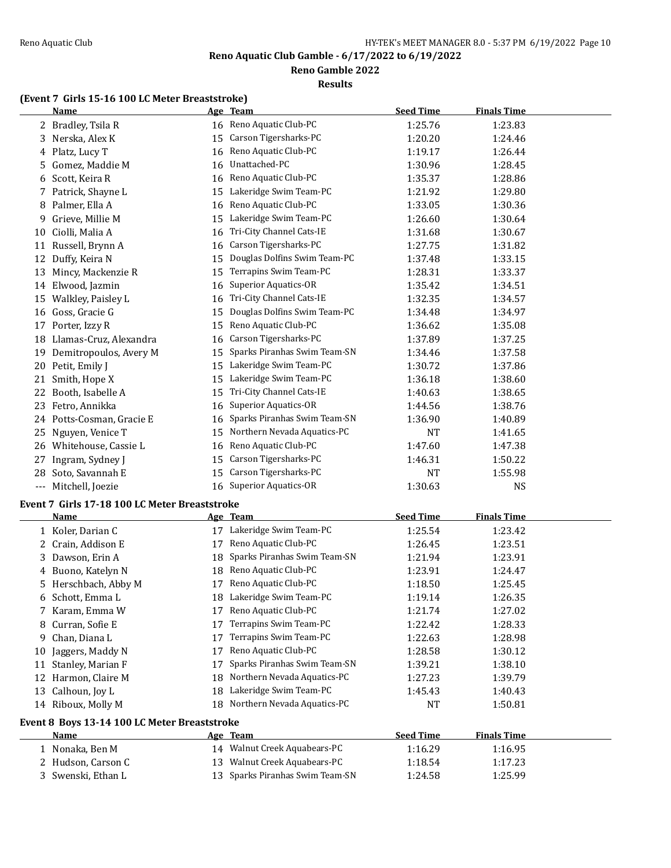**Reno Gamble 2022**

#### **Results**

# **(Event 7 Girls 15-16 100 LC Meter Breaststroke)**

|    | <b>Name</b>                                   |    | Age Team                        | <b>Seed Time</b> | <b>Finals Time</b> |  |
|----|-----------------------------------------------|----|---------------------------------|------------------|--------------------|--|
|    | 2 Bradley, Tsila R                            |    | 16 Reno Aquatic Club-PC         | 1:25.76          | 1:23.83            |  |
| 3  | Nerska, Alex K                                | 15 | Carson Tigersharks-PC           | 1:20.20          | 1:24.46            |  |
|    | 4 Platz, Lucy T                               | 16 | Reno Aquatic Club-PC            | 1:19.17          | 1:26.44            |  |
| 5  | Gomez, Maddie M                               | 16 | Unattached-PC                   | 1:30.96          | 1:28.45            |  |
| 6  | Scott, Keira R                                | 16 | Reno Aquatic Club-PC            | 1:35.37          | 1:28.86            |  |
|    | 7 Patrick, Shayne L                           | 15 | Lakeridge Swim Team-PC          | 1:21.92          | 1:29.80            |  |
| 8  | Palmer, Ella A                                | 16 | Reno Aquatic Club-PC            | 1:33.05          | 1:30.36            |  |
| 9. | Grieve, Millie M                              | 15 | Lakeridge Swim Team-PC          | 1:26.60          | 1:30.64            |  |
| 10 | Ciolli, Malia A                               | 16 | Tri-City Channel Cats-IE        | 1:31.68          | 1:30.67            |  |
|    | 11 Russell, Brynn A                           | 16 | Carson Tigersharks-PC           | 1:27.75          | 1:31.82            |  |
|    | 12 Duffy, Keira N                             | 15 | Douglas Dolfins Swim Team-PC    | 1:37.48          | 1:33.15            |  |
| 13 | Mincy, Mackenzie R                            | 15 | Terrapins Swim Team-PC          | 1:28.31          | 1:33.37            |  |
|    | 14 Elwood, Jazmin                             | 16 | <b>Superior Aquatics-OR</b>     | 1:35.42          | 1:34.51            |  |
|    | 15 Walkley, Paisley L                         | 16 | Tri-City Channel Cats-IE        | 1:32.35          | 1:34.57            |  |
|    | 16 Goss, Gracie G                             | 15 | Douglas Dolfins Swim Team-PC    | 1:34.48          | 1:34.97            |  |
| 17 | Porter, Izzy R                                | 15 | Reno Aquatic Club-PC            | 1:36.62          | 1:35.08            |  |
| 18 | Llamas-Cruz, Alexandra                        | 16 | Carson Tigersharks-PC           | 1:37.89          | 1:37.25            |  |
| 19 | Demitropoulos, Avery M                        | 15 | Sparks Piranhas Swim Team-SN    | 1:34.46          | 1:37.58            |  |
|    | 20 Petit, Emily J                             | 15 | Lakeridge Swim Team-PC          | 1:30.72          | 1:37.86            |  |
|    | 21 Smith, Hope X                              | 15 | Lakeridge Swim Team-PC          | 1:36.18          | 1:38.60            |  |
|    | 22 Booth, Isabelle A                          | 15 | Tri-City Channel Cats-IE        | 1:40.63          | 1:38.65            |  |
|    | 23 Fetro, Annikka                             | 16 | Superior Aquatics-OR            | 1:44.56          | 1:38.76            |  |
|    | 24 Potts-Cosman, Gracie E                     | 16 | Sparks Piranhas Swim Team-SN    | 1:36.90          | 1:40.89            |  |
| 25 | Nguyen, Venice T                              |    | 15 Northern Nevada Aquatics-PC  | <b>NT</b>        | 1:41.65            |  |
|    | 26 Whitehouse, Cassie L                       | 16 | Reno Aquatic Club-PC            | 1:47.60          | 1:47.38            |  |
| 27 | Ingram, Sydney J                              | 15 | Carson Tigersharks-PC           | 1:46.31          | 1:50.22            |  |
| 28 | Soto, Savannah E                              | 15 | Carson Tigersharks-PC           | <b>NT</b>        | 1:55.98            |  |
|    | --- Mitchell, Joezie                          | 16 | <b>Superior Aquatics-OR</b>     | 1:30.63          | <b>NS</b>          |  |
|    |                                               |    |                                 |                  |                    |  |
|    | Event 7 Girls 17-18 100 LC Meter Breaststroke |    |                                 |                  | <b>Finals Time</b> |  |
|    | <u>Name</u>                                   |    | Age Team                        | <b>Seed Time</b> |                    |  |
|    | 1 Koler, Darian C                             |    | 17 Lakeridge Swim Team-PC       | 1:25.54          | 1:23.42            |  |
|    | 2 Crain, Addison E                            | 17 | Reno Aquatic Club-PC            | 1:26.45          | 1:23.51            |  |
| 3  | Dawson, Erin A                                | 18 | Sparks Piranhas Swim Team-SN    | 1:21.94          | 1:23.91            |  |
|    | 4 Buono, Katelyn N                            | 18 | Reno Aquatic Club-PC            | 1:23.91          | 1:24.47            |  |
| 5. | Herschbach, Abby M                            |    | 17 Reno Aquatic Club-PC         | 1:18.50          | 1:25.45            |  |
|    | 6 Schott, Emma L                              |    | 18 Lakeridge Swim Team-PC       | 1:19.14          | 1:26.35            |  |
|    | 7 Karam, Emma W                               |    | 17 Reno Aquatic Club-PC         | 1:21.74          | 1:27.02            |  |
| 8  | Curran, Sofie E                               | 17 | Terrapins Swim Team-PC          | 1:22.42          | 1:28.33            |  |
| 9. | Chan, Diana L                                 | 17 | Terrapins Swim Team-PC          | 1:22.63          | 1:28.98            |  |
| 10 | Jaggers, Maddy N                              | 17 | Reno Aquatic Club-PC            | 1:28.58          | 1:30.12            |  |
|    | 11 Stanley, Marian F                          | 17 | Sparks Piranhas Swim Team-SN    | 1:39.21          | 1:38.10            |  |
|    | 12 Harmon, Claire M                           | 18 | Northern Nevada Aquatics-PC     | 1:27.23          | 1:39.79            |  |
|    | 13 Calhoun, Joy L                             | 18 | Lakeridge Swim Team-PC          | 1:45.43          | 1:40.43            |  |
|    | 14 Riboux, Molly M                            | 18 | Northern Nevada Aquatics-PC     | NT               | 1:50.81            |  |
|    | Event 8 Boys 13-14 100 LC Meter Breaststroke  |    |                                 |                  |                    |  |
|    | <u>Name</u>                                   |    | <u>Age Team</u>                 | <b>Seed Time</b> | <b>Finals Time</b> |  |
|    | 1 Nonaka, Ben M                               |    | 14 Walnut Creek Aquabears-PC    | 1:16.29          | 1:16.95            |  |
|    | 2 Hudson, Carson C                            |    | 13 Walnut Creek Aquabears-PC    | 1:18.54          | 1:17.23            |  |
|    | 3 Swenski, Ethan L                            |    | 13 Sparks Piranhas Swim Team-SN | 1:24.58          | 1:25.99            |  |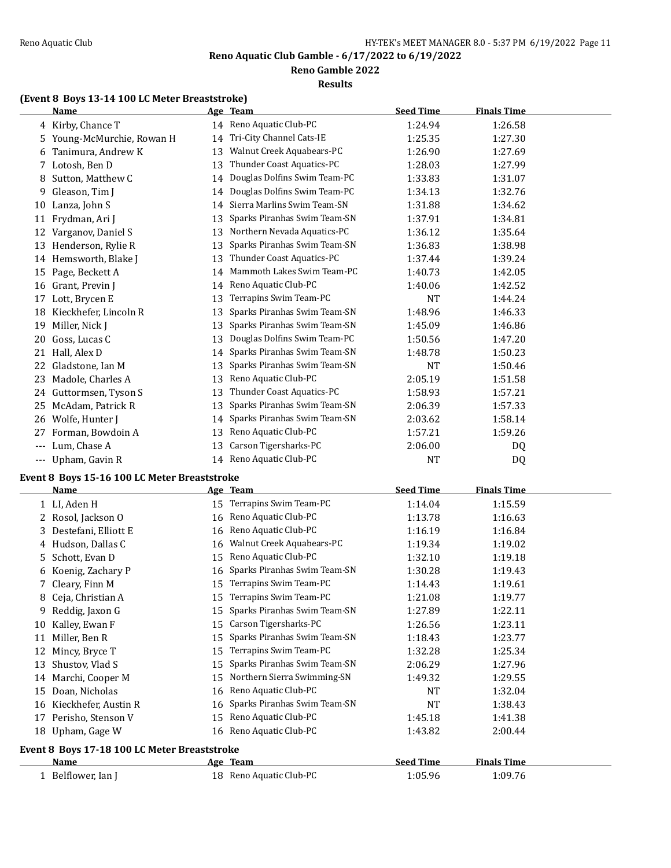**Reno Gamble 2022**

### **Results**

# **(Event 8 Boys 13-14 100 LC Meter Breaststroke)**

|         | <b>Name</b>              |    | Age Team                     | <b>Seed Time</b> | <b>Finals Time</b> |  |
|---------|--------------------------|----|------------------------------|------------------|--------------------|--|
|         | 4 Kirby, Chance T        |    | 14 Reno Aquatic Club-PC      | 1:24.94          | 1:26.58            |  |
| 5.      | Young-McMurchie, Rowan H | 14 | Tri-City Channel Cats-IE     | 1:25.35          | 1:27.30            |  |
| 6       | Tanimura, Andrew K       | 13 | Walnut Creek Aquabears-PC    | 1:26.90          | 1:27.69            |  |
| 7       | Lotosh, Ben D            | 13 | Thunder Coast Aquatics-PC    | 1:28.03          | 1:27.99            |  |
| 8       | Sutton, Matthew C        | 14 | Douglas Dolfins Swim Team-PC | 1:33.83          | 1:31.07            |  |
| 9       | Gleason, Tim J           | 14 | Douglas Dolfins Swim Team-PC | 1:34.13          | 1:32.76            |  |
| 10      | Lanza, John S            | 14 | Sierra Marlins Swim Team-SN  | 1:31.88          | 1:34.62            |  |
| 11      | Frydman, Ari J           | 13 | Sparks Piranhas Swim Team-SN | 1:37.91          | 1:34.81            |  |
| 12      | Varganov, Daniel S       | 13 | Northern Nevada Aquatics-PC  | 1:36.12          | 1:35.64            |  |
| 13      | Henderson, Rylie R       | 13 | Sparks Piranhas Swim Team-SN | 1:36.83          | 1:38.98            |  |
| 14      | Hemsworth, Blake J       | 13 | Thunder Coast Aquatics-PC    | 1:37.44          | 1:39.24            |  |
| 15      | Page, Beckett A          | 14 | Mammoth Lakes Swim Team-PC   | 1:40.73          | 1:42.05            |  |
| 16      | Grant, Previn J          | 14 | Reno Aquatic Club-PC         | 1:40.06          | 1:42.52            |  |
| 17      | Lott, Brycen E           | 13 | Terrapins Swim Team-PC       | NT               | 1:44.24            |  |
| 18      | Kieckhefer, Lincoln R    | 13 | Sparks Piranhas Swim Team-SN | 1:48.96          | 1:46.33            |  |
| 19      | Miller, Nick J           | 13 | Sparks Piranhas Swim Team-SN | 1:45.09          | 1:46.86            |  |
| 20      | Goss, Lucas C            | 13 | Douglas Dolfins Swim Team-PC | 1:50.56          | 1:47.20            |  |
| 21      | Hall, Alex D             | 14 | Sparks Piranhas Swim Team-SN | 1:48.78          | 1:50.23            |  |
| 22      | Gladstone, Ian M         | 13 | Sparks Piranhas Swim Team-SN | <b>NT</b>        | 1:50.46            |  |
| 23      | Madole, Charles A        | 13 | Reno Aquatic Club-PC         | 2:05.19          | 1:51.58            |  |
| 24      | Guttormsen, Tyson S      | 13 | Thunder Coast Aquatics-PC    | 1:58.93          | 1:57.21            |  |
| 25      | McAdam, Patrick R        | 13 | Sparks Piranhas Swim Team-SN | 2:06.39          | 1:57.33            |  |
| 26      | Wolfe, Hunter I          | 14 | Sparks Piranhas Swim Team-SN | 2:03.62          | 1:58.14            |  |
| 27      | Forman, Bowdoin A        | 13 | Reno Aquatic Club-PC         | 1:57.21          | 1:59.26            |  |
| $- - -$ | Lum, Chase A             | 13 | Carson Tigersharks-PC        | 2:06.00          | DQ                 |  |
| $---$   | Upham, Gavin R           | 14 | Reno Aquatic Club-PC         | <b>NT</b>        | D <sub>0</sub>     |  |

# **Event 8 Boys 15-16 100 LC Meter Breaststroke**

|    | Name                                         |     | Age Team                     | <b>Seed Time</b> | <b>Finals Time</b> |
|----|----------------------------------------------|-----|------------------------------|------------------|--------------------|
|    | 1 LI, Aden H                                 | 15  | Terrapins Swim Team-PC       | 1:14.04          | 1:15.59            |
|    | 2 Rosol, Jackson O                           | 16  | Reno Aquatic Club-PC         | 1:13.78          | 1:16.63            |
| 3. | Destefani, Elliott E                         | 16  | Reno Aquatic Club-PC         | 1:16.19          | 1:16.84            |
| 4  | Hudson, Dallas C                             | 16  | Walnut Creek Aquabears-PC    | 1:19.34          | 1:19.02            |
| 5. | Schott, Evan D                               | 15  | Reno Aquatic Club-PC         | 1:32.10          | 1:19.18            |
| 6  | Koenig, Zachary P                            | 16  | Sparks Piranhas Swim Team-SN | 1:30.28          | 1:19.43            |
|    | Cleary, Finn M                               | 15  | Terrapins Swim Team-PC       | 1:14.43          | 1:19.61            |
| 8  | Ceja, Christian A                            | 15  | Terrapins Swim Team-PC       | 1:21.08          | 1:19.77            |
| 9  | Reddig, Jaxon G                              | 15  | Sparks Piranhas Swim Team-SN | 1:27.89          | 1:22.11            |
| 10 | Kalley, Ewan F                               | 15  | Carson Tigersharks-PC        | 1:26.56          | 1:23.11            |
| 11 | Miller, Ben R                                | 15  | Sparks Piranhas Swim Team-SN | 1:18.43          | 1:23.77            |
| 12 | Mincy, Bryce T                               | 15  | Terrapins Swim Team-PC       | 1:32.28          | 1:25.34            |
| 13 | Shustov, Vlad S                              | 15  | Sparks Piranhas Swim Team-SN | 2:06.29          | 1:27.96            |
| 14 | Marchi, Cooper M                             | 15  | Northern Sierra Swimming-SN  | 1:49.32          | 1:29.55            |
| 15 | Doan, Nicholas                               | 16  | Reno Aquatic Club-PC         | <b>NT</b>        | 1:32.04            |
| 16 | Kieckhefer, Austin R                         | 16  | Sparks Piranhas Swim Team-SN | <b>NT</b>        | 1:38.43            |
| 17 | Perisho, Stenson V                           | 15  | Reno Aquatic Club-PC         | 1:45.18          | 1:41.38            |
| 18 | Upham, Gage W                                | 16  | Reno Aquatic Club-PC         | 1:43.82          | 2:00.44            |
|    | Event 8 Boys 17-18 100 LC Meter Breaststroke |     |                              |                  |                    |
|    | Name                                         | Age | <b>Team</b>                  | <b>Seed Time</b> | <b>Finals Time</b> |
|    | 1 Belflower, Ian J                           |     | 18 Reno Aquatic Club-PC      | 1:05.96          | 1:09.76            |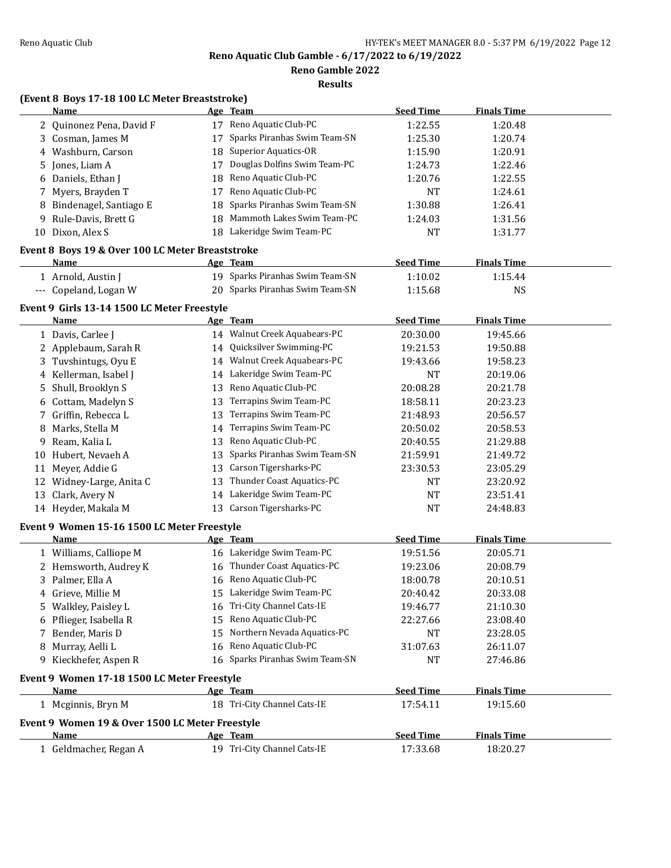**Reno Gamble 2022**

**Results**

# **(Event 8 Boys 17-18 100 LC Meter Breaststroke)**

|    | <b>Name</b>                                                |    | Age Team                        | <b>Seed Time</b> | <b>Finals Time</b> |  |
|----|------------------------------------------------------------|----|---------------------------------|------------------|--------------------|--|
|    | 2 Quinonez Pena, David F                                   |    | 17 Reno Aquatic Club-PC         | 1:22.55          | 1:20.48            |  |
|    | 3 Cosman, James M                                          | 17 | Sparks Piranhas Swim Team-SN    | 1:25.30          | 1:20.74            |  |
|    | 4 Washburn, Carson                                         | 18 | Superior Aquatics-OR            | 1:15.90          | 1:20.91            |  |
| 5  | Jones, Liam A                                              | 17 | Douglas Dolfins Swim Team-PC    | 1:24.73          | 1:22.46            |  |
|    | 6 Daniels, Ethan J                                         | 18 | Reno Aquatic Club-PC            | 1:20.76          | 1:22.55            |  |
| 7  | Myers, Brayden T                                           | 17 | Reno Aquatic Club-PC            | <b>NT</b>        | 1:24.61            |  |
|    | Bindenagel, Santiago E                                     | 18 | Sparks Piranhas Swim Team-SN    | 1:30.88          | 1:26.41            |  |
| 9  | Rule-Davis, Brett G                                        | 18 | Mammoth Lakes Swim Team-PC      | 1:24.03          | 1:31.56            |  |
|    | 10 Dixon, Alex S                                           |    | 18 Lakeridge Swim Team-PC       | <b>NT</b>        | 1:31.77            |  |
|    |                                                            |    |                                 |                  |                    |  |
|    | Event 8 Boys 19 & Over 100 LC Meter Breaststroke           |    |                                 | <b>Seed Time</b> | <b>Finals Time</b> |  |
|    | Name                                                       |    | Age Team                        |                  |                    |  |
|    | 1 Arnold, Austin J                                         |    | 19 Sparks Piranhas Swim Team-SN | 1:10.02          | 1:15.44            |  |
|    | --- Copeland, Logan W                                      |    | 20 Sparks Piranhas Swim Team-SN | 1:15.68          | <b>NS</b>          |  |
|    | Event 9 Girls 13-14 1500 LC Meter Freestyle                |    |                                 |                  |                    |  |
|    | Name                                                       |    | Age Team                        | <b>Seed Time</b> | <b>Finals Time</b> |  |
|    | 1 Davis, Carlee J                                          |    | 14 Walnut Creek Aquabears-PC    | 20:30.00         | 19:45.66           |  |
|    | 2 Applebaum, Sarah R                                       |    | 14 Quicksilver Swimming-PC      | 19:21.53         | 19:50.88           |  |
|    | 3 Tuvshintugs, Oyu E                                       | 14 | Walnut Creek Aquabears-PC       | 19:43.66         | 19:58.23           |  |
|    | 4 Kellerman, Isabel J                                      | 14 | Lakeridge Swim Team-PC          | <b>NT</b>        | 20:19.06           |  |
| 5. | Shull, Brooklyn S                                          | 13 | Reno Aquatic Club-PC            | 20:08.28         | 20:21.78           |  |
|    | 6 Cottam, Madelyn S                                        | 13 | Terrapins Swim Team-PC          | 18:58.11         | 20:23.23           |  |
|    | 7 Griffin, Rebecca L                                       | 13 | Terrapins Swim Team-PC          | 21:48.93         | 20:56.57           |  |
| 8  | Marks, Stella M                                            | 14 | Terrapins Swim Team-PC          | 20:50.02         | 20:58.53           |  |
| 9  | Ream, Kalia L                                              | 13 | Reno Aquatic Club-PC            | 20:40.55         | 21:29.88           |  |
| 10 | Hubert, Nevaeh A                                           | 13 | Sparks Piranhas Swim Team-SN    | 21:59.91         | 21:49.72           |  |
| 11 | Meyer, Addie G                                             | 13 | Carson Tigersharks-PC           | 23:30.53         | 23:05.29           |  |
| 12 | Widney-Large, Anita C                                      | 13 | Thunder Coast Aquatics-PC       | NT               | 23:20.92           |  |
| 13 | Clark, Avery N                                             | 14 | Lakeridge Swim Team-PC          | NT               | 23:51.41           |  |
|    | 14 Heyder, Makala M                                        |    | 13 Carson Tigersharks-PC        | <b>NT</b>        | 24:48.83           |  |
|    |                                                            |    |                                 |                  |                    |  |
|    | Event 9 Women 15-16 1500 LC Meter Freestyle<br><b>Name</b> |    | Age Team                        | <b>Seed Time</b> | <b>Finals Time</b> |  |
|    |                                                            |    |                                 |                  |                    |  |
|    | 1 Williams, Calliope M                                     |    | 16 Lakeridge Swim Team-PC       | 19:51.56         | 20:05.71           |  |
|    | 2 Hemsworth, Audrey K                                      |    | 16 Thunder Coast Aquatics-PC    | 19:23.06         | 20:08.79           |  |
|    | 3 Palmer, Ella A                                           |    | 16 Reno Aquatic Club-PC         | 18:00.78         | 20:10.51           |  |
|    | 4 Grieve, Millie M                                         |    | 15 Lakeridge Swim Team-PC       | 20:40.42         | 20:33.08           |  |
|    | 5 Walkley, Paisley L                                       |    | 16 Tri-City Channel Cats-IE     | 19:46.77         | 21:10.30           |  |
|    | 6 Pflieger, Isabella R                                     |    | 15 Reno Aquatic Club-PC         | 22:27.66         | 23:08.40           |  |
| 7  | Bender, Maris D                                            | 15 | Northern Nevada Aquatics-PC     | <b>NT</b>        | 23:28.05           |  |
|    | 8 Murray, Aelli L                                          |    | 16 Reno Aquatic Club-PC         | 31:07.63         | 26:11.07           |  |
|    | 9 Kieckhefer, Aspen R                                      |    | 16 Sparks Piranhas Swim Team-SN | <b>NT</b>        | 27:46.86           |  |
|    | Event 9 Women 17-18 1500 LC Meter Freestyle                |    |                                 |                  |                    |  |
|    | <b>Name</b>                                                |    | Age Team                        | <b>Seed Time</b> | <b>Finals Time</b> |  |
|    | 1 Mcginnis, Bryn M                                         |    | 18 Tri-City Channel Cats-IE     | 17:54.11         | 19:15.60           |  |
|    | Event 9 Women 19 & Over 1500 LC Meter Freestyle            |    |                                 |                  |                    |  |
|    | Name                                                       |    | Age Team                        | <b>Seed Time</b> | <b>Finals Time</b> |  |
|    | 1 Geldmacher, Regan A                                      |    | 19 Tri-City Channel Cats-IE     | 17:33.68         | 18:20.27           |  |
|    |                                                            |    |                                 |                  |                    |  |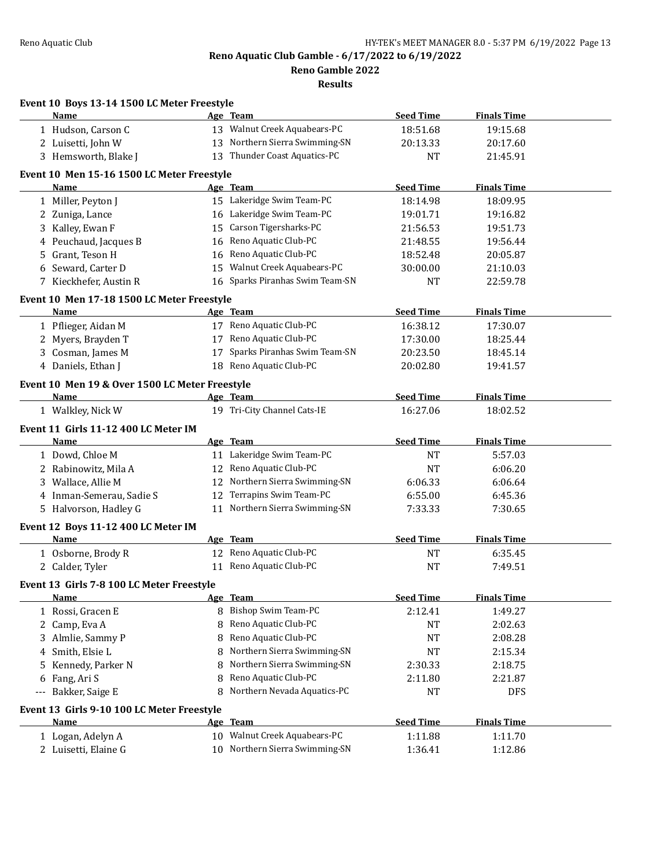**Reno Gamble 2022**

|       | Event 10 Boys 13-14 1500 LC Meter Freestyle    |    |                                 |                  |                    |  |
|-------|------------------------------------------------|----|---------------------------------|------------------|--------------------|--|
|       | Name                                           |    | Age Team                        | <b>Seed Time</b> | <b>Finals Time</b> |  |
|       | 1 Hudson, Carson C                             |    | 13 Walnut Creek Aquabears-PC    | 18:51.68         | 19:15.68           |  |
|       | 2 Luisetti, John W                             |    | 13 Northern Sierra Swimming-SN  | 20:13.33         | 20:17.60           |  |
|       | 3 Hemsworth, Blake J                           |    | 13 Thunder Coast Aquatics-PC    | <b>NT</b>        | 21:45.91           |  |
|       | Event 10 Men 15-16 1500 LC Meter Freestyle     |    |                                 |                  |                    |  |
|       | <b>Name</b>                                    |    | Age Team                        | <b>Seed Time</b> | <b>Finals Time</b> |  |
|       | 1 Miller, Peyton J                             |    | 15 Lakeridge Swim Team-PC       | 18:14.98         | 18:09.95           |  |
|       | 2 Zuniga, Lance                                |    | 16 Lakeridge Swim Team-PC       | 19:01.71         | 19:16.82           |  |
|       | 3 Kalley, Ewan F                               |    | 15 Carson Tigersharks-PC        | 21:56.53         | 19:51.73           |  |
|       | 4 Peuchaud, Jacques B                          |    | 16 Reno Aquatic Club-PC         | 21:48.55         | 19:56.44           |  |
| 5.    | Grant, Teson H                                 |    | 16 Reno Aquatic Club-PC         | 18:52.48         | 20:05.87           |  |
|       | 6 Seward, Carter D                             |    | 15 Walnut Creek Aquabears-PC    | 30:00.00         | 21:10.03           |  |
|       | 7 Kieckhefer, Austin R                         |    | 16 Sparks Piranhas Swim Team-SN | NT               | 22:59.78           |  |
|       | Event 10 Men 17-18 1500 LC Meter Freestyle     |    |                                 |                  |                    |  |
|       | Name                                           |    | Age Team                        | <b>Seed Time</b> | <b>Finals Time</b> |  |
|       | 1 Pflieger, Aidan M                            |    | 17 Reno Aquatic Club-PC         | 16:38.12         | 17:30.07           |  |
|       | 2 Myers, Brayden T                             |    | 17 Reno Aquatic Club-PC         | 17:30.00         | 18:25.44           |  |
|       | 3 Cosman, James M                              | 17 | Sparks Piranhas Swim Team-SN    | 20:23.50         | 18:45.14           |  |
|       | 4 Daniels, Ethan J                             |    | 18 Reno Aquatic Club-PC         | 20:02.80         | 19:41.57           |  |
|       |                                                |    |                                 |                  |                    |  |
|       | Event 10 Men 19 & Over 1500 LC Meter Freestyle |    |                                 |                  |                    |  |
|       | Name                                           |    | Age Team                        | <b>Seed Time</b> | <b>Finals Time</b> |  |
|       | 1 Walkley, Nick W                              |    | 19 Tri-City Channel Cats-IE     | 16:27.06         | 18:02.52           |  |
|       | Event 11 Girls 11-12 400 LC Meter IM           |    |                                 |                  |                    |  |
|       | Name                                           |    | Age Team                        | <b>Seed Time</b> | <b>Finals Time</b> |  |
|       | 1 Dowd, Chloe M                                |    | 11 Lakeridge Swim Team-PC       | <b>NT</b>        | 5:57.03            |  |
|       | 2 Rabinowitz, Mila A                           |    | 12 Reno Aquatic Club-PC         | <b>NT</b>        | 6:06.20            |  |
|       | 3 Wallace, Allie M                             |    | 12 Northern Sierra Swimming-SN  | 6:06.33          | 6:06.64            |  |
|       | 4 Inman-Semerau, Sadie S                       |    | 12 Terrapins Swim Team-PC       | 6:55.00          | 6:45.36            |  |
|       | 5 Halvorson, Hadley G                          |    | 11 Northern Sierra Swimming-SN  | 7:33.33          | 7:30.65            |  |
|       | Event 12 Boys 11-12 400 LC Meter IM            |    |                                 |                  |                    |  |
|       | Name                                           |    | Age Team                        | <b>Seed Time</b> | <b>Finals Time</b> |  |
|       | 1 Osborne, Brody R                             |    | 12 Reno Aquatic Club-PC         | NT               | 6:35.45            |  |
|       | 2 Calder, Tyler                                |    | 11 Reno Aquatic Club-PC         | <b>NT</b>        | 7:49.51            |  |
|       | Event 13 Girls 7-8 100 LC Meter Freestyle      |    |                                 |                  |                    |  |
|       | Name                                           |    | Age Team                        | <b>Seed Time</b> | <b>Finals Time</b> |  |
|       | 1 Rossi, Gracen E                              |    | 8 Bishop Swim Team-PC           | 2:12.41          | 1:49.27            |  |
|       | 2 Camp, Eva A                                  | 8  | Reno Aquatic Club-PC            | <b>NT</b>        | 2:02.63            |  |
| 3     | Almlie, Sammy P                                | 8  | Reno Aquatic Club-PC            | NT               | 2:08.28            |  |
| 4     | Smith, Elsie L                                 | 8  | Northern Sierra Swimming-SN     | NT               | 2:15.34            |  |
| 5     | Kennedy, Parker N                              | 8  | Northern Sierra Swimming-SN     | 2:30.33          | 2:18.75            |  |
| 6     | Fang, Ari S                                    | 8  | Reno Aquatic Club-PC            | 2:11.80          | 2:21.87            |  |
| $---$ | Bakker, Saige E                                | 8  | Northern Nevada Aquatics-PC     | NT               | DFS                |  |
|       | Event 13 Girls 9-10 100 LC Meter Freestyle     |    |                                 |                  |                    |  |
|       | Name                                           |    | Age Team                        | <b>Seed Time</b> | <b>Finals Time</b> |  |
|       | 1 Logan, Adelyn A                              |    | 10 Walnut Creek Aquabears-PC    | 1:11.88          | 1:11.70            |  |
|       | 2 Luisetti, Elaine G                           |    | 10 Northern Sierra Swimming-SN  | 1:36.41          | 1:12.86            |  |
|       |                                                |    |                                 |                  |                    |  |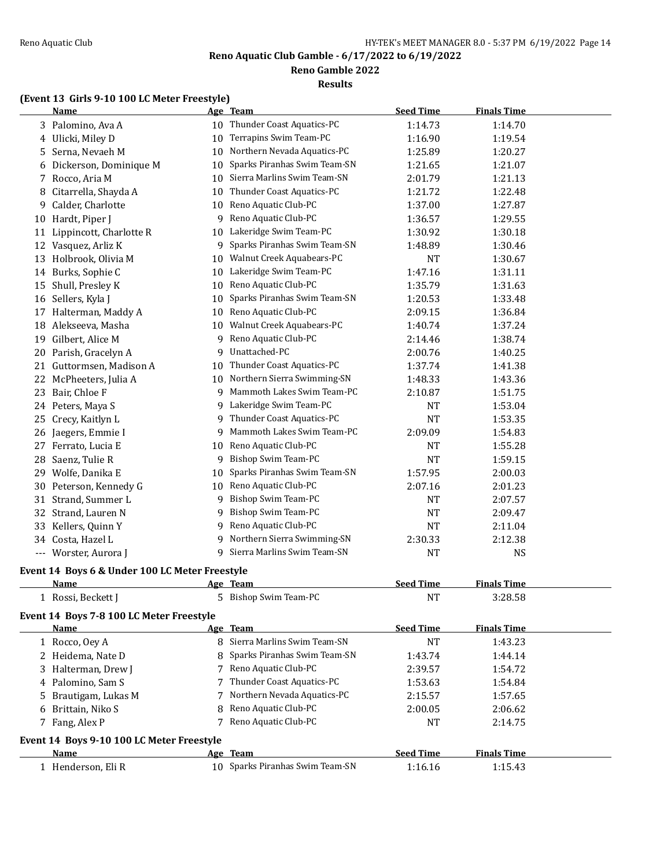**Reno Gamble 2022**

**Results**

# **(Event 13 Girls 9-10 100 LC Meter Freestyle)**

|    | <b>Name</b>                                    |    | Age Team                       | <b>Seed Time</b> | <b>Finals Time</b> |  |
|----|------------------------------------------------|----|--------------------------------|------------------|--------------------|--|
|    | 3 Palomino, Ava A                              |    | 10 Thunder Coast Aquatics-PC   | 1:14.73          | 1:14.70            |  |
| 4  | Ulicki, Miley D                                | 10 | Terrapins Swim Team-PC         | 1:16.90          | 1:19.54            |  |
| 5  | Serna, Nevaeh M                                | 10 | Northern Nevada Aquatics-PC    | 1:25.89          | 1:20.27            |  |
| 6  | Dickerson, Dominique M                         | 10 | Sparks Piranhas Swim Team-SN   | 1:21.65          | 1:21.07            |  |
| 7  | Rocco, Aria M                                  | 10 | Sierra Marlins Swim Team-SN    | 2:01.79          | 1:21.13            |  |
| 8  | Citarrella, Shayda A                           | 10 | Thunder Coast Aquatics-PC      | 1:21.72          | 1:22.48            |  |
| 9  | Calder, Charlotte                              | 10 | Reno Aquatic Club-PC           | 1:37.00          | 1:27.87            |  |
| 10 | Hardt, Piper J                                 | 9  | Reno Aquatic Club-PC           | 1:36.57          | 1:29.55            |  |
|    | 11 Lippincott, Charlotte R                     | 10 | Lakeridge Swim Team-PC         | 1:30.92          | 1:30.18            |  |
| 12 | Vasquez, Arliz K                               | 9  | Sparks Piranhas Swim Team-SN   | 1:48.89          | 1:30.46            |  |
| 13 | Holbrook, Olivia M                             | 10 | Walnut Creek Aquabears-PC      | <b>NT</b>        | 1:30.67            |  |
| 14 | Burks, Sophie C                                | 10 | Lakeridge Swim Team-PC         | 1:47.16          | 1:31.11            |  |
| 15 | Shull, Presley K                               | 10 | Reno Aquatic Club-PC           | 1:35.79          | 1:31.63            |  |
|    | 16 Sellers, Kyla J                             | 10 | Sparks Piranhas Swim Team-SN   | 1:20.53          | 1:33.48            |  |
|    | 17 Halterman, Maddy A                          | 10 | Reno Aquatic Club-PC           | 2:09.15          | 1:36.84            |  |
| 18 | Alekseeva, Masha                               | 10 | Walnut Creek Aquabears-PC      | 1:40.74          | 1:37.24            |  |
| 19 | Gilbert, Alice M                               | 9  | Reno Aquatic Club-PC           | 2:14.46          | 1:38.74            |  |
| 20 | Parish, Gracelyn A                             | 9  | Unattached-PC                  | 2:00.76          | 1:40.25            |  |
|    | 21 Guttormsen, Madison A                       | 10 | Thunder Coast Aquatics-PC      | 1:37.74          | 1:41.38            |  |
|    | 22 McPheeters, Julia A                         |    | 10 Northern Sierra Swimming-SN | 1:48.33          | 1:43.36            |  |
| 23 | Bair, Chloe F                                  | 9  | Mammoth Lakes Swim Team-PC     | 2:10.87          | 1:51.75            |  |
| 24 | Peters, Maya S                                 | 9  | Lakeridge Swim Team-PC         | <b>NT</b>        | 1:53.04            |  |
| 25 | Crecy, Kaitlyn L                               | 9  | Thunder Coast Aquatics-PC      | <b>NT</b>        | 1:53.35            |  |
| 26 | Jaegers, Emmie I                               | 9  | Mammoth Lakes Swim Team-PC     | 2:09.09          | 1:54.83            |  |
| 27 | Ferrato, Lucia E                               | 10 | Reno Aquatic Club-PC           | NT               | 1:55.28            |  |
| 28 | Saenz, Tulie R                                 |    | 9 Bishop Swim Team-PC          | <b>NT</b>        | 1:59.15            |  |
| 29 | Wolfe, Danika E                                | 10 | Sparks Piranhas Swim Team-SN   | 1:57.95          | 2:00.03            |  |
| 30 | Peterson, Kennedy G                            | 10 | Reno Aquatic Club-PC           | 2:07.16          | 2:01.23            |  |
| 31 | Strand, Summer L                               | 9  | Bishop Swim Team-PC            | <b>NT</b>        | 2:07.57            |  |
| 32 | Strand, Lauren N                               | 9  | Bishop Swim Team-PC            | <b>NT</b>        | 2:09.47            |  |
| 33 | Kellers, Quinn Y                               | 9  | Reno Aquatic Club-PC           | <b>NT</b>        | 2:11.04            |  |
| 34 | Costa, Hazel L                                 | 9  | Northern Sierra Swimming-SN    | 2:30.33          | 2:12.38            |  |
|    | --- Worster, Aurora J                          |    | 9 Sierra Marlins Swim Team-SN  | <b>NT</b>        | <b>NS</b>          |  |
|    | Event 14 Boys 6 & Under 100 LC Meter Freestyle |    |                                |                  |                    |  |
|    |                                                |    |                                |                  |                    |  |

| Name                       | Team<br>Age         | seed Time | <b>Finals Time</b>  |  |
|----------------------------|---------------------|-----------|---------------------|--|
| Reckett<br>Rossi<br>.<br>. | Bishop Swim Team-PC | <b>NT</b> | 222<br>i:Z8.58<br>. |  |

# **Event 14 Boys 7-8 100 LC Meter Freestyle**

| Name                                      |   | Age Team                        | <b>Seed Time</b> | <b>Finals Time</b> |  |  |
|-------------------------------------------|---|---------------------------------|------------------|--------------------|--|--|
| 1 Rocco, Oey A                            |   | 8 Sierra Marlins Swim Team-SN   | <b>NT</b>        | 1:43.23            |  |  |
| 2 Heidema, Nate D                         |   | 8 Sparks Piranhas Swim Team-SN  | 1:43.74          | 1:44.14            |  |  |
| 3 Halterman, Drew J                       |   | 7 Reno Aquatic Club-PC          | 2:39.57          | 1:54.72            |  |  |
| 4 Palomino, Sam S                         |   | Thunder Coast Aquatics-PC       | 1:53.63          | 1:54.84            |  |  |
| 5 Brautigam, Lukas M                      |   | 7 Northern Nevada Aquatics-PC   | 2:15.57          | 1:57.65            |  |  |
| 6 Brittain, Niko S                        | 8 | Reno Aquatic Club-PC            | 2:00.05          | 2:06.62            |  |  |
| 7 Fang, Alex P                            |   | Reno Aquatic Club-PC            | <b>NT</b>        | 2:14.75            |  |  |
| Event 14 Boys 9-10 100 LC Meter Freestyle |   |                                 |                  |                    |  |  |
| Name                                      |   | Age Team                        | <b>Seed Time</b> | <b>Finals Time</b> |  |  |
| 1 Henderson, Eli R                        |   | 10 Sparks Piranhas Swim Team-SN | 1:16.16          | 1:15.43            |  |  |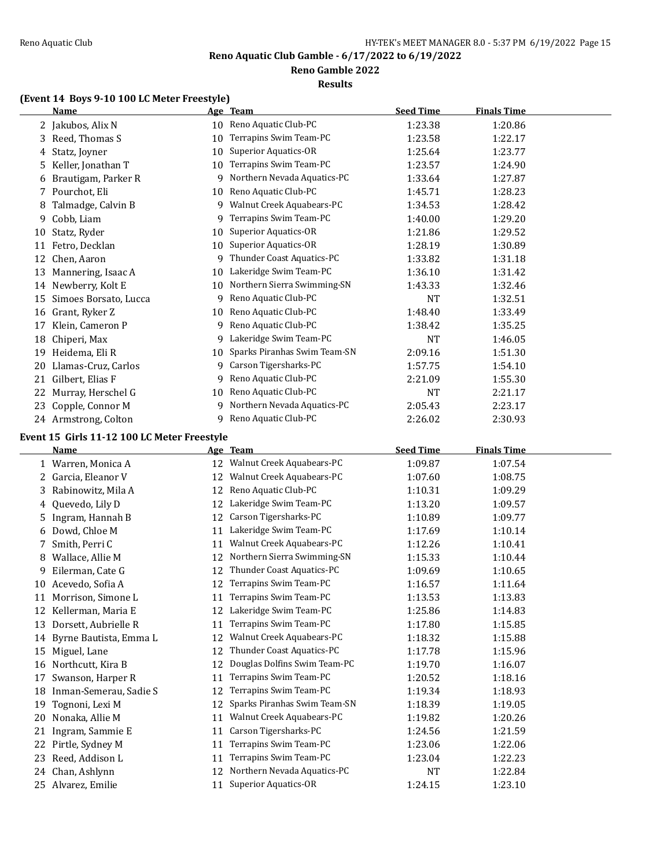### **Reno Gamble 2022**

**Results**

# **(Event 14 Boys 9-10 100 LC Meter Freestyle)**

|    | <b>Name</b>           |    | Age Team                     | <b>Seed Time</b> | <b>Finals Time</b> |
|----|-----------------------|----|------------------------------|------------------|--------------------|
|    | Jakubos, Alix N       | 10 | Reno Aquatic Club-PC         | 1:23.38          | 1:20.86            |
| 3  | Reed, Thomas S        | 10 | Terrapins Swim Team-PC       | 1:23.58          | 1:22.17            |
| 4  | Statz, Joyner         | 10 | Superior Aquatics-OR         | 1:25.64          | 1:23.77            |
| 5  | Keller, Jonathan T    | 10 | Terrapins Swim Team-PC       | 1:23.57          | 1:24.90            |
| 6  | Brautigam, Parker R   | 9  | Northern Nevada Aquatics-PC  | 1:33.64          | 1:27.87            |
|    | 7 Pourchot, Eli       | 10 | Reno Aquatic Club-PC         | 1:45.71          | 1:28.23            |
| 8  | Talmadge, Calvin B    | 9  | Walnut Creek Aquabears-PC    | 1:34.53          | 1:28.42            |
| 9  | Cobb, Liam            | 9  | Terrapins Swim Team-PC       | 1:40.00          | 1:29.20            |
| 10 | Statz, Ryder          | 10 | Superior Aquatics-OR         | 1:21.86          | 1:29.52            |
| 11 | Fetro, Decklan        | 10 | Superior Aquatics-OR         | 1:28.19          | 1:30.89            |
| 12 | Chen, Aaron           | 9  | Thunder Coast Aquatics-PC    | 1:33.82          | 1:31.18            |
| 13 | Mannering, Isaac A    | 10 | Lakeridge Swim Team-PC       | 1:36.10          | 1:31.42            |
| 14 | Newberry, Kolt E      | 10 | Northern Sierra Swimming-SN  | 1:43.33          | 1:32.46            |
| 15 | Simoes Borsato, Lucca | 9  | Reno Aquatic Club-PC         | <b>NT</b>        | 1:32.51            |
| 16 | Grant, Ryker Z        | 10 | Reno Aquatic Club-PC         | 1:48.40          | 1:33.49            |
| 17 | Klein, Cameron P      | 9  | Reno Aquatic Club-PC         | 1:38.42          | 1:35.25            |
| 18 | Chiperi, Max          | 9  | Lakeridge Swim Team-PC       | <b>NT</b>        | 1:46.05            |
| 19 | Heidema, Eli R        | 10 | Sparks Piranhas Swim Team-SN | 2:09.16          | 1:51.30            |
| 20 | Llamas-Cruz, Carlos   | 9  | Carson Tigersharks-PC        | 1:57.75          | 1:54.10            |
| 21 | Gilbert, Elias F      | 9  | Reno Aquatic Club-PC         | 2:21.09          | 1:55.30            |
| 22 | Murray, Herschel G    | 10 | Reno Aquatic Club-PC         | <b>NT</b>        | 2:21.17            |
| 23 | Copple, Connor M      | 9  | Northern Nevada Aquatics-PC  | 2:05.43          | 2:23.17            |
|    | 24 Armstrong, Colton  | 9  | Reno Aquatic Club-PC         | 2:26.02          | 2:30.93            |

### **Event 15 Girls 11-12 100 LC Meter Freestyle**

|    | <b>Name</b>            | <u>Age </u> | <b>Team</b>                  | <b>Seed Time</b> | Finals Time |  |
|----|------------------------|-------------|------------------------------|------------------|-------------|--|
|    | 1 Warren, Monica A     | 12          | Walnut Creek Aquabears-PC    | 1:09.87          | 1:07.54     |  |
| 2  | Garcia, Eleanor V      | 12          | Walnut Creek Aquabears-PC    | 1:07.60          | 1:08.75     |  |
| 3. | Rabinowitz, Mila A     | 12          | Reno Aquatic Club-PC         | 1:10.31          | 1:09.29     |  |
| 4  | Quevedo, Lily D        | 12          | Lakeridge Swim Team-PC       | 1:13.20          | 1:09.57     |  |
| 5. | Ingram, Hannah B       | 12          | Carson Tigersharks-PC        | 1:10.89          | 1:09.77     |  |
| 6  | Dowd, Chloe M          | 11          | Lakeridge Swim Team-PC       | 1:17.69          | 1:10.14     |  |
| 7  | Smith, Perri C         | 11          | Walnut Creek Aquabears-PC    | 1:12.26          | 1:10.41     |  |
| 8  | Wallace, Allie M       | 12          | Northern Sierra Swimming-SN  | 1:15.33          | 1:10.44     |  |
| 9  | Eilerman, Cate G       | 12          | Thunder Coast Aquatics-PC    | 1:09.69          | 1:10.65     |  |
| 10 | Acevedo, Sofia A       | 12          | Terrapins Swim Team-PC       | 1:16.57          | 1:11.64     |  |
| 11 | Morrison, Simone L     | 11          | Terrapins Swim Team-PC       | 1:13.53          | 1:13.83     |  |
| 12 | Kellerman, Maria E     | 12          | Lakeridge Swim Team-PC       | 1:25.86          | 1:14.83     |  |
| 13 | Dorsett, Aubrielle R   | 11          | Terrapins Swim Team-PC       | 1:17.80          | 1:15.85     |  |
| 14 | Byrne Bautista, Emma L | 12          | Walnut Creek Aquabears-PC    | 1:18.32          | 1:15.88     |  |
| 15 | Miguel, Lane           | 12          | Thunder Coast Aquatics-PC    | 1:17.78          | 1:15.96     |  |
| 16 | Northcutt, Kira B      | 12          | Douglas Dolfins Swim Team-PC | 1:19.70          | 1:16.07     |  |
| 17 | Swanson, Harper R      | 11          | Terrapins Swim Team-PC       | 1:20.52          | 1:18.16     |  |
| 18 | Inman-Semerau, Sadie S | 12          | Terrapins Swim Team-PC       | 1:19.34          | 1:18.93     |  |
| 19 | Tognoni, Lexi M        | 12          | Sparks Piranhas Swim Team-SN | 1:18.39          | 1:19.05     |  |
| 20 | Nonaka, Allie M        | 11          | Walnut Creek Aquabears-PC    | 1:19.82          | 1:20.26     |  |
| 21 | Ingram, Sammie E       | 11          | Carson Tigersharks-PC        | 1:24.56          | 1:21.59     |  |
| 22 | Pirtle, Sydney M       | 11          | Terrapins Swim Team-PC       | 1:23.06          | 1:22.06     |  |
| 23 | Reed, Addison L        | 11          | Terrapins Swim Team-PC       | 1:23.04          | 1:22.23     |  |
| 24 | Chan, Ashlynn          | 12          | Northern Nevada Aquatics-PC  | NT               | 1:22.84     |  |
| 25 | Alvarez, Emilie        | 11          | Superior Aquatics-OR         | 1:24.15          | 1:23.10     |  |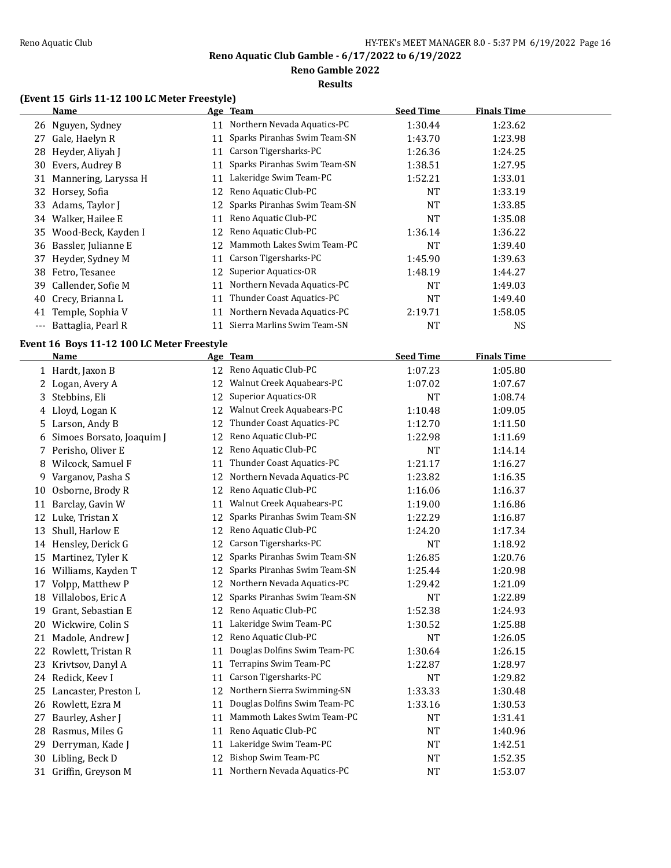**Reno Gamble 2022**

**Results**

# **(Event 15 Girls 11-12 100 LC Meter Freestyle)**

|       | <b>Name</b>          |     | Age Team                     | <b>Seed Time</b> | <b>Finals Time</b> |  |
|-------|----------------------|-----|------------------------------|------------------|--------------------|--|
|       | 26 Nguyen, Sydney    | 11  | Northern Nevada Aquatics-PC  | 1:30.44          | 1:23.62            |  |
| 27    | Gale, Haelyn R       | 11  | Sparks Piranhas Swim Team-SN | 1:43.70          | 1:23.98            |  |
|       | 28 Heyder, Aliyah J  | 11  | Carson Tigersharks-PC        | 1:26.36          | 1:24.25            |  |
|       | 30 Evers, Audrey B   | 11  | Sparks Piranhas Swim Team-SN | 1:38.51          | 1:27.95            |  |
| 31    | Mannering, Laryssa H | 11  | Lakeridge Swim Team-PC       | 1:52.21          | 1:33.01            |  |
|       | 32 Horsey, Sofia     | 12  | Reno Aquatic Club-PC         | NT               | 1:33.19            |  |
|       | 33 Adams, Taylor J   | 12. | Sparks Piranhas Swim Team-SN | NT               | 1:33.85            |  |
|       | 34 Walker, Hailee E  | 11  | Reno Aquatic Club-PC         | NT               | 1:35.08            |  |
| 35    | Wood-Beck, Kayden I  | 12  | Reno Aquatic Club-PC         | 1:36.14          | 1:36.22            |  |
| 36    | Bassler, Julianne E  | 12  | Mammoth Lakes Swim Team-PC   | NT               | 1:39.40            |  |
| 37    | Heyder, Sydney M     | 11  | Carson Tigersharks-PC        | 1:45.90          | 1:39.63            |  |
| 38    | Fetro, Tesanee       | 12  | Superior Aquatics-OR         | 1:48.19          | 1:44.27            |  |
| 39.   | Callender, Sofie M   | 11  | Northern Nevada Aquatics-PC  | NT               | 1:49.03            |  |
| 40    | Crecy, Brianna L     | 11  | Thunder Coast Aquatics-PC    | NT               | 1:49.40            |  |
| 41    | Temple, Sophia V     | 11  | Northern Nevada Aquatics-PC  | 2:19.71          | 1:58.05            |  |
| $---$ | Battaglia, Pearl R   |     | Sierra Marlins Swim Team-SN  | NT               | <b>NS</b>          |  |

# **Event 16 Boys 11-12 100 LC Meter Freestyle**

|    | Name                      |    | Age Team                     | <b>Seed Time</b> | <b>Finals Time</b> |  |
|----|---------------------------|----|------------------------------|------------------|--------------------|--|
|    | 1 Hardt, Jaxon B          | 12 | Reno Aquatic Club-PC         | 1:07.23          | 1:05.80            |  |
|    | 2 Logan, Avery A          | 12 | Walnut Creek Aquabears-PC    | 1:07.02          | 1:07.67            |  |
| 3  | Stebbins, Eli             | 12 | Superior Aquatics-OR         | NT               | 1:08.74            |  |
| 4  | Lloyd, Logan K            | 12 | Walnut Creek Aquabears-PC    | 1:10.48          | 1:09.05            |  |
| 5  | Larson, Andy B            | 12 | Thunder Coast Aquatics-PC    | 1:12.70          | 1:11.50            |  |
| 6  | Simoes Borsato, Joaquim J | 12 | Reno Aquatic Club-PC         | 1:22.98          | 1:11.69            |  |
| 7  | Perisho, Oliver E         | 12 | Reno Aquatic Club-PC         | <b>NT</b>        | 1:14.14            |  |
| 8  | Wilcock, Samuel F         | 11 | Thunder Coast Aquatics-PC    | 1:21.17          | 1:16.27            |  |
| 9  | Varganov, Pasha S         | 12 | Northern Nevada Aquatics-PC  | 1:23.82          | 1:16.35            |  |
| 10 | Osborne, Brody R          | 12 | Reno Aquatic Club-PC         | 1:16.06          | 1:16.37            |  |
| 11 | Barclay, Gavin W          | 11 | Walnut Creek Aquabears-PC    | 1:19.00          | 1:16.86            |  |
| 12 | Luke, Tristan X           | 12 | Sparks Piranhas Swim Team-SN | 1:22.29          | 1:16.87            |  |
| 13 | Shull, Harlow E           | 12 | Reno Aquatic Club-PC         | 1:24.20          | 1:17.34            |  |
| 14 | Hensley, Derick G         | 12 | Carson Tigersharks-PC        | <b>NT</b>        | 1:18.92            |  |
| 15 | Martinez, Tyler K         | 12 | Sparks Piranhas Swim Team-SN | 1:26.85          | 1:20.76            |  |
| 16 | Williams, Kayden T        | 12 | Sparks Piranhas Swim Team-SN | 1:25.44          | 1:20.98            |  |
| 17 | Volpp, Matthew P          | 12 | Northern Nevada Aquatics-PC  | 1:29.42          | 1:21.09            |  |
| 18 | Villalobos, Eric A        | 12 | Sparks Piranhas Swim Team-SN | <b>NT</b>        | 1:22.89            |  |
| 19 | Grant, Sebastian E        | 12 | Reno Aquatic Club-PC         | 1:52.38          | 1:24.93            |  |
| 20 | Wickwire, Colin S         | 11 | Lakeridge Swim Team-PC       | 1:30.52          | 1:25.88            |  |
| 21 | Madole, Andrew J          | 12 | Reno Aquatic Club-PC         | NT               | 1:26.05            |  |
| 22 | Rowlett, Tristan R        | 11 | Douglas Dolfins Swim Team-PC | 1:30.64          | 1:26.15            |  |
| 23 | Krivtsov, Danyl A         | 11 | Terrapins Swim Team-PC       | 1:22.87          | 1:28.97            |  |
|    | 24 Redick, Keev I         | 11 | Carson Tigersharks-PC        | <b>NT</b>        | 1:29.82            |  |
| 25 | Lancaster, Preston L      | 12 | Northern Sierra Swimming-SN  | 1:33.33          | 1:30.48            |  |
| 26 | Rowlett, Ezra M           | 11 | Douglas Dolfins Swim Team-PC | 1:33.16          | 1:30.53            |  |
| 27 | Baurley, Asher J          | 11 | Mammoth Lakes Swim Team-PC   | <b>NT</b>        | 1:31.41            |  |
| 28 | Rasmus, Miles G           | 11 | Reno Aquatic Club-PC         | <b>NT</b>        | 1:40.96            |  |
| 29 | Derryman, Kade J          | 11 | Lakeridge Swim Team-PC       | <b>NT</b>        | 1:42.51            |  |
| 30 | Libling, Beck D           | 12 | Bishop Swim Team-PC          | <b>NT</b>        | 1:52.35            |  |
| 31 | Griffin, Greyson M        | 11 | Northern Nevada Aquatics-PC  | <b>NT</b>        | 1:53.07            |  |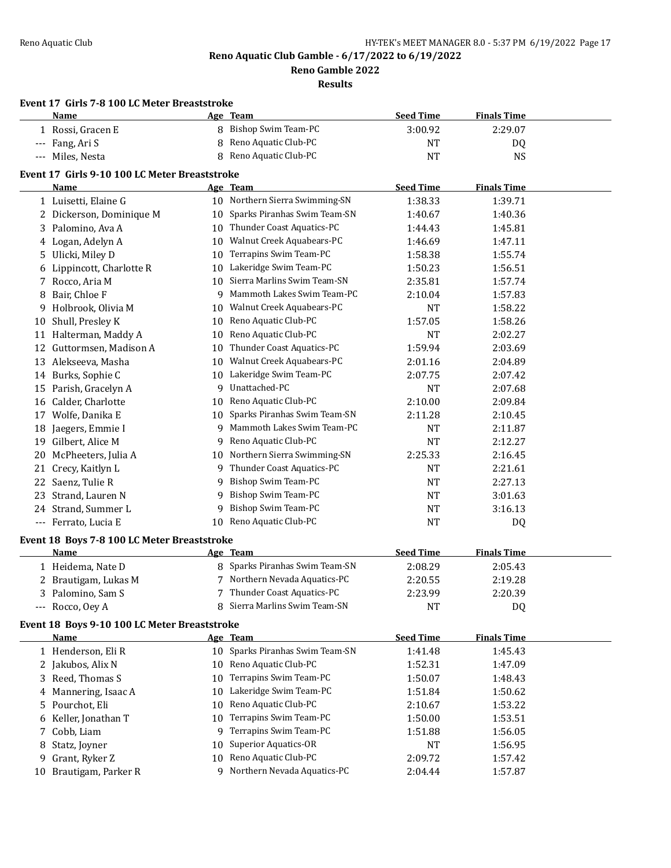**Reno Gamble 2022**

|    | Event 17 Girls 7-8 100 LC Meter Breaststroke<br>Name |          | Age Team                                                | <b>Seed Time</b>     | <b>Finals Time</b> |  |
|----|------------------------------------------------------|----------|---------------------------------------------------------|----------------------|--------------------|--|
|    | 1 Rossi, Gracen E                                    |          | 8 Bishop Swim Team-PC                                   | 3:00.92              | 2:29.07            |  |
|    | --- Fang, Ari S                                      | 8        | Reno Aquatic Club-PC                                    | <b>NT</b>            | DQ                 |  |
|    | --- Miles, Nesta                                     | 8        | Reno Aquatic Club-PC                                    | <b>NT</b>            | <b>NS</b>          |  |
|    | Event 17 Girls 9-10 100 LC Meter Breaststroke        |          |                                                         |                      |                    |  |
|    | Name                                                 |          | Age Team                                                | <b>Seed Time</b>     | <b>Finals Time</b> |  |
|    | 1 Luisetti, Elaine G                                 |          | 10 Northern Sierra Swimming-SN                          | 1:38.33              | 1:39.71            |  |
|    | 2 Dickerson, Dominique M                             |          | 10 Sparks Piranhas Swim Team-SN                         | 1:40.67              | 1:40.36            |  |
|    | 3 Palomino, Ava A                                    |          | 10 Thunder Coast Aquatics-PC                            | 1:44.43              | 1:45.81            |  |
|    | 4 Logan, Adelyn A                                    |          | 10 Walnut Creek Aquabears-PC                            | 1:46.69              | 1:47.11            |  |
|    | 5 Ulicki, Miley D                                    |          | 10 Terrapins Swim Team-PC                               | 1:58.38              | 1:55.74            |  |
|    | 6 Lippincott, Charlotte R                            | 10       | Lakeridge Swim Team-PC                                  | 1:50.23              | 1:56.51            |  |
|    | 7 Rocco, Aria M                                      |          | 10 Sierra Marlins Swim Team-SN                          | 2:35.81              | 1:57.74            |  |
| 8  | Bair, Chloe F                                        | 9        | Mammoth Lakes Swim Team-PC                              | 2:10.04              | 1:57.83            |  |
| 9. | Holbrook, Olivia M                                   | 10       | Walnut Creek Aquabears-PC                               | <b>NT</b>            | 1:58.22            |  |
|    |                                                      |          | Reno Aquatic Club-PC                                    |                      | 1:58.26            |  |
|    | 10 Shull, Presley K<br>11 Halterman, Maddy A         | 10<br>10 | Reno Aquatic Club-PC                                    | 1:57.05<br>NT        | 2:02.27            |  |
|    |                                                      |          | 10 Thunder Coast Aquatics-PC                            |                      |                    |  |
|    | 12 Guttormsen, Madison A<br>13 Alekseeva, Masha      |          | 10 Walnut Creek Aquabears-PC                            | 1:59.94<br>2:01.16   | 2:03.69<br>2:04.89 |  |
|    |                                                      |          | 10 Lakeridge Swim Team-PC                               |                      |                    |  |
|    | 14 Burks, Sophie C                                   | 9        | Unattached-PC                                           | 2:07.75              | 2:07.42            |  |
|    | 15 Parish, Gracelyn A<br>16 Calder, Charlotte        |          | 10 Reno Aquatic Club-PC                                 | <b>NT</b><br>2:10.00 | 2:07.68            |  |
|    |                                                      |          | 10 Sparks Piranhas Swim Team-SN                         |                      | 2:09.84            |  |
|    | 17 Wolfe, Danika E                                   | 9        | Mammoth Lakes Swim Team-PC                              | 2:11.28              | 2:10.45            |  |
|    | 18 Jaegers, Emmie I                                  |          |                                                         | <b>NT</b>            | 2:11.87            |  |
|    | 19 Gilbert, Alice M                                  | 9        | Reno Aquatic Club-PC                                    | <b>NT</b>            | 2:12.27            |  |
| 20 | McPheeters, Julia A                                  |          | 10 Northern Sierra Swimming-SN                          | 2:25.33              | 2:16.45            |  |
| 21 | Crecy, Kaitlyn L                                     | 9.       | Thunder Coast Aquatics-PC<br><b>Bishop Swim Team-PC</b> | <b>NT</b>            | 2:21.61            |  |
| 22 | Saenz, Tulie R                                       | 9        |                                                         | <b>NT</b>            | 2:27.13            |  |
| 23 | Strand, Lauren N                                     | 9        | Bishop Swim Team-PC                                     | <b>NT</b>            | 3:01.63            |  |
|    | 24 Strand, Summer L                                  | 9        | <b>Bishop Swim Team-PC</b>                              | <b>NT</b>            | 3:16.13            |  |
|    | --- Ferrato, Lucia E                                 |          | 10 Reno Aquatic Club-PC                                 | NT                   | DQ                 |  |
|    | Event 18 Boys 7-8 100 LC Meter Breaststroke          |          |                                                         |                      |                    |  |
|    | Name                                                 |          | Age Team                                                | <b>Seed Time</b>     | <b>Finals Time</b> |  |
|    | 1 Heidema, Nate D                                    |          | 8 Sparks Piranhas Swim Team-SN                          | 2:08.29              | 2:05.43            |  |
|    | 2 Brautigam, Lukas M                                 |          | 7 Northern Nevada Aquatics-PC                           | 2:20.55              | 2:19.28            |  |
|    | 3 Palomino, Sam S                                    |          | Thunder Coast Aquatics-PC                               | 2:23.99              | 2:20.39            |  |
|    | --- Rocco, Oey A                                     |          | 8 Sierra Marlins Swim Team-SN                           | NT                   | DQ                 |  |
|    | Event 18 Boys 9-10 100 LC Meter Breaststroke         |          |                                                         |                      |                    |  |
|    | <b>Name</b>                                          |          | Age Team                                                | <b>Seed Time</b>     | <b>Finals Time</b> |  |
|    | 1 Henderson, Eli R                                   |          | 10 Sparks Piranhas Swim Team-SN                         | 1:41.48              | 1:45.43            |  |
|    | 2 Jakubos, Alix N                                    | 10       | Reno Aquatic Club-PC                                    | 1:52.31              | 1:47.09            |  |
|    | 3 Reed, Thomas S                                     | 10       | Terrapins Swim Team-PC                                  | 1:50.07              | 1:48.43            |  |
|    | 4 Mannering, Isaac A                                 | 10       | Lakeridge Swim Team-PC                                  | 1:51.84              | 1:50.62            |  |
|    | 5 Pourchot, Eli                                      | 10       | Reno Aquatic Club-PC                                    | 2:10.67              | 1:53.22            |  |
|    | 6 Keller, Jonathan T                                 | 10       | Terrapins Swim Team-PC                                  | 1:50.00              | 1:53.51            |  |
| 7  | Cobb, Liam                                           | 9        | Terrapins Swim Team-PC                                  | 1:51.88              | 1:56.05            |  |
| 8  | Statz, Joyner                                        | 10       | <b>Superior Aquatics-OR</b>                             | <b>NT</b>            | 1:56.95            |  |
| 9  | Grant, Ryker Z                                       | 10       | Reno Aquatic Club-PC                                    | 2:09.72              | 1:57.42            |  |
|    | 10 Brautigam, Parker R                               |          | 9 Northern Nevada Aquatics-PC                           | 2:04.44              | 1:57.87            |  |
|    |                                                      |          |                                                         |                      |                    |  |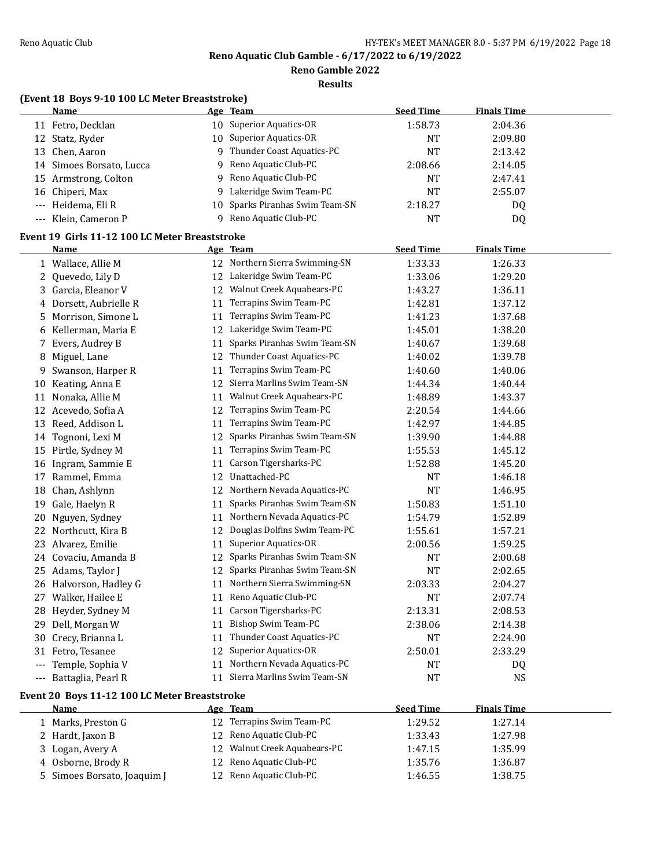**Reno Gamble 2022**

**Results**

# **(Event 18 Boys 9-10 100 LC Meter Breaststroke)**

| <b>Name</b>              | Age Team                        | <b>Seed Time</b> | <b>Finals Time</b> |  |
|--------------------------|---------------------------------|------------------|--------------------|--|
| 11 Fetro, Decklan        | 10 Superior Aquatics-OR         | 1:58.73          | 2:04.36            |  |
| 12 Statz, Ryder          | 10 Superior Aquatics-OR         | <b>NT</b>        | 2:09.80            |  |
| 13 Chen, Aaron           | 9 Thunder Coast Aquatics-PC     | NT               | 2:13.42            |  |
| 14 Simoes Borsato, Lucca | 9 Reno Aquatic Club-PC          | 2:08.66          | 2:14.05            |  |
| 15 Armstrong, Colton     | 9 Reno Aquatic Club-PC          | <b>NT</b>        | 2:47.41            |  |
| 16 Chiperi, Max          | 9 Lakeridge Swim Team-PC        | <b>NT</b>        | 2:55.07            |  |
| --- Heidema, Eli R       | 10 Sparks Piranhas Swim Team-SN | 2:18.27          | DO.                |  |
| --- Klein, Cameron P     | Reno Aquatic Club-PC            | <b>NT</b>        | DQ                 |  |

# **Event 19 Girls 11-12 100 LC Meter Breaststroke**

|     | <b>Name</b>                                   |    | Age Team                     | <b>Seed Time</b> | <b>Finals Time</b> |
|-----|-----------------------------------------------|----|------------------------------|------------------|--------------------|
|     | 1 Wallace, Allie M                            | 12 | Northern Sierra Swimming-SN  | 1:33.33          | 1:26.33            |
| 2   | Quevedo, Lily D                               | 12 | Lakeridge Swim Team-PC       | 1:33.06          | 1:29.20            |
| 3   | Garcia, Eleanor V                             | 12 | Walnut Creek Aquabears-PC    | 1:43.27          | 1:36.11            |
|     | 4 Dorsett, Aubrielle R                        | 11 | Terrapins Swim Team-PC       | 1:42.81          | 1:37.12            |
| 5   | Morrison, Simone L                            | 11 | Terrapins Swim Team-PC       | 1:41.23          | 1:37.68            |
| 6   | Kellerman, Maria E                            | 12 | Lakeridge Swim Team-PC       | 1:45.01          | 1:38.20            |
| 7   | Evers, Audrey B                               | 11 | Sparks Piranhas Swim Team-SN | 1:40.67          | 1:39.68            |
| 8   | Miguel, Lane                                  | 12 | Thunder Coast Aquatics-PC    | 1:40.02          | 1:39.78            |
| 9   | Swanson, Harper R                             | 11 | Terrapins Swim Team-PC       | 1:40.60          | 1:40.06            |
| 10  | Keating, Anna E                               | 12 | Sierra Marlins Swim Team-SN  | 1:44.34          | 1:40.44            |
| 11  | Nonaka, Allie M                               | 11 | Walnut Creek Aquabears-PC    | 1:48.89          | 1:43.37            |
| 12  | Acevedo, Sofia A                              | 12 | Terrapins Swim Team-PC       | 2:20.54          | 1:44.66            |
| 13  | Reed, Addison L                               | 11 | Terrapins Swim Team-PC       | 1:42.97          | 1:44.85            |
| 14  | Tognoni, Lexi M                               | 12 | Sparks Piranhas Swim Team-SN | 1:39.90          | 1:44.88            |
| 15  | Pirtle, Sydney M                              | 11 | Terrapins Swim Team-PC       | 1:55.53          | 1:45.12            |
|     | 16 Ingram, Sammie E                           | 11 | Carson Tigersharks-PC        | 1:52.88          | 1:45.20            |
| 17  | Rammel, Emma                                  | 12 | Unattached-PC                | <b>NT</b>        | 1:46.18            |
| 18  | Chan, Ashlynn                                 | 12 | Northern Nevada Aquatics-PC  | <b>NT</b>        | 1:46.95            |
| 19  | Gale, Haelyn R                                | 11 | Sparks Piranhas Swim Team-SN | 1:50.83          | 1:51.10            |
| 20  | Nguyen, Sydney                                | 11 | Northern Nevada Aquatics-PC  | 1:54.79          | 1:52.89            |
| 22  | Northcutt, Kira B                             | 12 | Douglas Dolfins Swim Team-PC | 1:55.61          | 1:57.21            |
| 23  | Alvarez, Emilie                               | 11 | Superior Aquatics-OR         | 2:00.56          | 1:59.25            |
|     | 24 Covaciu, Amanda B                          | 12 | Sparks Piranhas Swim Team-SN | <b>NT</b>        | 2:00.68            |
| 25  | Adams, Taylor J                               | 12 | Sparks Piranhas Swim Team-SN | <b>NT</b>        | 2:02.65            |
|     | 26 Halvorson, Hadley G                        | 11 | Northern Sierra Swimming-SN  | 2:03.33          | 2:04.27            |
| 27  | Walker, Hailee E                              | 11 | Reno Aquatic Club-PC         | <b>NT</b>        | 2:07.74            |
| 28  | Heyder, Sydney M                              | 11 | Carson Tigersharks-PC        | 2:13.31          | 2:08.53            |
| 29  | Dell, Morgan W                                | 11 | Bishop Swim Team-PC          | 2:38.06          | 2:14.38            |
| 30  | Crecy, Brianna L                              | 11 | Thunder Coast Aquatics-PC    | <b>NT</b>        | 2:24.90            |
|     | 31 Fetro, Tesanee                             | 12 | Superior Aquatics-OR         | 2:50.01          | 2:33.29            |
| --- | Temple, Sophia V                              | 11 | Northern Nevada Aquatics-PC  | <b>NT</b>        | DQ.                |
|     | --- Battaglia, Pearl R                        | 11 | Sierra Marlins Swim Team-SN  | <b>NT</b>        | <b>NS</b>          |
|     | Event 20 Boys 11-12 100 LC Meter Breaststroke |    |                              |                  |                    |

| <b>Name</b>                 | <u>Age Team</u>              | <b>Seed Time</b> | <b>Finals Time</b> |  |
|-----------------------------|------------------------------|------------------|--------------------|--|
| 1 Marks, Preston G          | 12 Terrapins Swim Team-PC    | 1:29.52          | 1:27.14            |  |
| 2 Hardt, Jaxon B            | 12 Reno Aquatic Club-PC      | 1:33.43          | 1:27.98            |  |
| 3 Logan, Avery A            | 12 Walnut Creek Aquabears-PC | 1:47.15          | 1:35.99            |  |
| 4 Osborne, Brody R          | 12 Reno Aquatic Club-PC      | 1:35.76          | 1:36.87            |  |
| 5 Simoes Borsato, Joaquim J | 12 Reno Aquatic Club-PC      | 1:46.55          | 1:38.75            |  |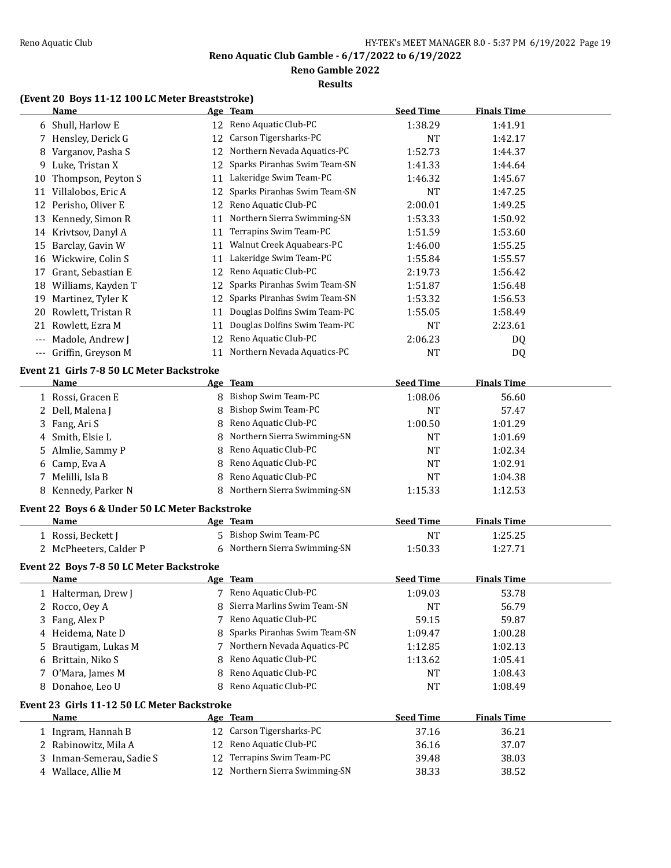**Reno Gamble 2022**

#### **Results**

# **(Event 20 Boys 11-12 100 LC Meter Breaststroke)**

|       | <b>Name</b>                                            |    | Age Team                       | <b>Seed Time</b>     | <b>Finals Time</b> |  |
|-------|--------------------------------------------------------|----|--------------------------------|----------------------|--------------------|--|
|       | 6 Shull, Harlow E                                      |    | 12 Reno Aquatic Club-PC        | 1:38.29              | 1:41.91            |  |
|       | 7 Hensley, Derick G                                    | 12 | Carson Tigersharks-PC          | <b>NT</b>            | 1:42.17            |  |
| 8     | Varganov, Pasha S                                      | 12 | Northern Nevada Aquatics-PC    | 1:52.73              | 1:44.37            |  |
| 9     | Luke, Tristan X                                        | 12 | Sparks Piranhas Swim Team-SN   | 1:41.33              | 1:44.64            |  |
| 10    | Thompson, Peyton S                                     | 11 | Lakeridge Swim Team-PC         | 1:46.32              | 1:45.67            |  |
|       | 11 Villalobos, Eric A                                  | 12 | Sparks Piranhas Swim Team-SN   | <b>NT</b>            | 1:47.25            |  |
|       | 12 Perisho, Oliver E                                   | 12 | Reno Aquatic Club-PC           | 2:00.01              | 1:49.25            |  |
| 13    | Kennedy, Simon R                                       | 11 | Northern Sierra Swimming-SN    | 1:53.33              | 1:50.92            |  |
| 14    | Krivtsov, Danyl A                                      | 11 | Terrapins Swim Team-PC         | 1:51.59              | 1:53.60            |  |
| 15    | Barclay, Gavin W                                       | 11 | Walnut Creek Aquabears-PC      | 1:46.00              | 1:55.25            |  |
|       | 16 Wickwire, Colin S                                   | 11 | Lakeridge Swim Team-PC         | 1:55.84              | 1:55.57            |  |
|       | 17 Grant, Sebastian E                                  | 12 | Reno Aquatic Club-PC           | 2:19.73              | 1:56.42            |  |
|       | 18 Williams, Kayden T                                  | 12 | Sparks Piranhas Swim Team-SN   | 1:51.87              | 1:56.48            |  |
|       | 19 Martinez, Tyler K                                   | 12 | Sparks Piranhas Swim Team-SN   | 1:53.32              | 1:56.53            |  |
| 20    | Rowlett, Tristan R                                     | 11 | Douglas Dolfins Swim Team-PC   | 1:55.05              | 1:58.49            |  |
| 21    | Rowlett, Ezra M                                        | 11 | Douglas Dolfins Swim Team-PC   | <b>NT</b>            | 2:23.61            |  |
| $---$ | Madole, Andrew J                                       | 12 | Reno Aquatic Club-PC           | 2:06.23              | DQ                 |  |
|       | --- Griffin, Greyson M                                 | 11 | Northern Nevada Aquatics-PC    | <b>NT</b>            | DQ                 |  |
|       | Event 21 Girls 7-8 50 LC Meter Backstroke              |    |                                |                      |                    |  |
|       | <u>Name</u>                                            |    | Age Team                       | <b>Seed Time</b>     | <b>Finals Time</b> |  |
|       | 1 Rossi, Gracen E                                      |    | 8 Bishop Swim Team-PC          | 1:08.06              | 56.60              |  |
|       | 2 Dell, Malena J                                       |    | <b>Bishop Swim Team-PC</b>     | NT                   | 57.47              |  |
|       | 3 Fang, Ari S                                          | 8  | Reno Aquatic Club-PC           | 1:00.50              | 1:01.29            |  |
|       | 4 Smith, Elsie L                                       | 8  | Northern Sierra Swimming-SN    | NT                   | 1:01.69            |  |
|       | 5 Almlie, Sammy P                                      | 8  | Reno Aquatic Club-PC           | NT                   | 1:02.34            |  |
|       | 6 Camp, Eva A                                          | 8  | Reno Aquatic Club-PC           | NT                   | 1:02.91            |  |
| 7     | Melilli, Isla B                                        | 8  | Reno Aquatic Club-PC           | <b>NT</b>            | 1:04.38            |  |
|       | 8 Kennedy, Parker N                                    |    | 8 Northern Sierra Swimming-SN  | 1:15.33              | 1:12.53            |  |
|       |                                                        |    |                                |                      |                    |  |
|       | Event 22 Boys 6 & Under 50 LC Meter Backstroke<br>Name |    | Age Team                       | <b>Seed Time</b>     | <b>Finals Time</b> |  |
|       |                                                        |    | 5 Bishop Swim Team-PC          |                      | 1:25.25            |  |
|       | 1 Rossi, Beckett J<br>2 McPheeters, Calder P           |    | 6 Northern Sierra Swimming-SN  | <b>NT</b><br>1:50.33 | 1:27.71            |  |
|       |                                                        |    |                                |                      |                    |  |
|       | Event 22 Boys 7-8 50 LC Meter Backstroke               |    |                                |                      |                    |  |
|       | <u>Name</u>                                            |    | Age Team                       | <b>Seed Time</b>     | <b>Finals Time</b> |  |
|       | 1 Halterman, Drew J                                    |    | 7 Reno Aquatic Club-PC         | 1:09.03              | 53.78              |  |
|       | 2 Rocco, Oey A                                         |    | Sierra Marlins Swim Team-SN    | <b>NT</b>            | 56.79              |  |
| 3     | Fang, Alex P                                           | 7  | Reno Aquatic Club-PC           | 59.15                | 59.87              |  |
| 4     | Heidema, Nate D                                        | 8  | Sparks Piranhas Swim Team-SN   | 1:09.47              | 1:00.28            |  |
| 5     | Brautigam, Lukas M                                     | 7  | Northern Nevada Aquatics-PC    | 1:12.85              | 1:02.13            |  |
| 6     | Brittain, Niko S                                       |    | Reno Aquatic Club-PC           | 1:13.62              | 1:05.41            |  |
| 7     | O'Mara, James M                                        | 8  | Reno Aquatic Club-PC           | NT                   | 1:08.43            |  |
|       | 8 Donahoe, Leo U                                       |    | Reno Aquatic Club-PC           | <b>NT</b>            | 1:08.49            |  |
|       | Event 23 Girls 11-12 50 LC Meter Backstroke            |    |                                |                      |                    |  |
|       | Name                                                   |    | Age Team                       | <b>Seed Time</b>     | <b>Finals Time</b> |  |
|       | 1 Ingram, Hannah B                                     | 12 | Carson Tigersharks-PC          | 37.16                | 36.21              |  |
|       | 2 Rabinowitz, Mila A                                   | 12 | Reno Aquatic Club-PC           | 36.16                | 37.07              |  |
|       | Inman-Semerau, Sadie S                                 | 12 | Terrapins Swim Team-PC         | 39.48                | 38.03              |  |
|       | 4 Wallace, Allie M                                     |    | 12 Northern Sierra Swimming-SN | 38.33                | 38.52              |  |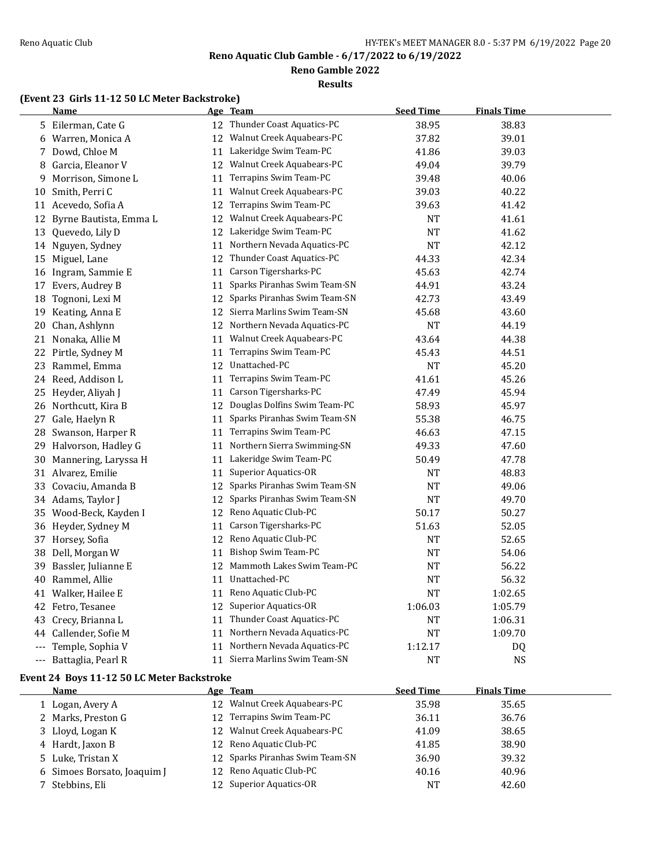**Reno Gamble 2022**

### **Results**

# **(Event 23 Girls 11-12 50 LC Meter Backstroke)**

|       | <b>Name</b>            |    | Age Team                       | <b>Seed Time</b> | <b>Finals Time</b> |  |
|-------|------------------------|----|--------------------------------|------------------|--------------------|--|
|       | 5 Eilerman, Cate G     |    | 12 Thunder Coast Aquatics-PC   | 38.95            | 38.83              |  |
|       | 6 Warren, Monica A     |    | 12 Walnut Creek Aquabears-PC   | 37.82            | 39.01              |  |
|       | 7 Dowd, Chloe M        |    | 11 Lakeridge Swim Team-PC      | 41.86            | 39.03              |  |
| 8     | Garcia, Eleanor V      | 12 | Walnut Creek Aquabears-PC      | 49.04            | 39.79              |  |
| 9     | Morrison, Simone L     | 11 | Terrapins Swim Team-PC         | 39.48            | 40.06              |  |
| 10    | Smith, Perri C         | 11 | Walnut Creek Aquabears-PC      | 39.03            | 40.22              |  |
|       | 11 Acevedo, Sofia A    | 12 | Terrapins Swim Team-PC         | 39.63            | 41.42              |  |
| 12    | Byrne Bautista, Emma L | 12 | Walnut Creek Aquabears-PC      | <b>NT</b>        | 41.61              |  |
|       | 13 Quevedo, Lily D     | 12 | Lakeridge Swim Team-PC         | <b>NT</b>        | 41.62              |  |
|       | 14 Nguyen, Sydney      | 11 | Northern Nevada Aquatics-PC    | <b>NT</b>        | 42.12              |  |
|       | 15 Miguel, Lane        |    | 12 Thunder Coast Aquatics-PC   | 44.33            | 42.34              |  |
|       | 16 Ingram, Sammie E    | 11 | Carson Tigersharks-PC          | 45.63            | 42.74              |  |
|       | 17 Evers, Audrey B     | 11 | Sparks Piranhas Swim Team-SN   | 44.91            | 43.24              |  |
|       | 18 Tognoni, Lexi M     | 12 | Sparks Piranhas Swim Team-SN   | 42.73            | 43.49              |  |
|       | 19 Keating, Anna E     | 12 | Sierra Marlins Swim Team-SN    | 45.68            | 43.60              |  |
| 20    | Chan, Ashlynn          |    | 12 Northern Nevada Aquatics-PC | NT               | 44.19              |  |
| 21    | Nonaka, Allie M        | 11 | Walnut Creek Aquabears-PC      | 43.64            | 44.38              |  |
|       | 22 Pirtle, Sydney M    | 11 | Terrapins Swim Team-PC         | 45.43            | 44.51              |  |
| 23    | Rammel, Emma           | 12 | Unattached-PC                  | <b>NT</b>        | 45.20              |  |
|       | 24 Reed, Addison L     | 11 | Terrapins Swim Team-PC         | 41.61            | 45.26              |  |
|       | 25 Heyder, Aliyah J    | 11 | Carson Tigersharks-PC          | 47.49            | 45.94              |  |
|       | 26 Northcutt, Kira B   | 12 | Douglas Dolfins Swim Team-PC   | 58.93            | 45.97              |  |
| 27    | Gale, Haelyn R         | 11 | Sparks Piranhas Swim Team-SN   | 55.38            | 46.75              |  |
| 28    | Swanson, Harper R      | 11 | Terrapins Swim Team-PC         | 46.63            | 47.15              |  |
| 29    | Halvorson, Hadley G    | 11 | Northern Sierra Swimming-SN    | 49.33            | 47.60              |  |
| 30    | Mannering, Laryssa H   | 11 | Lakeridge Swim Team-PC         | 50.49            | 47.78              |  |
|       | 31 Alvarez, Emilie     | 11 | Superior Aquatics-OR           | NT               | 48.83              |  |
|       | 33 Covaciu, Amanda B   | 12 | Sparks Piranhas Swim Team-SN   | <b>NT</b>        | 49.06              |  |
|       | 34 Adams, Taylor J     | 12 | Sparks Piranhas Swim Team-SN   | <b>NT</b>        | 49.70              |  |
|       | 35 Wood-Beck, Kayden I | 12 | Reno Aquatic Club-PC           | 50.17            | 50.27              |  |
|       | 36 Heyder, Sydney M    | 11 | Carson Tigersharks-PC          | 51.63            | 52.05              |  |
|       | 37 Horsey, Sofia       | 12 | Reno Aquatic Club-PC           | NT               | 52.65              |  |
| 38    | Dell, Morgan W         | 11 | Bishop Swim Team-PC            | NT               | 54.06              |  |
| 39    | Bassler, Julianne E    | 12 | Mammoth Lakes Swim Team-PC     | NT               | 56.22              |  |
| 40    | Rammel, Allie          |    | 11 Unattached-PC               | <b>NT</b>        | 56.32              |  |
| 41    | Walker, Hailee E       | 11 | Reno Aquatic Club-PC           | NT               | 1:02.65            |  |
|       | 42 Fetro, Tesanee      | 12 | <b>Superior Aquatics-OR</b>    | 1:06.03          | 1:05.79            |  |
|       | 43 Crecy, Brianna L    | 11 | Thunder Coast Aquatics-PC      | NT               | 1:06.31            |  |
| 44    | Callender, Sofie M     | 11 | Northern Nevada Aquatics-PC    | <b>NT</b>        | 1:09.70            |  |
| $---$ | Temple, Sophia V       |    | 11 Northern Nevada Aquatics-PC | 1:12.17          | DQ                 |  |
|       | --- Battaglia, Pearl R | 11 | Sierra Marlins Swim Team-SN    | NT               | NS                 |  |

# **Event 24 Boys 11-12 50 LC Meter Backstroke**

| Name                        | Age Team                        | <b>Seed Time</b> | <b>Finals Time</b> |  |
|-----------------------------|---------------------------------|------------------|--------------------|--|
| 1 Logan, Avery A            | 12 Walnut Creek Aquabears-PC    | 35.98            | 35.65              |  |
| 2 Marks, Preston G          | 12 Terrapins Swim Team-PC       | 36.11            | 36.76              |  |
| 3 Lloyd, Logan K            | 12 Walnut Creek Aquabears-PC    | 41.09            | 38.65              |  |
| 4 Hardt, Jaxon B            | 12 Reno Aquatic Club-PC         | 41.85            | 38.90              |  |
| 5 Luke, Tristan X           | 12 Sparks Piranhas Swim Team-SN | 36.90            | 39.32              |  |
| 6 Simoes Borsato, Joaquim J | 12 Reno Aquatic Club-PC         | 40.16            | 40.96              |  |
| 7 Stebbins, Eli             | 12 Superior Aquatics-OR         | <b>NT</b>        | 42.60              |  |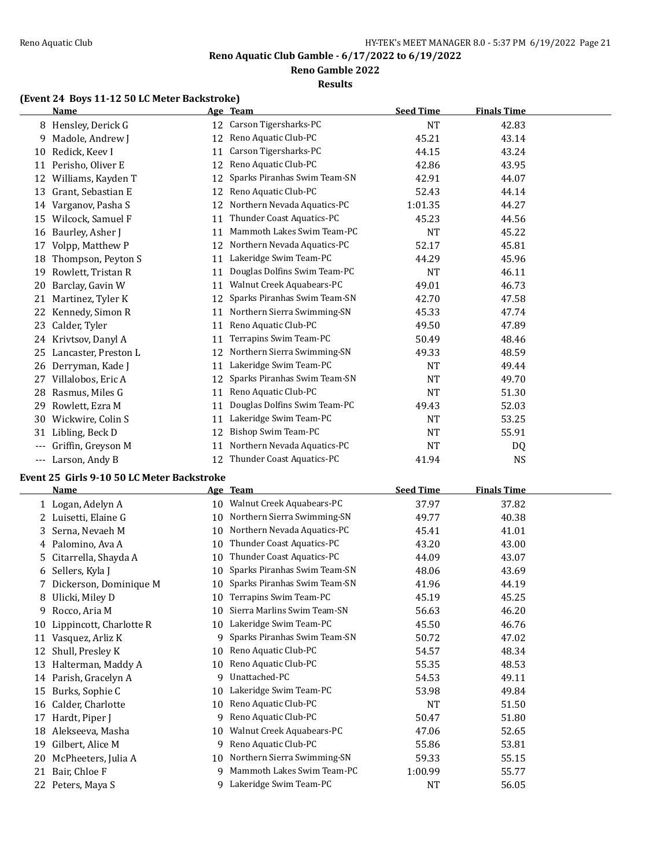### **Reno Gamble 2022**

#### **Results**

# **(Event 24 Boys 11-12 50 LC Meter Backstroke)**

|       | <b>Name</b>          |    | Age Team                     | <b>Seed Time</b> | <b>Finals Time</b> |  |
|-------|----------------------|----|------------------------------|------------------|--------------------|--|
|       | 8 Hensley, Derick G  | 12 | Carson Tigersharks-PC        | <b>NT</b>        | 42.83              |  |
| 9     | Madole, Andrew J     | 12 | Reno Aquatic Club-PC         | 45.21            | 43.14              |  |
| 10    | Redick, Keev I       | 11 | Carson Tigersharks-PC        | 44.15            | 43.24              |  |
| 11    | Perisho, Oliver E    | 12 | Reno Aquatic Club-PC         | 42.86            | 43.95              |  |
| 12    | Williams, Kayden T   | 12 | Sparks Piranhas Swim Team-SN | 42.91            | 44.07              |  |
| 13    | Grant, Sebastian E   | 12 | Reno Aquatic Club-PC         | 52.43            | 44.14              |  |
| 14    | Varganov, Pasha S    | 12 | Northern Nevada Aquatics-PC  | 1:01.35          | 44.27              |  |
| 15    | Wilcock, Samuel F    | 11 | Thunder Coast Aquatics-PC    | 45.23            | 44.56              |  |
| 16    | Baurley, Asher J     | 11 | Mammoth Lakes Swim Team-PC   | <b>NT</b>        | 45.22              |  |
| 17    | Volpp, Matthew P     | 12 | Northern Nevada Aquatics-PC  | 52.17            | 45.81              |  |
| 18    | Thompson, Peyton S   | 11 | Lakeridge Swim Team-PC       | 44.29            | 45.96              |  |
| 19    | Rowlett, Tristan R   | 11 | Douglas Dolfins Swim Team-PC | <b>NT</b>        | 46.11              |  |
| 20    | Barclay, Gavin W     | 11 | Walnut Creek Aquabears-PC    | 49.01            | 46.73              |  |
| 21    | Martinez, Tyler K    | 12 | Sparks Piranhas Swim Team-SN | 42.70            | 47.58              |  |
| 22    | Kennedy, Simon R     | 11 | Northern Sierra Swimming-SN  | 45.33            | 47.74              |  |
| 23    | Calder, Tyler        | 11 | Reno Aquatic Club-PC         | 49.50            | 47.89              |  |
| 24    | Krivtsov, Danyl A    | 11 | Terrapins Swim Team-PC       | 50.49            | 48.46              |  |
| 25    | Lancaster, Preston L | 12 | Northern Sierra Swimming-SN  | 49.33            | 48.59              |  |
| 26    | Derryman, Kade J     | 11 | Lakeridge Swim Team-PC       | NT               | 49.44              |  |
| 27    | Villalobos, Eric A   | 12 | Sparks Piranhas Swim Team-SN | NT               | 49.70              |  |
| 28    | Rasmus, Miles G      | 11 | Reno Aquatic Club-PC         | <b>NT</b>        | 51.30              |  |
| 29    | Rowlett, Ezra M      | 11 | Douglas Dolfins Swim Team-PC | 49.43            | 52.03              |  |
| 30    | Wickwire, Colin S    | 11 | Lakeridge Swim Team-PC       | NT               | 53.25              |  |
| 31    | Libling, Beck D      | 12 | Bishop Swim Team-PC          | <b>NT</b>        | 55.91              |  |
| $---$ | Griffin, Greyson M   | 11 | Northern Nevada Aquatics-PC  | <b>NT</b>        | DQ                 |  |
| $---$ | Larson, Andy B       | 12 | Thunder Coast Aquatics-PC    | 41.94            | <b>NS</b>          |  |

# **Event 25 Girls 9-10 50 LC Meter Backstroke**

 $\overline{\phantom{a}}$ 

|    | Name                    |    | Age Team                     | <b>Seed Time</b> | <b>Finals Time</b> |  |
|----|-------------------------|----|------------------------------|------------------|--------------------|--|
|    | 1 Logan, Adelyn A       | 10 | Walnut Creek Aquabears-PC    | 37.97            | 37.82              |  |
|    | 2 Luisetti, Elaine G    | 10 | Northern Sierra Swimming-SN  | 49.77            | 40.38              |  |
|    | 3 Serna, Nevaeh M       | 10 | Northern Nevada Aquatics-PC  | 45.41            | 41.01              |  |
| 4  | Palomino, Ava A         | 10 | Thunder Coast Aquatics-PC    | 43.20            | 43.00              |  |
| 5. | Citarrella, Shayda A    | 10 | Thunder Coast Aquatics-PC    | 44.09            | 43.07              |  |
| 6  | Sellers, Kyla J         | 10 | Sparks Piranhas Swim Team-SN | 48.06            | 43.69              |  |
|    | Dickerson, Dominique M  | 10 | Sparks Piranhas Swim Team-SN | 41.96            | 44.19              |  |
| 8  | Ulicki, Miley D         | 10 | Terrapins Swim Team-PC       | 45.19            | 45.25              |  |
| 9  | Rocco, Aria M           | 10 | Sierra Marlins Swim Team-SN  | 56.63            | 46.20              |  |
| 10 | Lippincott, Charlotte R | 10 | Lakeridge Swim Team-PC       | 45.50            | 46.76              |  |
| 11 | Vasquez, Arliz K        | 9  | Sparks Piranhas Swim Team-SN | 50.72            | 47.02              |  |
| 12 | Shull, Presley K        | 10 | Reno Aquatic Club-PC         | 54.57            | 48.34              |  |
| 13 | Halterman, Maddy A      | 10 | Reno Aquatic Club-PC         | 55.35            | 48.53              |  |
| 14 | Parish, Gracelyn A      | 9  | Unattached-PC                | 54.53            | 49.11              |  |
| 15 | Burks, Sophie C         | 10 | Lakeridge Swim Team-PC       | 53.98            | 49.84              |  |
| 16 | Calder, Charlotte       | 10 | Reno Aquatic Club-PC         | NT               | 51.50              |  |
| 17 | Hardt, Piper J          | 9  | Reno Aquatic Club-PC         | 50.47            | 51.80              |  |
| 18 | Alekseeva, Masha        | 10 | Walnut Creek Aquabears-PC    | 47.06            | 52.65              |  |
| 19 | Gilbert, Alice M        | 9  | Reno Aquatic Club-PC         | 55.86            | 53.81              |  |
| 20 | McPheeters, Julia A     | 10 | Northern Sierra Swimming-SN  | 59.33            | 55.15              |  |
| 21 | Bair, Chloe F           | 9  | Mammoth Lakes Swim Team-PC   | 1:00.99          | 55.77              |  |
| 22 | Peters, Maya S          | 9  | Lakeridge Swim Team-PC       | NT               | 56.05              |  |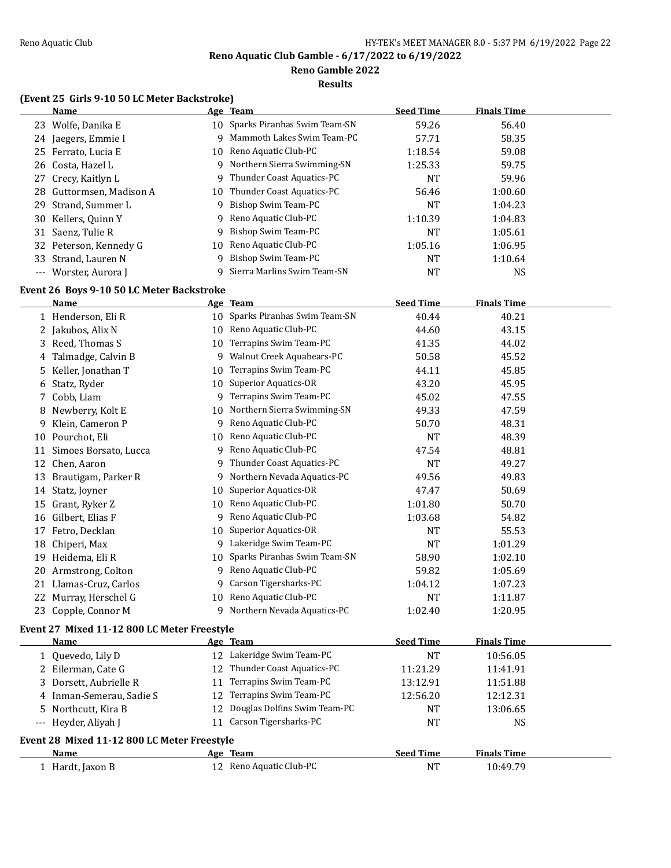**Reno Gamble 2022**

**Results**

# **(Event 25 Girls 9-10 50 LC Meter Backstroke)**

|    | <b>Name</b>                                 |    | Age Team                                       | <b>Seed Time</b> | <b>Finals Time</b> |  |
|----|---------------------------------------------|----|------------------------------------------------|------------------|--------------------|--|
|    | 23 Wolfe, Danika E                          |    | 10 Sparks Piranhas Swim Team-SN                | 59.26            | 56.40              |  |
|    | 24 Jaegers, Emmie I                         | 9  | Mammoth Lakes Swim Team-PC                     | 57.71            | 58.35              |  |
|    | 25 Ferrato, Lucia E                         |    | 10 Reno Aquatic Club-PC                        | 1:18.54          | 59.08              |  |
|    | 26 Costa, Hazel L                           | 9  | Northern Sierra Swimming-SN                    | 1:25.33          | 59.75              |  |
|    | 27 Crecy, Kaitlyn L                         | 9  | Thunder Coast Aquatics-PC                      | <b>NT</b>        | 59.96              |  |
| 28 | Guttormsen, Madison A                       | 10 | Thunder Coast Aquatics-PC                      | 56.46            | 1:00.60            |  |
| 29 | Strand, Summer L                            | 9  | Bishop Swim Team-PC                            | <b>NT</b>        | 1:04.23            |  |
|    | 30 Kellers, Quinn Y                         | 9  | Reno Aquatic Club-PC                           | 1:10.39          | 1:04.83            |  |
|    | 31 Saenz, Tulie R                           | 9  | Bishop Swim Team-PC                            | <b>NT</b>        | 1:05.61            |  |
|    | 32 Peterson, Kennedy G                      | 10 | Reno Aquatic Club-PC                           | 1:05.16          | 1:06.95            |  |
| 33 | Strand, Lauren N                            | 9  | Bishop Swim Team-PC                            | <b>NT</b>        | 1:10.64            |  |
|    | --- Worster, Aurora J                       | 9  | Sierra Marlins Swim Team-SN                    | <b>NT</b>        | <b>NS</b>          |  |
|    | Event 26 Boys 9-10 50 LC Meter Backstroke   |    |                                                |                  |                    |  |
|    | <u>Name</u>                                 |    | Age Team                                       | <b>Seed Time</b> | <b>Finals Time</b> |  |
|    | 1 Henderson, Eli R                          |    | 10 Sparks Piranhas Swim Team-SN                | 40.44            | 40.21              |  |
|    | 2 Jakubos, Alix N                           |    | 10 Reno Aquatic Club-PC                        | 44.60            | 43.15              |  |
|    | 3 Reed, Thomas S                            | 10 | Terrapins Swim Team-PC                         | 41.35            | 44.02              |  |
| 4  | Talmadge, Calvin B                          | 9  | Walnut Creek Aquabears-PC                      | 50.58            | 45.52              |  |
| 5  | Keller, Jonathan T                          | 10 | Terrapins Swim Team-PC                         | 44.11            | 45.85              |  |
| 6  | Statz, Ryder                                | 10 | <b>Superior Aquatics-OR</b>                    | 43.20            | 45.95              |  |
|    | 7 Cobb, Liam                                | 9  | Terrapins Swim Team-PC                         | 45.02            | 47.55              |  |
| 8  | Newberry, Kolt E                            | 10 | Northern Sierra Swimming-SN                    | 49.33            | 47.59              |  |
| 9  | Klein, Cameron P                            | 9  | Reno Aquatic Club-PC                           | 50.70            | 48.31              |  |
|    | 10 Pourchot, Eli                            | 10 | Reno Aquatic Club-PC                           | <b>NT</b>        | 48.39              |  |
|    | 11 Simoes Borsato, Lucca                    | 9  | Reno Aquatic Club-PC                           | 47.54            | 48.81              |  |
|    | 12 Chen, Aaron                              | 9. | Thunder Coast Aquatics-PC                      | <b>NT</b>        | 49.27              |  |
|    | Brautigam, Parker R                         | 9. | Northern Nevada Aquatics-PC                    | 49.56            | 49.83              |  |
| 13 |                                             |    | Superior Aquatics-OR                           | 47.47            |                    |  |
|    | 14 Statz, Joyner                            | 10 | Reno Aquatic Club-PC                           |                  | 50.69              |  |
|    | 15 Grant, Ryker Z                           | 10 |                                                | 1:01.80          | 50.70              |  |
|    | 16 Gilbert, Elias F                         | 9  | Reno Aquatic Club-PC                           | 1:03.68          | 54.82              |  |
|    | 17 Fetro, Decklan                           | 10 | Superior Aquatics-OR<br>Lakeridge Swim Team-PC | NT               | 55.53              |  |
|    | 18 Chiperi, Max                             | 9  |                                                | <b>NT</b>        | 1:01.29            |  |
|    | 19 Heidema, Eli R                           | 10 | Sparks Piranhas Swim Team-SN                   | 58.90            | 1:02.10            |  |
|    | 20 Armstrong, Colton                        | 9  | Reno Aquatic Club-PC                           | 59.82            | 1:05.69            |  |
|    | 21 Llamas-Cruz, Carlos                      | 9. | Carson Tigersharks-PC                          | 1:04.12          | 1:07.23            |  |
|    | 22 Murray, Herschel G                       |    | 10 Reno Aquatic Club-PC                        | <b>NT</b>        | 1:11.87            |  |
|    | 23 Copple, Connor M                         |    | 9 Northern Nevada Aquatics-PC                  | 1:02.40          | 1:20.95            |  |
|    | Event 27 Mixed 11-12 800 LC Meter Freestyle |    |                                                |                  |                    |  |
|    | Name                                        |    | Age Team                                       | <b>Seed Time</b> | <b>Finals Time</b> |  |
|    | 1 Quevedo, Lily D                           |    | 12 Lakeridge Swim Team-PC                      | <b>NT</b>        | 10:56.05           |  |
|    | 2 Eilerman, Cate G                          |    | 12 Thunder Coast Aquatics-PC                   | 11:21.29         | 11:41.91           |  |
|    | 3 Dorsett, Aubrielle R                      | 11 | Terrapins Swim Team-PC                         | 13:12.91         | 11:51.88           |  |
|    | 4 Inman-Semerau, Sadie S                    | 12 | Terrapins Swim Team-PC                         | 12:56.20         | 12:12.31           |  |
|    | 5 Northcutt, Kira B                         | 12 | Douglas Dolfins Swim Team-PC                   | <b>NT</b>        | 13:06.65           |  |
|    | --- Heyder, Aliyah J                        |    | 11 Carson Tigersharks-PC                       | <b>NT</b>        | <b>NS</b>          |  |
|    | Event 28 Mixed 11-12 800 LC Meter Freestyle |    |                                                |                  |                    |  |
|    | Name                                        |    | Age Team                                       | <b>Seed Time</b> | <b>Finals Time</b> |  |
|    | 1 Hardt, Jaxon B                            |    | 12 Reno Aquatic Club-PC                        | <b>NT</b>        | 10:49.79           |  |
|    |                                             |    |                                                |                  |                    |  |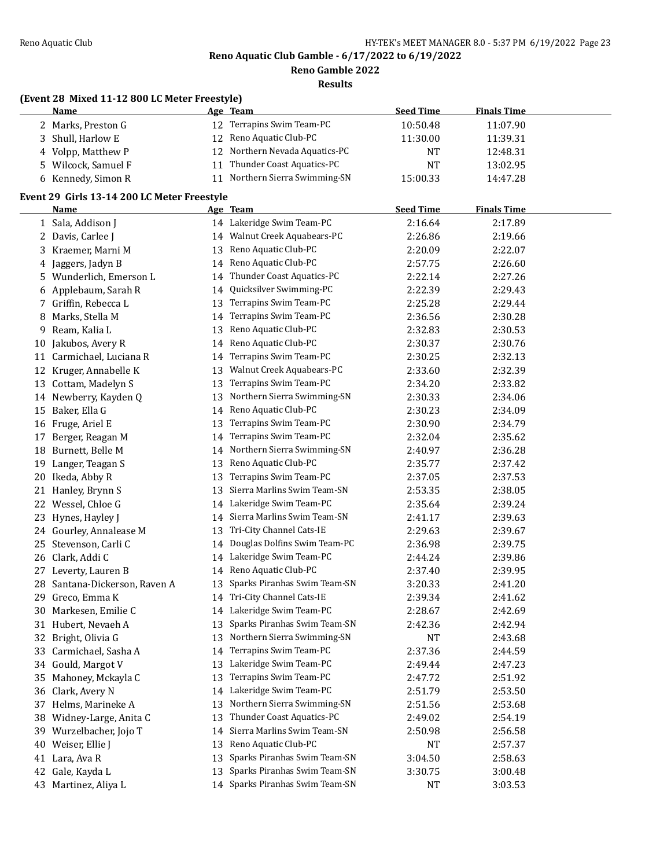**Reno Gamble 2022**

**Results**

# **(Event 28 Mixed 11-12 800 LC Meter Freestyle)**

| Name                | Age Team                        | <b>Seed Time</b> | <b>Finals Time</b> |  |
|---------------------|---------------------------------|------------------|--------------------|--|
| 2 Marks, Preston G  | 12 Terrapins Swim Team-PC       | 10:50.48         | 11:07.90           |  |
| 3 Shull, Harlow E   | 12 Reno Aquatic Club-PC         | 11:30.00         | 11:39.31           |  |
| 4 Volpp, Matthew P  | 12 Northern Nevada Aquatics-PC  | NT               | 12:48.31           |  |
| 5 Wilcock, Samuel F | Thunder Coast Aquatics-PC<br>11 | NT               | 13:02.95           |  |
| 6 Kennedy, Simon R  | 11 Northern Sierra Swimming-SN  | 15:00.33         | 14:47.28           |  |

# **Event 29 Girls 13-14 200 LC Meter Freestyle**

|     | Name                       |    | Age Team                        | <b>Seed Time</b> | <b>Finals Time</b> |  |
|-----|----------------------------|----|---------------------------------|------------------|--------------------|--|
|     | 1 Sala, Addison J          |    | 14 Lakeridge Swim Team-PC       | 2:16.64          | 2:17.89            |  |
|     | 2 Davis, Carlee J          | 14 | Walnut Creek Aquabears-PC       | 2:26.86          | 2:19.66            |  |
|     | 3 Kraemer, Marni M         | 13 | Reno Aquatic Club-PC            | 2:20.09          | 2:22.07            |  |
| 4   | Jaggers, Jadyn B           | 14 | Reno Aquatic Club-PC            | 2:57.75          | 2:26.60            |  |
| 5.  | Wunderlich, Emerson L      | 14 | Thunder Coast Aquatics-PC       | 2:22.14          | 2:27.26            |  |
|     | 6 Applebaum, Sarah R       | 14 | Quicksilver Swimming-PC         | 2:22.39          | 2:29.43            |  |
|     | 7 Griffin, Rebecca L       | 13 | Terrapins Swim Team-PC          | 2:25.28          | 2:29.44            |  |
| 8   | Marks, Stella M            | 14 | Terrapins Swim Team-PC          | 2:36.56          | 2:30.28            |  |
| 9   | Ream, Kalia L              | 13 | Reno Aquatic Club-PC            | 2:32.83          | 2:30.53            |  |
| 10  | Jakubos, Avery R           | 14 | Reno Aquatic Club-PC            | 2:30.37          | 2:30.76            |  |
| 11  | Carmichael, Luciana R      | 14 | Terrapins Swim Team-PC          | 2:30.25          | 2:32.13            |  |
| 12  | Kruger, Annabelle K        | 13 | Walnut Creek Aquabears-PC       | 2:33.60          | 2:32.39            |  |
| 13  | Cottam, Madelyn S          | 13 | Terrapins Swim Team-PC          | 2:34.20          | 2:33.82            |  |
|     | 14 Newberry, Kayden Q      | 13 | Northern Sierra Swimming-SN     | 2:30.33          | 2:34.06            |  |
| 15  | Baker, Ella G              | 14 | Reno Aquatic Club-PC            | 2:30.23          | 2:34.09            |  |
|     | 16 Fruge, Ariel E          | 13 | Terrapins Swim Team-PC          | 2:30.90          | 2:34.79            |  |
| 17  | Berger, Reagan M           | 14 | Terrapins Swim Team-PC          | 2:32.04          | 2:35.62            |  |
| 18  | Burnett, Belle M           | 14 | Northern Sierra Swimming-SN     | 2:40.97          | 2:36.28            |  |
| 19  | Langer, Teagan S           | 13 | Reno Aquatic Club-PC            | 2:35.77          | 2:37.42            |  |
| 20  | Ikeda, Abby R              | 13 | Terrapins Swim Team-PC          | 2:37.05          | 2:37.53            |  |
|     | 21 Hanley, Brynn S         | 13 | Sierra Marlins Swim Team-SN     | 2:53.35          | 2:38.05            |  |
|     | 22 Wessel, Chloe G         | 14 | Lakeridge Swim Team-PC          | 2:35.64          | 2:39.24            |  |
| 23  | Hynes, Hayley J            |    | 14 Sierra Marlins Swim Team-SN  | 2:41.17          | 2:39.63            |  |
|     | 24 Gourley, Annalease M    | 13 | Tri-City Channel Cats-IE        | 2:29.63          | 2:39.67            |  |
| 25. | Stevenson, Carli C         | 14 | Douglas Dolfins Swim Team-PC    | 2:36.98          | 2:39.75            |  |
| 26  | Clark, Addi C              | 14 | Lakeridge Swim Team-PC          | 2:44.24          | 2:39.86            |  |
| 27  | Leverty, Lauren B          | 14 | Reno Aquatic Club-PC            | 2:37.40          | 2:39.95            |  |
| 28  | Santana-Dickerson, Raven A | 13 | Sparks Piranhas Swim Team-SN    | 3:20.33          | 2:41.20            |  |
| 29  | Greco, Emma K              | 14 | Tri-City Channel Cats-IE        | 2:39.34          | 2:41.62            |  |
| 30  | Markesen, Emilie C         | 14 | Lakeridge Swim Team-PC          | 2:28.67          | 2:42.69            |  |
|     | 31 Hubert, Nevaeh A        | 13 | Sparks Piranhas Swim Team-SN    | 2:42.36          | 2:42.94            |  |
| 32  | Bright, Olivia G           | 13 | Northern Sierra Swimming-SN     | <b>NT</b>        | 2:43.68            |  |
| 33  | Carmichael, Sasha A        | 14 | Terrapins Swim Team-PC          | 2:37.36          | 2:44.59            |  |
|     | 34 Gould, Margot V         | 13 | Lakeridge Swim Team-PC          | 2:49.44          | 2:47.23            |  |
| 35  | Mahoney, Mckayla C         | 13 | Terrapins Swim Team-PC          | 2:47.72          | 2:51.92            |  |
|     | 36 Clark, Avery N          |    | 14 Lakeridge Swim Team-PC       | 2:51.79          | 2:53.50            |  |
|     | 37 Helms, Marineke A       |    | 13 Northern Sierra Swimming-SN  | 2:51.56          | 2:53.68            |  |
| 38  | Widney-Large, Anita C      | 13 | Thunder Coast Aquatics-PC       | 2:49.02          | 2:54.19            |  |
|     | 39 Wurzelbacher, Jojo T    | 14 | Sierra Marlins Swim Team-SN     | 2:50.98          | 2:56.58            |  |
| 40  | Weiser, Ellie J            | 13 | Reno Aquatic Club-PC            | <b>NT</b>        | 2:57.37            |  |
| 41  | Lara, Ava R                | 13 | Sparks Piranhas Swim Team-SN    | 3:04.50          | 2:58.63            |  |
| 42  | Gale, Kayda L              | 13 | Sparks Piranhas Swim Team-SN    | 3:30.75          | 3:00.48            |  |
|     | 43 Martinez, Aliya L       |    | 14 Sparks Piranhas Swim Team-SN | <b>NT</b>        | 3:03.53            |  |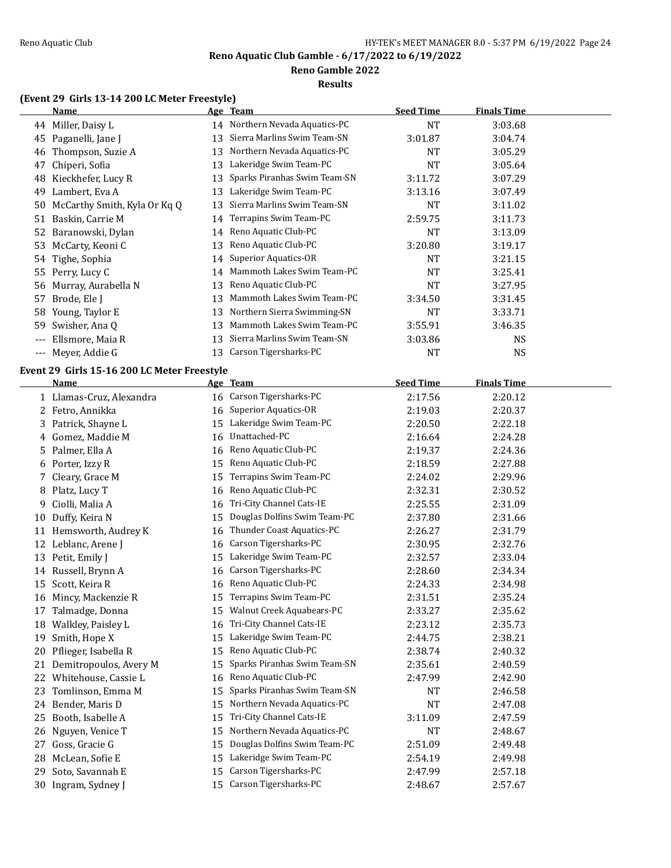$\overline{a}$ 

**Reno Aquatic Club Gamble - 6/17/2022 to 6/19/2022**

**Reno Gamble 2022**

**Results**

# **(Event 29 Girls 13-14 200 LC Meter Freestyle)**

|       | Name                                        |    | Age Team                       | <b>Seed Time</b> | <b>Finals Time</b>                             |  |
|-------|---------------------------------------------|----|--------------------------------|------------------|------------------------------------------------|--|
| 44    | Miller, Daisy L                             |    | 14 Northern Nevada Aquatics-PC | <b>NT</b>        | 3:03.68                                        |  |
| 45    | Paganelli, Jane J                           | 13 | Sierra Marlins Swim Team-SN    | 3:01.87          | 3:04.74                                        |  |
| 46    | Thompson, Suzie A                           | 13 | Northern Nevada Aquatics-PC    | <b>NT</b>        | 3:05.29                                        |  |
| 47    | Chiperi, Sofia                              | 13 | Lakeridge Swim Team-PC         | NT               | 3:05.64                                        |  |
| 48    | Kieckhefer, Lucy R                          | 13 | Sparks Piranhas Swim Team-SN   | 3:11.72          | 3:07.29                                        |  |
| 49    | Lambert, Eva A                              | 13 | Lakeridge Swim Team-PC         | 3:13.16          | 3:07.49                                        |  |
| 50    | McCarthy Smith, Kyla Or Kq Q                | 13 | Sierra Marlins Swim Team-SN    | <b>NT</b>        | 3:11.02                                        |  |
| 51    | Baskin, Carrie M                            |    | 14 Terrapins Swim Team-PC      | 2:59.75          | 3:11.73                                        |  |
| 52    | Baranowski, Dylan                           |    | 14 Reno Aquatic Club-PC        | NT               | 3:13.09                                        |  |
| 53    | McCarty, Keoni C                            | 13 | Reno Aquatic Club-PC           | 3:20.80          | 3:19.17                                        |  |
| 54    | Tighe, Sophia                               |    | 14 Superior Aquatics-OR        | <b>NT</b>        | 3:21.15                                        |  |
| 55    | Perry, Lucy C                               | 14 | Mammoth Lakes Swim Team-PC     | <b>NT</b>        | 3:25.41                                        |  |
| 56    | Murray, Aurabella N                         | 13 | Reno Aquatic Club-PC           | <b>NT</b>        | 3:27.95                                        |  |
| 57    | Brode, Ele J                                | 13 | Mammoth Lakes Swim Team-PC     | 3:34.50          | 3:31.45                                        |  |
| 58    | Young, Taylor E                             | 13 | Northern Sierra Swimming-SN    | <b>NT</b>        | 3:33.71                                        |  |
| 59    | Swisher, Ana Q                              | 13 | Mammoth Lakes Swim Team-PC     | 3:55.91          | 3:46.35                                        |  |
| $---$ | Ellsmore, Maia R                            | 13 | Sierra Marlins Swim Team-SN    | 3:03.86          | <b>NS</b>                                      |  |
| $---$ | Meyer, Addie G                              | 13 | Carson Tigersharks-PC          | <b>NT</b>        | <b>NS</b>                                      |  |
|       | Event 29 Girls 15-16 200 LC Meter Freestyle |    |                                |                  |                                                |  |
|       |                                             |    |                                |                  | <b>The Contract Contract Contract Contract</b> |  |

|    | Name                     |    | Age Team                     | <b>Seed Time</b> | <b>Finals Time</b> |  |
|----|--------------------------|----|------------------------------|------------------|--------------------|--|
|    | 1 Llamas-Cruz, Alexandra |    | 16 Carson Tigersharks-PC     | 2:17.56          | 2:20.12            |  |
| 2  | Fetro, Annikka           | 16 | <b>Superior Aquatics-OR</b>  | 2:19.03          | 2:20.37            |  |
| 3  | Patrick, Shayne L        | 15 | Lakeridge Swim Team-PC       | 2:20.50          | 2:22.18            |  |
| 4  | Gomez, Maddie M          | 16 | Unattached-PC                | 2:16.64          | 2:24.28            |  |
| 5  | Palmer, Ella A           | 16 | Reno Aquatic Club-PC         | 2:19.37          | 2:24.36            |  |
| 6  | Porter, Izzy R           | 15 | Reno Aquatic Club-PC         | 2:18.59          | 2:27.88            |  |
| 7  | Cleary, Grace M          | 15 | Terrapins Swim Team-PC       | 2:24.02          | 2:29.96            |  |
| 8  | Platz, Lucy T            | 16 | Reno Aquatic Club-PC         | 2:32.31          | 2:30.52            |  |
| 9  | Ciolli, Malia A          | 16 | Tri-City Channel Cats-IE     | 2:25.55          | 2:31.09            |  |
| 10 | Duffy, Keira N           | 15 | Douglas Dolfins Swim Team-PC | 2:37.80          | 2:31.66            |  |
| 11 | Hemsworth, Audrey K      | 16 | Thunder Coast Aquatics-PC    | 2:26.27          | 2:31.79            |  |
| 12 | Leblanc, Arene J         | 16 | Carson Tigersharks-PC        | 2:30.95          | 2:32.76            |  |
| 13 | Petit, Emily J           | 15 | Lakeridge Swim Team-PC       | 2:32.57          | 2:33.04            |  |
|    | 14 Russell, Brynn A      | 16 | Carson Tigersharks-PC        | 2:28.60          | 2:34.34            |  |
| 15 | Scott, Keira R           | 16 | Reno Aquatic Club-PC         | 2:24.33          | 2:34.98            |  |
| 16 | Mincy, Mackenzie R       | 15 | Terrapins Swim Team-PC       | 2:31.51          | 2:35.24            |  |
| 17 | Talmadge, Donna          | 15 | Walnut Creek Aquabears-PC    | 2:33.27          | 2:35.62            |  |
| 18 | Walkley, Paisley L       | 16 | Tri-City Channel Cats-IE     | 2:23.12          | 2:35.73            |  |
| 19 | Smith, Hope X            | 15 | Lakeridge Swim Team-PC       | 2:44.75          | 2:38.21            |  |
| 20 | Pflieger, Isabella R     | 15 | Reno Aquatic Club-PC         | 2:38.74          | 2:40.32            |  |
| 21 | Demitropoulos, Avery M   | 15 | Sparks Piranhas Swim Team-SN | 2:35.61          | 2:40.59            |  |
| 22 | Whitehouse, Cassie L     | 16 | Reno Aquatic Club-PC         | 2:47.99          | 2:42.90            |  |
| 23 | Tomlinson, Emma M        | 15 | Sparks Piranhas Swim Team-SN | <b>NT</b>        | 2:46.58            |  |
| 24 | Bender, Maris D          | 15 | Northern Nevada Aquatics-PC  | <b>NT</b>        | 2:47.08            |  |
| 25 | Booth, Isabelle A        | 15 | Tri-City Channel Cats-IE     | 3:11.09          | 2:47.59            |  |
| 26 | Nguyen, Venice T         | 15 | Northern Nevada Aquatics-PC  | NT               | 2:48.67            |  |
| 27 | Goss, Gracie G           | 15 | Douglas Dolfins Swim Team-PC | 2:51.09          | 2:49.48            |  |
| 28 | McLean, Sofie E          | 15 | Lakeridge Swim Team-PC       | 2:54.19          | 2:49.98            |  |
| 29 | Soto, Savannah E         | 15 | Carson Tigersharks-PC        | 2:47.99          | 2:57.18            |  |
| 30 | Ingram, Sydney J         | 15 | Carson Tigersharks-PC        | 2:48.67          | 2:57.67            |  |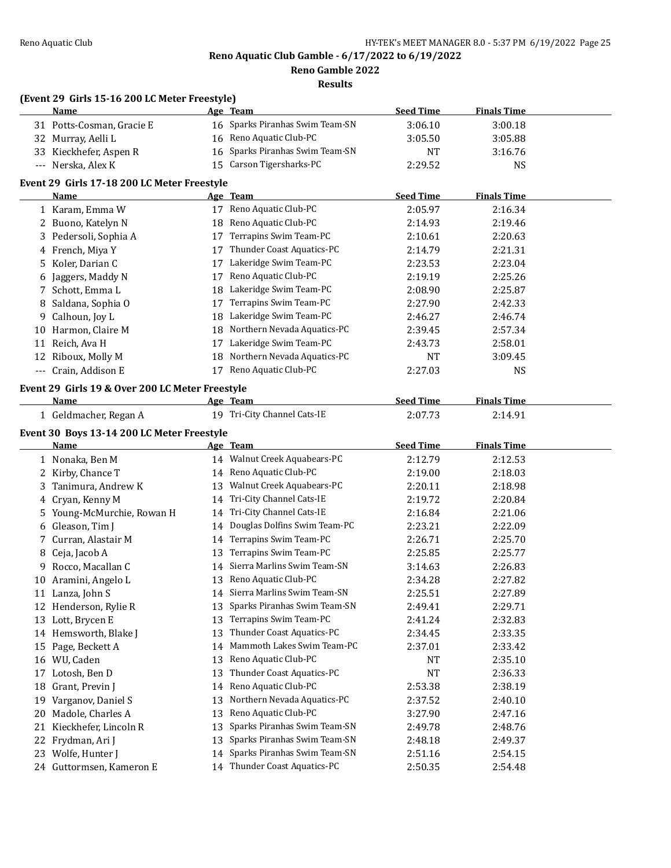**Reno Gamble 2022**

|    | (Event 29 Girls 15-16 200 LC Meter Freestyle)<br><b>Name</b> |    | Age Team                                                  | <b>Seed Time</b> | <b>Finals Time</b> |  |
|----|--------------------------------------------------------------|----|-----------------------------------------------------------|------------------|--------------------|--|
|    | 31 Potts-Cosman, Gracie E                                    |    | 16 Sparks Piranhas Swim Team-SN                           | 3:06.10          | 3:00.18            |  |
|    | 32 Murray, Aelli L                                           |    | 16 Reno Aquatic Club-PC                                   | 3:05.50          | 3:05.88            |  |
|    | 33 Kieckhefer, Aspen R                                       |    | 16 Sparks Piranhas Swim Team-SN                           | <b>NT</b>        | 3:16.76            |  |
|    | --- Nerska, Alex K                                           |    | 15 Carson Tigersharks-PC                                  | 2:29.52          | <b>NS</b>          |  |
|    | Event 29 Girls 17-18 200 LC Meter Freestyle                  |    |                                                           |                  |                    |  |
|    | Name                                                         |    | Age Team                                                  | <b>Seed Time</b> | <b>Finals Time</b> |  |
|    | 1 Karam, Emma W                                              |    | 17 Reno Aquatic Club-PC                                   | 2:05.97          | 2:16.34            |  |
|    | 2 Buono, Katelyn N                                           | 18 | Reno Aquatic Club-PC                                      | 2:14.93          | 2:19.46            |  |
|    | 3 Pedersoli, Sophia A                                        | 17 | Terrapins Swim Team-PC                                    | 2:10.61          | 2:20.63            |  |
|    | 4 French, Miya Y                                             | 17 | Thunder Coast Aquatics-PC                                 | 2:14.79          | 2:21.31            |  |
|    | 5 Koler, Darian C                                            | 17 | Lakeridge Swim Team-PC                                    | 2:23.53          | 2:23.04            |  |
|    | 6 Jaggers, Maddy N                                           | 17 | Reno Aquatic Club-PC                                      | 2:19.19          | 2:25.26            |  |
|    | 7 Schott, Emma L                                             | 18 | Lakeridge Swim Team-PC                                    | 2:08.90          | 2:25.87            |  |
|    | 8 Saldana, Sophia O                                          | 17 | Terrapins Swim Team-PC                                    | 2:27.90          | 2:42.33            |  |
|    | 9 Calhoun, Joy L                                             | 18 | Lakeridge Swim Team-PC                                    | 2:46.27          | 2:46.74            |  |
|    | 10 Harmon, Claire M                                          | 18 | Northern Nevada Aquatics-PC                               | 2:39.45          | 2:57.34            |  |
|    | 11 Reich, Ava H                                              |    | 17 Lakeridge Swim Team-PC                                 | 2:43.73          | 2:58.01            |  |
|    | 12 Riboux, Molly M                                           |    | 18 Northern Nevada Aquatics-PC                            | NT               | 3:09.45            |  |
|    | --- Crain, Addison E                                         | 17 | Reno Aquatic Club-PC                                      | 2:27.03          | <b>NS</b>          |  |
|    |                                                              |    |                                                           |                  |                    |  |
|    | Event 29 Girls 19 & Over 200 LC Meter Freestyle              |    |                                                           |                  |                    |  |
|    | Name                                                         |    | Age Team                                                  | <b>Seed Time</b> | <b>Finals Time</b> |  |
|    | 1 Geldmacher, Regan A                                        |    | 19 Tri-City Channel Cats-IE                               | 2:07.73          | 2:14.91            |  |
|    | Event 30 Boys 13-14 200 LC Meter Freestyle                   |    |                                                           |                  |                    |  |
|    | Name                                                         |    | <u>Age Team</u>                                           | <b>Seed Time</b> | <b>Finals Time</b> |  |
|    | 1 Nonaka, Ben M                                              |    | 14 Walnut Creek Aquabears-PC                              | 2:12.79          | 2:12.53            |  |
|    | 2 Kirby, Chance T                                            |    | 14 Reno Aquatic Club-PC                                   | 2:19.00          | 2:18.03            |  |
|    | 3 Tanimura, Andrew K                                         |    | 13 Walnut Creek Aquabears-PC                              | 2:20.11          | 2:18.98            |  |
|    | 4 Cryan, Kenny M                                             |    | 14 Tri-City Channel Cats-IE                               | 2:19.72          | 2:20.84            |  |
|    | 5 Young-McMurchie, Rowan H                                   |    | 14 Tri-City Channel Cats-IE                               |                  |                    |  |
|    | 6 Gleason, Tim J                                             |    |                                                           | 2:16.84          | 2:21.06            |  |
|    |                                                              |    | 14 Douglas Dolfins Swim Team-PC                           | 2:23.21          | 2:22.09            |  |
|    | 7 Curran, Alastair M                                         |    | 14 Terrapins Swim Team-PC                                 | 2:26.71          | 2:25.70            |  |
| 8  | Ceja, Jacob A                                                | 13 | Terrapins Swim Team-PC                                    | 2:25.85          | 2:25.77            |  |
|    | 9 Rocco, Macallan C                                          | 14 | Sierra Marlins Swim Team-SN                               | 3:14.63          | 2:26.83            |  |
|    | 10 Aramini, Angelo L                                         |    | 13 Reno Aquatic Club-PC                                   | 2:34.28          | 2:27.82            |  |
|    | 11 Lanza, John S                                             |    | 14 Sierra Marlins Swim Team-SN                            | 2:25.51          | 2:27.89            |  |
|    | 12 Henderson, Rylie R                                        | 13 | Sparks Piranhas Swim Team-SN                              | 2:49.41          | 2:29.71            |  |
|    | 13 Lott, Brycen E                                            | 13 | Terrapins Swim Team-PC                                    | 2:41.24          | 2:32.83            |  |
|    | 14 Hemsworth, Blake J                                        | 13 | Thunder Coast Aquatics-PC                                 | 2:34.45          | 2:33.35            |  |
|    | 15 Page, Beckett A                                           | 14 | Mammoth Lakes Swim Team-PC                                | 2:37.01          | 2:33.42            |  |
|    | 16 WU, Caden                                                 | 13 | Reno Aquatic Club-PC                                      | NT               | 2:35.10            |  |
| 17 | Lotosh, Ben D                                                | 13 | Thunder Coast Aquatics-PC                                 | NT               | 2:36.33            |  |
| 18 | Grant, Previn J                                              | 14 | Reno Aquatic Club-PC                                      | 2:53.38          | 2:38.19            |  |
| 19 | Varganov, Daniel S                                           | 13 | Northern Nevada Aquatics-PC                               | 2:37.52          | 2:40.10            |  |
| 20 | Madole, Charles A                                            | 13 | Reno Aquatic Club-PC                                      | 3:27.90          | 2:47.16            |  |
| 21 | Kieckhefer, Lincoln R                                        | 13 | Sparks Piranhas Swim Team-SN                              | 2:49.78          | 2:48.76            |  |
| 22 | Frydman, Ari J                                               | 13 | Sparks Piranhas Swim Team-SN                              | 2:48.18          | 2:49.37            |  |
|    | 23 Wolfe, Hunter J                                           | 14 | Sparks Piranhas Swim Team-SN<br>Thunder Coast Aquatics-PC | 2:51.16          | 2:54.15            |  |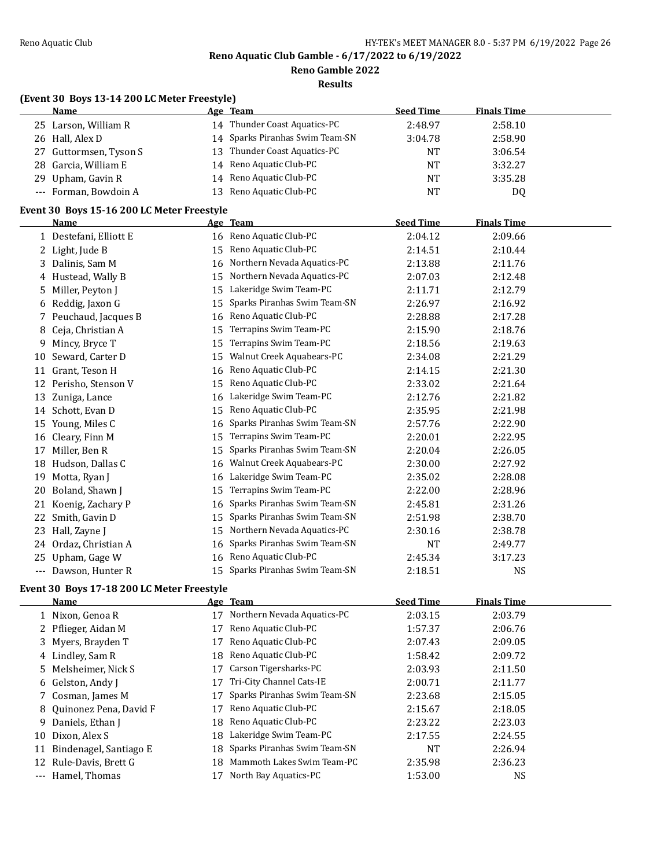**Reno Gamble 2022**

| (Event 30 Boys 13-14 200 LC Meter Freestyle) |  |
|----------------------------------------------|--|

|    | <b>Name</b>                                |    | Age Team                        | <b>Seed Time</b> | <b>Finals Time</b> |  |
|----|--------------------------------------------|----|---------------------------------|------------------|--------------------|--|
|    | 25 Larson, William R                       |    | 14 Thunder Coast Aquatics-PC    | 2:48.97          | 2:58.10            |  |
|    | 26 Hall, Alex D                            | 14 | Sparks Piranhas Swim Team-SN    | 3:04.78          | 2:58.90            |  |
| 27 | Guttormsen, Tyson S                        | 13 | Thunder Coast Aquatics-PC       | <b>NT</b>        | 3:06.54            |  |
| 28 | Garcia, William E                          | 14 | Reno Aquatic Club-PC            | <b>NT</b>        | 3:32.27            |  |
| 29 | Upham, Gavin R                             | 14 | Reno Aquatic Club-PC            | <b>NT</b>        | 3:35.28            |  |
|    | --- Forman, Bowdoin A                      | 13 | Reno Aquatic Club-PC            | <b>NT</b>        | DQ                 |  |
|    | Event 30 Boys 15-16 200 LC Meter Freestyle |    |                                 |                  |                    |  |
|    | Name                                       |    | Age Team                        | <b>Seed Time</b> | <b>Finals Time</b> |  |
|    | 1 Destefani, Elliott E                     |    | 16 Reno Aquatic Club-PC         | 2:04.12          | 2:09.66            |  |
| 2  | Light, Jude B                              | 15 | Reno Aquatic Club-PC            | 2:14.51          | 2:10.44            |  |
| 3  | Dalinis, Sam M                             | 16 | Northern Nevada Aquatics-PC     | 2:13.88          | 2:11.76            |  |
| 4  | Hustead, Wally B                           | 15 | Northern Nevada Aquatics-PC     | 2:07.03          | 2:12.48            |  |
| 5  | Miller, Peyton J                           | 15 | Lakeridge Swim Team-PC          | 2:11.71          | 2:12.79            |  |
| 6  | Reddig, Jaxon G                            | 15 | Sparks Piranhas Swim Team-SN    | 2:26.97          | 2:16.92            |  |
| 7  | Peuchaud, Jacques B                        | 16 | Reno Aquatic Club-PC            | 2:28.88          | 2:17.28            |  |
| 8  | Ceja, Christian A                          | 15 | Terrapins Swim Team-PC          | 2:15.90          | 2:18.76            |  |
| 9  | Mincy, Bryce T                             | 15 | Terrapins Swim Team-PC          | 2:18.56          | 2:19.63            |  |
| 10 | Seward, Carter D                           | 15 | Walnut Creek Aquabears-PC       | 2:34.08          | 2:21.29            |  |
|    | 11 Grant, Teson H                          | 16 | Reno Aquatic Club-PC            | 2:14.15          | 2:21.30            |  |
| 12 | Perisho, Stenson V                         | 15 | Reno Aquatic Club-PC            | 2:33.02          | 2:21.64            |  |
|    | 13 Zuniga, Lance                           | 16 | Lakeridge Swim Team-PC          | 2:12.76          | 2:21.82            |  |
|    | 14 Schott, Evan D                          | 15 | Reno Aquatic Club-PC            | 2:35.95          | 2:21.98            |  |
| 15 | Young, Miles C                             | 16 | Sparks Piranhas Swim Team-SN    | 2:57.76          | 2:22.90            |  |
| 16 | Cleary, Finn M                             | 15 | Terrapins Swim Team-PC          | 2:20.01          | 2:22.95            |  |
| 17 | Miller, Ben R                              | 15 | Sparks Piranhas Swim Team-SN    | 2:20.04          | 2:26.05            |  |
| 18 | Hudson, Dallas C                           | 16 | Walnut Creek Aquabears-PC       | 2:30.00          | 2:27.92            |  |
| 19 | Motta, Ryan J                              | 16 | Lakeridge Swim Team-PC          | 2:35.02          | 2:28.08            |  |
| 20 | Boland, Shawn J                            | 15 | Terrapins Swim Team-PC          | 2:22.00          | 2:28.96            |  |
| 21 | Koenig, Zachary P                          | 16 | Sparks Piranhas Swim Team-SN    | 2:45.81          | 2:31.26            |  |
|    | 22 Smith, Gavin D                          | 15 | Sparks Piranhas Swim Team-SN    | 2:51.98          | 2:38.70            |  |
| 23 | Hall, Zayne J                              | 15 | Northern Nevada Aquatics-PC     | 2:30.16          | 2:38.78            |  |
|    | 24 Ordaz, Christian A                      | 16 | Sparks Piranhas Swim Team-SN    | $\rm{NT}$        | 2:49.77            |  |
|    | 25 Upham, Gage W                           | 16 | Reno Aquatic Club-PC            | 2:45.34          | 3:17.23            |  |
|    | --- Dawson, Hunter R                       |    | 15 Sparks Piranhas Swim Team-SN | 2:18.51          | NS                 |  |
|    | Event 30 Boys 17-18 200 LC Meter Freestyle |    |                                 |                  |                    |  |
|    | <u>Name</u>                                |    | Age Team                        | <b>Seed Time</b> | <b>Finals Time</b> |  |
|    | $1$ Miner Course D                         |    | $17$ Northam Novado Aquetica DC | 20215            | 2027               |  |

|       | <b>Name</b>              |     | Age Team                     | <b>Seed Time</b> | <b>Finals Time</b> |
|-------|--------------------------|-----|------------------------------|------------------|--------------------|
|       | 1 Nixon, Genoa R         | 17  | Northern Nevada Aquatics-PC  | 2:03.15          | 2:03.79            |
|       | 2 Pflieger, Aidan M      |     | Reno Aquatic Club-PC         | 1:57.37          | 2:06.76            |
|       | 3 Myers, Brayden T       |     | Reno Aquatic Club-PC         | 2:07.43          | 2:09.05            |
|       | 4 Lindley, Sam R         | 18  | Reno Aquatic Club-PC         | 1:58.42          | 2:09.72            |
|       | 5 Melsheimer, Nick S     |     | Carson Tigersharks-PC        | 2:03.93          | 2:11.50            |
|       | 6 Gelston, Andy J        |     | Tri-City Channel Cats-IE     | 2:00.71          | 2:11.77            |
|       | 7 Cosman, James M        |     | Sparks Piranhas Swim Team-SN | 2:23.68          | 2:15.05            |
|       | 8 Ouinonez Pena, David F |     | Reno Aquatic Club-PC         | 2:15.67          | 2:18.05            |
|       | 9 Daniels, Ethan J       | 18  | Reno Aquatic Club-PC         | 2:23.22          | 2:23.03            |
| 10    | Dixon, Alex S            | 18  | Lakeridge Swim Team-PC       | 2:17.55          | 2:24.55            |
| 11    | Bindenagel, Santiago E   | 18. | Sparks Piranhas Swim Team-SN | NT               | 2:26.94            |
| 12    | Rule-Davis, Brett G      | 18  | Mammoth Lakes Swim Team-PC   | 2:35.98          | 2:36.23            |
| $---$ | Hamel, Thomas            |     | North Bay Aquatics-PC        | 1:53.00          | <b>NS</b>          |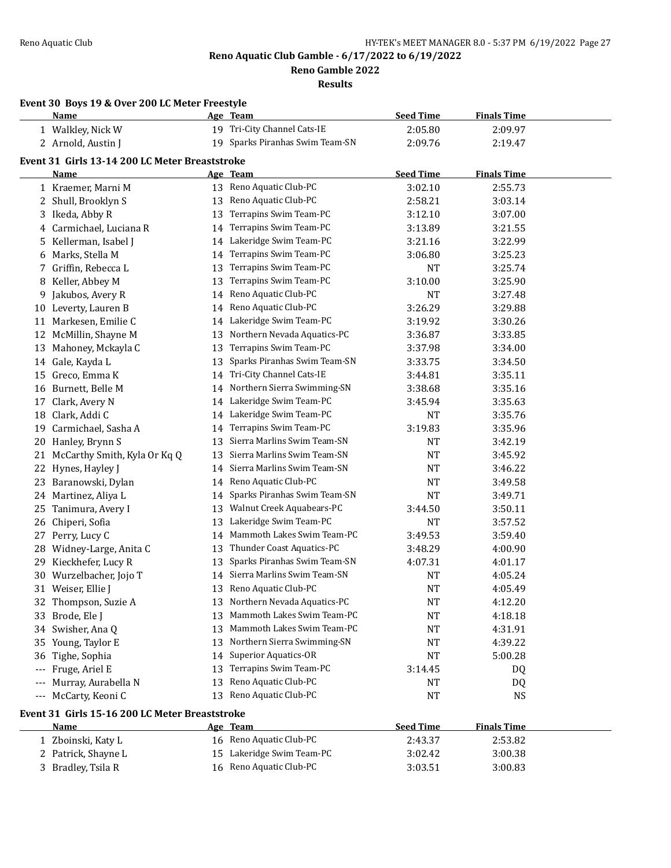**Reno Gamble 2022**

|                     | Event 30 Boys 19 & Over 200 LC Meter Freestyle<br>Name |    | Age Team                        | <b>Seed Time</b> | <b>Finals Time</b> |  |
|---------------------|--------------------------------------------------------|----|---------------------------------|------------------|--------------------|--|
|                     | 1 Walkley, Nick W                                      |    | 19 Tri-City Channel Cats-IE     | 2:05.80          | 2:09.97            |  |
|                     | 2 Arnold, Austin J                                     |    | 19 Sparks Piranhas Swim Team-SN | 2:09.76          | 2:19.47            |  |
|                     |                                                        |    |                                 |                  |                    |  |
|                     | Event 31 Girls 13-14 200 LC Meter Breaststroke         |    |                                 |                  |                    |  |
|                     | Name                                                   |    | Age Team                        | <b>Seed Time</b> | <b>Finals Time</b> |  |
|                     | 1 Kraemer, Marni M                                     |    | 13 Reno Aquatic Club-PC         | 3:02.10          | 2:55.73            |  |
|                     | 2 Shull, Brooklyn S                                    | 13 | Reno Aquatic Club-PC            | 2:58.21          | 3:03.14            |  |
| 3                   | Ikeda, Abby R                                          | 13 | Terrapins Swim Team-PC          | 3:12.10          | 3:07.00            |  |
|                     | 4 Carmichael, Luciana R                                | 14 | Terrapins Swim Team-PC          | 3:13.89          | 3:21.55            |  |
|                     | 5 Kellerman, Isabel J                                  |    | 14 Lakeridge Swim Team-PC       | 3:21.16          | 3:22.99            |  |
|                     | 6 Marks, Stella M                                      | 14 | Terrapins Swim Team-PC          | 3:06.80          | 3:25.23            |  |
|                     | 7 Griffin, Rebecca L                                   | 13 | Terrapins Swim Team-PC          | <b>NT</b>        | 3:25.74            |  |
| 8                   | Keller, Abbey M                                        | 13 | Terrapins Swim Team-PC          | 3:10.00          | 3:25.90            |  |
| 9                   | Jakubos, Avery R                                       | 14 | Reno Aquatic Club-PC            | <b>NT</b>        | 3:27.48            |  |
| 10                  | Leverty, Lauren B                                      | 14 | Reno Aquatic Club-PC            | 3:26.29          | 3:29.88            |  |
|                     | 11 Markesen, Emilie C                                  | 14 | Lakeridge Swim Team-PC          | 3:19.92          | 3:30.26            |  |
|                     | 12 McMillin, Shayne M                                  | 13 | Northern Nevada Aquatics-PC     | 3:36.87          | 3:33.85            |  |
|                     | 13 Mahoney, Mckayla C                                  | 13 | Terrapins Swim Team-PC          | 3:37.98          | 3:34.00            |  |
|                     | 14 Gale, Kayda L                                       | 13 | Sparks Piranhas Swim Team-SN    | 3:33.75          | 3:34.50            |  |
|                     | 15 Greco, Emma K                                       | 14 | Tri-City Channel Cats-IE        | 3:44.81          | 3:35.11            |  |
|                     | 16 Burnett, Belle M                                    | 14 | Northern Sierra Swimming-SN     | 3:38.68          | 3:35.16            |  |
| 17                  | Clark, Avery N                                         |    | 14 Lakeridge Swim Team-PC       | 3:45.94          | 3:35.63            |  |
|                     | 18 Clark, Addi C                                       |    | 14 Lakeridge Swim Team-PC       | NT               | 3:35.76            |  |
| 19                  | Carmichael, Sasha A                                    | 14 | Terrapins Swim Team-PC          | 3:19.83          | 3:35.96            |  |
| 20                  | Hanley, Brynn S                                        | 13 | Sierra Marlins Swim Team-SN     | NT               | 3:42.19            |  |
| 21                  | McCarthy Smith, Kyla Or Kq Q                           | 13 | Sierra Marlins Swim Team-SN     | NT               | 3:45.92            |  |
| 22                  | Hynes, Hayley J                                        | 14 | Sierra Marlins Swim Team-SN     | <b>NT</b>        | 3:46.22            |  |
| 23                  | Baranowski, Dylan                                      | 14 | Reno Aquatic Club-PC            | <b>NT</b>        | 3:49.58            |  |
|                     | 24 Martinez, Aliya L                                   | 14 | Sparks Piranhas Swim Team-SN    | <b>NT</b>        | 3:49.71            |  |
| 25                  | Tanimura, Avery I                                      | 13 | Walnut Creek Aquabears-PC       | 3:44.50          | 3:50.11            |  |
|                     | 26 Chiperi, Sofia                                      | 13 | Lakeridge Swim Team-PC          | NT               | 3:57.52            |  |
| 27                  | Perry, Lucy C                                          | 14 | Mammoth Lakes Swim Team-PC      | 3:49.53          | 3:59.40            |  |
|                     | 28 Widney-Large, Anita C                               | 13 | Thunder Coast Aquatics-PC       | 3:48.29          | 4:00.90            |  |
|                     | 29 Kieckhefer, Lucy R                                  | 13 | Sparks Piranhas Swim Team-SN    | 4:07.31          | 4:01.17            |  |
|                     | 30 Wurzelbacher, Jojo T                                |    | 14 Sierra Marlins Swim Team-SN  | <b>NT</b>        | 4:05.24            |  |
|                     | 31 Weiser, Ellie J                                     |    | 13 Reno Aquatic Club-PC         | <b>NT</b>        | 4:05.49            |  |
|                     | 32 Thompson, Suzie A                                   |    | 13 Northern Nevada Aquatics-PC  | NT               | 4:12.20            |  |
|                     | 33 Brode, Ele J                                        | 13 | Mammoth Lakes Swim Team-PC      | <b>NT</b>        | 4:18.18            |  |
|                     | 34 Swisher, Ana Q                                      | 13 | Mammoth Lakes Swim Team-PC      | NT               | 4:31.91            |  |
|                     | 35 Young, Taylor E                                     | 13 | Northern Sierra Swimming-SN     | NT               | 4:39.22            |  |
|                     | 36 Tighe, Sophia                                       | 14 | <b>Superior Aquatics-OR</b>     | NT               | 5:00.28            |  |
| $\qquad \qquad - -$ | Fruge, Ariel E                                         | 13 | Terrapins Swim Team-PC          | 3:14.45          | DQ                 |  |
| $\qquad \qquad - -$ | Murray, Aurabella N                                    | 13 | Reno Aquatic Club-PC            | NT               | DQ                 |  |
|                     | --- McCarty, Keoni C                                   | 13 | Reno Aquatic Club-PC            | NT               | <b>NS</b>          |  |
|                     | Event 31 Girls 15-16 200 LC Meter Breaststroke         |    |                                 |                  |                    |  |
|                     | Name                                                   |    | Age Team                        | <b>Seed Time</b> | <b>Finals Time</b> |  |
|                     | 1 Zboinski, Katy L                                     |    | 16 Reno Aquatic Club-PC         | 2:43.37          | 2:53.82            |  |
|                     | 2 Patrick, Shayne L                                    |    | 15 Lakeridge Swim Team-PC       | 3:02.42          | 3:00.38            |  |
|                     | 3 Bradley, Tsila R                                     |    | 16 Reno Aquatic Club-PC         | 3:03.51          | 3:00.83            |  |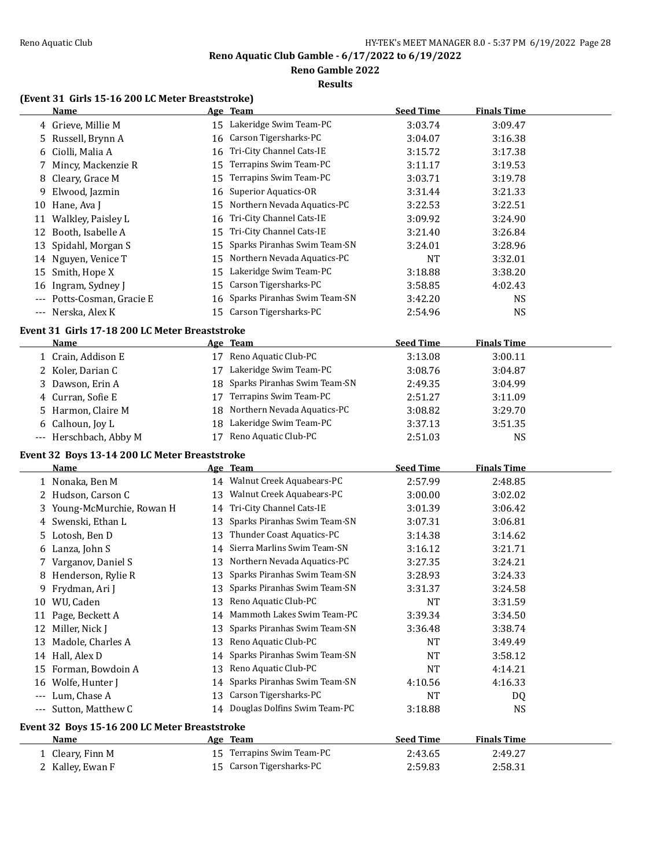**Results**

**Reno Gamble 2022**

# **(Event 31 Girls 15-16 200 LC Meter Breaststroke)**

|       | <b>Name</b>                                    |    | Age Team                                              | <b>Seed Time</b>   | <b>Finals Time</b> |  |
|-------|------------------------------------------------|----|-------------------------------------------------------|--------------------|--------------------|--|
| 4     | Grieve, Millie M                               |    | 15 Lakeridge Swim Team-PC                             | 3:03.74            | 3:09.47            |  |
| 5     | Russell, Brynn A                               | 16 | Carson Tigersharks-PC                                 | 3:04.07            | 3:16.38            |  |
| 6     | Ciolli, Malia A                                | 16 | Tri-City Channel Cats-IE                              | 3:15.72            | 3:17.38            |  |
| 7     | Mincy, Mackenzie R                             | 15 | Terrapins Swim Team-PC                                | 3:11.17            | 3:19.53            |  |
| 8     | Cleary, Grace M                                | 15 | Terrapins Swim Team-PC                                | 3:03.71            | 3:19.78            |  |
| 9     | Elwood, Jazmin                                 | 16 | <b>Superior Aquatics-OR</b>                           | 3:31.44            | 3:21.33            |  |
| 10    | Hane, Ava J                                    | 15 | Northern Nevada Aquatics-PC                           | 3:22.53            | 3:22.51            |  |
| 11    | Walkley, Paisley L                             | 16 | Tri-City Channel Cats-IE                              | 3:09.92            | 3:24.90            |  |
| 12    | Booth, Isabelle A                              | 15 | Tri-City Channel Cats-IE                              | 3:21.40            | 3:26.84            |  |
| 13    | Spidahl, Morgan S                              | 15 | Sparks Piranhas Swim Team-SN                          | 3:24.01            | 3:28.96            |  |
|       | 14 Nguyen, Venice T                            | 15 | Northern Nevada Aquatics-PC                           | <b>NT</b>          | 3:32.01            |  |
| 15    | Smith, Hope X                                  | 15 | Lakeridge Swim Team-PC                                | 3:18.88            | 3:38.20            |  |
| 16    | Ingram, Sydney J                               | 15 | Carson Tigersharks-PC                                 | 3:58.85            | 4:02.43            |  |
| $---$ | Potts-Cosman, Gracie E                         | 16 | Sparks Piranhas Swim Team-SN                          | 3:42.20            | NS.                |  |
| $---$ | Nerska, Alex K                                 | 15 | Carson Tigersharks-PC                                 | 2:54.96            | <b>NS</b>          |  |
|       | Event 31 Girls 17-18 200 LC Meter Breaststroke |    |                                                       |                    |                    |  |
|       | <u>Name</u>                                    |    | Age Team                                              | <b>Seed Time</b>   | <b>Finals Time</b> |  |
|       | 1 Crain, Addison E                             |    | 17 Reno Aquatic Club-PC                               | 3:13.08            | 3:00.11            |  |
|       | 2 Koler, Darian C                              | 17 | Lakeridge Swim Team-PC                                | 3:08.76            |                    |  |
|       |                                                |    | Sparks Piranhas Swim Team-SN                          |                    | 3:04.87            |  |
| 3     | Dawson, Erin A                                 | 18 | Terrapins Swim Team-PC                                | 2:49.35            | 3:04.99            |  |
| 4     | Curran, Sofie E                                | 17 |                                                       | 2:51.27            | 3:11.09            |  |
| 5     | Harmon, Claire M                               | 18 | Northern Nevada Aquatics-PC                           | 3:08.82            | 3:29.70            |  |
| 6     | Calhoun, Joy L                                 | 18 | Lakeridge Swim Team-PC                                | 3:37.13            | 3:51.35            |  |
|       | --- Herschbach, Abby M                         | 17 | Reno Aquatic Club-PC                                  | 2:51.03            | <b>NS</b>          |  |
|       | Event 32 Boys 13-14 200 LC Meter Breaststroke  |    |                                                       |                    |                    |  |
|       | Name                                           |    | Age Team                                              | <b>Seed Time</b>   | <b>Finals Time</b> |  |
|       | 1 Nonaka, Ben M                                |    | 14 Walnut Creek Aquabears-PC                          | 2:57.99            | 2:48.85            |  |
|       | 2 Hudson, Carson C                             | 13 | Walnut Creek Aquabears-PC                             | 3:00.00            | 3:02.02            |  |
| 3     | Young-McMurchie, Rowan H                       | 14 | Tri-City Channel Cats-IE                              | 3:01.39            | 3:06.42            |  |
| 4     | Swenski, Ethan L                               | 13 | Sparks Piranhas Swim Team-SN                          | 3:07.31            | 3:06.81            |  |
| 5     | Lotosh, Ben D                                  | 13 | Thunder Coast Aquatics-PC                             | 3:14.38            | 3:14.62            |  |
| 6     | Lanza, John S                                  | 14 | Sierra Marlins Swim Team-SN                           | 3:16.12            | 3:21.71            |  |
| 7     | Varganov, Daniel S                             | 13 | Northern Nevada Aquatics-PC                           | 3:27.35            | 3:24.21            |  |
| 8     | Henderson, Rylie R                             | 13 | Sparks Piranhas Swim Team-SN                          | 3:28.93            | 3:24.33            |  |
| 9     | Frydman, Ari J                                 | 13 | Sparks Piranhas Swim Team-SN                          | 3:31.37            | 3:24.58            |  |
|       | 10 WU, Caden                                   |    | 13 Reno Aquatic Club-PC                               | NT                 | 3:31.59            |  |
|       | 11 Page, Beckett A                             |    | 14 Mammoth Lakes Swim Team-PC                         | 3:39.34            | 3:34.50            |  |
|       | 12 Miller, Nick J                              | 13 | Sparks Piranhas Swim Team-SN                          | 3:36.48            | 3:38.74            |  |
| 13    | Madole, Charles A                              | 13 | Reno Aquatic Club-PC                                  | NT                 | 3:49.49            |  |
|       | 14 Hall, Alex D                                | 14 | Sparks Piranhas Swim Team-SN                          | NT                 | 3:58.12            |  |
| 15    | Forman, Bowdoin A                              | 13 | Reno Aquatic Club-PC                                  | NT                 | 4:14.21            |  |
| 16    | Wolfe, Hunter J                                | 14 | Sparks Piranhas Swim Team-SN                          | 4:10.56            | 4:16.33            |  |
| $---$ | Lum, Chase A                                   | 13 | Carson Tigersharks-PC                                 | NT                 | DQ                 |  |
| $---$ | Sutton, Matthew C                              | 14 | Douglas Dolfins Swim Team-PC                          | 3:18.88            | <b>NS</b>          |  |
|       | Event 32 Boys 15-16 200 LC Meter Breaststroke  |    |                                                       |                    |                    |  |
|       |                                                |    |                                                       |                    |                    |  |
|       |                                                |    |                                                       |                    |                    |  |
|       | <u>Name</u>                                    |    | <u>Age Team</u>                                       | <b>Seed Time</b>   | <b>Finals Time</b> |  |
|       | 1 Cleary, Finn M<br>2 Kalley, Ewan F           |    | 15 Terrapins Swim Team-PC<br>15 Carson Tigersharks-PC | 2:43.65<br>2:59.83 | 2:49.27<br>2:58.31 |  |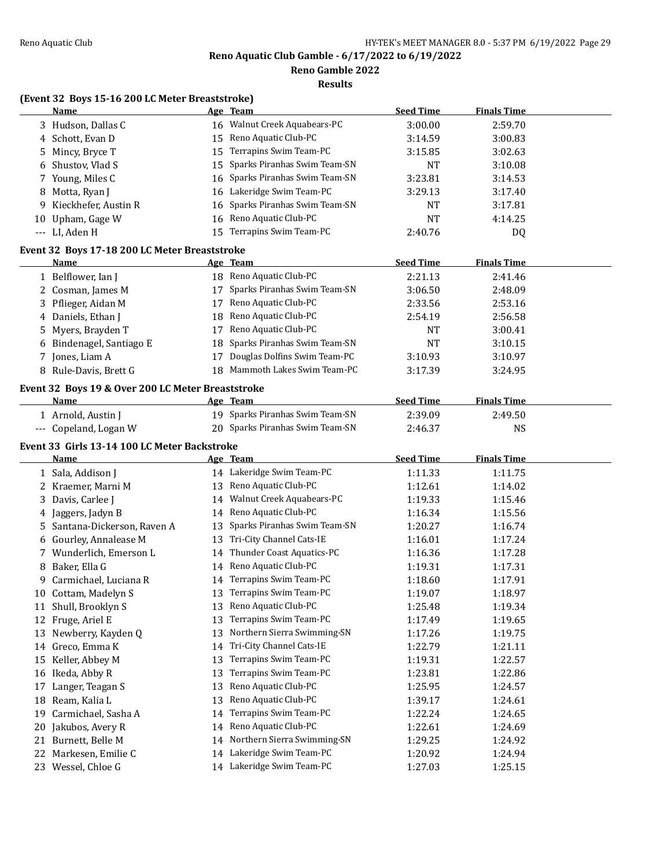**Reno Gamble 2022**

**Results**

# **(Event 32 Boys 15-16 200 LC Meter Breaststroke)**

|    | <b>Name</b>                                           |    | Age Team                                               | <b>Seed Time</b>   | <b>Finals Time</b> |  |
|----|-------------------------------------------------------|----|--------------------------------------------------------|--------------------|--------------------|--|
|    | 3 Hudson, Dallas C                                    |    | 16 Walnut Creek Aquabears-PC                           | 3:00.00            | 2:59.70            |  |
|    | 4 Schott, Evan D                                      | 15 | Reno Aquatic Club-PC                                   | 3:14.59            | 3:00.83            |  |
| 5  | Mincy, Bryce T                                        | 15 | Terrapins Swim Team-PC                                 | 3:15.85            | 3:02.63            |  |
|    | 6 Shustov, Vlad S                                     | 15 | Sparks Piranhas Swim Team-SN                           | <b>NT</b>          | 3:10.08            |  |
|    | 7 Young, Miles C                                      |    | 16 Sparks Piranhas Swim Team-SN                        | 3:23.81            | 3:14.53            |  |
|    | 8 Motta, Ryan J                                       | 16 | Lakeridge Swim Team-PC                                 | 3:29.13            | 3:17.40            |  |
| 9  | Kieckhefer, Austin R                                  | 16 | Sparks Piranhas Swim Team-SN                           | NT                 | 3:17.81            |  |
|    | 10 Upham, Gage W                                      |    | 16 Reno Aquatic Club-PC                                | <b>NT</b>          | 4:14.25            |  |
|    | --- LI, Aden H                                        |    | 15 Terrapins Swim Team-PC                              | 2:40.76            | DQ                 |  |
|    |                                                       |    |                                                        |                    |                    |  |
|    | Event 32 Boys 17-18 200 LC Meter Breaststroke<br>Name |    |                                                        |                    |                    |  |
|    |                                                       |    | Age Team<br>18 Reno Aquatic Club-PC                    | <b>Seed Time</b>   | <b>Finals Time</b> |  |
|    | 1 Belflower, Ian J                                    |    |                                                        | 2:21.13            | 2:41.46            |  |
|    | 2 Cosman, James M                                     |    | 17 Sparks Piranhas Swim Team-SN                        | 3:06.50            | 2:48.09            |  |
|    | 3 Pflieger, Aidan M                                   |    | 17 Reno Aquatic Club-PC                                | 2:33.56            | 2:53.16            |  |
|    | 4 Daniels, Ethan J                                    | 18 | Reno Aquatic Club-PC                                   | 2:54.19            | 2:56.58            |  |
| 5  | Myers, Brayden T                                      | 17 | Reno Aquatic Club-PC                                   | NT                 | 3:00.41            |  |
|    | 6 Bindenagel, Santiago E                              | 18 | Sparks Piranhas Swim Team-SN                           | <b>NT</b>          | 3:10.15            |  |
|    | 7 Jones, Liam A                                       | 17 | Douglas Dolfins Swim Team-PC                           | 3:10.93            | 3:10.97            |  |
|    | 8 Rule-Davis, Brett G                                 | 18 | Mammoth Lakes Swim Team-PC                             | 3:17.39            | 3:24.95            |  |
|    | Event 32 Boys 19 & Over 200 LC Meter Breaststroke     |    |                                                        |                    |                    |  |
|    | <b>Name</b>                                           |    | Age Team                                               | <b>Seed Time</b>   | <b>Finals Time</b> |  |
|    | 1 Arnold, Austin J                                    |    | 19 Sparks Piranhas Swim Team-SN                        | 2:39.09            | 2:49.50            |  |
|    | --- Copeland, Logan W                                 |    | 20 Sparks Piranhas Swim Team-SN                        | 2:46.37            | <b>NS</b>          |  |
|    |                                                       |    |                                                        |                    |                    |  |
|    |                                                       |    |                                                        |                    |                    |  |
|    | Event 33 Girls 13-14 100 LC Meter Backstroke          |    |                                                        |                    |                    |  |
|    | <b>Name</b>                                           |    | Age Team                                               | <b>Seed Time</b>   | <b>Finals Time</b> |  |
|    | 1 Sala, Addison J                                     |    | 14 Lakeridge Swim Team-PC                              | 1:11.33            | 1:11.75            |  |
|    | 2 Kraemer, Marni M                                    |    | 13 Reno Aquatic Club-PC                                | 1:12.61            | 1:14.02            |  |
|    | 3 Davis, Carlee J                                     |    | 14 Walnut Creek Aquabears-PC                           | 1:19.33            | 1:15.46            |  |
|    | 4 Jaggers, Jadyn B                                    |    | 14 Reno Aquatic Club-PC                                | 1:16.34            | 1:15.56            |  |
| 5. | Santana-Dickerson, Raven A                            | 13 | Sparks Piranhas Swim Team-SN                           | 1:20.27            | 1:16.74            |  |
|    | 6 Gourley, Annalease M                                | 13 | Tri-City Channel Cats-IE                               | 1:16.01            | 1:17.24            |  |
|    | 7 Wunderlich, Emerson L                               |    | 14 Thunder Coast Aquatics-PC                           | 1:16.36            | 1:17.28            |  |
|    | 8 Baker, Ella G                                       |    | 14 Reno Aquatic Club-PC                                | 1:19.31            | 1:17.31            |  |
| 9. | Carmichael, Luciana R                                 |    | 14 Terrapins Swim Team-PC                              | 1:18.60            | 1:17.91            |  |
|    | 10 Cottam, Madelyn S                                  |    | 13 Terrapins Swim Team-PC                              | 1:19.07            | 1:18.97            |  |
|    | 11 Shull, Brooklyn S                                  | 13 | Reno Aquatic Club-PC                                   | 1:25.48            | 1:19.34            |  |
|    | 12 Fruge, Ariel E                                     | 13 | Terrapins Swim Team-PC                                 | 1:17.49            | 1:19.65            |  |
|    | 13 Newberry, Kayden Q                                 | 13 | Northern Sierra Swimming-SN                            | 1:17.26            | 1:19.75            |  |
|    | 14 Greco, Emma K                                      | 14 | Tri-City Channel Cats-IE                               | 1:22.79            | 1:21.11            |  |
|    | 15 Keller, Abbey M                                    | 13 | Terrapins Swim Team-PC                                 | 1:19.31            | 1:22.57            |  |
|    | 16 Ikeda, Abby R                                      | 13 | Terrapins Swim Team-PC                                 | 1:23.81            | 1:22.86            |  |
| 17 | Langer, Teagan S                                      | 13 | Reno Aquatic Club-PC                                   | 1:25.95            | 1:24.57            |  |
| 18 | Ream, Kalia L                                         | 13 | Reno Aquatic Club-PC                                   | 1:39.17            | 1:24.61            |  |
| 19 | Carmichael, Sasha A                                   | 14 | Terrapins Swim Team-PC                                 | 1:22.24            | 1:24.65            |  |
| 20 | Jakubos, Avery R                                      | 14 | Reno Aquatic Club-PC                                   | 1:22.61            | 1:24.69            |  |
| 21 | Burnett, Belle M                                      | 14 | Northern Sierra Swimming-SN                            | 1:29.25            | 1:24.92            |  |
|    | 22 Markesen, Emilie C<br>23 Wessel, Chloe G           |    | 14 Lakeridge Swim Team-PC<br>14 Lakeridge Swim Team-PC | 1:20.92<br>1:27.03 | 1:24.94<br>1:25.15 |  |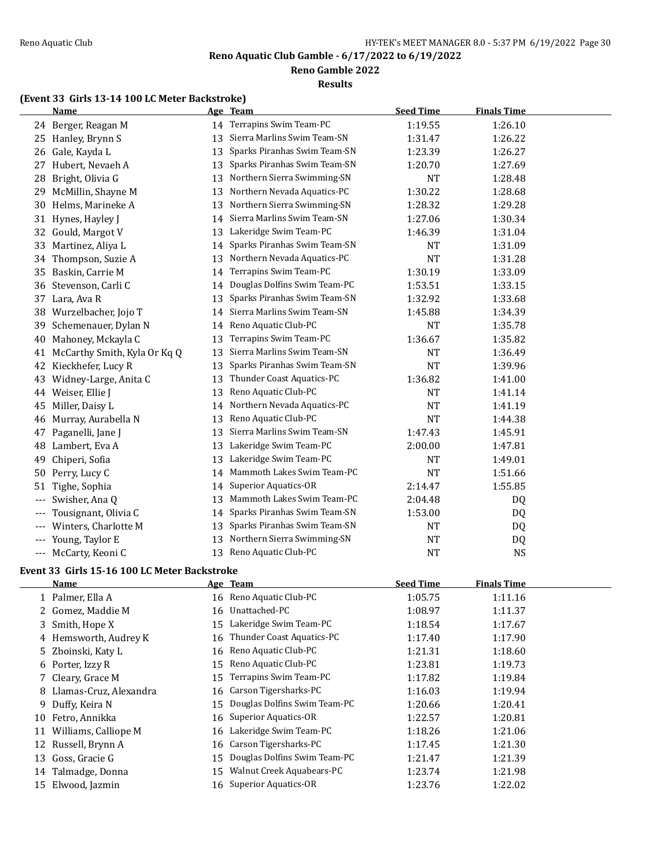**Reno Gamble 2022**

#### **Results**

# **(Event 33 Girls 13-14 100 LC Meter Backstroke)**

|       | <b>Name</b>                  |    | Age Team                     | <b>Seed Time</b> | <b>Finals Time</b> |  |
|-------|------------------------------|----|------------------------------|------------------|--------------------|--|
|       | 24 Berger, Reagan M          |    | 14 Terrapins Swim Team-PC    | 1:19.55          | 1:26.10            |  |
| 25    | Hanley, Brynn S              | 13 | Sierra Marlins Swim Team-SN  | 1:31.47          | 1:26.22            |  |
| 26    | Gale, Kayda L                | 13 | Sparks Piranhas Swim Team-SN | 1:23.39          | 1:26.27            |  |
| 27    | Hubert, Nevaeh A             | 13 | Sparks Piranhas Swim Team-SN | 1:20.70          | 1:27.69            |  |
| 28    | Bright, Olivia G             | 13 | Northern Sierra Swimming-SN  | <b>NT</b>        | 1:28.48            |  |
| 29    | McMillin, Shayne M           | 13 | Northern Nevada Aquatics-PC  | 1:30.22          | 1:28.68            |  |
| 30    | Helms, Marineke A            | 13 | Northern Sierra Swimming-SN  | 1:28.32          | 1:29.28            |  |
| 31    | Hynes, Hayley J              | 14 | Sierra Marlins Swim Team-SN  | 1:27.06          | 1:30.34            |  |
| 32    | Gould, Margot V              | 13 | Lakeridge Swim Team-PC       | 1:46.39          | 1:31.04            |  |
| 33    | Martinez, Aliya L            | 14 | Sparks Piranhas Swim Team-SN | <b>NT</b>        | 1:31.09            |  |
| 34    | Thompson, Suzie A            | 13 | Northern Nevada Aquatics-PC  | <b>NT</b>        | 1:31.28            |  |
| 35    | Baskin, Carrie M             | 14 | Terrapins Swim Team-PC       | 1:30.19          | 1:33.09            |  |
| 36    | Stevenson, Carli C           | 14 | Douglas Dolfins Swim Team-PC | 1:53.51          | 1:33.15            |  |
| 37    | Lara, Ava R                  | 13 | Sparks Piranhas Swim Team-SN | 1:32.92          | 1:33.68            |  |
| 38    | Wurzelbacher, Jojo T         | 14 | Sierra Marlins Swim Team-SN  | 1:45.88          | 1:34.39            |  |
| 39    | Schemenauer, Dylan N         | 14 | Reno Aquatic Club-PC         | <b>NT</b>        | 1:35.78            |  |
| 40    | Mahoney, Mckayla C           | 13 | Terrapins Swim Team-PC       | 1:36.67          | 1:35.82            |  |
| 41    | McCarthy Smith, Kyla Or Kq Q | 13 | Sierra Marlins Swim Team-SN  | <b>NT</b>        | 1:36.49            |  |
| 42    | Kieckhefer, Lucy R           | 13 | Sparks Piranhas Swim Team-SN | <b>NT</b>        | 1:39.96            |  |
| 43    | Widney-Large, Anita C        | 13 | Thunder Coast Aquatics-PC    | 1:36.82          | 1:41.00            |  |
| 44    | Weiser, Ellie J              | 13 | Reno Aquatic Club-PC         | <b>NT</b>        | 1:41.14            |  |
| 45    | Miller, Daisy L              | 14 | Northern Nevada Aquatics-PC  | <b>NT</b>        | 1:41.19            |  |
| 46    | Murray, Aurabella N          | 13 | Reno Aquatic Club-PC         | <b>NT</b>        | 1:44.38            |  |
| 47    | Paganelli, Jane J            | 13 | Sierra Marlins Swim Team-SN  | 1:47.43          | 1:45.91            |  |
| 48    | Lambert, Eva A               | 13 | Lakeridge Swim Team-PC       | 2:00.00          | 1:47.81            |  |
| 49    | Chiperi, Sofia               | 13 | Lakeridge Swim Team-PC       | <b>NT</b>        | 1:49.01            |  |
| 50    | Perry, Lucy C                | 14 | Mammoth Lakes Swim Team-PC   | <b>NT</b>        | 1:51.66            |  |
| 51    | Tighe, Sophia                | 14 | Superior Aquatics-OR         | 2:14.47          | 1:55.85            |  |
| $---$ | Swisher, Ana Q               | 13 | Mammoth Lakes Swim Team-PC   | 2:04.48          | DQ                 |  |
|       | Tousignant, Olivia C         | 14 | Sparks Piranhas Swim Team-SN | 1:53.00          | DQ                 |  |
|       | Winters, Charlotte M         | 13 | Sparks Piranhas Swim Team-SN | <b>NT</b>        | DQ                 |  |
|       | Young, Taylor E              | 13 | Northern Sierra Swimming-SN  | <b>NT</b>        | DQ                 |  |
| $---$ | McCarty, Keoni C             | 13 | Reno Aquatic Club-PC         | <b>NT</b>        | <b>NS</b>          |  |

# **Event 33 Girls 15-16 100 LC Meter Backstroke**

|    | Name                     |    | Age Team                        | <b>Seed Time</b> | <b>Finals Time</b> |  |
|----|--------------------------|----|---------------------------------|------------------|--------------------|--|
|    | 1 Palmer, Ella A         |    | 16 Reno Aquatic Club-PC         | 1:05.75          | 1:11.16            |  |
|    | 2 Gomez, Maddie M        | 16 | Unattached-PC                   | 1:08.97          | 1:11.37            |  |
|    | 3 Smith, Hope X          |    | 15 Lakeridge Swim Team-PC       | 1:18.54          | 1:17.67            |  |
|    | 4 Hemsworth, Audrey K    | 16 | Thunder Coast Aquatics-PC       | 1:17.40          | 1:17.90            |  |
|    | 5 Zboinski, Katy L       |    | 16 Reno Aquatic Club-PC         | 1:21.31          | 1:18.60            |  |
|    | 6 Porter, Izzy R         |    | 15 Reno Aquatic Club-PC         | 1:23.81          | 1:19.73            |  |
|    | 7 Cleary, Grace M        | 15 | Terrapins Swim Team-PC          | 1:17.82          | 1:19.84            |  |
|    | 8 Llamas-Cruz, Alexandra |    | 16 Carson Tigersharks-PC        | 1:16.03          | 1:19.94            |  |
| 9. | Duffy, Keira N           |    | 15 Douglas Dolfins Swim Team-PC | 1:20.66          | 1:20.41            |  |
| 10 | Fetro, Annikka           |    | 16 Superior Aquatics-OR         | 1:22.57          | 1:20.81            |  |
| 11 | Williams, Calliope M     |    | 16 Lakeridge Swim Team-PC       | 1:18.26          | 1:21.06            |  |
| 12 | Russell, Brynn A         | 16 | Carson Tigersharks-PC           | 1:17.45          | 1:21.30            |  |
| 13 | Goss, Gracie G           | 15 | Douglas Dolfins Swim Team-PC    | 1:21.47          | 1:21.39            |  |
| 14 | Talmadge, Donna          | 15 | Walnut Creek Aquabears-PC       | 1:23.74          | 1:21.98            |  |
| 15 | Elwood, Jazmin           |    | 16 Superior Aquatics-OR         | 1:23.76          | 1:22.02            |  |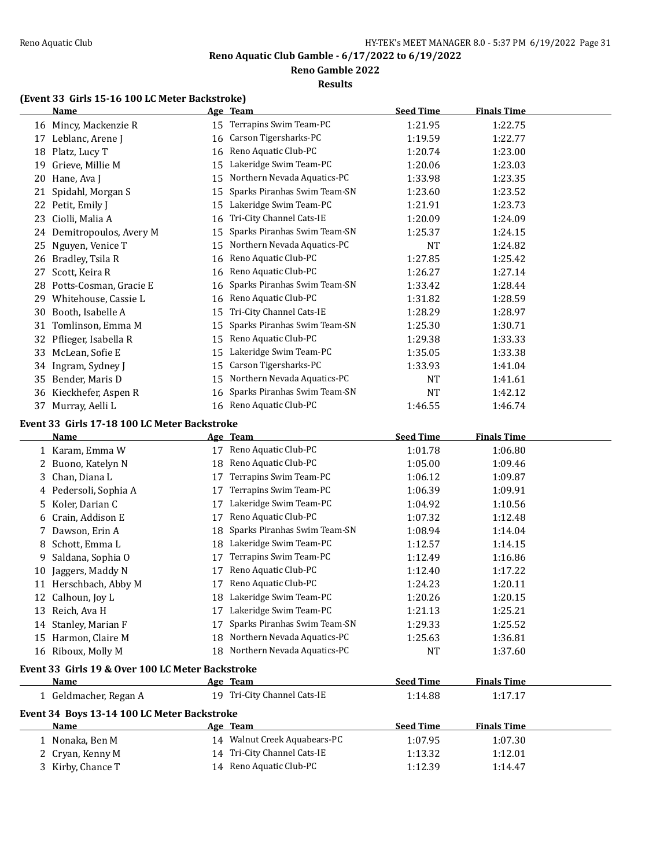# **Reno Gamble 2022**

### **Results**

# **(Event 33 Girls 15-16 100 LC Meter Backstroke)**

|    | <b>Name</b>                                      |    | Age Team                       | <b>Seed Time</b> | <b>Finals Time</b> |  |
|----|--------------------------------------------------|----|--------------------------------|------------------|--------------------|--|
|    | 16 Mincy, Mackenzie R                            |    | 15 Terrapins Swim Team-PC      | 1:21.95          | 1:22.75            |  |
|    | 17 Leblanc, Arene J                              | 16 | Carson Tigersharks-PC          | 1:19.59          | 1:22.77            |  |
|    | 18 Platz, Lucy T                                 | 16 | Reno Aquatic Club-PC           | 1:20.74          | 1:23.00            |  |
| 19 | Grieve, Millie M                                 | 15 | Lakeridge Swim Team-PC         | 1:20.06          | 1:23.03            |  |
|    | 20 Hane, Ava J                                   | 15 | Northern Nevada Aquatics-PC    | 1:33.98          | 1:23.35            |  |
|    | 21 Spidahl, Morgan S                             | 15 | Sparks Piranhas Swim Team-SN   | 1:23.60          | 1:23.52            |  |
|    | 22 Petit, Emily J                                | 15 | Lakeridge Swim Team-PC         | 1:21.91          | 1:23.73            |  |
| 23 | Ciolli, Malia A                                  | 16 | Tri-City Channel Cats-IE       | 1:20.09          | 1:24.09            |  |
|    | 24 Demitropoulos, Avery M                        | 15 | Sparks Piranhas Swim Team-SN   | 1:25.37          | 1:24.15            |  |
| 25 | Nguyen, Venice T                                 | 15 | Northern Nevada Aquatics-PC    | <b>NT</b>        | 1:24.82            |  |
| 26 | Bradley, Tsila R                                 | 16 | Reno Aquatic Club-PC           | 1:27.85          | 1:25.42            |  |
| 27 | Scott, Keira R                                   | 16 | Reno Aquatic Club-PC           | 1:26.27          | 1:27.14            |  |
| 28 | Potts-Cosman, Gracie E                           | 16 | Sparks Piranhas Swim Team-SN   | 1:33.42          | 1:28.44            |  |
|    | 29 Whitehouse, Cassie L                          | 16 | Reno Aquatic Club-PC           | 1:31.82          | 1:28.59            |  |
| 30 | Booth, Isabelle A                                | 15 | Tri-City Channel Cats-IE       | 1:28.29          | 1:28.97            |  |
| 31 | Tomlinson, Emma M                                | 15 | Sparks Piranhas Swim Team-SN   | 1:25.30          | 1:30.71            |  |
| 32 | Pflieger, Isabella R                             | 15 | Reno Aquatic Club-PC           | 1:29.38          | 1:33.33            |  |
| 33 | McLean, Sofie E                                  | 15 | Lakeridge Swim Team-PC         | 1:35.05          | 1:33.38            |  |
| 34 | Ingram, Sydney J                                 | 15 | Carson Tigersharks-PC          | 1:33.93          | 1:41.04            |  |
|    | 35 Bender, Maris D                               | 15 | Northern Nevada Aquatics-PC    | NT               | 1:41.61            |  |
|    | 36 Kieckhefer, Aspen R                           | 16 | Sparks Piranhas Swim Team-SN   | NT               | 1:42.12            |  |
|    | 37 Murray, Aelli L                               |    | 16 Reno Aquatic Club-PC        | 1:46.55          | 1:46.74            |  |
|    |                                                  |    |                                |                  |                    |  |
|    | Event 33 Girls 17-18 100 LC Meter Backstroke     |    |                                |                  |                    |  |
|    | <u>Name</u>                                      |    | Age Team                       | <b>Seed Time</b> | <b>Finals Time</b> |  |
|    | 1 Karam, Emma W                                  |    | 17 Reno Aquatic Club-PC        | 1:01.78          | 1:06.80            |  |
| 2  | Buono, Katelyn N                                 |    | 18 Reno Aquatic Club-PC        | 1:05.00          | 1:09.46            |  |
| 3  | Chan, Diana L                                    | 17 | Terrapins Swim Team-PC         | 1:06.12          | 1:09.87            |  |
|    | 4 Pedersoli, Sophia A                            | 17 | Terrapins Swim Team-PC         | 1:06.39          | 1:09.91            |  |
| 5. | Koler, Darian C                                  | 17 | Lakeridge Swim Team-PC         | 1:04.92          | 1:10.56            |  |
|    | 6 Crain, Addison E                               | 17 | Reno Aquatic Club-PC           | 1:07.32          | 1:12.48            |  |
|    | 7 Dawson, Erin A                                 | 18 | Sparks Piranhas Swim Team-SN   | 1:08.94          | 1:14.04            |  |
| 8  | Schott, Emma L                                   | 18 | Lakeridge Swim Team-PC         | 1:12.57          | 1:14.15            |  |
| 9  | Saldana, Sophia O                                | 17 | Terrapins Swim Team-PC         | 1:12.49          | 1:16.86            |  |
| 10 | Jaggers, Maddy N                                 | 17 | Reno Aquatic Club-PC           | 1:12.40          | 1:17.22            |  |
|    | 11 Herschbach, Abby M                            |    | 17 Reno Aquatic Club-PC        | 1:24.23          | 1:20.11            |  |
|    | 12 Calhoun, Joy L                                |    | 18 Lakeridge Swim Team-PC      | 1:20.26          | 1:20.15            |  |
|    | 13 Reich, Ava H                                  |    | 17 Lakeridge Swim Team-PC      | 1:21.13          | 1:25.21            |  |
|    | 14 Stanley, Marian F                             | 17 | Sparks Piranhas Swim Team-SN   | 1:29.33          | 1:25.52            |  |
|    | 15 Harmon, Claire M                              |    | 18 Northern Nevada Aquatics-PC | 1:25.63          | 1:36.81            |  |
|    | 16 Riboux, Molly M                               |    | 18 Northern Nevada Aquatics-PC | NT               | 1:37.60            |  |
|    | Event 33 Girls 19 & Over 100 LC Meter Backstroke |    |                                |                  |                    |  |
|    | Name                                             |    | Age Team                       | <b>Seed Time</b> | <b>Finals Time</b> |  |
|    | 1 Geldmacher, Regan A                            |    | 19 Tri-City Channel Cats-IE    | 1:14.88          | 1:17.17            |  |
|    | Event 34 Boys 13-14 100 LC Meter Backstroke      |    |                                |                  |                    |  |
|    | <b>Name</b>                                      |    | Age Team                       | <b>Seed Time</b> | <b>Finals Time</b> |  |
|    | 1 Nonaka, Ben M                                  |    | 14 Walnut Creek Aquabears-PC   | 1:07.95          | 1:07.30            |  |
|    | 2 Cryan, Kenny M                                 |    | 14 Tri-City Channel Cats-IE    | 1:13.32          | 1:12.01            |  |
|    | 3 Kirby, Chance T                                |    | 14 Reno Aquatic Club-PC        | 1:12.39          | 1:14.47            |  |
|    |                                                  |    |                                |                  |                    |  |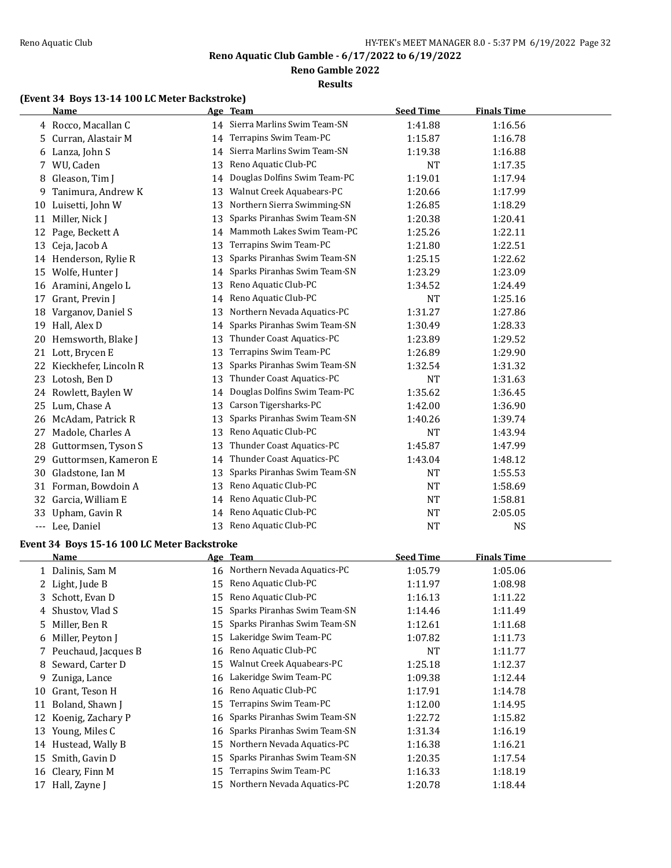**Reno Gamble 2022**

#### **Results**

### **(Event 34 Boys 13-14 100 LC Meter Backstroke)**

|    | <b>Name</b>                                 |    | Age Team                        | <b>Seed Time</b> | <b>Finals Time</b> |  |
|----|---------------------------------------------|----|---------------------------------|------------------|--------------------|--|
|    | 4 Rocco, Macallan C                         |    | 14 Sierra Marlins Swim Team-SN  | 1:41.88          | 1:16.56            |  |
| 5  | Curran, Alastair M                          | 14 | Terrapins Swim Team-PC          | 1:15.87          | 1:16.78            |  |
|    | 6 Lanza, John S                             | 14 | Sierra Marlins Swim Team-SN     | 1:19.38          | 1:16.88            |  |
| 7  | WU, Caden                                   | 13 | Reno Aquatic Club-PC            | <b>NT</b>        | 1:17.35            |  |
| 8  | Gleason, Tim J                              | 14 | Douglas Dolfins Swim Team-PC    | 1:19.01          | 1:17.94            |  |
| 9  | Tanimura, Andrew K                          | 13 | Walnut Creek Aquabears-PC       | 1:20.66          | 1:17.99            |  |
| 10 | Luisetti, John W                            | 13 | Northern Sierra Swimming-SN     | 1:26.85          | 1:18.29            |  |
| 11 | Miller, Nick J                              | 13 | Sparks Piranhas Swim Team-SN    | 1:20.38          | 1:20.41            |  |
| 12 | Page, Beckett A                             | 14 | Mammoth Lakes Swim Team-PC      | 1:25.26          | 1:22.11            |  |
| 13 | Ceja, Jacob A                               | 13 | Terrapins Swim Team-PC          | 1:21.80          | 1:22.51            |  |
|    | 14 Henderson, Rylie R                       | 13 | Sparks Piranhas Swim Team-SN    | 1:25.15          | 1:22.62            |  |
| 15 | Wolfe, Hunter J                             | 14 | Sparks Piranhas Swim Team-SN    | 1:23.29          | 1:23.09            |  |
| 16 | Aramini, Angelo L                           | 13 | Reno Aquatic Club-PC            | 1:34.52          | 1:24.49            |  |
| 17 | Grant, Previn J                             | 14 | Reno Aquatic Club-PC            | <b>NT</b>        | 1:25.16            |  |
| 18 | Varganov, Daniel S                          | 13 | Northern Nevada Aquatics-PC     | 1:31.27          | 1:27.86            |  |
| 19 | Hall, Alex D                                | 14 | Sparks Piranhas Swim Team-SN    | 1:30.49          | 1:28.33            |  |
| 20 | Hemsworth, Blake J                          | 13 | Thunder Coast Aquatics-PC       | 1:23.89          | 1:29.52            |  |
| 21 | Lott, Brycen E                              | 13 | Terrapins Swim Team-PC          | 1:26.89          | 1:29.90            |  |
| 22 | Kieckhefer, Lincoln R                       | 13 | Sparks Piranhas Swim Team-SN    | 1:32.54          | 1:31.32            |  |
| 23 | Lotosh, Ben D                               | 13 | Thunder Coast Aquatics-PC       | <b>NT</b>        | 1:31.63            |  |
|    | 24 Rowlett, Baylen W                        | 14 | Douglas Dolfins Swim Team-PC    | 1:35.62          | 1:36.45            |  |
| 25 | Lum, Chase A                                | 13 | Carson Tigersharks-PC           | 1:42.00          | 1:36.90            |  |
| 26 | McAdam, Patrick R                           | 13 | Sparks Piranhas Swim Team-SN    | 1:40.26          | 1:39.74            |  |
| 27 | Madole, Charles A                           | 13 | Reno Aquatic Club-PC            | <b>NT</b>        | 1:43.94            |  |
| 28 | Guttormsen, Tyson S                         | 13 | Thunder Coast Aquatics-PC       | 1:45.87          | 1:47.99            |  |
| 29 | Guttormsen, Kameron E                       | 14 | Thunder Coast Aquatics-PC       | 1:43.04          | 1:48.12            |  |
| 30 | Gladstone, Ian M                            | 13 | Sparks Piranhas Swim Team-SN    | NT               | 1:55.53            |  |
| 31 | Forman, Bowdoin A                           | 13 | Reno Aquatic Club-PC            | <b>NT</b>        | 1:58.69            |  |
| 32 | Garcia, William E                           | 14 | Reno Aquatic Club-PC            | NT               | 1:58.81            |  |
| 33 | Upham, Gavin R                              | 14 | Reno Aquatic Club-PC            | <b>NT</b>        | 2:05.05            |  |
|    | --- Lee, Daniel                             | 13 | Reno Aquatic Club-PC            | <b>NT</b>        | NS                 |  |
|    | Event 34 Boys 15-16 100 LC Meter Backstroke |    |                                 |                  |                    |  |
|    | Name                                        |    | Age Team                        | <b>Seed Time</b> | <b>Finals Time</b> |  |
|    | 1 Dalinis, Sam M                            |    | 16 Northern Nevada Aquatics-PC  | 1:05.79          | 1:05.06            |  |
|    | 2 Light, Jude B                             |    | 15 Reno Aquatic Club-PC         | 1:11.97          | 1:08.98            |  |
|    | 3 Schott, Evan D                            |    | 15 Reno Aquatic Club-PC         | 1:16.13          | 1:11.22            |  |
| 4  | Shustov, Vlad S                             | 15 | Sparks Piranhas Swim Team-SN    | 1:14.46          | 1:11.49            |  |
| 5  | Miller, Ben R                               | 15 | Sparks Piranhas Swim Team-SN    | 1:12.61          | 1:11.68            |  |
| 6  | Miller, Peyton J                            | 15 | Lakeridge Swim Team-PC          | 1:07.82          | 1:11.73            |  |
| 7  | Peuchaud, Jacques B                         | 16 | Reno Aquatic Club-PC            | NT               | 1:11.77            |  |
| 8  | Seward, Carter D                            | 15 | Walnut Creek Aquabears-PC       | 1:25.18          | 1:12.37            |  |
| 9  | Zuniga, Lance                               | 16 | Lakeridge Swim Team-PC          | 1:09.38          | 1:12.44            |  |
| 10 | Grant, Teson H                              | 16 | Reno Aquatic Club-PC            | 1:17.91          | 1:14.78            |  |
| 11 | Boland, Shawn J                             | 15 | Terrapins Swim Team-PC          | 1:12.00          | 1:14.95            |  |
| 12 | Koenig, Zachary P                           | 16 | Sparks Piranhas Swim Team-SN    | 1:22.72          | 1:15.82            |  |
|    | 13 Young, Miles C                           | 16 | Sparks Piranhas Swim Team-SN    | 1:31.34          | 1:16.19            |  |
|    | 14 Hustead, Wally B                         | 15 | Northern Nevada Aquatics-PC     | 1:16.38          | 1:16.21            |  |
|    | 15 Smith, Gavin D                           |    | 15 Sparks Piranhas Swim Team-SN | 1:20.35          | 1:17.54            |  |

 Cleary, Finn M 15 Terrapins Swim Team-PC 1:16.33 1:18.19 17 Hall, Zayne J 15 Northern Nevada Aquatics-PC 1:20.78 1:18.44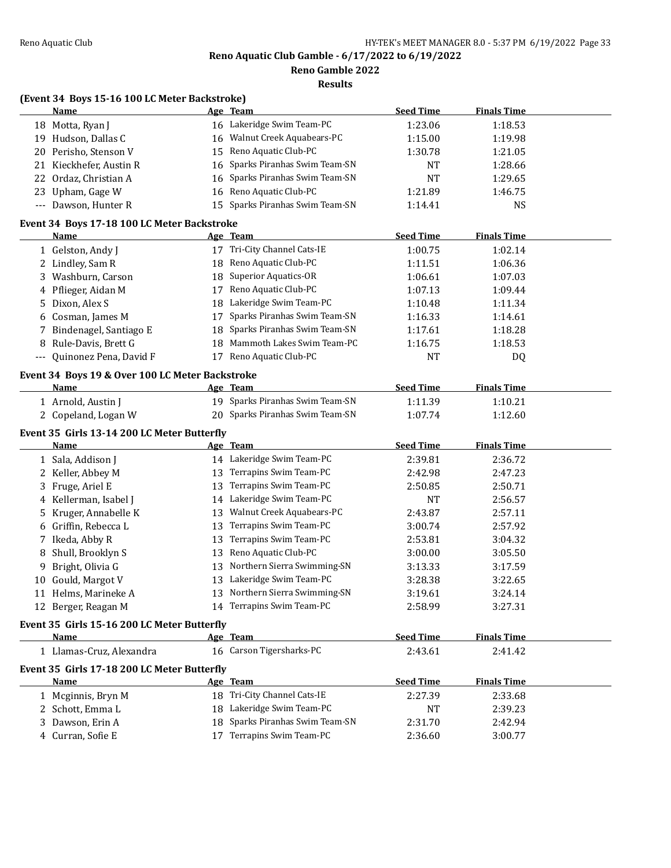**Reno Gamble 2022**

|  | (Event 34 Boys 15-16 100 LC Meter Backstroke) |  |
|--|-----------------------------------------------|--|
|  |                                               |  |

|     | <b>Name</b>                                     |    | Age Team                                    | <b>Seed Time</b> | <b>Finals Time</b> |  |
|-----|-------------------------------------------------|----|---------------------------------------------|------------------|--------------------|--|
|     | 18 Motta, Ryan J                                |    | 16 Lakeridge Swim Team-PC                   | 1:23.06          | 1:18.53            |  |
|     | 19 Hudson, Dallas C                             | 16 | Walnut Creek Aquabears-PC                   | 1:15.00          | 1:19.98            |  |
|     | 20 Perisho, Stenson V                           | 15 | Reno Aquatic Club-PC                        | 1:30.78          | 1:21.05            |  |
|     | 21 Kieckhefer, Austin R                         | 16 | Sparks Piranhas Swim Team-SN                | NT               | 1:28.66            |  |
|     | 22 Ordaz, Christian A                           | 16 | Sparks Piranhas Swim Team-SN                | <b>NT</b>        | 1:29.65            |  |
|     | 23 Upham, Gage W                                | 16 | Reno Aquatic Club-PC                        | 1:21.89          | 1:46.75            |  |
|     | --- Dawson, Hunter R                            | 15 | Sparks Piranhas Swim Team-SN                | 1:14.41          | <b>NS</b>          |  |
|     | Event 34 Boys 17-18 100 LC Meter Backstroke     |    |                                             |                  |                    |  |
|     | <b>Name</b>                                     |    | Age Team                                    | <b>Seed Time</b> | <b>Finals Time</b> |  |
|     | 1 Gelston, Andy J                               |    | 17 Tri-City Channel Cats-IE                 | 1:00.75          | 1:02.14            |  |
|     | 2 Lindley, Sam R                                | 18 | Reno Aquatic Club-PC                        | 1:11.51          | 1:06.36            |  |
| 3   | Washburn, Carson                                | 18 | <b>Superior Aquatics-OR</b>                 | 1:06.61          | 1:07.03            |  |
|     | 4 Pflieger, Aidan M                             | 17 | Reno Aquatic Club-PC                        | 1:07.13          | 1:09.44            |  |
| 5   | Dixon, Alex S                                   | 18 | Lakeridge Swim Team-PC                      | 1:10.48          | 1:11.34            |  |
|     | 6 Cosman, James M                               | 17 | Sparks Piranhas Swim Team-SN                | 1:16.33          | 1:14.61            |  |
|     | Bindenagel, Santiago E                          | 18 | Sparks Piranhas Swim Team-SN                | 1:17.61          | 1:18.28            |  |
| 8   | Rule-Davis, Brett G                             | 18 | Mammoth Lakes Swim Team-PC                  | 1:16.75          | 1:18.53            |  |
| --- | Quinonez Pena, David F                          |    | 17 Reno Aquatic Club-PC                     | <b>NT</b>        | DQ                 |  |
|     |                                                 |    |                                             |                  |                    |  |
|     | Event 34 Boys 19 & Over 100 LC Meter Backstroke |    |                                             |                  |                    |  |
|     | <b>Name</b>                                     |    | Age Team<br>19 Sparks Piranhas Swim Team-SN | <b>Seed Time</b> | <b>Finals Time</b> |  |
|     | 1 Arnold, Austin J                              |    |                                             | 1:11.39          | 1:10.21            |  |
|     | 2 Copeland, Logan W                             |    | 20 Sparks Piranhas Swim Team-SN             | 1:07.74          | 1:12.60            |  |
|     | Event 35 Girls 13-14 200 LC Meter Butterfly     |    |                                             |                  |                    |  |
|     | Name                                            |    | <u>Age Team</u>                             | <b>Seed Time</b> | <b>Finals Time</b> |  |
|     | 1 Sala, Addison J                               |    | 14 Lakeridge Swim Team-PC                   | 2:39.81          | 2:36.72            |  |
|     | 2 Keller, Abbey M                               | 13 | Terrapins Swim Team-PC                      | 2:42.98          | 2:47.23            |  |
| 3   | Fruge, Ariel E                                  | 13 | Terrapins Swim Team-PC                      | 2:50.85          | 2:50.71            |  |
| 4   | Kellerman, Isabel J                             |    | 14 Lakeridge Swim Team-PC                   | NT               | 2:56.57            |  |
| 5.  | Kruger, Annabelle K                             |    | 13 Walnut Creek Aquabears-PC                | 2:43.87          | 2:57.11            |  |
|     | 6 Griffin, Rebecca L                            | 13 | Terrapins Swim Team-PC                      | 3:00.74          | 2:57.92            |  |
| 7   | Ikeda, Abby R                                   | 13 | Terrapins Swim Team-PC                      | 2:53.81          | 3:04.32            |  |
| 8   | Shull, Brooklyn S                               | 13 | Reno Aquatic Club-PC                        | 3:00.00          | 3:05.50            |  |
| 9   | Bright, Olivia G                                | 13 | Northern Sierra Swimming-SN                 | 3:13.33          | 3:17.59            |  |
|     | 10 Gould, Margot V                              |    | 13 Lakeridge Swim Team-PC                   | 3:28.38          | 3:22.65            |  |
|     | 11 Helms, Marineke A                            |    | 13 Northern Sierra Swimming-SN              | 3:19.61          | 3:24.14            |  |
|     | 12 Berger, Reagan M                             |    | 14 Terrapins Swim Team-PC                   | 2:58.99          | 3:27.31            |  |
|     | Event 35 Girls 15-16 200 LC Meter Butterfly     |    |                                             |                  |                    |  |
|     | <b>Name</b>                                     |    | Age Team                                    | <b>Seed Time</b> | <b>Finals Time</b> |  |
|     | 1 Llamas-Cruz, Alexandra                        |    | 16 Carson Tigersharks-PC                    | 2:43.61          | 2:41.42            |  |
|     | Event 35 Girls 17-18 200 LC Meter Butterfly     |    |                                             |                  |                    |  |
|     | Name                                            |    | Age Team                                    | <b>Seed Time</b> | <b>Finals Time</b> |  |
|     | 1 Mcginnis, Bryn M                              |    | 18 Tri-City Channel Cats-IE                 | 2:27.39          | 2:33.68            |  |
|     | 2 Schott, Emma L                                |    | 18 Lakeridge Swim Team-PC                   | NT               | 2:39.23            |  |
| 3.  | Dawson, Erin A                                  | 18 | Sparks Piranhas Swim Team-SN                | 2:31.70          | 2:42.94            |  |
|     | 4 Curran, Sofie E                               |    | 17 Terrapins Swim Team-PC                   | 2:36.60          | 3:00.77            |  |
|     |                                                 |    |                                             |                  |                    |  |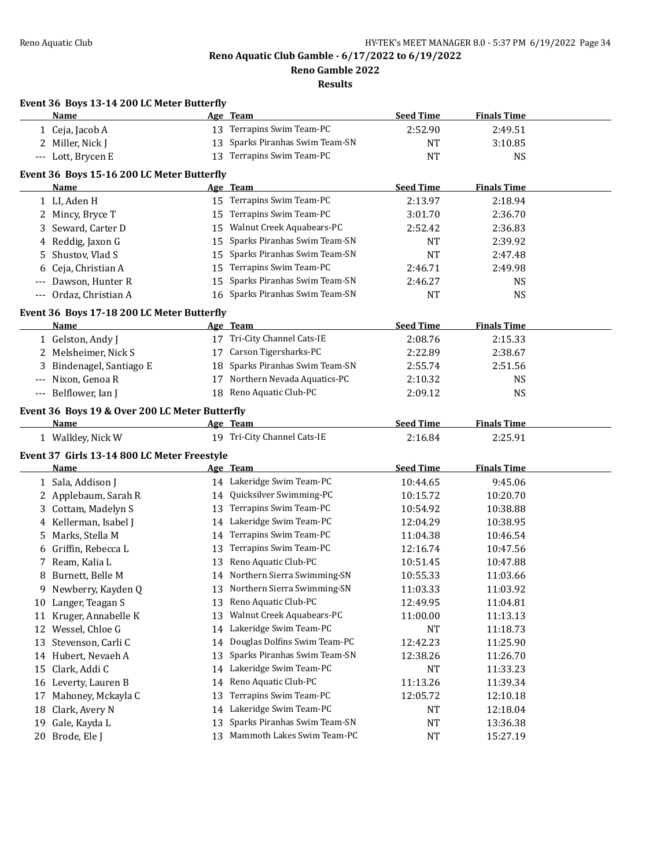**Reno Gamble 2022**

|    | Event 36 Boys 13-14 200 LC Meter Butterfly         |    |                                 |                  |                    |  |
|----|----------------------------------------------------|----|---------------------------------|------------------|--------------------|--|
|    | Name                                               |    | Age Team                        | <b>Seed Time</b> | <b>Finals Time</b> |  |
|    | 1 Ceja, Jacob A                                    |    | 13 Terrapins Swim Team-PC       | 2:52.90          | 2:49.51            |  |
|    | 2 Miller, Nick J                                   | 13 | Sparks Piranhas Swim Team-SN    | <b>NT</b>        | 3:10.85            |  |
|    | --- Lott, Brycen E                                 |    | 13 Terrapins Swim Team-PC       | <b>NT</b>        | <b>NS</b>          |  |
|    | Event 36 Boys 15-16 200 LC Meter Butterfly         |    |                                 |                  |                    |  |
|    | <b>Name</b>                                        |    | Age Team                        | <b>Seed Time</b> | <b>Finals Time</b> |  |
|    | 1 LI, Aden H                                       |    | 15 Terrapins Swim Team-PC       | 2:13.97          | 2:18.94            |  |
|    | 2 Mincy, Bryce T                                   |    | 15 Terrapins Swim Team-PC       | 3:01.70          | 2:36.70            |  |
|    | 3 Seward, Carter D                                 |    | 15 Walnut Creek Aquabears-PC    | 2:52.42          | 2:36.83            |  |
|    | 4 Reddig, Jaxon G                                  |    | 15 Sparks Piranhas Swim Team-SN | NT               | 2:39.92            |  |
| 5. | Shustov, Vlad S                                    |    | 15 Sparks Piranhas Swim Team-SN | NT               | 2:47.48            |  |
| 6  | Ceja, Christian A                                  |    | 15 Terrapins Swim Team-PC       | 2:46.71          | 2:49.98            |  |
|    | Dawson, Hunter R                                   | 15 | Sparks Piranhas Swim Team-SN    | 2:46.27          | <b>NS</b>          |  |
|    | --- Ordaz, Christian A                             |    | 16 Sparks Piranhas Swim Team-SN | <b>NT</b>        | <b>NS</b>          |  |
|    |                                                    |    |                                 |                  |                    |  |
|    | Event 36 Boys 17-18 200 LC Meter Butterfly<br>Name |    | Age Team                        | <b>Seed Time</b> | <b>Finals Time</b> |  |
|    | 1 Gelston, Andy J                                  |    | 17 Tri-City Channel Cats-IE     | 2:08.76          | 2:15.33            |  |
|    | 2 Melsheimer, Nick S                               |    | 17 Carson Tigersharks-PC        | 2:22.89          | 2:38.67            |  |
| 3  | Bindenagel, Santiago E                             |    | 18 Sparks Piranhas Swim Team-SN | 2:55.74          | 2:51.56            |  |
|    | --- Nixon, Genoa R                                 |    | 17 Northern Nevada Aquatics-PC  | 2:10.32          | <b>NS</b>          |  |
|    | --- Belflower, Ian J                               |    | 18 Reno Aquatic Club-PC         | 2:09.12          | <b>NS</b>          |  |
|    |                                                    |    |                                 |                  |                    |  |
|    | Event 36 Boys 19 & Over 200 LC Meter Butterfly     |    |                                 |                  |                    |  |
|    | <u>Name</u>                                        |    | Age Team                        | <b>Seed Time</b> | <b>Finals Time</b> |  |
|    | 1 Walkley, Nick W                                  |    | 19 Tri-City Channel Cats-IE     | 2:16.84          | 2:25.91            |  |
|    | Event 37 Girls 13-14 800 LC Meter Freestyle        |    |                                 |                  |                    |  |
|    | Name                                               |    | Age Team                        | <b>Seed Time</b> | <b>Finals Time</b> |  |
|    | 1 Sala, Addison J                                  |    | 14 Lakeridge Swim Team-PC       | 10:44.65         | 9:45.06            |  |
|    | 2 Applebaum, Sarah R                               |    | 14 Quicksilver Swimming-PC      | 10:15.72         | 10:20.70           |  |
|    | 3 Cottam, Madelyn S                                |    | 13 Terrapins Swim Team-PC       | 10:54.92         | 10:38.88           |  |
|    | 4 Kellerman, Isabel J                              |    | 14 Lakeridge Swim Team-PC       | 12:04.29         | 10:38.95           |  |
|    | 5 Marks, Stella M                                  |    | 14 Terrapins Swim Team-PC       | 11:04.38         | 10:46.54           |  |
|    | 6 Griffin, Rebecca L                               |    | 13 Terrapins Swim Team-PC       | 12:16.74         | 10:47.56           |  |
|    | 7 Ream, Kalia L                                    |    | 13 Reno Aquatic Club-PC         | 10:51.45         | 10:47.88           |  |
| 8  | Burnett, Belle M                                   |    | 14 Northern Sierra Swimming-SN  | 10:55.33         | 11:03.66           |  |
|    | 9 Newberry, Kayden Q                               |    | 13 Northern Sierra Swimming-SN  | 11:03.33         | 11:03.92           |  |
|    | 10 Langer, Teagan S                                |    | 13 Reno Aquatic Club-PC         | 12:49.95         | 11:04.81           |  |
|    | 11 Kruger, Annabelle K                             | 13 | Walnut Creek Aquabears-PC       | 11:00.00         | 11:13.13           |  |
|    | 12 Wessel, Chloe G                                 |    | 14 Lakeridge Swim Team-PC       | NT               | 11:18.73           |  |
|    | 13 Stevenson, Carli C                              | 14 | Douglas Dolfins Swim Team-PC    | 12:42.23         | 11:25.90           |  |
|    | 14 Hubert, Nevaeh A                                | 13 | Sparks Piranhas Swim Team-SN    | 12:38.26         | 11:26.70           |  |
| 15 | Clark, Addi C                                      | 14 | Lakeridge Swim Team-PC          | NT               | 11:33.23           |  |
|    | 16 Leverty, Lauren B                               | 14 | Reno Aquatic Club-PC            | 11:13.26         | 11:39.34           |  |
|    | 17 Mahoney, Mckayla C                              | 13 | Terrapins Swim Team-PC          | 12:05.72         | 12:10.18           |  |
|    | 18 Clark, Avery N                                  | 14 | Lakeridge Swim Team-PC          | NT               | 12:18.04           |  |
|    | 19 Gale, Kayda L                                   | 13 | Sparks Piranhas Swim Team-SN    | <b>NT</b>        | 13:36.38           |  |
|    |                                                    | 13 | Mammoth Lakes Swim Team-PC      |                  |                    |  |
|    | 20 Brode, Ele J                                    |    |                                 | NT               | 15:27.19           |  |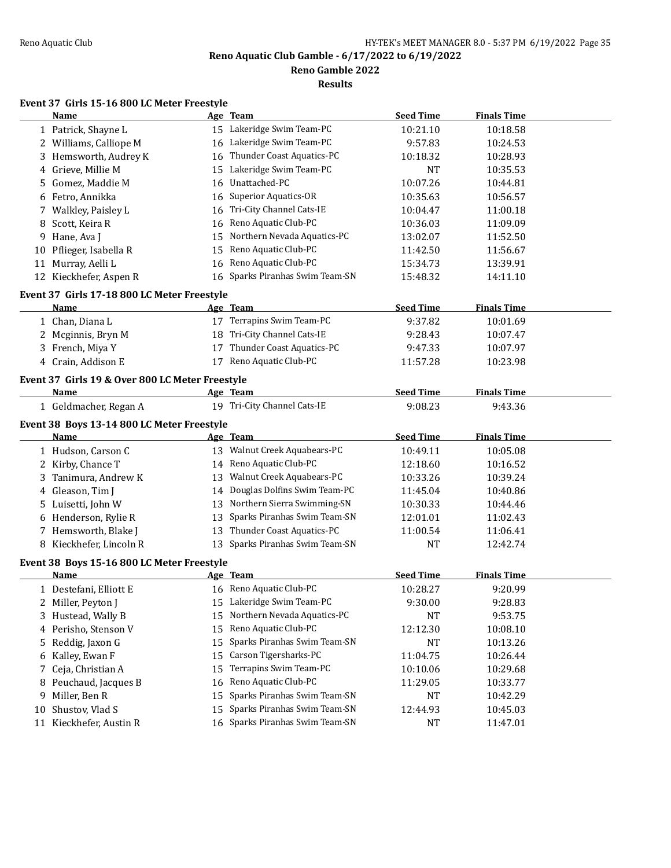**Reno Gamble 2022**

**Results**

# **Event 37 Girls 15-16 800 LC Meter Freestyle**

|    | <b>Name</b>                                                    |    | Age Team                        | <b>Seed Time</b> | <b>Finals Time</b> |  |
|----|----------------------------------------------------------------|----|---------------------------------|------------------|--------------------|--|
|    | 1 Patrick, Shayne L                                            |    | 15 Lakeridge Swim Team-PC       | 10:21.10         | 10:18.58           |  |
|    | 2 Williams, Calliope M                                         |    | 16 Lakeridge Swim Team-PC       | 9:57.83          | 10:24.53           |  |
|    | 3 Hemsworth, Audrey K                                          | 16 | Thunder Coast Aquatics-PC       | 10:18.32         | 10:28.93           |  |
|    | 4 Grieve, Millie M                                             | 15 | Lakeridge Swim Team-PC          | <b>NT</b>        | 10:35.53           |  |
| 5. | Gomez, Maddie M                                                | 16 | Unattached-PC                   | 10:07.26         | 10:44.81           |  |
|    | 6 Fetro, Annikka                                               | 16 | <b>Superior Aquatics-OR</b>     | 10:35.63         | 10:56.57           |  |
|    | 7 Walkley, Paisley L                                           | 16 | Tri-City Channel Cats-IE        | 10:04.47         | 11:00.18           |  |
| 8  | Scott, Keira R                                                 | 16 | Reno Aquatic Club-PC            | 10:36.03         | 11:09.09           |  |
| 9  | Hane, Ava J                                                    | 15 | Northern Nevada Aquatics-PC     | 13:02.07         | 11:52.50           |  |
| 10 | Pflieger, Isabella R                                           | 15 | Reno Aquatic Club-PC            | 11:42.50         | 11:56.67           |  |
|    | 11 Murray, Aelli L                                             | 16 | Reno Aquatic Club-PC            | 15:34.73         | 13:39.91           |  |
|    | 12 Kieckhefer, Aspen R                                         |    | 16 Sparks Piranhas Swim Team-SN | 15:48.32         | 14:11.10           |  |
|    | Event 37 Girls 17-18 800 LC Meter Freestyle                    |    |                                 |                  |                    |  |
|    | Name                                                           |    | Age Team                        | <b>Seed Time</b> | <b>Finals Time</b> |  |
|    | 1 Chan, Diana L                                                |    | 17 Terrapins Swim Team-PC       | 9:37.82          | 10:01.69           |  |
|    | 2 Mcginnis, Bryn M                                             |    | 18 Tri-City Channel Cats-IE     | 9:28.43          | 10:07.47           |  |
|    | 3 French, Miya Y                                               | 17 | Thunder Coast Aquatics-PC       | 9:47.33          | 10:07.97           |  |
|    | 4 Crain, Addison E                                             |    | 17 Reno Aquatic Club-PC         | 11:57.28         | 10:23.98           |  |
|    |                                                                |    |                                 |                  |                    |  |
|    | Event 37 Girls 19 & Over 800 LC Meter Freestyle<br><b>Name</b> |    | Age Team                        | <b>Seed Time</b> | <b>Finals Time</b> |  |
|    | 1 Geldmacher, Regan A                                          |    | 19 Tri-City Channel Cats-IE     | 9:08.23          | 9:43.36            |  |
|    |                                                                |    |                                 |                  |                    |  |
|    | Event 38 Boys 13-14 800 LC Meter Freestyle                     |    |                                 |                  |                    |  |
|    | Name                                                           |    | Age Team                        | <b>Seed Time</b> | <b>Finals Time</b> |  |
|    | 1 Hudson, Carson C                                             |    | 13 Walnut Creek Aquabears-PC    | 10:49.11         | 10:05.08           |  |
|    | 2 Kirby, Chance T                                              |    | 14 Reno Aquatic Club-PC         | 12:18.60         | 10:16.52           |  |
|    | 3 Tanimura, Andrew K                                           | 13 | Walnut Creek Aquabears-PC       | 10:33.26         | 10:39.24           |  |
|    | 4 Gleason, Tim J                                               |    | 14 Douglas Dolfins Swim Team-PC | 11:45.04         | 10:40.86           |  |
|    | 5 Luisetti, John W                                             |    | 13 Northern Sierra Swimming-SN  | 10:30.33         | 10:44.46           |  |
|    | 6 Henderson, Rylie R                                           | 13 | Sparks Piranhas Swim Team-SN    | 12:01.01         | 11:02.43           |  |
|    | 7 Hemsworth, Blake J                                           | 13 | Thunder Coast Aquatics-PC       | 11:00.54         | 11:06.41           |  |
|    | 8 Kieckhefer, Lincoln R                                        |    | 13 Sparks Piranhas Swim Team-SN | <b>NT</b>        | 12:42.74           |  |
|    | Event 38 Boys 15-16 800 LC Meter Freestyle                     |    |                                 |                  |                    |  |
|    | Name                                                           |    | Age Team                        | <b>Seed Time</b> | <b>Finals Time</b> |  |
|    | 1 Destefani, Elliott E                                         |    | 16 Reno Aquatic Club-PC         | 10:28.27         | 9:20.99            |  |
|    | 2 Miller, Peyton J                                             |    | 15 Lakeridge Swim Team-PC       | 9:30.00          | 9:28.83            |  |
|    | 3 Hustead, Wally B                                             |    | 15 Northern Nevada Aquatics-PC  | NT               | 9:53.75            |  |
|    | 4 Perisho, Stenson V                                           | 15 | Reno Aquatic Club-PC            | 12:12.30         | 10:08.10           |  |
| 5  | Reddig, Jaxon G                                                | 15 | Sparks Piranhas Swim Team-SN    | <b>NT</b>        | 10:13.26           |  |
|    | 6 Kalley, Ewan F                                               | 15 | Carson Tigersharks-PC           | 11:04.75         | 10:26.44           |  |
| 7  | Ceja, Christian A                                              | 15 | Terrapins Swim Team-PC          | 10:10.06         | 10:29.68           |  |
| 8  | Peuchaud, Jacques B                                            | 16 | Reno Aquatic Club-PC            | 11:29.05         | 10:33.77           |  |
| 9  | Miller, Ben R                                                  | 15 | Sparks Piranhas Swim Team-SN    | NT               | 10:42.29           |  |
| 10 | Shustov, Vlad S                                                | 15 | Sparks Piranhas Swim Team-SN    | 12:44.93         | 10:45.03           |  |
|    | 11 Kieckhefer, Austin R                                        |    | 16 Sparks Piranhas Swim Team-SN | NT               | 11:47.01           |  |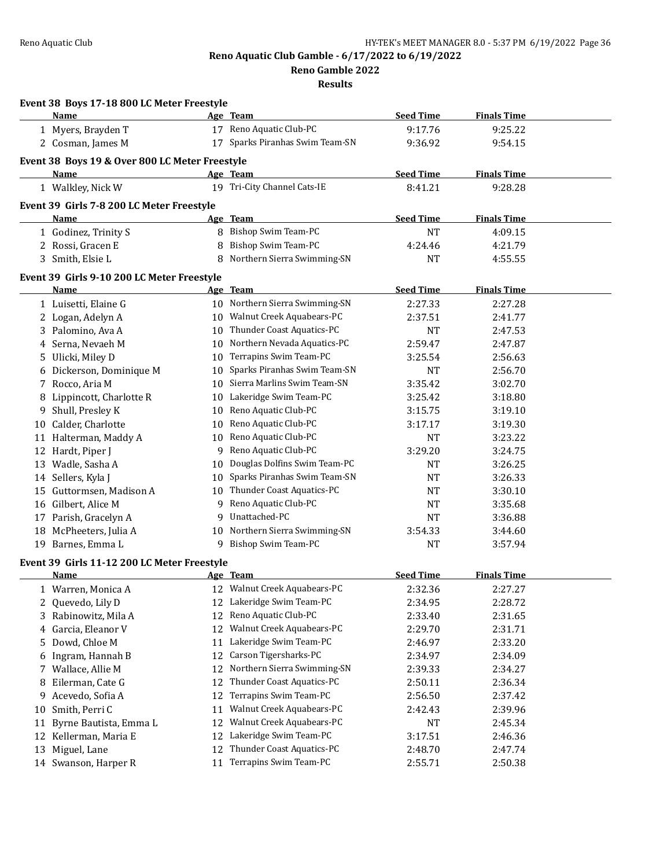**Reno Gamble 2022**

|    | Event 38 Boys 17-18 800 LC Meter Freestyle     |    |                                 |                  |                    |  |
|----|------------------------------------------------|----|---------------------------------|------------------|--------------------|--|
|    | Name                                           |    | Age Team                        | <b>Seed Time</b> | <b>Finals Time</b> |  |
|    | 1 Myers, Brayden T                             |    | 17 Reno Aquatic Club-PC         | 9:17.76          | 9:25.22            |  |
|    | 2 Cosman, James M                              |    | 17 Sparks Piranhas Swim Team-SN | 9:36.92          | 9:54.15            |  |
|    | Event 38 Boys 19 & Over 800 LC Meter Freestyle |    |                                 |                  |                    |  |
|    | Name                                           |    | Age Team                        | <b>Seed Time</b> | <b>Finals Time</b> |  |
|    | 1 Walkley, Nick W                              |    | 19 Tri-City Channel Cats-IE     | 8:41.21          | 9:28.28            |  |
|    |                                                |    |                                 |                  |                    |  |
|    | Event 39 Girls 7-8 200 LC Meter Freestyle      |    |                                 |                  |                    |  |
|    | Name                                           |    | Age Team                        | <b>Seed Time</b> | <b>Finals Time</b> |  |
|    | 1 Godinez, Trinity S                           |    | 8 Bishop Swim Team-PC           | <b>NT</b>        | 4:09.15            |  |
|    | 2 Rossi, Gracen E                              | 8  | <b>Bishop Swim Team-PC</b>      | 4:24.46          | 4:21.79            |  |
|    | 3 Smith, Elsie L                               |    | 8 Northern Sierra Swimming-SN   | NT               | 4:55.55            |  |
|    | Event 39 Girls 9-10 200 LC Meter Freestyle     |    |                                 |                  |                    |  |
|    | Name                                           |    | Age Team                        | <b>Seed Time</b> | <b>Finals Time</b> |  |
|    | 1 Luisetti, Elaine G                           |    | 10 Northern Sierra Swimming-SN  | 2:27.33          | 2:27.28            |  |
|    | 2 Logan, Adelyn A                              |    | 10 Walnut Creek Aquabears-PC    | 2:37.51          | 2:41.77            |  |
|    | 3 Palomino, Ava A                              |    | 10 Thunder Coast Aquatics-PC    | <b>NT</b>        | 2:47.53            |  |
|    | 4 Serna, Nevaeh M                              |    | 10 Northern Nevada Aquatics-PC  | 2:59.47          | 2:47.87            |  |
|    | 5 Ulicki, Miley D                              |    | 10 Terrapins Swim Team-PC       | 3:25.54          | 2:56.63            |  |
|    | 6 Dickerson, Dominique M                       |    | 10 Sparks Piranhas Swim Team-SN | NT               | 2:56.70            |  |
|    | 7 Rocco, Aria M                                |    | 10 Sierra Marlins Swim Team-SN  | 3:35.42          | 3:02.70            |  |
|    | 8 Lippincott, Charlotte R                      |    | 10 Lakeridge Swim Team-PC       | 3:25.42          | 3:18.80            |  |
|    | 9 Shull, Presley K                             |    | 10 Reno Aquatic Club-PC         | 3:15.75          | 3:19.10            |  |
|    | 10 Calder, Charlotte                           |    | 10 Reno Aquatic Club-PC         | 3:17.17          | 3:19.30            |  |
|    | 11 Halterman, Maddy A                          |    | 10 Reno Aquatic Club-PC         | <b>NT</b>        | 3:23.22            |  |
|    | 12 Hardt, Piper J                              |    | 9 Reno Aquatic Club-PC          | 3:29.20          | 3:24.75            |  |
|    | 13 Wadle, Sasha A                              |    | 10 Douglas Dolfins Swim Team-PC | <b>NT</b>        | 3:26.25            |  |
|    | 14 Sellers, Kyla J                             |    | 10 Sparks Piranhas Swim Team-SN | <b>NT</b>        | 3:26.33            |  |
| 15 | Guttormsen, Madison A                          |    | 10 Thunder Coast Aquatics-PC    | <b>NT</b>        | 3:30.10            |  |
| 16 | Gilbert, Alice M                               |    | 9 Reno Aquatic Club-PC          | <b>NT</b>        | 3:35.68            |  |
|    | 17 Parish, Gracelyn A                          |    | 9 Unattached-PC                 | <b>NT</b>        | 3:36.88            |  |
|    | 18 McPheeters, Julia A                         |    | 10 Northern Sierra Swimming-SN  | 3:54.33          | 3:44.60            |  |
|    | 19 Barnes, Emma L                              |    | 9 Bishop Swim Team-PC           | NT               | 3:57.94            |  |
|    | Event 39 Girls 11-12 200 LC Meter Freestyle    |    |                                 |                  |                    |  |
|    | Name                                           |    | Age Team                        | <b>Seed Time</b> | <b>Finals Time</b> |  |
|    | 1 Warren, Monica A                             |    | 12 Walnut Creek Aquabears-PC    | 2:32.36          | 2:27.27            |  |
| 2  | Quevedo, Lily D                                |    | 12 Lakeridge Swim Team-PC       | 2:34.95          | 2:28.72            |  |
|    | 3 Rabinowitz, Mila A                           | 12 | Reno Aquatic Club-PC            | 2:33.40          | 2:31.65            |  |
| 4  | Garcia, Eleanor V                              | 12 | Walnut Creek Aquabears-PC       | 2:29.70          | 2:31.71            |  |
|    | 5 Dowd, Chloe M                                | 11 | Lakeridge Swim Team-PC          | 2:46.97          | 2:33.20            |  |
| 6  | Ingram, Hannah B                               | 12 | Carson Tigersharks-PC           | 2:34.97          | 2:34.09            |  |
|    | 7 Wallace, Allie M                             | 12 | Northern Sierra Swimming-SN     | 2:39.33          | 2:34.27            |  |
| 8  | Eilerman, Cate G                               | 12 | Thunder Coast Aquatics-PC       | 2:50.11          | 2:36.34            |  |
| 9  | Acevedo, Sofia A                               | 12 | Terrapins Swim Team-PC          | 2:56.50          | 2:37.42            |  |
| 10 | Smith, Perri C                                 | 11 | Walnut Creek Aquabears-PC       | 2:42.43          | 2:39.96            |  |
| 11 | Byrne Bautista, Emma L                         | 12 | Walnut Creek Aquabears-PC       | NT               | 2:45.34            |  |
|    | 12 Kellerman, Maria E                          | 12 | Lakeridge Swim Team-PC          | 3:17.51          | 2:46.36            |  |
| 13 | Miguel, Lane                                   | 12 | Thunder Coast Aquatics-PC       | 2:48.70          | 2:47.74            |  |
|    | 14 Swanson, Harper R                           | 11 | Terrapins Swim Team-PC          | 2:55.71          | 2:50.38            |  |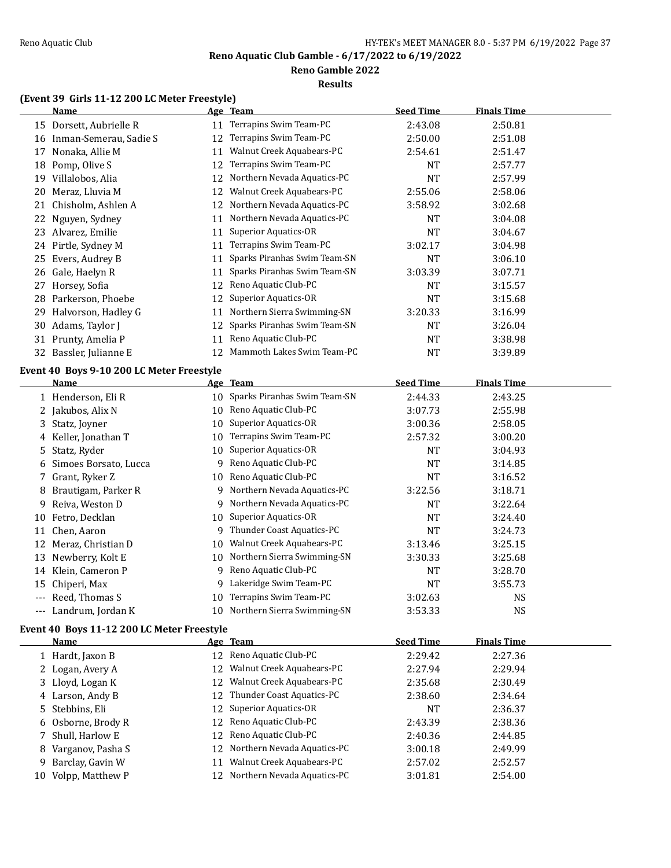#### **Reno Gamble 2022**

#### **Results**

### **(Event 39 Girls 11-12 200 LC Meter Freestyle)**

|    | <b>Name</b>                               |    | Age Team                     | <b>Seed Time</b> | <b>Finals Time</b> |  |
|----|-------------------------------------------|----|------------------------------|------------------|--------------------|--|
|    | 15 Dorsett, Aubrielle R                   | 11 | Terrapins Swim Team-PC       | 2:43.08          | 2:50.81            |  |
| 16 | Inman-Semerau, Sadie S                    | 12 | Terrapins Swim Team-PC       | 2:50.00          | 2:51.08            |  |
| 17 | Nonaka, Allie M                           | 11 | Walnut Creek Aquabears-PC    | 2:54.61          | 2:51.47            |  |
| 18 | Pomp, Olive S                             | 12 | Terrapins Swim Team-PC       | <b>NT</b>        | 2:57.77            |  |
| 19 | Villalobos, Alia                          | 12 | Northern Nevada Aquatics-PC  | <b>NT</b>        | 2:57.99            |  |
| 20 | Meraz, Lluvia M                           | 12 | Walnut Creek Aquabears-PC    | 2:55.06          | 2:58.06            |  |
| 21 | Chisholm, Ashlen A                        | 12 | Northern Nevada Aquatics-PC  | 3:58.92          | 3:02.68            |  |
| 22 | Nguyen, Sydney                            | 11 | Northern Nevada Aquatics-PC  | NT               | 3:04.08            |  |
| 23 | Alvarez, Emilie                           | 11 | <b>Superior Aquatics-OR</b>  | <b>NT</b>        | 3:04.67            |  |
| 24 | Pirtle, Sydney M                          | 11 | Terrapins Swim Team-PC       | 3:02.17          | 3:04.98            |  |
| 25 | Evers, Audrey B                           | 11 | Sparks Piranhas Swim Team-SN | <b>NT</b>        | 3:06.10            |  |
| 26 | Gale, Haelyn R                            | 11 | Sparks Piranhas Swim Team-SN | 3:03.39          | 3:07.71            |  |
| 27 | Horsey, Sofia                             | 12 | Reno Aquatic Club-PC         | <b>NT</b>        | 3:15.57            |  |
| 28 | Parkerson, Phoebe                         | 12 | <b>Superior Aquatics-OR</b>  | <b>NT</b>        | 3:15.68            |  |
| 29 | Halvorson, Hadley G                       | 11 | Northern Sierra Swimming-SN  | 3:20.33          | 3:16.99            |  |
| 30 | Adams, Taylor J                           | 12 | Sparks Piranhas Swim Team-SN | <b>NT</b>        | 3:26.04            |  |
| 31 | Prunty, Amelia P                          | 11 | Reno Aquatic Club-PC         | <b>NT</b>        | 3:38.98            |  |
|    | 32 Bassler, Julianne E                    | 12 | Mammoth Lakes Swim Team-PC   | <b>NT</b>        | 3:39.89            |  |
|    | Event 40 Boys 9-10 200 LC Meter Freestyle |    |                              |                  |                    |  |
|    | Name                                      |    | Age Team                     | <b>Seed Time</b> | <b>Finals Time</b> |  |
|    | 1 Henderson, Eli R                        | 10 | Sparks Piranhas Swim Team-SN | 2:44.33          | 2:43.25            |  |
| 2  | Jakubos, Alix N                           | 10 | Reno Aquatic Club-PC         | 3:07.73          | 2:55.98            |  |
| 3  | Statz, Joyner                             | 10 | <b>Superior Aquatics-OR</b>  | 3:00.36          | 2:58.05            |  |
| 4  | Keller, Jonathan T                        | 10 | Terrapins Swim Team-PC       | 2:57.32          | 3:00.20            |  |
| 5  | Statz, Ryder                              | 10 | Superior Aquatics-OR         | <b>NT</b>        | 3:04.93            |  |
| 6  | Simoes Borsato, Lucca                     | 9  | Reno Aquatic Club-PC         | <b>NT</b>        | 3:14.85            |  |
| 7  | Grant, Ryker Z                            | 10 | Reno Aquatic Club-PC         | <b>NT</b>        | 3:16.52            |  |
| 8  | Brautigam, Parker R                       | 9  | Northern Nevada Aquatics-PC  | 3:22.56          | 3:18.71            |  |
| 9  | Reiva, Weston D                           | 9  | Northern Nevada Aquatics-PC  | <b>NT</b>        | 3:22.64            |  |
| 10 | Fetro, Decklan                            | 10 | <b>Superior Aquatics-OR</b>  | <b>NT</b>        | 3:24.40            |  |
| 11 | Chen, Aaron                               | 9  | Thunder Coast Aquatics-PC    | <b>NT</b>        | 3:24.73            |  |
| 12 | Meraz, Christian D                        | 10 | Walnut Creek Aquabears-PC    | 3:13.46          | 3:25.15            |  |
| 13 | Newberry, Kolt E                          | 10 | Northern Sierra Swimming-SN  | 3:30.33          | 3:25.68            |  |
|    | 14 Klein, Cameron P                       | 9  | Reno Aquatic Club-PC         | <b>NT</b>        | 3:28.70            |  |

15 Chiperi, Max 3:55.73 --- Reed, Thomas S 10 Terrapins Swim Team-PC 3:02.63 NS

--- Landrum, Jordan K 10 Northern Sierra Swimming-SN 3:53.33 NS

### **Event 40 Boys 11-12 200 LC Meter Freestyle**

| Name                |    | Age Team                       | <b>Seed Time</b> | <b>Finals Time</b> |
|---------------------|----|--------------------------------|------------------|--------------------|
| 1 Hardt, Jaxon B    |    | 12 Reno Aquatic Club-PC        | 2:29.42          | 2:27.36            |
| 2 Logan, Avery A    |    | 12 Walnut Creek Aquabears-PC   | 2:27.94          | 2:29.94            |
| 3 Lloyd, Logan K    | 12 | Walnut Creek Aquabears-PC      | 2:35.68          | 2:30.49            |
| 4 Larson, Andy B    |    | 12 Thunder Coast Aquatics-PC   | 2:38.60          | 2:34.64            |
| 5 Stebbins, Eli     |    | 12 Superior Aquatics-OR        | <b>NT</b>        | 2:36.37            |
| 6 Osborne, Brody R  |    | 12 Reno Aquatic Club-PC        | 2:43.39          | 2:38.36            |
| 7 Shull, Harlow E   |    | 12 Reno Aquatic Club-PC        | 2:40.36          | 2:44.85            |
| 8 Varganov, Pasha S |    | 12 Northern Nevada Aquatics-PC | 3:00.18          | 2:49.99            |
| 9 Barclay, Gavin W  | 11 | Walnut Creek Aquabears-PC      | 2:57.02          | 2:52.57            |
| 10 Volpp, Matthew P |    | 12 Northern Nevada Aquatics-PC | 3:01.81          | 2:54.00            |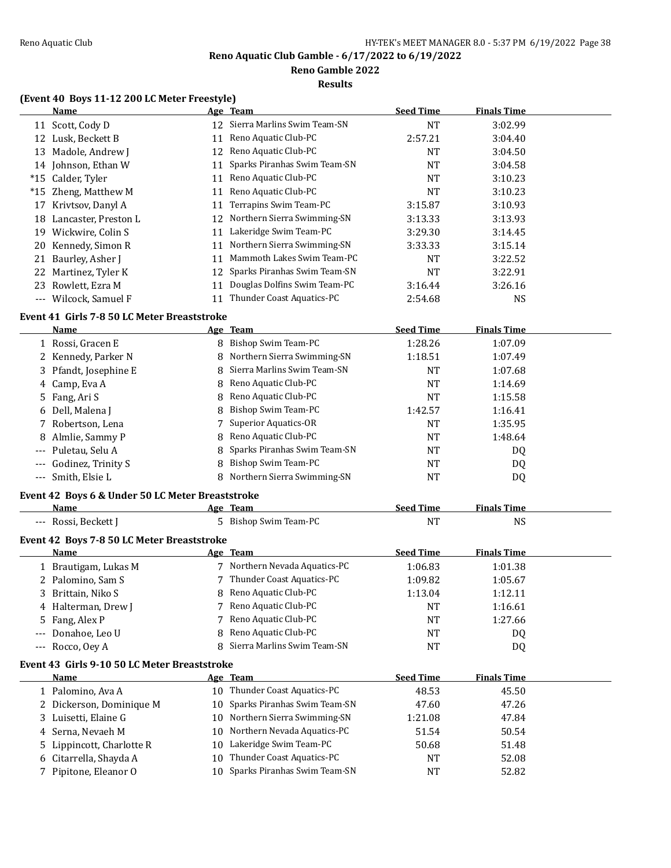**Reno Gamble 2022**

**Results**

### **(Event 40 Boys 11-12 200 LC Meter Freestyle)**

|       | <b>Name</b>          |    | Age Team                        | <b>Seed Time</b> | <b>Finals Time</b> |
|-------|----------------------|----|---------------------------------|------------------|--------------------|
|       | 11 Scott, Cody D     |    | 12 Sierra Marlins Swim Team-SN  | NT               | 3:02.99            |
| 12    | Lusk, Beckett B      | 11 | Reno Aquatic Club-PC            | 2:57.21          | 3:04.40            |
| 13    | Madole, Andrew J     | 12 | Reno Aquatic Club-PC            | NT               | 3:04.50            |
|       | 14 Johnson, Ethan W  | 11 | Sparks Piranhas Swim Team-SN    | NT               | 3:04.58            |
|       | *15 Calder, Tyler    | 11 | Reno Aquatic Club-PC            | <b>NT</b>        | 3:10.23            |
|       | *15 Zheng, Matthew M | 11 | Reno Aquatic Club-PC            | NT               | 3:10.23            |
| 17    | Krivtsov, Danyl A    | 11 | Terrapins Swim Team-PC          | 3:15.87          | 3:10.93            |
| 18    | Lancaster, Preston L |    | 12 Northern Sierra Swimming-SN  | 3:13.33          | 3:13.93            |
| 19    | Wickwire, Colin S    | 11 | Lakeridge Swim Team-PC          | 3:29.30          | 3:14.45            |
|       | 20 Kennedy, Simon R  | 11 | Northern Sierra Swimming-SN     | 3:33.33          | 3:15.14            |
|       | 21 Baurley, Asher J  | 11 | Mammoth Lakes Swim Team-PC      | NT               | 3:22.52            |
|       | 22 Martinez, Tyler K |    | 12 Sparks Piranhas Swim Team-SN | NT               | 3:22.91            |
|       | 23 Rowlett, Ezra M   | 11 | Douglas Dolfins Swim Team-PC    | 3:16.44          | 3:26.16            |
| $---$ | Wilcock, Samuel F    |    | Thunder Coast Aquatics-PC       | 2:54.68          | <b>NS</b>          |

# **Event 41 Girls 7-8 50 LC Meter Breaststroke**

| Name                   | Age Team                       | <b>Seed Time</b> | <b>Finals Time</b> |  |
|------------------------|--------------------------------|------------------|--------------------|--|
| 1 Rossi, Gracen E      | 8 Bishop Swim Team-PC          | 1:28.26          | 1:07.09            |  |
| 2 Kennedy, Parker N    | 8 Northern Sierra Swimming-SN  | 1:18.51          | 1:07.49            |  |
| 3 Pfandt, Josephine E  | 8 Sierra Marlins Swim Team-SN  | NT               | 1:07.68            |  |
| 4 Camp, Eva A          | 8 Reno Aquatic Club-PC         | NT               | 1:14.69            |  |
| 5 Fang, Ari S          | 8 Reno Aquatic Club-PC         | NT               | 1:15.58            |  |
| 6 Dell, Malena J       | 8 Bishop Swim Team-PC          | 1:42.57          | 1:16.41            |  |
| 7 Robertson, Lena      | 7 Superior Aquatics-OR         | <b>NT</b>        | 1:35.95            |  |
| 8 Almlie, Sammy P      | 8 Reno Aquatic Club-PC         | <b>NT</b>        | 1:48.64            |  |
| --- Puletau, Selu A    | 8 Sparks Piranhas Swim Team-SN | <b>NT</b>        | DQ                 |  |
| --- Godinez, Trinity S | 8 Bishop Swim Team-PC          | NT               | DQ                 |  |
| --- Smith, Elsie L     | 8 Northern Sierra Swimming-SN  | NT               | D <sub>0</sub>     |  |

### **Event 42 Boys 6 & Under 50 LC Meter Breaststroke**

| <b>Name</b>                                | Age Team              | <b>Seed Time</b> | <b>Finals Time</b> |  |
|--------------------------------------------|-----------------------|------------------|--------------------|--|
| --- Rossi, Beckett J                       | 5 Bishop Swim Team-PC | NT               | NS                 |  |
| Event 42 Boys 7-8 50 LC Meter Breaststroke |                       |                  |                    |  |

|       | Name                                         |     | Age Team                      | <b>Seed Time</b> | <b>Finals Time</b> |  |
|-------|----------------------------------------------|-----|-------------------------------|------------------|--------------------|--|
|       | 1 Brautigam, Lukas M                         |     | 7 Northern Nevada Aquatics-PC | 1:06.83          | 1:01.38            |  |
|       | 2 Palomino, Sam S                            |     | 7 Thunder Coast Aquatics-PC   | 1:09.82          | 1:05.67            |  |
|       | 3 Brittain, Niko S                           |     | 8 Reno Aquatic Club-PC        | 1:13.04          | 1:12.11            |  |
|       | 4 Halterman, Drew J                          |     | 7 Reno Aquatic Club-PC        | NT               | 1:16.61            |  |
|       | 5 Fang, Alex P                               |     | 7 Reno Aquatic Club-PC        | NT               | 1:27.66            |  |
| $---$ | Donahoe. Leo U                               |     | 8 Reno Aquatic Club-PC        | NT               | DQ                 |  |
|       | $--$ Rocco, Oey A                            |     | 8 Sierra Marlins Swim Team-SN | NT               | DQ                 |  |
|       | Event 43 Girls 9-10 50 LC Meter Breaststroke |     |                               |                  |                    |  |
|       | <b>Name</b>                                  |     | Age Team                      | <b>Seed Time</b> | <b>Finals Time</b> |  |
|       | 1 Palomino, Ava A                            | 10  | Thunder Coast Aquatics-PC     | 48.53            | 45.50              |  |
|       | 2 Dickerson, Dominique M                     | 10  | Sparks Piranhas Swim Team-SN  | 47.60            | 47.26              |  |
|       | 3 Luisetti. Elaine G                         | 10- | Northern Sierra Swimming-SN   | 1:21.08          | 47.84              |  |

| <b>3</b> Labell, Lame a   |  | 1.41.VV                                                                                                                        | 17.VI |  |
|---------------------------|--|--------------------------------------------------------------------------------------------------------------------------------|-------|--|
| 4 Serna, Nevaeh M         |  | 51.54                                                                                                                          | 50.54 |  |
| 5 Lippincott, Charlotte R |  | 50.68                                                                                                                          | 51.48 |  |
| 6 Citarrella, Shayda A    |  | NT                                                                                                                             | 52.08 |  |
| 7 Pipitone, Eleanor O     |  | NT                                                                                                                             | 52.82 |  |
|                           |  | 10 Northern Nevada Aquatics-PC<br>10 Lakeridge Swim Team-PC<br>10 Thunder Coast Aquatics-PC<br>10 Sparks Piranhas Swim Team-SN |       |  |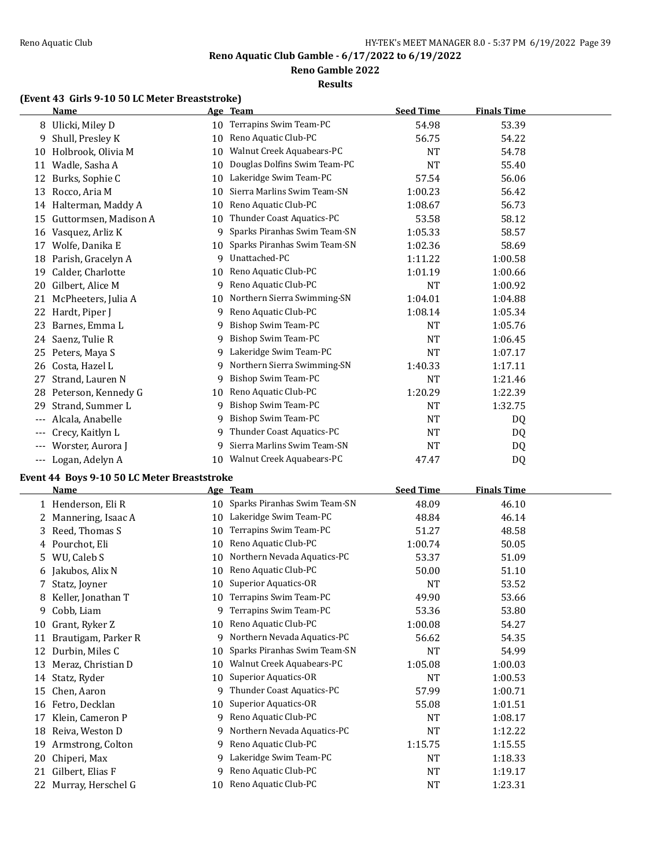**Reno Gamble 2022**

### **Results**

# **(Event 43 Girls 9-10 50 LC Meter Breaststroke)**

|       | <b>Name</b>           | <u>Age</u> | <b>Team</b>                  | <b>Seed Time</b> | <b>Finals Time</b> |  |
|-------|-----------------------|------------|------------------------------|------------------|--------------------|--|
| 8     | Ulicki, Miley D       | 10         | Terrapins Swim Team-PC       | 54.98            | 53.39              |  |
| 9     | Shull, Presley K      | 10         | Reno Aquatic Club-PC         | 56.75            | 54.22              |  |
| 10    | Holbrook, Olivia M    | 10         | Walnut Creek Aquabears-PC    | NT               | 54.78              |  |
| 11    | Wadle, Sasha A        | 10         | Douglas Dolfins Swim Team-PC | <b>NT</b>        | 55.40              |  |
| 12    | Burks, Sophie C       | 10         | Lakeridge Swim Team-PC       | 57.54            | 56.06              |  |
| 13    | Rocco, Aria M         | 10         | Sierra Marlins Swim Team-SN  | 1:00.23          | 56.42              |  |
| 14    | Halterman, Maddy A    | 10         | Reno Aquatic Club-PC         | 1:08.67          | 56.73              |  |
| 15    | Guttormsen, Madison A | 10         | Thunder Coast Aquatics-PC    | 53.58            | 58.12              |  |
| 16    | Vasquez, Arliz K      | 9          | Sparks Piranhas Swim Team-SN | 1:05.33          | 58.57              |  |
| 17    | Wolfe, Danika E       | 10         | Sparks Piranhas Swim Team-SN | 1:02.36          | 58.69              |  |
| 18    | Parish, Gracelyn A    | 9          | Unattached-PC                | 1:11.22          | 1:00.58            |  |
| 19    | Calder, Charlotte     | 10         | Reno Aquatic Club-PC         | 1:01.19          | 1:00.66            |  |
| 20    | Gilbert, Alice M      | 9          | Reno Aquatic Club-PC         | NT               | 1:00.92            |  |
| 21    | McPheeters, Julia A   | 10         | Northern Sierra Swimming-SN  | 1:04.01          | 1:04.88            |  |
| 22    | Hardt, Piper J        | 9          | Reno Aquatic Club-PC         | 1:08.14          | 1:05.34            |  |
| 23    | Barnes, Emma L        | 9          | Bishop Swim Team-PC          | NT               | 1:05.76            |  |
| 24    | Saenz, Tulie R        | 9          | Bishop Swim Team-PC          | NT               | 1:06.45            |  |
| 25    | Peters, Maya S        | 9          | Lakeridge Swim Team-PC       | NT               | 1:07.17            |  |
| 26    | Costa, Hazel L        | 9          | Northern Sierra Swimming-SN  | 1:40.33          | 1:17.11            |  |
| 27    | Strand, Lauren N      | 9          | Bishop Swim Team-PC          | NT               | 1:21.46            |  |
| 28    | Peterson, Kennedy G   | 10         | Reno Aquatic Club-PC         | 1:20.29          | 1:22.39            |  |
| 29    | Strand, Summer L      | 9          | Bishop Swim Team-PC          | <b>NT</b>        | 1:32.75            |  |
| $---$ | Alcala, Anabelle      | q          | Bishop Swim Team-PC          | NT               | DQ                 |  |
| ---   | Crecy, Kaitlyn L      | 9          | Thunder Coast Aquatics-PC    | <b>NT</b>        | DQ                 |  |
|       | Worster, Aurora J     | q          | Sierra Marlins Swim Team-SN  | NT               | DQ                 |  |
| $---$ | Logan, Adelyn A       | 10         | Walnut Creek Aquabears-PC    | 47.47            | DQ                 |  |

# **Event 44 Boys 9-10 50 LC Meter Breaststroke**

|    | Name                |    | Age Team                     | <b>Seed Time</b> | <b>Finals Time</b> |
|----|---------------------|----|------------------------------|------------------|--------------------|
|    | 1 Henderson, Eli R  | 10 | Sparks Piranhas Swim Team-SN | 48.09            | 46.10              |
|    | Mannering, Isaac A  | 10 | Lakeridge Swim Team-PC       | 48.84            | 46.14              |
| 3. | Reed, Thomas S      | 10 | Terrapins Swim Team-PC       | 51.27            | 48.58              |
|    | 4 Pourchot, Eli     | 10 | Reno Aquatic Club-PC         | 1:00.74          | 50.05              |
| 5. | WU, Caleb S         | 10 | Northern Nevada Aquatics-PC  | 53.37            | 51.09              |
| 6  | Jakubos, Alix N     | 10 | Reno Aquatic Club-PC         | 50.00            | 51.10              |
| 7. | Statz, Joyner       | 10 | Superior Aquatics-OR         | <b>NT</b>        | 53.52              |
| 8  | Keller, Jonathan T  | 10 | Terrapins Swim Team-PC       | 49.90            | 53.66              |
| 9  | Cobb, Liam          | 9  | Terrapins Swim Team-PC       | 53.36            | 53.80              |
| 10 | Grant, Ryker Z      | 10 | Reno Aquatic Club-PC         | 1:00.08          | 54.27              |
| 11 | Brautigam, Parker R | 9  | Northern Nevada Aquatics-PC  | 56.62            | 54.35              |
| 12 | Durbin, Miles C     | 10 | Sparks Piranhas Swim Team-SN | <b>NT</b>        | 54.99              |
| 13 | Meraz, Christian D  | 10 | Walnut Creek Aquabears-PC    | 1:05.08          | 1:00.03            |
| 14 | Statz, Ryder        | 10 | Superior Aquatics-OR         | <b>NT</b>        | 1:00.53            |
| 15 | Chen, Aaron         | 9  | Thunder Coast Aquatics-PC    | 57.99            | 1:00.71            |
| 16 | Fetro, Decklan      | 10 | Superior Aquatics-OR         | 55.08            | 1:01.51            |
| 17 | Klein, Cameron P    | 9  | Reno Aquatic Club-PC         | NT               | 1:08.17            |
| 18 | Reiva, Weston D     | 9  | Northern Nevada Aquatics-PC  | NT               | 1:12.22            |
| 19 | Armstrong, Colton   | 9  | Reno Aquatic Club-PC         | 1:15.75          | 1:15.55            |
| 20 | Chiperi, Max        | 9  | Lakeridge Swim Team-PC       | <b>NT</b>        | 1:18.33            |
| 21 | Gilbert, Elias F    | 9  | Reno Aquatic Club-PC         | <b>NT</b>        | 1:19.17            |
| 22 | Murray, Herschel G  | 10 | Reno Aquatic Club-PC         | <b>NT</b>        | 1:23.31            |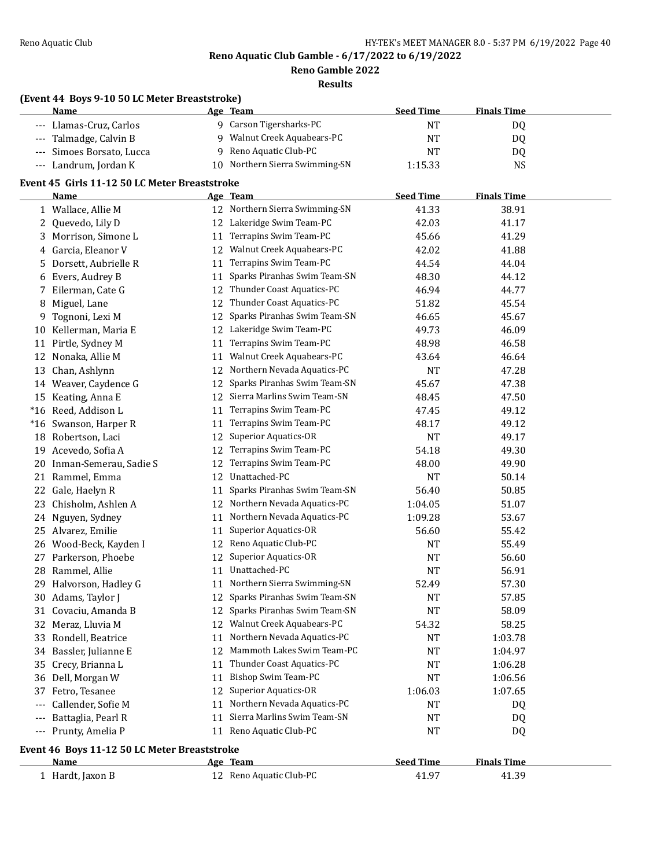**Reno Gamble 2022**

**Results**

#### **(Event 44 Boys 9-10 50 LC Meter Breaststroke)**

|          | Name                                          |          | Age Team                        | <b>Seed Time</b> | <b>Finals Time</b> |  |
|----------|-----------------------------------------------|----------|---------------------------------|------------------|--------------------|--|
|          | --- Llamas-Cruz, Carlos                       |          | 9 Carson Tigersharks-PC         | NT               | DQ                 |  |
|          | --- Talmadge, Calvin B                        | 9        | Walnut Creek Aquabears-PC       | <b>NT</b>        | DQ                 |  |
|          | Simoes Borsato, Lucca                         | 9        | Reno Aquatic Club-PC            | NT               | DQ                 |  |
| $---$    | Landrum, Jordan K                             | 10       | Northern Sierra Swimming-SN     | 1:15.33          | <b>NS</b>          |  |
|          | Event 45 Girls 11-12 50 LC Meter Breaststroke |          |                                 |                  |                    |  |
|          | <b>Name</b>                                   |          | <u>Age Team</u>                 | <b>Seed Time</b> | <b>Finals Time</b> |  |
|          | 1 Wallace, Allie M                            |          | 12 Northern Sierra Swimming-SN  | 41.33            | 38.91              |  |
|          | 2 Quevedo, Lily D                             |          | 12 Lakeridge Swim Team-PC       | 42.03            | 41.17              |  |
|          | 3 Morrison, Simone L                          | 11       | Terrapins Swim Team-PC          | 45.66            | 41.29              |  |
|          | 4 Garcia, Eleanor V                           | 12       | Walnut Creek Aquabears-PC       | 42.02            | 41.88              |  |
|          | 5 Dorsett, Aubrielle R                        | 11       | Terrapins Swim Team-PC          | 44.54            | 44.04              |  |
|          | 6 Evers, Audrey B                             | 11       | Sparks Piranhas Swim Team-SN    | 48.30            | 44.12              |  |
|          | 7 Eilerman, Cate G                            | 12       | Thunder Coast Aquatics-PC       | 46.94            | 44.77              |  |
| 8        | Miguel, Lane                                  | 12       | Thunder Coast Aquatics-PC       | 51.82            | 45.54              |  |
|          | 9 Tognoni, Lexi M                             | 12       | Sparks Piranhas Swim Team-SN    | 46.65            | 45.67              |  |
| 10       | Kellerman, Maria E                            | 12       | Lakeridge Swim Team-PC          | 49.73            | 46.09              |  |
|          | 11 Pirtle, Sydney M                           | 11       | Terrapins Swim Team-PC          | 48.98            | 46.58              |  |
|          | 12 Nonaka, Allie M                            | 11       | Walnut Creek Aquabears-PC       | 43.64            | 46.64              |  |
| 13       | Chan, Ashlynn                                 |          | 12 Northern Nevada Aquatics-PC  | <b>NT</b>        | 47.28              |  |
|          | 14 Weaver, Caydence G                         | 12       | Sparks Piranhas Swim Team-SN    | 45.67            | 47.38              |  |
|          | 15 Keating, Anna E                            |          | 12 Sierra Marlins Swim Team-SN  |                  |                    |  |
|          | *16 Reed, Addison L                           | 11       | Terrapins Swim Team-PC          | 48.45<br>47.45   | 47.50<br>49.12     |  |
|          | *16 Swanson, Harper R                         |          | Terrapins Swim Team-PC          | 48.17            |                    |  |
|          |                                               | 11<br>12 | <b>Superior Aquatics-OR</b>     | <b>NT</b>        | 49.12              |  |
| 18       | Robertson, Laci                               |          | Terrapins Swim Team-PC          |                  | 49.17              |  |
| 19<br>20 | Acevedo, Sofia A<br>Inman-Semerau, Sadie S    | 12<br>12 | Terrapins Swim Team-PC          | 54.18<br>48.00   | 49.30<br>49.90     |  |
|          |                                               |          | Unattached-PC                   |                  |                    |  |
|          | 21 Rammel, Emma                               | 12       |                                 | <b>NT</b>        | 50.14              |  |
| 22       | Gale, Haelyn R                                | 11       | Sparks Piranhas Swim Team-SN    | 56.40            | 50.85              |  |
| 23       | Chisholm, Ashlen A                            | 12       | Northern Nevada Aquatics-PC     | 1:04.05          | 51.07              |  |
| 24       | Nguyen, Sydney                                | 11       | Northern Nevada Aquatics-PC     | 1:09.28          | 53.67              |  |
|          | 25 Alvarez, Emilie                            | 11       | Superior Aquatics-OR            | 56.60            | 55.42              |  |
|          | 26 Wood-Beck, Kayden I                        |          | 12 Reno Aquatic Club-PC         | <b>NT</b>        | 55.49              |  |
|          | 27 Parkerson, Phoebe                          | 12       | Superior Aquatics-OR            | <b>NT</b>        | 56.60              |  |
|          | 28 Rammel, Allie                              |          | 11 Unattached-PC                | <b>NT</b>        | 56.91              |  |
|          | 29 Halvorson, Hadley G                        |          | 11 Northern Sierra Swimming-SN  | 52.49            | 57.30              |  |
|          | 30 Adams, Taylor J                            |          | 12 Sparks Piranhas Swim Team-SN | <b>NT</b>        | 57.85              |  |
|          | 31 Covaciu, Amanda B                          |          | 12 Sparks Piranhas Swim Team-SN | NT               | 58.09              |  |
|          | 32 Meraz, Lluvia M                            |          | 12 Walnut Creek Aquabears-PC    | 54.32            | 58.25              |  |
|          | 33 Rondell, Beatrice                          | 11       | Northern Nevada Aquatics-PC     | NT               | 1:03.78            |  |
|          | 34 Bassler, Julianne E                        | 12       | Mammoth Lakes Swim Team-PC      | NT               | 1:04.97            |  |
|          | 35 Crecy, Brianna L                           | 11       | Thunder Coast Aquatics-PC       | NT               | 1:06.28            |  |
|          | 36 Dell, Morgan W                             | 11       | Bishop Swim Team-PC             | <b>NT</b>        | 1:06.56            |  |
| 37       | Fetro, Tesanee                                | 12       | Superior Aquatics-OR            | 1:06.03          | 1:07.65            |  |
|          | Callender, Sofie M                            | 11       | Northern Nevada Aquatics-PC     | NT               | DQ                 |  |
|          | Battaglia, Pearl R                            | 11       | Sierra Marlins Swim Team-SN     | NT               | DQ                 |  |
| $---$    | Prunty, Amelia P                              |          | 11 Reno Aquatic Club-PC         | NT               | DQ                 |  |
|          | Event 46 Boys 11-12 50 LC Meter Breaststroke  |          |                                 |                  |                    |  |
|          | Name                                          |          | Age Team                        | <b>Seed Time</b> | <b>Finals Time</b> |  |
|          | 1 Hardt, Jaxon B                              |          | 12 Reno Aquatic Club-PC         | 41.97            | 41.39              |  |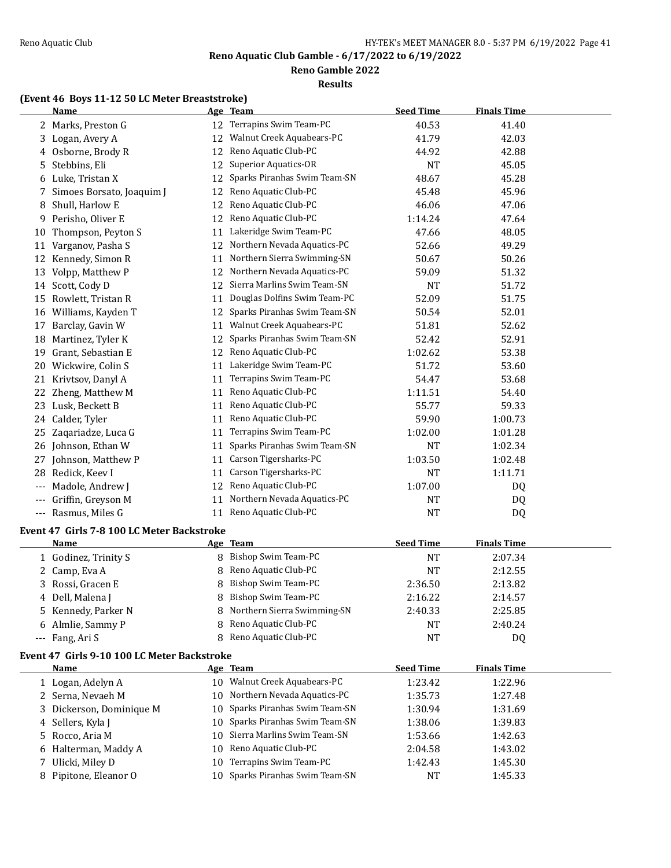**Reno Gamble 2022**

### **Results**

# **(Event 46 Boys 11-12 50 LC Meter Breaststroke)**

|    | <b>Name</b>                                               |    | Age Team                      | <b>Seed Time</b> | <b>Finals Time</b> |  |
|----|-----------------------------------------------------------|----|-------------------------------|------------------|--------------------|--|
|    | 2 Marks, Preston G                                        | 12 | Terrapins Swim Team-PC        | 40.53            | 41.40              |  |
| 3  | Logan, Avery A                                            | 12 | Walnut Creek Aquabears-PC     | 41.79            | 42.03              |  |
| 4  | Osborne, Brody R                                          | 12 | Reno Aquatic Club-PC          | 44.92            | 42.88              |  |
| 5  | Stebbins, Eli                                             | 12 | <b>Superior Aquatics-OR</b>   | <b>NT</b>        | 45.05              |  |
| 6  | Luke, Tristan X                                           | 12 | Sparks Piranhas Swim Team-SN  | 48.67            | 45.28              |  |
|    | Simoes Borsato, Joaquim J                                 | 12 | Reno Aquatic Club-PC          | 45.48            | 45.96              |  |
| 8  | Shull, Harlow E                                           | 12 | Reno Aquatic Club-PC          | 46.06            | 47.06              |  |
| 9  | Perisho, Oliver E                                         | 12 | Reno Aquatic Club-PC          | 1:14.24          | 47.64              |  |
| 10 | Thompson, Peyton S                                        | 11 | Lakeridge Swim Team-PC        | 47.66            | 48.05              |  |
| 11 | Varganov, Pasha S                                         | 12 | Northern Nevada Aquatics-PC   | 52.66            | 49.29              |  |
|    | 12 Kennedy, Simon R                                       | 11 | Northern Sierra Swimming-SN   | 50.67            | 50.26              |  |
| 13 | Volpp, Matthew P                                          | 12 | Northern Nevada Aquatics-PC   | 59.09            | 51.32              |  |
|    | 14 Scott, Cody D                                          | 12 | Sierra Marlins Swim Team-SN   | NT               | 51.72              |  |
| 15 | Rowlett, Tristan R                                        | 11 | Douglas Dolfins Swim Team-PC  | 52.09            | 51.75              |  |
|    | 16 Williams, Kayden T                                     | 12 | Sparks Piranhas Swim Team-SN  | 50.54            | 52.01              |  |
| 17 | Barclay, Gavin W                                          | 11 | Walnut Creek Aquabears-PC     | 51.81            | 52.62              |  |
| 18 | Martinez, Tyler K                                         | 12 | Sparks Piranhas Swim Team-SN  | 52.42            | 52.91              |  |
| 19 | Grant, Sebastian E                                        | 12 | Reno Aquatic Club-PC          | 1:02.62          | 53.38              |  |
|    | 20 Wickwire, Colin S                                      | 11 | Lakeridge Swim Team-PC        | 51.72            | 53.60              |  |
|    | 21 Krivtsov, Danyl A                                      | 11 | Terrapins Swim Team-PC        | 54.47            | 53.68              |  |
|    | 22 Zheng, Matthew M                                       | 11 | Reno Aquatic Club-PC          | 1:11.51          | 54.40              |  |
|    | 23 Lusk, Beckett B                                        | 11 | Reno Aquatic Club-PC          | 55.77            | 59.33              |  |
|    | 24 Calder, Tyler                                          | 11 | Reno Aquatic Club-PC          | 59.90            | 1:00.73            |  |
|    | 25 Zaqariadze, Luca G                                     | 11 | Terrapins Swim Team-PC        | 1:02.00          | 1:01.28            |  |
|    | 26 Johnson, Ethan W                                       | 11 | Sparks Piranhas Swim Team-SN  | <b>NT</b>        | 1:02.34            |  |
|    | 27 Johnson, Matthew P                                     | 11 | Carson Tigersharks-PC         | 1:03.50          | 1:02.48            |  |
| 28 | Redick, Keev I                                            | 11 | Carson Tigersharks-PC         | <b>NT</b>        | 1:11.71            |  |
|    | Madole, Andrew J                                          |    | 12 Reno Aquatic Club-PC       | 1:07.00          | DQ                 |  |
|    | --- Griffin, Greyson M                                    | 11 | Northern Nevada Aquatics-PC   | <b>NT</b>        | DQ                 |  |
|    | --- Rasmus, Miles G                                       | 11 | Reno Aquatic Club-PC          | <b>NT</b>        | DQ                 |  |
|    |                                                           |    |                               |                  |                    |  |
|    | Event 47 Girls 7-8 100 LC Meter Backstroke<br><b>Name</b> |    | Age Team                      | <b>Seed Time</b> | <b>Finals Time</b> |  |
|    | 1 Godinez, Trinity S                                      | 8  | <b>Bishop Swim Team-PC</b>    | <b>NT</b>        | 2:07.34            |  |
| 2. | Camp, Eva A                                               | 8  | Reno Aquatic Club-PC          | <b>NT</b>        | 2:12.55            |  |
|    | Rossi, Gracen E                                           |    | 8 Bishop Swim Team-PC         | 2:36.50          | 2:13.82            |  |
|    | 4 Dell, Malena J                                          |    | 8 Bishop Swim Team-PC         | 2:16.22          | 2:14.57            |  |
| 5  | Kennedy, Parker N                                         |    | 8 Northern Sierra Swimming-SN | 2:40.33          | 2:25.85            |  |
| 6  | Almlie, Sammy P                                           | 8  | Reno Aquatic Club-PC          | NT               | 2:40.24            |  |
|    | --- Fang, Ari S                                           | 8  | Reno Aquatic Club-PC          | <b>NT</b>        | DQ                 |  |
|    |                                                           |    |                               |                  |                    |  |
|    | Event 47 Girls 9-10 100 LC Meter Backstroke               |    |                               |                  |                    |  |
|    | <u>Name</u>                                               |    | Age Team                      | <b>Seed Time</b> | <b>Finals Time</b> |  |
|    | 1 Logan, Adelyn A                                         |    | 10 Walnut Creek Aquabears-PC  | 1:23.42          | 1:22.96            |  |
|    | 2 Serna, Nevaeh M                                         | 10 | Northern Nevada Aquatics-PC   | 1:35.73          | 1:27.48            |  |
| 3  | Dickerson, Dominique M                                    | 10 | Sparks Piranhas Swim Team-SN  | 1:30.94          | 1:31.69            |  |
| 4  | Sellers, Kyla J                                           | 10 | Sparks Piranhas Swim Team-SN  | 1:38.06          | 1:39.83            |  |
| 5  | Rocco, Aria M                                             | 10 | Sierra Marlins Swim Team-SN   | 1:53.66          | 1:42.63            |  |
| 6  | Halterman, Maddy A                                        | 10 | Reno Aquatic Club-PC          | 2:04.58          | 1:43.02            |  |
| 7  | Ulicki, Miley D                                           | 10 | Terrapins Swim Team-PC        | 1:42.43          | 1:45.30            |  |
|    | 8 Pipitone, Eleanor O                                     | 10 | Sparks Piranhas Swim Team-SN  | NT               | 1:45.33            |  |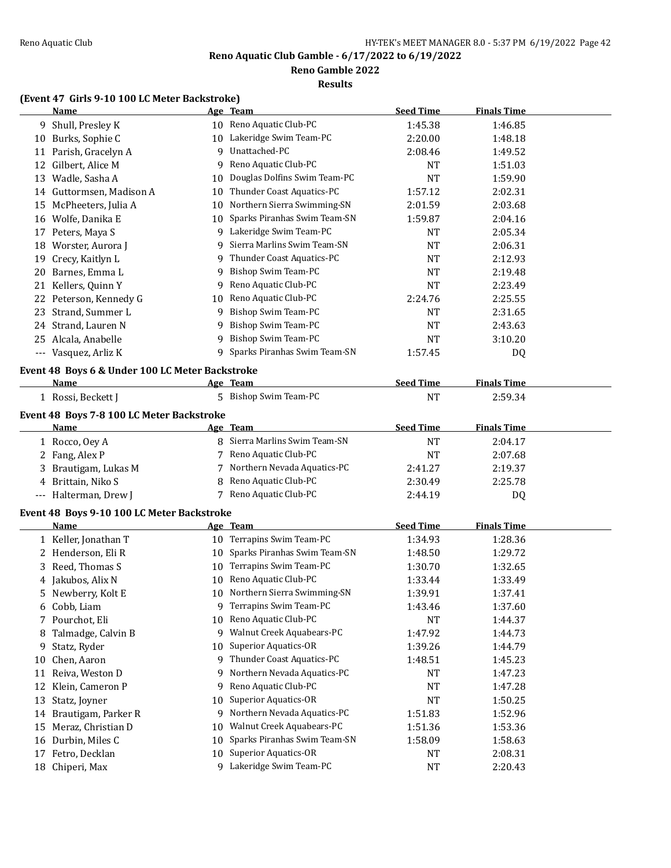**Reno Gamble 2022**

### **Results**

# **(Event 47 Girls 9-10 100 LC Meter Backstroke)**

|    | <b>Name</b>                                     |                 | Age Team                       | <b>Seed Time</b> | <b>Finals Time</b> |  |
|----|-------------------------------------------------|-----------------|--------------------------------|------------------|--------------------|--|
| 9. | Shull, Presley K                                |                 | 10 Reno Aquatic Club-PC        | 1:45.38          | 1:46.85            |  |
|    | 10 Burks, Sophie C                              |                 | 10 Lakeridge Swim Team-PC      | 2:20.00          | 1:48.18            |  |
|    | 11 Parish, Gracelyn A                           | 9               | Unattached-PC                  | 2:08.46          | 1:49.52            |  |
|    | 12 Gilbert, Alice M                             | 9               | Reno Aquatic Club-PC           | <b>NT</b>        | 1:51.03            |  |
| 13 | Wadle, Sasha A                                  | 10              | Douglas Dolfins Swim Team-PC   | <b>NT</b>        | 1:59.90            |  |
|    | 14 Guttormsen, Madison A                        | 10              | Thunder Coast Aquatics-PC      | 1:57.12          | 2:02.31            |  |
|    | 15 McPheeters, Julia A                          | 10              | Northern Sierra Swimming-SN    | 2:01.59          | 2:03.68            |  |
|    | 16 Wolfe, Danika E                              | 10              | Sparks Piranhas Swim Team-SN   | 1:59.87          | 2:04.16            |  |
| 17 | Peters, Maya S                                  | 9               | Lakeridge Swim Team-PC         | <b>NT</b>        | 2:05.34            |  |
|    | 18 Worster, Aurora J                            | 9               | Sierra Marlins Swim Team-SN    | <b>NT</b>        | 2:06.31            |  |
| 19 | Crecy, Kaitlyn L                                | 9               | Thunder Coast Aquatics-PC      | <b>NT</b>        | 2:12.93            |  |
| 20 | Barnes, Emma L                                  | 9               | <b>Bishop Swim Team-PC</b>     | <b>NT</b>        | 2:19.48            |  |
| 21 | Kellers, Quinn Y                                | 9               | Reno Aquatic Club-PC           | <b>NT</b>        | 2:23.49            |  |
|    | 22 Peterson, Kennedy G                          | 10              | Reno Aquatic Club-PC           | 2:24.76          | 2:25.55            |  |
| 23 | Strand, Summer L                                | 9               | Bishop Swim Team-PC            | NT               | 2:31.65            |  |
|    | 24 Strand, Lauren N                             | 9               | <b>Bishop Swim Team-PC</b>     | <b>NT</b>        | 2:43.63            |  |
|    | 25 Alcala, Anabelle                             | 9               | <b>Bishop Swim Team-PC</b>     | <b>NT</b>        | 3:10.20            |  |
|    | --- Vasquez, Arliz K                            |                 | 9 Sparks Piranhas Swim Team-SN | 1:57.45          | DQ                 |  |
|    |                                                 |                 |                                |                  |                    |  |
|    | Event 48 Boys 6 & Under 100 LC Meter Backstroke |                 |                                |                  |                    |  |
|    | Name                                            |                 | Age Team                       | <b>Seed Time</b> | <b>Finals Time</b> |  |
|    | 1 Rossi, Beckett J                              |                 | 5 Bishop Swim Team-PC          | <b>NT</b>        | 2:59.34            |  |
|    | Event 48 Boys 7-8 100 LC Meter Backstroke       |                 |                                |                  |                    |  |
|    | <u>Name</u>                                     |                 | Age Team                       | <b>Seed Time</b> | <b>Finals Time</b> |  |
|    | 1 Rocco, Oey A                                  |                 | 8 Sierra Marlins Swim Team-SN  | <b>NT</b>        | 2:04.17            |  |
|    | 2 Fang, Alex P                                  | 7               | Reno Aquatic Club-PC           | NT               | 2:07.68            |  |
|    | 3 Brautigam, Lukas M                            | 7               | Northern Nevada Aquatics-PC    | 2:41.27          | 2:19.37            |  |
|    | 4 Brittain, Niko S                              | 8               | Reno Aquatic Club-PC           | 2:30.49          | 2:25.78            |  |
|    | --- Halterman, Drew J                           |                 | 7 Reno Aquatic Club-PC         | 2:44.19          | DQ                 |  |
|    | Event 48 Boys 9-10 100 LC Meter Backstroke      |                 |                                |                  |                    |  |
|    | Name                                            |                 | Age Team                       | <b>Seed Time</b> | <b>Finals Time</b> |  |
|    | 1 Keller, Jonathan T                            |                 | 10 Terrapins Swim Team-PC      | 1:34.93          | 1:28.36            |  |
|    | 2 Henderson, Eli R                              | 10              | Sparks Piranhas Swim Team-SN   | 1:48.50          | 1:29.72            |  |
| 3  | Reed, Thomas S                                  | 10              | Terrapins Swim Team-PC         | 1:30.70          | 1:32.65            |  |
|    | 4 Jakubos, Alix N                               | 10              | Reno Aquatic Club-PC           | 1:33.44          | 1:33.49            |  |
| 5. | Newberry, Kolt E                                |                 | 10 Northern Sierra Swimming-SN | 1:39.91          | 1:37.41            |  |
|    | 6 Cobb, Liam                                    | 9               | Terrapins Swim Team-PC         | 1:43.46          | 1:37.60            |  |
|    | 7 Pourchot, Eli                                 |                 | 10 Reno Aquatic Club-PC        | NT               | 1:44.37            |  |
| 8  | Talmadge, Calvin B                              | 9               | Walnut Creek Aquabears-PC      | 1:47.92          | 1:44.73            |  |
| 9  | Statz, Ryder                                    | 10 <sup>°</sup> | <b>Superior Aquatics-OR</b>    | 1:39.26          | 1:44.79            |  |
| 10 | Chen, Aaron                                     | 9               | Thunder Coast Aquatics-PC      | 1:48.51          | 1:45.23            |  |
| 11 | Reiva, Weston D                                 | 9               | Northern Nevada Aquatics-PC    | NT               | 1:47.23            |  |
| 12 | Klein, Cameron P                                | 9               | Reno Aquatic Club-PC           | NT               | 1:47.28            |  |
| 13 | Statz, Joyner                                   | 10              | <b>Superior Aquatics-OR</b>    | NT               | 1:50.25            |  |
| 14 | Brautigam, Parker R                             | 9               | Northern Nevada Aquatics-PC    | 1:51.83          | 1:52.96            |  |
| 15 | Meraz, Christian D                              | 10              | Walnut Creek Aquabears-PC      | 1:51.36          | 1:53.36            |  |
| 16 | Durbin, Miles C                                 | 10              | Sparks Piranhas Swim Team-SN   | 1:58.09          | 1:58.63            |  |
| 17 | Fetro, Decklan                                  | 10              | <b>Superior Aquatics-OR</b>    | NT               | 2:08.31            |  |
|    | 18 Chiperi, Max                                 |                 | 9 Lakeridge Swim Team-PC       | NT               | 2:20.43            |  |
|    |                                                 |                 |                                |                  |                    |  |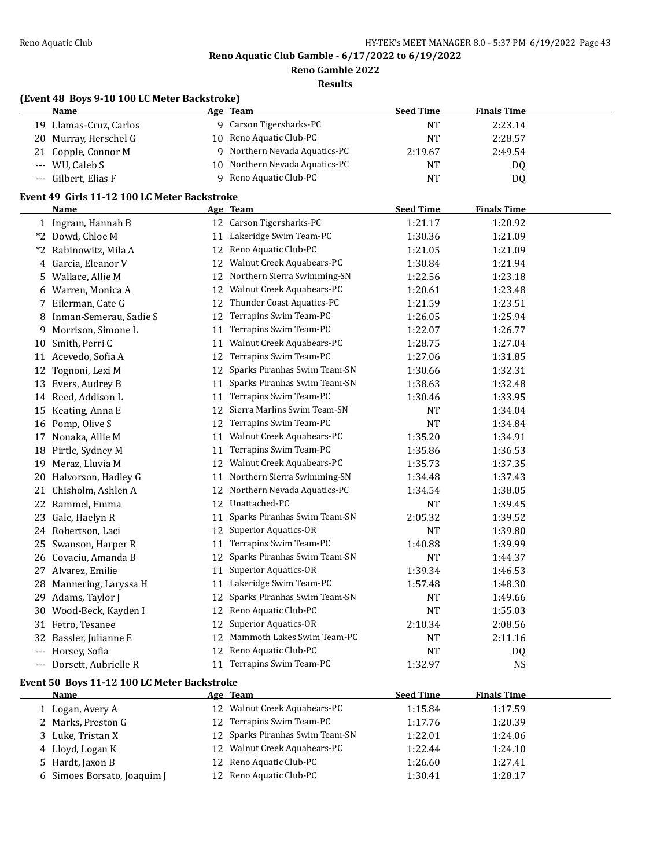L

**Reno Aquatic Club Gamble - 6/17/2022 to 6/19/2022**

**Reno Gamble 2022**

**Results**

# **(Event 48 Boys 9-10 100 LC Meter Backstroke)**

| <b>Name</b>            | Age Team                       | <b>Seed Time</b> | <b>Finals Time</b> |
|------------------------|--------------------------------|------------------|--------------------|
| 19 Llamas-Cruz, Carlos | 9 Carson Tigersharks-PC        | NT               | 2:23.14            |
| 20 Murray, Herschel G  | 10 Reno Aquatic Club-PC        | NΤ               | 2:28.57            |
| 21 Copple, Connor M    | 9 Northern Nevada Aquatics-PC  | 2:19.67          | 2:49.54            |
| $-$ WU. Caleb S        | 10 Northern Nevada Aquatics-PC | <b>NT</b>        | D <sub>0</sub>     |
| --- Gilbert, Elias F   | 9 Reno Aquatic Club-PC         | <b>NT</b>        | D <sub>0</sub>     |

### **Event 49 Girls 11-12 100 LC Meter Backstroke**

|       | Name                                                                                                                                                                                                                                                                                                                              |    | Age Team                     | <b>Seed Time</b> | <b>Finals Time</b> |  |
|-------|-----------------------------------------------------------------------------------------------------------------------------------------------------------------------------------------------------------------------------------------------------------------------------------------------------------------------------------|----|------------------------------|------------------|--------------------|--|
|       | 1 Ingram, Hannah B                                                                                                                                                                                                                                                                                                                |    | 12 Carson Tigersharks-PC     | 1:21.17          | 1:20.92            |  |
|       | *2 Dowd, Chloe M                                                                                                                                                                                                                                                                                                                  | 11 | Lakeridge Swim Team-PC       | 1:30.36          | 1:21.09            |  |
| $*2$  | Rabinowitz, Mila A                                                                                                                                                                                                                                                                                                                | 12 | Reno Aquatic Club-PC         | 1:21.05          | 1:21.09            |  |
| 4     | Garcia, Eleanor V                                                                                                                                                                                                                                                                                                                 | 12 | Walnut Creek Aquabears-PC    | 1:30.84          | 1:21.94            |  |
| 5.    | Wallace, Allie M                                                                                                                                                                                                                                                                                                                  | 12 | Northern Sierra Swimming-SN  | 1:22.56          | 1:23.18            |  |
| 6     | Warren, Monica A                                                                                                                                                                                                                                                                                                                  | 12 | Walnut Creek Aquabears-PC    | 1:20.61          | 1:23.48            |  |
| 7     | Eilerman, Cate G                                                                                                                                                                                                                                                                                                                  | 12 | Thunder Coast Aquatics-PC    | 1:21.59          | 1:23.51            |  |
| 8     | Inman-Semerau, Sadie S                                                                                                                                                                                                                                                                                                            | 12 | Terrapins Swim Team-PC       | 1:26.05          | 1:25.94            |  |
| 9     | Morrison, Simone L                                                                                                                                                                                                                                                                                                                | 11 | Terrapins Swim Team-PC       | 1:22.07          | 1:26.77            |  |
| 10    | Smith, Perri C                                                                                                                                                                                                                                                                                                                    | 11 | Walnut Creek Aquabears-PC    | 1:28.75          | 1:27.04            |  |
|       | 11 Acevedo, Sofia A                                                                                                                                                                                                                                                                                                               | 12 | Terrapins Swim Team-PC       | 1:27.06          | 1:31.85            |  |
|       | 12 Tognoni, Lexi M                                                                                                                                                                                                                                                                                                                | 12 | Sparks Piranhas Swim Team-SN | 1:30.66          | 1:32.31            |  |
| 13    | Evers, Audrey B                                                                                                                                                                                                                                                                                                                   | 11 | Sparks Piranhas Swim Team-SN | 1:38.63          | 1:32.48            |  |
|       | 14 Reed, Addison L                                                                                                                                                                                                                                                                                                                | 11 | Terrapins Swim Team-PC       | 1:30.46          | 1:33.95            |  |
| 15    | Keating, Anna E                                                                                                                                                                                                                                                                                                                   | 12 | Sierra Marlins Swim Team-SN  | <b>NT</b>        | 1:34.04            |  |
|       | 16 Pomp, Olive S                                                                                                                                                                                                                                                                                                                  | 12 | Terrapins Swim Team-PC       | <b>NT</b>        | 1:34.84            |  |
| 17    | Nonaka, Allie M                                                                                                                                                                                                                                                                                                                   | 11 | Walnut Creek Aquabears-PC    | 1:35.20          | 1:34.91            |  |
| 18    | Pirtle, Sydney M                                                                                                                                                                                                                                                                                                                  | 11 | Terrapins Swim Team-PC       | 1:35.86          | 1:36.53            |  |
| 19    | Meraz, Lluvia M                                                                                                                                                                                                                                                                                                                   | 12 | Walnut Creek Aquabears-PC    | 1:35.73          | 1:37.35            |  |
| 20    | Halvorson, Hadley G                                                                                                                                                                                                                                                                                                               | 11 | Northern Sierra Swimming-SN  | 1:34.48          | 1:37.43            |  |
| 21    | Chisholm, Ashlen A                                                                                                                                                                                                                                                                                                                | 12 | Northern Nevada Aquatics-PC  | 1:34.54          | 1:38.05            |  |
|       | 22 Rammel, Emma                                                                                                                                                                                                                                                                                                                   | 12 | Unattached-PC                | <b>NT</b>        | 1:39.45            |  |
| 23    | Gale, Haelyn R                                                                                                                                                                                                                                                                                                                    | 11 | Sparks Piranhas Swim Team-SN | 2:05.32          | 1:39.52            |  |
| 24    | Robertson, Laci                                                                                                                                                                                                                                                                                                                   | 12 | <b>Superior Aquatics-OR</b>  | <b>NT</b>        | 1:39.80            |  |
| 25    | Swanson, Harper R                                                                                                                                                                                                                                                                                                                 | 11 | Terrapins Swim Team-PC       | 1:40.88          | 1:39.99            |  |
|       | 26 Covaciu, Amanda B                                                                                                                                                                                                                                                                                                              | 12 | Sparks Piranhas Swim Team-SN | NT               | 1:44.37            |  |
| 27    | Alvarez, Emilie                                                                                                                                                                                                                                                                                                                   | 11 | Superior Aquatics-OR         | 1:39.34          | 1:46.53            |  |
| 28    | Mannering, Laryssa H                                                                                                                                                                                                                                                                                                              | 11 | Lakeridge Swim Team-PC       | 1:57.48          | 1:48.30            |  |
| 29    | Adams, Taylor J                                                                                                                                                                                                                                                                                                                   | 12 | Sparks Piranhas Swim Team-SN | <b>NT</b>        | 1:49.66            |  |
|       | 30 Wood-Beck, Kayden I                                                                                                                                                                                                                                                                                                            | 12 | Reno Aquatic Club-PC         | <b>NT</b>        | 1:55.03            |  |
|       | 31 Fetro, Tesanee                                                                                                                                                                                                                                                                                                                 | 12 | <b>Superior Aquatics-OR</b>  | 2:10.34          | 2:08.56            |  |
| 32    | Bassler, Julianne E                                                                                                                                                                                                                                                                                                               | 12 | Mammoth Lakes Swim Team-PC   | <b>NT</b>        | 2:11.16            |  |
| $---$ | Horsey, Sofia                                                                                                                                                                                                                                                                                                                     | 12 | Reno Aquatic Club-PC         | <b>NT</b>        | DQ                 |  |
|       | Dorsett, Aubrielle R                                                                                                                                                                                                                                                                                                              |    | 11 Terrapins Swim Team-PC    | 1:32.97          | <b>NS</b>          |  |
|       | $\mathbf{F}$ $\mathbf{D}$ = $\mathbf{A}$ $\mathbf{A}$ $\mathbf{A}$ $\mathbf{D}$ $\mathbf{A}$ $\mathbf{D}$ $\mathbf{D}$ $\mathbf{D}$ $\mathbf{A}$ $\mathbf{A}$ $\mathbf{D}$ $\mathbf{D}$ $\mathbf{D}$ $\mathbf{D}$ $\mathbf{D}$ $\mathbf{D}$ $\mathbf{D}$ $\mathbf{D}$ $\mathbf{D}$ $\mathbf{D}$ $\mathbf{D}$ $\mathbf{D}$ $\math$ |    |                              |                  |                    |  |

#### **Event 50 Boys 11-12 100 LC Meter Backstroke**

| Name                        | Age Team                        | <b>Seed Time</b> | <b>Finals Time</b> |  |
|-----------------------------|---------------------------------|------------------|--------------------|--|
| l Logan, Avery A            | 12 Walnut Creek Aquabears-PC    | 1:15.84          | 1:17.59            |  |
| 2 Marks, Preston G          | 12 Terrapins Swim Team-PC       | 1:17.76          | 1:20.39            |  |
| 3 Luke, Tristan X           | 12 Sparks Piranhas Swim Team-SN | 1:22.01          | 1:24.06            |  |
| 4 Lloyd, Logan K            | 12 Walnut Creek Aquabears-PC    | 1:22.44          | 1:24.10            |  |
| 5 Hardt, Jaxon B            | 12 Reno Aquatic Club-PC         | 1:26.60          | 1:27.41            |  |
| 6 Simoes Borsato, Joaquim J | 12 Reno Aquatic Club-PC         | 1:30.41          | 1:28.17            |  |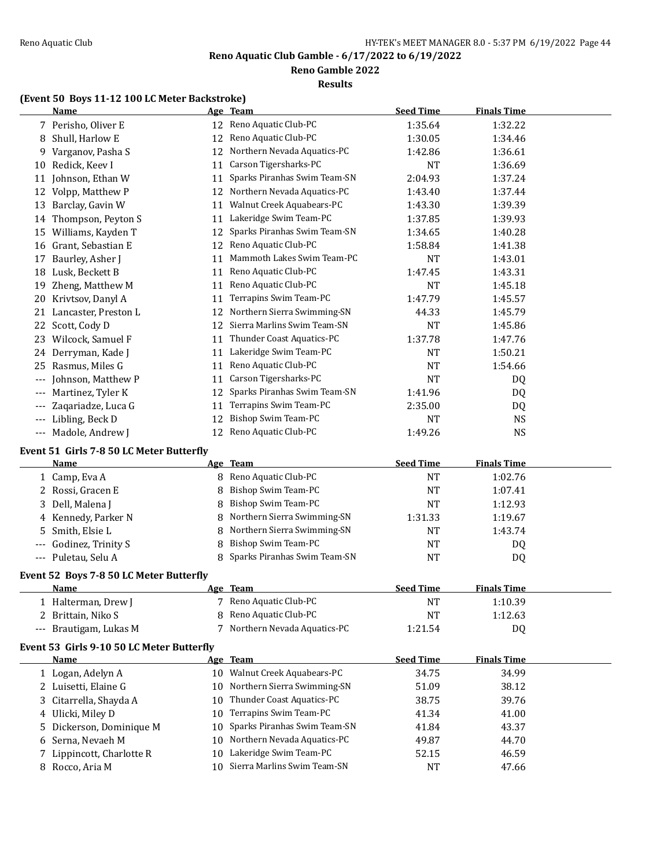**Reno Gamble 2022**

#### **Results**

# **(Event 50 Boys 11-12 100 LC Meter Backstroke)**

|       | <b>Name</b>                                     |    | Age Team                       | <b>Seed Time</b> | <b>Finals Time</b> |  |
|-------|-------------------------------------------------|----|--------------------------------|------------------|--------------------|--|
|       | 7 Perisho, Oliver E                             |    | 12 Reno Aquatic Club-PC        | 1:35.64          | 1:32.22            |  |
| 8     | Shull, Harlow E                                 | 12 | Reno Aquatic Club-PC           | 1:30.05          | 1:34.46            |  |
| 9.    | Varganov, Pasha S                               | 12 | Northern Nevada Aquatics-PC    | 1:42.86          | 1:36.61            |  |
| 10    | Redick, Keev I                                  | 11 | Carson Tigersharks-PC          | <b>NT</b>        | 1:36.69            |  |
| 11    | Johnson, Ethan W                                | 11 | Sparks Piranhas Swim Team-SN   | 2:04.93          | 1:37.24            |  |
| 12    | Volpp, Matthew P                                | 12 | Northern Nevada Aquatics-PC    | 1:43.40          | 1:37.44            |  |
| 13    | Barclay, Gavin W                                | 11 | Walnut Creek Aquabears-PC      | 1:43.30          | 1:39.39            |  |
| 14    | Thompson, Peyton S                              | 11 | Lakeridge Swim Team-PC         | 1:37.85          | 1:39.93            |  |
| 15    | Williams, Kayden T                              | 12 | Sparks Piranhas Swim Team-SN   | 1:34.65          | 1:40.28            |  |
| 16    | Grant, Sebastian E                              | 12 | Reno Aquatic Club-PC           | 1:58.84          | 1:41.38            |  |
| 17    | Baurley, Asher J                                | 11 | Mammoth Lakes Swim Team-PC     | NT               | 1:43.01            |  |
| 18    | Lusk, Beckett B                                 | 11 | Reno Aquatic Club-PC           | 1:47.45          | 1:43.31            |  |
| 19    | Zheng, Matthew M                                | 11 | Reno Aquatic Club-PC           | <b>NT</b>        | 1:45.18            |  |
| 20    | Krivtsov, Danyl A                               | 11 | Terrapins Swim Team-PC         | 1:47.79          | 1:45.57            |  |
| 21    | Lancaster, Preston L                            | 12 | Northern Sierra Swimming-SN    | 44.33            | 1:45.79            |  |
| 22    | Scott, Cody D                                   | 12 | Sierra Marlins Swim Team-SN    | <b>NT</b>        | 1:45.86            |  |
| 23    | Wilcock, Samuel F                               | 11 | Thunder Coast Aquatics-PC      | 1:37.78          | 1:47.76            |  |
| 24    | Derryman, Kade J                                | 11 | Lakeridge Swim Team-PC         | <b>NT</b>        | 1:50.21            |  |
| 25    | Rasmus, Miles G                                 | 11 | Reno Aquatic Club-PC           | <b>NT</b>        | 1:54.66            |  |
| $---$ | Johnson, Matthew P                              | 11 | Carson Tigersharks-PC          | <b>NT</b>        | DQ                 |  |
| $---$ | Martinez, Tyler K                               | 12 | Sparks Piranhas Swim Team-SN   | 1:41.96          | DQ                 |  |
|       | Zaqariadze, Luca G                              | 11 | Terrapins Swim Team-PC         | 2:35.00          | DQ                 |  |
| $---$ | Libling, Beck D                                 | 12 | Bishop Swim Team-PC            | <b>NT</b>        | <b>NS</b>          |  |
| $---$ | Madole, Andrew J                                | 12 | Reno Aquatic Club-PC           | 1:49.26          | NS                 |  |
|       | Event 51 Girls 7-8 50 LC Meter Butterfly        |    |                                |                  |                    |  |
|       | <b>Name</b>                                     |    | Age Team                       | <b>Seed Time</b> | <b>Finals Time</b> |  |
|       | 1 Camp, Eva A                                   | 8  | Reno Aquatic Club-PC           | NT               | 1:02.76            |  |
| 2     | Rossi, Gracen E                                 | 8  | Bishop Swim Team-PC            | <b>NT</b>        | 1:07.41            |  |
| 3     | Dell, Malena J                                  | 8  | Bishop Swim Team-PC            | <b>NT</b>        | 1:12.93            |  |
| 4     | Kennedy, Parker N                               | 8  | Northern Sierra Swimming-SN    | 1:31.33          | 1:19.67            |  |
| 5     | Smith, Elsie L                                  | 8  | Northern Sierra Swimming-SN    | <b>NT</b>        | 1:43.74            |  |
|       | Godinez, Trinity S                              | 8  | Bishop Swim Team-PC            | NT               | DQ                 |  |
|       | Puletau, Selu A                                 | 8  | Sparks Piranhas Swim Team-SN   | <b>NT</b>        | DQ                 |  |
|       |                                                 |    |                                |                  |                    |  |
|       | Event 52 Boys 7-8 50 LC Meter Butterfly<br>Name |    | Age Team                       | <b>Seed Time</b> | <b>Finals Time</b> |  |
|       | 1 Halterman, Drew J                             |    | 7 Reno Aquatic Club-PC         |                  | 1:10.39            |  |
| 2     | Brittain, Niko S                                | 8  | Reno Aquatic Club-PC           | NT<br>NT         | 1:12.63            |  |
|       |                                                 | 7  | Northern Nevada Aquatics-PC    |                  |                    |  |
|       | Brautigam, Lukas M                              |    |                                | 1:21.54          | DQ                 |  |
|       | Event 53 Girls 9-10 50 LC Meter Butterfly       |    |                                |                  |                    |  |
|       | <b>Name</b>                                     |    | Age Team                       | <b>Seed Time</b> | <b>Finals Time</b> |  |
|       | 1 Logan, Adelyn A                               |    | 10 Walnut Creek Aquabears-PC   | 34.75            | 34.99              |  |
|       | 2 Luisetti, Elaine G                            | 10 | Northern Sierra Swimming-SN    | 51.09            | 38.12              |  |
| 3     | Citarrella, Shayda A                            | 10 | Thunder Coast Aquatics-PC      | 38.75            | 39.76              |  |
| 4     | Ulicki, Miley D                                 | 10 | Terrapins Swim Team-PC         | 41.34            | 41.00              |  |
| 5     | Dickerson, Dominique M                          | 10 | Sparks Piranhas Swim Team-SN   | 41.84            | 43.37              |  |
| b     | Serna, Nevaeh M                                 | 10 | Northern Nevada Aquatics-PC    | 49.87            | 44.70              |  |
| 7     | Lippincott, Charlotte R                         | 10 | Lakeridge Swim Team-PC         | 52.15            | 46.59              |  |
|       | 8 Rocco, Aria M                                 |    | 10 Sierra Marlins Swim Team-SN | <b>NT</b>        | 47.66              |  |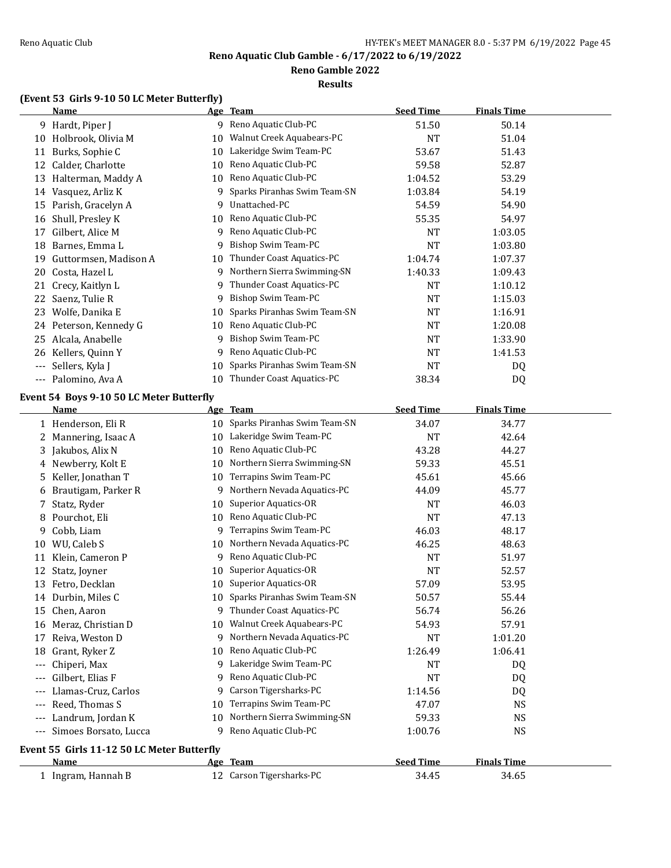**Reno Gamble 2022**

#### **Results**

# **(Event 53 Girls 9-10 50 LC Meter Butterfly)**

|                     | <b>Name</b>                                |    | Age Team                        | <b>Seed Time</b> | <b>Finals Time</b> |  |
|---------------------|--------------------------------------------|----|---------------------------------|------------------|--------------------|--|
|                     | 9 Hardt, Piper J                           |    | 9 Reno Aquatic Club-PC          | 51.50            | 50.14              |  |
|                     | 10 Holbrook, Olivia M                      | 10 | Walnut Creek Aquabears-PC       | <b>NT</b>        | 51.04              |  |
|                     | 11 Burks, Sophie C                         | 10 | Lakeridge Swim Team-PC          | 53.67            | 51.43              |  |
|                     | 12 Calder, Charlotte                       | 10 | Reno Aquatic Club-PC            | 59.58            | 52.87              |  |
|                     | 13 Halterman, Maddy A                      | 10 | Reno Aquatic Club-PC            | 1:04.52          | 53.29              |  |
|                     | 14 Vasquez, Arliz K                        | 9  | Sparks Piranhas Swim Team-SN    | 1:03.84          | 54.19              |  |
|                     | 15 Parish, Gracelyn A                      | 9  | Unattached-PC                   | 54.59            | 54.90              |  |
| 16                  | Shull, Presley K                           | 10 | Reno Aquatic Club-PC            | 55.35            | 54.97              |  |
| 17                  | Gilbert, Alice M                           | 9  | Reno Aquatic Club-PC            | <b>NT</b>        | 1:03.05            |  |
| 18                  | Barnes, Emma L                             | 9  | Bishop Swim Team-PC             | <b>NT</b>        | 1:03.80            |  |
| 19                  | Guttormsen, Madison A                      | 10 | Thunder Coast Aquatics-PC       | 1:04.74          | 1:07.37            |  |
| 20                  | Costa, Hazel L                             | 9  | Northern Sierra Swimming-SN     | 1:40.33          | 1:09.43            |  |
| 21                  | Crecy, Kaitlyn L                           | 9  | Thunder Coast Aquatics-PC       | <b>NT</b>        | 1:10.12            |  |
| 22                  | Saenz, Tulie R                             | 9  | Bishop Swim Team-PC             | <b>NT</b>        | 1:15.03            |  |
|                     | 23 Wolfe, Danika E                         | 10 | Sparks Piranhas Swim Team-SN    | <b>NT</b>        | 1:16.91            |  |
|                     | 24 Peterson, Kennedy G                     | 10 | Reno Aquatic Club-PC            | <b>NT</b>        | 1:20.08            |  |
| 25                  | Alcala, Anabelle                           | 9  | <b>Bishop Swim Team-PC</b>      | <b>NT</b>        | 1:33.90            |  |
|                     | 26 Kellers, Quinn Y                        | 9  | Reno Aquatic Club-PC            | <b>NT</b>        | 1:41.53            |  |
| $---$               | Sellers, Kyla J                            | 10 | Sparks Piranhas Swim Team-SN    | <b>NT</b>        | DQ                 |  |
| $\qquad \qquad - -$ | Palomino, Ava A                            | 10 | Thunder Coast Aquatics-PC       | 38.34            | DQ                 |  |
|                     | Event 54 Boys 9-10 50 LC Meter Butterfly   |    |                                 |                  |                    |  |
|                     | <u>Name</u>                                |    | Age Team                        | <b>Seed Time</b> | <b>Finals Time</b> |  |
|                     | 1 Henderson, Eli R                         |    | 10 Sparks Piranhas Swim Team-SN | 34.07            | 34.77              |  |
|                     | 2 Mannering, Isaac A                       | 10 | Lakeridge Swim Team-PC          | <b>NT</b>        | 42.64              |  |
|                     | 3 Jakubos, Alix N                          | 10 | Reno Aquatic Club-PC            | 43.28            | 44.27              |  |
|                     | 4 Newberry, Kolt E                         | 10 | Northern Sierra Swimming-SN     | 59.33            | 45.51              |  |
| 5.                  | Keller, Jonathan T                         | 10 | Terrapins Swim Team-PC          | 45.61            | 45.66              |  |
| 6                   | Brautigam, Parker R                        | 9  | Northern Nevada Aquatics-PC     | 44.09            | 45.77              |  |
| 7                   | Statz, Ryder                               | 10 | <b>Superior Aquatics-OR</b>     | <b>NT</b>        | 46.03              |  |
| 8                   | Pourchot, Eli                              | 10 | Reno Aquatic Club-PC            | <b>NT</b>        | 47.13              |  |
| 9                   | Cobb, Liam                                 | 9  | Terrapins Swim Team-PC          | 46.03            | 48.17              |  |
|                     | 10 WU, Caleb S                             | 10 | Northern Nevada Aquatics-PC     | 46.25            | 48.63              |  |
|                     | 11 Klein, Cameron P                        | 9  | Reno Aquatic Club-PC            | NT               | 51.97              |  |
|                     | 12 Statz, Joyner                           | 10 | <b>Superior Aquatics-OR</b>     | <b>NT</b>        | 52.57              |  |
|                     | 13 Fetro, Decklan                          |    | 10 Superior Aquatics-OR         | 57.09            | 53.95              |  |
|                     | 14 Durbin, Miles C                         |    | 10 Sparks Piranhas Swim Team-SN | 50.57            | 55.44              |  |
|                     | 15 Chen, Aaron                             |    | 9 Thunder Coast Aquatics-PC     | 56.74            | 56.26              |  |
|                     | 16 Meraz, Christian D                      | 10 | Walnut Creek Aquabears-PC       | 54.93            | 57.91              |  |
|                     | 17 Reiva, Weston D                         |    | 9 Northern Nevada Aquatics-PC   | NT               | 1:01.20            |  |
| 18                  | Grant, Ryker Z                             | 10 | Reno Aquatic Club-PC            | 1:26.49          | 1:06.41            |  |
| $---$               | Chiperi, Max                               | 9  | Lakeridge Swim Team-PC          | NT               | DQ                 |  |
|                     | Gilbert, Elias F                           | 9  | Reno Aquatic Club-PC            | <b>NT</b>        | DQ                 |  |
|                     | Llamas-Cruz, Carlos                        | 9  | Carson Tigersharks-PC           | 1:14.56          | DQ                 |  |
|                     | Reed, Thomas S                             | 10 | Terrapins Swim Team-PC          | 47.07            | <b>NS</b>          |  |
|                     | Landrum, Jordan K                          | 10 | Northern Sierra Swimming-SN     | 59.33            | <b>NS</b>          |  |
| $---$               | Simoes Borsato, Lucca                      | 9  | Reno Aquatic Club-PC            | 1:00.76          | <b>NS</b>          |  |
|                     | Event 55 Girls 11-12 50 LC Meter Butterfly |    |                                 |                  |                    |  |
|                     | Name                                       |    | Age Team                        | <b>Seed Time</b> | <b>Finals Time</b> |  |
|                     | 1 Ingram, Hannah B                         |    | 12 Carson Tigersharks-PC        | 34.45            | 34.65              |  |
|                     |                                            |    |                                 |                  |                    |  |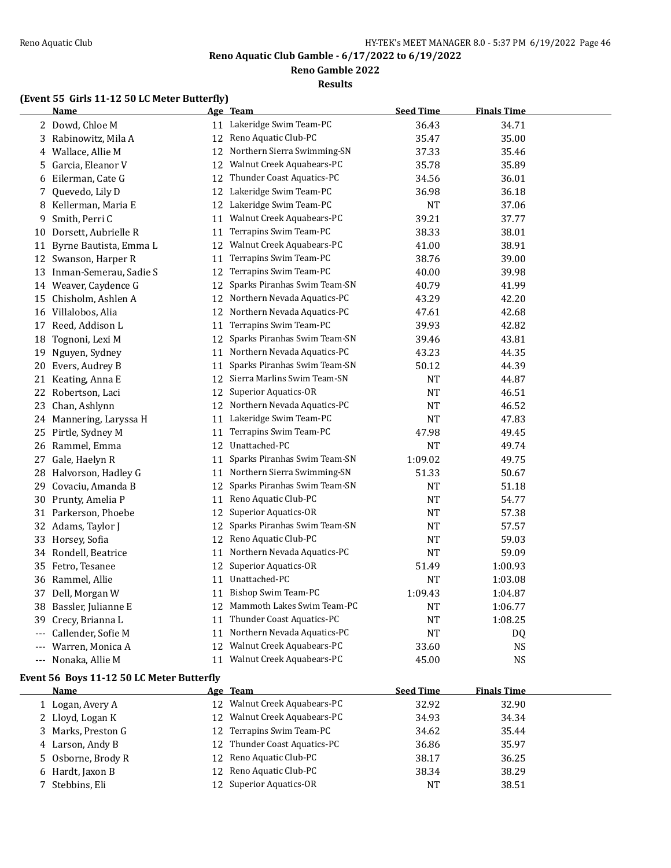**Reno Gamble 2022**

**Results**

# **(Event 55 Girls 11-12 50 LC Meter Butterfly)**

|          | <b>Name</b>               |    | Age Team                       | <b>Seed Time</b> | <b>Finals Time</b> |  |
|----------|---------------------------|----|--------------------------------|------------------|--------------------|--|
|          | 2 Dowd, Chloe M           |    | 11 Lakeridge Swim Team-PC      | 36.43            | 34.71              |  |
|          | 3 Rabinowitz, Mila A      | 12 | Reno Aquatic Club-PC           | 35.47            | 35.00              |  |
|          | 4 Wallace, Allie M        |    | 12 Northern Sierra Swimming-SN | 37.33            | 35.46              |  |
|          | 5 Garcia, Eleanor V       | 12 | Walnut Creek Aquabears-PC      | 35.78            | 35.89              |  |
|          | 6 Eilerman, Cate G        |    | 12 Thunder Coast Aquatics-PC   | 34.56            | 36.01              |  |
| 7        | Quevedo, Lily D           |    | 12 Lakeridge Swim Team-PC      | 36.98            | 36.18              |  |
|          | 8 Kellerman, Maria E      | 12 | Lakeridge Swim Team-PC         | <b>NT</b>        | 37.06              |  |
| 9        | Smith, Perri C            | 11 | Walnut Creek Aquabears-PC      | 39.21            | 37.77              |  |
| 10       | Dorsett, Aubrielle R      | 11 | Terrapins Swim Team-PC         | 38.33            | 38.01              |  |
| 11       | Byrne Bautista, Emma L    | 12 | Walnut Creek Aquabears-PC      | 41.00            | 38.91              |  |
|          | 12 Swanson, Harper R      | 11 | Terrapins Swim Team-PC         | 38.76            | 39.00              |  |
|          | 13 Inman-Semerau, Sadie S | 12 | Terrapins Swim Team-PC         | 40.00            | 39.98              |  |
|          | 14 Weaver, Caydence G     | 12 | Sparks Piranhas Swim Team-SN   | 40.79            | 41.99              |  |
|          | 15 Chisholm, Ashlen A     | 12 | Northern Nevada Aquatics-PC    | 43.29            | 42.20              |  |
|          | 16 Villalobos, Alia       |    | 12 Northern Nevada Aquatics-PC | 47.61            | 42.68              |  |
|          | 17 Reed, Addison L        | 11 | Terrapins Swim Team-PC         | 39.93            | 42.82              |  |
| 18       | Tognoni, Lexi M           | 12 | Sparks Piranhas Swim Team-SN   | 39.46            | 43.81              |  |
| 19       | Nguyen, Sydney            | 11 | Northern Nevada Aquatics-PC    | 43.23            | 44.35              |  |
| 20       | Evers, Audrey B           | 11 | Sparks Piranhas Swim Team-SN   | 50.12            | 44.39              |  |
|          | 21 Keating, Anna E        |    | 12 Sierra Marlins Swim Team-SN | NT               | 44.87              |  |
|          | 22 Robertson, Laci        | 12 | Superior Aquatics-OR           | <b>NT</b>        | 46.51              |  |
|          | 23 Chan, Ashlynn          |    | 12 Northern Nevada Aquatics-PC | <b>NT</b>        | 46.52              |  |
|          | 24 Mannering, Laryssa H   | 11 | Lakeridge Swim Team-PC         | NT               | 47.83              |  |
|          | 25 Pirtle, Sydney M       | 11 | Terrapins Swim Team-PC         | 47.98            | 49.45              |  |
|          | 26 Rammel, Emma           | 12 | Unattached-PC                  | <b>NT</b>        | 49.74              |  |
|          | 27 Gale, Haelyn R         | 11 | Sparks Piranhas Swim Team-SN   | 1:09.02          | 49.75              |  |
|          | 28 Halvorson, Hadley G    | 11 | Northern Sierra Swimming-SN    | 51.33            | 50.67              |  |
| 29       | Covaciu, Amanda B         | 12 | Sparks Piranhas Swim Team-SN   | <b>NT</b>        | 51.18              |  |
|          | 30 Prunty, Amelia P       |    | 11 Reno Aquatic Club-PC        | <b>NT</b>        | 54.77              |  |
|          | 31 Parkerson, Phoebe      | 12 | Superior Aquatics-OR           | NT               | 57.38              |  |
|          | 32 Adams, Taylor J        | 12 | Sparks Piranhas Swim Team-SN   | NT               | 57.57              |  |
|          | 33 Horsey, Sofia          | 12 | Reno Aquatic Club-PC           | NT               | 59.03              |  |
|          | 34 Rondell, Beatrice      | 11 | Northern Nevada Aquatics-PC    | NT               | 59.09              |  |
|          | 35 Fetro, Tesanee         | 12 | Superior Aquatics-OR           | 51.49            | 1:00.93            |  |
|          | 36 Rammel, Allie          | 11 | Unattached-PC                  | NT               | 1:03.08            |  |
|          | 37 Dell, Morgan W         | 11 | Bishop Swim Team-PC            | 1:09.43          | 1:04.87            |  |
| 38       | Bassler, Julianne E       | 12 | Mammoth Lakes Swim Team-PC     | NT               | 1:06.77            |  |
| 39       | Crecy, Brianna L          | 11 | Thunder Coast Aquatics-PC      | NT               | 1:08.25            |  |
| $\cdots$ | Callender, Sofie M        | 11 | Northern Nevada Aquatics-PC    | NT               | DQ                 |  |
|          | Warren, Monica A          | 12 | Walnut Creek Aquabears-PC      | 33.60            | <b>NS</b>          |  |
| $---$    | Nonaka, Allie M           |    | 11 Walnut Creek Aquabears-PC   | 45.00            | NS                 |  |

# **Event 56 Boys 11-12 50 LC Meter Butterfly**

| Name               | Age Team                     | <b>Seed Time</b> | <b>Finals Time</b> |  |
|--------------------|------------------------------|------------------|--------------------|--|
| 1 Logan, Avery A   | 12 Walnut Creek Aquabears-PC | 32.92            | 32.90              |  |
| 2 Lloyd, Logan K   | 12 Walnut Creek Aquabears-PC | 34.93            | 34.34              |  |
| 3 Marks, Preston G | 12 Terrapins Swim Team-PC    | 34.62            | 35.44              |  |
| 4 Larson, Andy B   | 12 Thunder Coast Aquatics-PC | 36.86            | 35.97              |  |
| 5 Osborne, Brody R | 12 Reno Aquatic Club-PC      | 38.17            | 36.25              |  |
| 6 Hardt, Jaxon B   | 12 Reno Aquatic Club-PC      | 38.34            | 38.29              |  |
| 7 Stebbins, Eli    | 12 Superior Aquatics-OR      | NT               | 38.51              |  |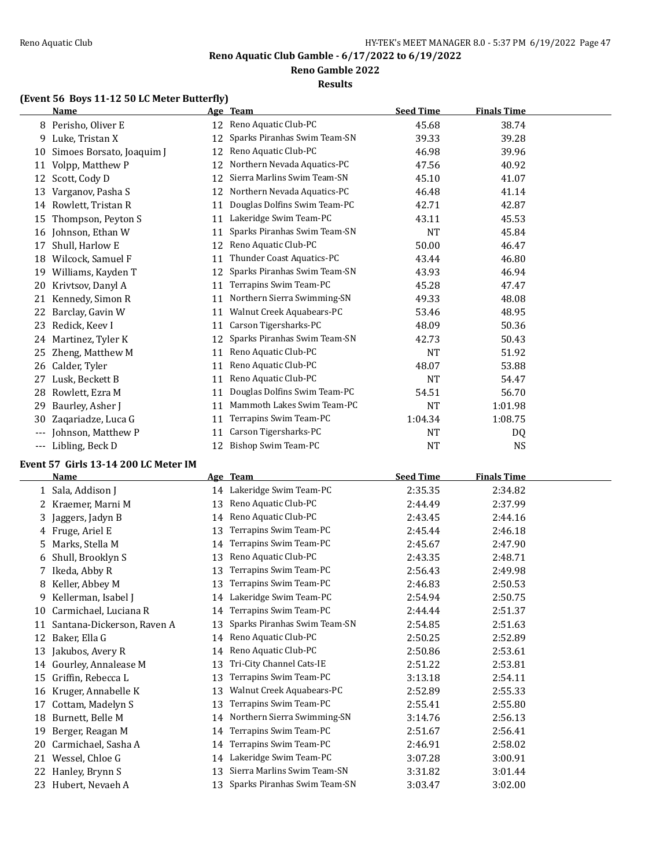### **Reno Gamble 2022**

#### **Results**

# **(Event 56 Boys 11-12 50 LC Meter Butterfly)**

|       | <b>Name</b>               |    | Age Team                     | <b>Seed Time</b> | <b>Finals Time</b> |  |
|-------|---------------------------|----|------------------------------|------------------|--------------------|--|
|       | 8 Perisho, Oliver E       | 12 | Reno Aquatic Club-PC         | 45.68            | 38.74              |  |
| 9     | Luke, Tristan X           | 12 | Sparks Piranhas Swim Team-SN | 39.33            | 39.28              |  |
| 10    | Simoes Borsato, Joaquim J | 12 | Reno Aquatic Club-PC         | 46.98            | 39.96              |  |
| 11    | Volpp, Matthew P          | 12 | Northern Nevada Aquatics-PC  | 47.56            | 40.92              |  |
| 12    | Scott, Cody D             | 12 | Sierra Marlins Swim Team-SN  | 45.10            | 41.07              |  |
| 13    | Varganov, Pasha S         | 12 | Northern Nevada Aquatics-PC  | 46.48            | 41.14              |  |
| 14    | Rowlett, Tristan R        | 11 | Douglas Dolfins Swim Team-PC | 42.71            | 42.87              |  |
| 15    | Thompson, Peyton S        | 11 | Lakeridge Swim Team-PC       | 43.11            | 45.53              |  |
| 16    | Johnson, Ethan W          | 11 | Sparks Piranhas Swim Team-SN | <b>NT</b>        | 45.84              |  |
| 17    | Shull, Harlow E           | 12 | Reno Aquatic Club-PC         | 50.00            | 46.47              |  |
| 18    | Wilcock, Samuel F         | 11 | Thunder Coast Aquatics-PC    | 43.44            | 46.80              |  |
| 19    | Williams, Kayden T        | 12 | Sparks Piranhas Swim Team-SN | 43.93            | 46.94              |  |
| 20    | Krivtsov, Danyl A         | 11 | Terrapins Swim Team-PC       | 45.28            | 47.47              |  |
| 21    | Kennedy, Simon R          | 11 | Northern Sierra Swimming-SN  | 49.33            | 48.08              |  |
| 22    | Barclay, Gavin W          | 11 | Walnut Creek Aquabears-PC    | 53.46            | 48.95              |  |
| 23    | Redick, Keev I            | 11 | Carson Tigersharks-PC        | 48.09            | 50.36              |  |
| 24    | Martinez, Tyler K         | 12 | Sparks Piranhas Swim Team-SN | 42.73            | 50.43              |  |
| 25    | Zheng, Matthew M          | 11 | Reno Aquatic Club-PC         | <b>NT</b>        | 51.92              |  |
| 26    | Calder, Tyler             | 11 | Reno Aquatic Club-PC         | 48.07            | 53.88              |  |
| 27    | Lusk, Beckett B           | 11 | Reno Aquatic Club-PC         | <b>NT</b>        | 54.47              |  |
| 28    | Rowlett, Ezra M           | 11 | Douglas Dolfins Swim Team-PC | 54.51            | 56.70              |  |
| 29    | Baurley, Asher J          | 11 | Mammoth Lakes Swim Team-PC   | NT               | 1:01.98            |  |
| 30    | Zaqariadze, Luca G        | 11 | Terrapins Swim Team-PC       | 1:04.34          | 1:08.75            |  |
| $---$ | Johnson, Matthew P        | 11 | Carson Tigersharks-PC        | NT               | DQ                 |  |
| ---   | Libling, Beck D           | 12 | Bishop Swim Team-PC          | <b>NT</b>        | <b>NS</b>          |  |

# **Event 57 Girls 13-14 200 LC Meter IM**

 $\overline{\phantom{a}}$ 

|    | <b>Name</b>                |    | Age Team                     | <b>Seed Time</b> | <b>Finals Time</b> |
|----|----------------------------|----|------------------------------|------------------|--------------------|
|    | Sala, Addison J            |    | 14 Lakeridge Swim Team-PC    | 2:35.35          | 2:34.82            |
| 2  | Kraemer, Marni M           | 13 | Reno Aquatic Club-PC         | 2:44.49          | 2:37.99            |
| 3  | Jaggers, Jadyn B           | 14 | Reno Aquatic Club-PC         | 2:43.45          | 2:44.16            |
| 4  | Fruge, Ariel E             | 13 | Terrapins Swim Team-PC       | 2:45.44          | 2:46.18            |
| 5  | Marks, Stella M            | 14 | Terrapins Swim Team-PC       | 2:45.67          | 2:47.90            |
| 6  | Shull, Brooklyn S          | 13 | Reno Aquatic Club-PC         | 2:43.35          | 2:48.71            |
|    | Ikeda, Abby R              | 13 | Terrapins Swim Team-PC       | 2:56.43          | 2:49.98            |
| 8  | Keller, Abbey M            | 13 | Terrapins Swim Team-PC       | 2:46.83          | 2:50.53            |
| 9  | Kellerman, Isabel J        | 14 | Lakeridge Swim Team-PC       | 2:54.94          | 2:50.75            |
| 10 | Carmichael, Luciana R      | 14 | Terrapins Swim Team-PC       | 2:44.44          | 2:51.37            |
| 11 | Santana-Dickerson, Raven A | 13 | Sparks Piranhas Swim Team-SN | 2:54.85          | 2:51.63            |
| 12 | Baker, Ella G              | 14 | Reno Aquatic Club-PC         | 2:50.25          | 2:52.89            |
| 13 | Jakubos, Avery R           | 14 | Reno Aquatic Club-PC         | 2:50.86          | 2:53.61            |
| 14 | Gourley, Annalease M       | 13 | Tri-City Channel Cats-IE     | 2:51.22          | 2:53.81            |
| 15 | Griffin, Rebecca L         | 13 | Terrapins Swim Team-PC       | 3:13.18          | 2:54.11            |
| 16 | Kruger, Annabelle K        | 13 | Walnut Creek Aquabears-PC    | 2:52.89          | 2:55.33            |
| 17 | Cottam, Madelyn S          | 13 | Terrapins Swim Team-PC       | 2:55.41          | 2:55.80            |
| 18 | Burnett, Belle M           | 14 | Northern Sierra Swimming-SN  | 3:14.76          | 2:56.13            |
| 19 | Berger, Reagan M           | 14 | Terrapins Swim Team-PC       | 2:51.67          | 2:56.41            |
| 20 | Carmichael, Sasha A        | 14 | Terrapins Swim Team-PC       | 2:46.91          | 2:58.02            |
| 21 | Wessel, Chloe G            | 14 | Lakeridge Swim Team-PC       | 3:07.28          | 3:00.91            |
| 22 | Hanley, Brynn S            | 13 | Sierra Marlins Swim Team-SN  | 3:31.82          | 3:01.44            |
| 23 | Hubert, Nevaeh A           | 13 | Sparks Piranhas Swim Team-SN | 3:03.47          | 3:02.00            |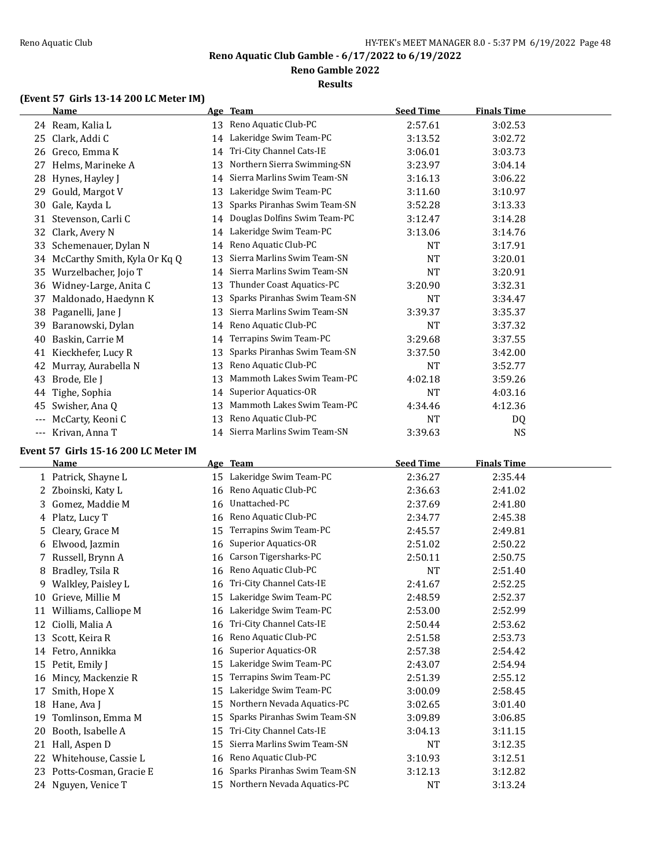### **Reno Gamble 2022**

**Results**

# **(Event 57 Girls 13-14 200 LC Meter IM)**

|       | <b>Name</b>                           |          | Age Team                                                | <b>Seed Time</b> | <b>Finals Time</b> |  |
|-------|---------------------------------------|----------|---------------------------------------------------------|------------------|--------------------|--|
|       | 24 Ream, Kalia L                      | 13       | Reno Aquatic Club-PC                                    | 2:57.61          | 3:02.53            |  |
| 25    | Clark, Addi C                         | 14       | Lakeridge Swim Team-PC                                  | 3:13.52          | 3:02.72            |  |
|       | 26 Greco, Emma K                      | 14       | Tri-City Channel Cats-IE                                | 3:06.01          | 3:03.73            |  |
| 27    | Helms, Marineke A                     | 13       | Northern Sierra Swimming-SN                             | 3:23.97          | 3:04.14            |  |
| 28    | Hynes, Hayley J                       | 14       | Sierra Marlins Swim Team-SN                             | 3:16.13          | 3:06.22            |  |
| 29    | Gould, Margot V                       | 13       | Lakeridge Swim Team-PC                                  | 3:11.60          | 3:10.97            |  |
| 30    | Gale, Kayda L                         | 13       | Sparks Piranhas Swim Team-SN                            | 3:52.28          | 3:13.33            |  |
| 31    | Stevenson, Carli C                    | 14       | Douglas Dolfins Swim Team-PC                            | 3:12.47          | 3:14.28            |  |
| 32    | Clark, Avery N                        | 14       | Lakeridge Swim Team-PC                                  | 3:13.06          | 3:14.76            |  |
| 33    | Schemenauer, Dylan N                  | 14       | Reno Aquatic Club-PC                                    | <b>NT</b>        | 3:17.91            |  |
| 34    | McCarthy Smith, Kyla Or Kq Q          | 13       | Sierra Marlins Swim Team-SN                             | <b>NT</b>        | 3:20.01            |  |
| 35    | Wurzelbacher, Jojo T                  | 14       | Sierra Marlins Swim Team-SN                             | <b>NT</b>        | 3:20.91            |  |
| 36    | Widney-Large, Anita C                 | 13       | Thunder Coast Aquatics-PC                               | 3:20.90          | 3:32.31            |  |
| 37    | Maldonado, Haedynn K                  | 13       | Sparks Piranhas Swim Team-SN                            | <b>NT</b>        | 3:34.47            |  |
| 38    | Paganelli, Jane J                     | 13       | Sierra Marlins Swim Team-SN                             | 3:39.37          | 3:35.37            |  |
| 39    | Baranowski, Dylan                     | 14       | Reno Aquatic Club-PC                                    | NT               | 3:37.32            |  |
| 40    | Baskin, Carrie M                      | 14       | Terrapins Swim Team-PC                                  | 3:29.68          | 3:37.55            |  |
|       | 41 Kieckhefer, Lucy R                 | 13       | Sparks Piranhas Swim Team-SN                            | 3:37.50          | 3:42.00            |  |
| 42    | Murray, Aurabella N                   | 13       | Reno Aquatic Club-PC                                    | NT               | 3:52.77            |  |
| 43    | Brode, Ele J                          | 13       | Mammoth Lakes Swim Team-PC                              | 4:02.18          | 3:59.26            |  |
| 44    | Tighe, Sophia                         | 14       | Superior Aquatics-OR                                    | <b>NT</b>        | 4:03.16            |  |
| 45    | Swisher, Ana Q                        | 13       | Mammoth Lakes Swim Team-PC                              | 4:34.46          | 4:12.36            |  |
| $---$ | McCarty, Keoni C                      | 13       | Reno Aquatic Club-PC                                    | <b>NT</b>        | DQ                 |  |
|       | --- Krivan, Anna T                    |          | 14 Sierra Marlins Swim Team-SN                          | 3:39.63          | <b>NS</b>          |  |
|       | Event 57 Girls 15-16 200 LC Meter IM  |          |                                                         |                  |                    |  |
|       | <u>Name</u>                           |          | Age Team                                                | <b>Seed Time</b> | <b>Finals Time</b> |  |
|       | 1 Patrick, Shayne L                   | 15       | Lakeridge Swim Team-PC                                  | 2:36.27          | 2:35.44            |  |
|       | 2 Zboinski, Katy L                    | 16       | Reno Aquatic Club-PC                                    | 2:36.63          | 2:41.02            |  |
| 3     | Gomez, Maddie M                       | 16       | Unattached-PC                                           | 2:37.69          | 2:41.80            |  |
| 4     | Platz, Lucy T                         | 16       | Reno Aquatic Club-PC                                    | 2:34.77          | 2:45.38            |  |
| 5     | Cleary, Grace M                       | 15       | Terrapins Swim Team-PC                                  | 2:45.57          | 2:49.81            |  |
| 6     | Elwood, Jazmin                        | 16       | <b>Superior Aquatics-OR</b>                             | 2:51.02          | 2:50.22            |  |
| 7     | Russell, Brynn A                      | 16       | Carson Tigersharks-PC                                   | 2:50.11          | 2:50.75            |  |
| 8     | Bradley, Tsila R                      | 16       | Reno Aquatic Club-PC                                    | NT               | 2:51.40            |  |
|       | 9 Walkley, Paisley L                  |          | 16 Tri-City Channel Cats-IE                             | 2:41.67          | 2:52.25            |  |
|       | 10 Grieve, Millie M                   |          | 15 Lakeridge Swim Team-PC                               | 2:48.59          | 2:52.37            |  |
|       | 11 Williams, Calliope M               |          | 16 Lakeridge Swim Team-PC                               | 2:53.00          | 2:52.99            |  |
|       | 12 Ciolli, Malia A                    | 16       | Tri-City Channel Cats-IE                                | 2:50.44          | 2:53.62            |  |
|       | 13 Scott, Keira R                     | 16       | Reno Aquatic Club-PC                                    | 2:51.58          | 2:53.73            |  |
|       | 14 Fetro, Annikka                     | 16       | <b>Superior Aquatics-OR</b>                             | 2:57.38          | 2:54.42            |  |
| 15    | Petit, Emily J                        | 15       | Lakeridge Swim Team-PC                                  | 2:43.07          | 2:54.94            |  |
| 16    | Mincy, Mackenzie R                    | 15       | Terrapins Swim Team-PC                                  | 2:51.39          | 2:55.12            |  |
| 17    |                                       |          |                                                         |                  | 2:58.45            |  |
|       |                                       |          |                                                         |                  |                    |  |
|       | Smith, Hope X                         | 15       | Lakeridge Swim Team-PC                                  | 3:00.09          |                    |  |
| 18    | Hane, Ava J                           | 15       | Northern Nevada Aquatics-PC                             | 3:02.65          | 3:01.40            |  |
| 19    | Tomlinson, Emma M                     | 15       | Sparks Piranhas Swim Team-SN                            | 3:09.89          | 3:06.85            |  |
| 20    | Booth, Isabelle A<br>21 Hall, Aspen D | 15<br>15 | Tri-City Channel Cats-IE<br>Sierra Marlins Swim Team-SN | 3:04.13<br>NT    | 3:11.15<br>3:12.35 |  |

23 Potts-Cosman, Gracie E 16 Sparks Piranhas Swim Team-SN 3:12.13 3:12.82 24 Nguyen, Venice T 15 Northern Nevada Aquatics-PC NT 3:13.24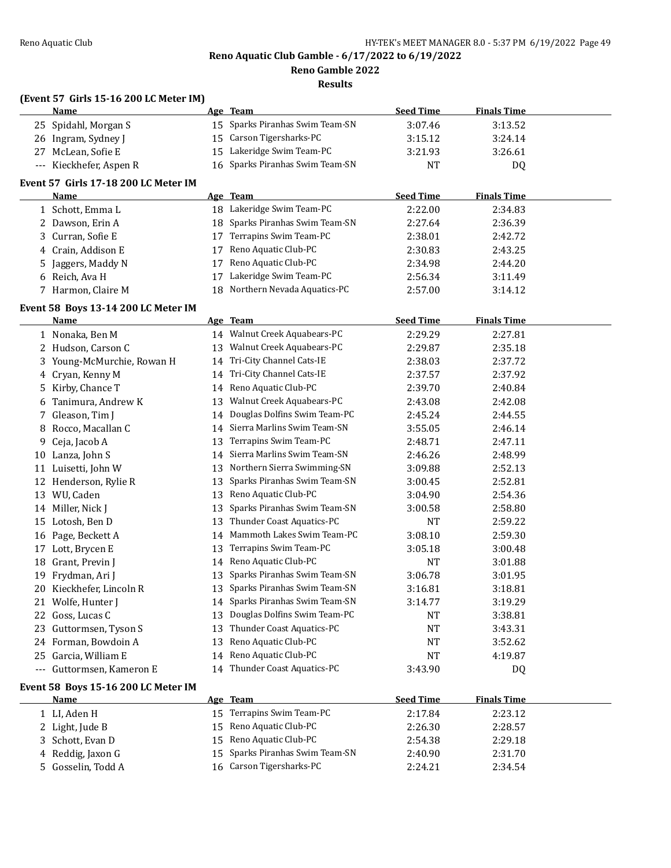$\overline{\phantom{0}}$ 

**Reno Aquatic Club Gamble - 6/17/2022 to 6/19/2022**

**Reno Gamble 2022**

**Results**

### **(Event 57 Girls 15-16 200 LC Meter IM)**

| <b>Name</b>             | Age Team                        | <b>Seed Time</b> | <b>Finals Time</b> |  |
|-------------------------|---------------------------------|------------------|--------------------|--|
| 25 Spidahl, Morgan S    | 15 Sparks Piranhas Swim Team-SN | 3:07.46          | 3:13.52            |  |
| 26 Ingram, Sydney J     | 15 Carson Tigersharks-PC        | 3:15.12          | 3:24.14            |  |
| 27 McLean, Sofie E      | 15 Lakeridge Swim Team-PC       | 3:21.93          | 3:26.61            |  |
| --- Kieckhefer, Aspen R | 16 Sparks Piranhas Swim Team-SN | NT               | D <sub>0</sub>     |  |

### **Event 57 Girls 17-18 200 LC Meter IM**

| Name               |                    |    | Age Team                        | <b>Seed Time</b> | <b>Finals Time</b> |  |
|--------------------|--------------------|----|---------------------------------|------------------|--------------------|--|
| 1 Schott, Emma L   |                    |    | 18 Lakeridge Swim Team-PC       | 2:22.00          | 2:34.83            |  |
| 2 Dawson, Erin A   |                    |    | 18 Sparks Piranhas Swim Team-SN | 2:27.64          | 2:36.39            |  |
| 3 Curran, Sofie E  |                    | 17 | Terrapins Swim Team-PC          | 2:38.01          | 2:42.72            |  |
| 4 Crain, Addison E |                    | 17 | Reno Aquatic Club-PC            | 2:30.83          | 2:43.25            |  |
|                    | 5 Jaggers, Maddy N | 17 | Reno Aquatic Club-PC            | 2:34.98          | 2:44.20            |  |
| 6 Reich. Ava H     |                    |    | Lakeridge Swim Team-PC          | 2:56.34          | 3:11.49            |  |
|                    | 7 Harmon, Claire M |    | 18 Northern Nevada Aquatics-PC  | 2:57.00          | 3:14.12            |  |

### **Event 58 Boys 13-14 200 LC Meter IM**

|     | <b>Name</b>                         |    | Age Team                     | <b>Seed Time</b> | <b>Finals Time</b> |  |
|-----|-------------------------------------|----|------------------------------|------------------|--------------------|--|
|     | 1 Nonaka, Ben M                     |    | 14 Walnut Creek Aquabears-PC | 2:29.29          | 2:27.81            |  |
| 2   | Hudson, Carson C                    | 13 | Walnut Creek Aquabears-PC    | 2:29.87          | 2:35.18            |  |
| 3   | Young-McMurchie, Rowan H            | 14 | Tri-City Channel Cats-IE     | 2:38.03          | 2:37.72            |  |
| 4   | Cryan, Kenny M                      | 14 | Tri-City Channel Cats-IE     | 2:37.57          | 2:37.92            |  |
| 5   | Kirby, Chance T                     | 14 | Reno Aquatic Club-PC         | 2:39.70          | 2:40.84            |  |
| 6   | Tanimura, Andrew K                  | 13 | Walnut Creek Aquabears-PC    | 2:43.08          | 2:42.08            |  |
| 7   | Gleason, Tim J                      | 14 | Douglas Dolfins Swim Team-PC | 2:45.24          | 2:44.55            |  |
| 8   | Rocco, Macallan C                   | 14 | Sierra Marlins Swim Team-SN  | 3:55.05          | 2:46.14            |  |
| 9   | Ceja, Jacob A                       | 13 | Terrapins Swim Team-PC       | 2:48.71          | 2:47.11            |  |
| 10  | Lanza, John S                       | 14 | Sierra Marlins Swim Team-SN  | 2:46.26          | 2:48.99            |  |
| 11  | Luisetti, John W                    | 13 | Northern Sierra Swimming-SN  | 3:09.88          | 2:52.13            |  |
| 12  | Henderson, Rylie R                  | 13 | Sparks Piranhas Swim Team-SN | 3:00.45          | 2:52.81            |  |
| 13  | WU, Caden                           | 13 | Reno Aquatic Club-PC         | 3:04.90          | 2:54.36            |  |
| 14  | Miller, Nick J                      | 13 | Sparks Piranhas Swim Team-SN | 3:00.58          | 2:58.80            |  |
| 15  | Lotosh, Ben D                       | 13 | Thunder Coast Aquatics-PC    | <b>NT</b>        | 2:59.22            |  |
| 16  | Page, Beckett A                     | 14 | Mammoth Lakes Swim Team-PC   | 3:08.10          | 2:59.30            |  |
| 17  | Lott, Brycen E                      | 13 | Terrapins Swim Team-PC       | 3:05.18          | 3:00.48            |  |
| 18  | Grant, Previn J                     | 14 | Reno Aquatic Club-PC         | <b>NT</b>        | 3:01.88            |  |
| 19  | Frydman, Ari J                      | 13 | Sparks Piranhas Swim Team-SN | 3:06.78          | 3:01.95            |  |
| 20  | Kieckhefer, Lincoln R               | 13 | Sparks Piranhas Swim Team-SN | 3:16.81          | 3:18.81            |  |
| 21  | Wolfe, Hunter I                     | 14 | Sparks Piranhas Swim Team-SN | 3:14.77          | 3:19.29            |  |
| 22  | Goss, Lucas C                       | 13 | Douglas Dolfins Swim Team-PC | <b>NT</b>        | 3:38.81            |  |
| 23  | Guttormsen, Tyson S                 | 13 | Thunder Coast Aquatics-PC    | <b>NT</b>        | 3:43.31            |  |
| 24  | Forman, Bowdoin A                   | 13 | Reno Aquatic Club-PC         | <b>NT</b>        | 3:52.62            |  |
| 25  | Garcia, William E                   | 14 | Reno Aquatic Club-PC         | <b>NT</b>        | 4:19.87            |  |
| --- | Guttormsen, Kameron E               | 14 | Thunder Coast Aquatics-PC    | 3:43.90          | DQ                 |  |
|     | Event 58 Boys 15-16 200 LC Meter IM |    |                              |                  |                    |  |
|     | Name                                |    | Age Team                     | <b>Seed Time</b> | <b>Finals Time</b> |  |
|     | 1 LI, Aden H                        | 15 | Terrapins Swim Team-PC       | 2:17.84          | 2:23.12            |  |
|     | 2 Light, Jude B                     | 15 | Reno Aquatic Club-PC         | 2:26.30          | 2:28.57            |  |
| 3   | Schott, Evan D                      | 15 | Reno Aquatic Club-PC         | 2:54.38          | 2:29.18            |  |

 Reddig, Jaxon G 15 Sparks Piranhas Swim Team-SN 2:40.90 2:31.70 Gosselin, Todd A 16 Carson Tigersharks-PC 2:24.21 2:34.54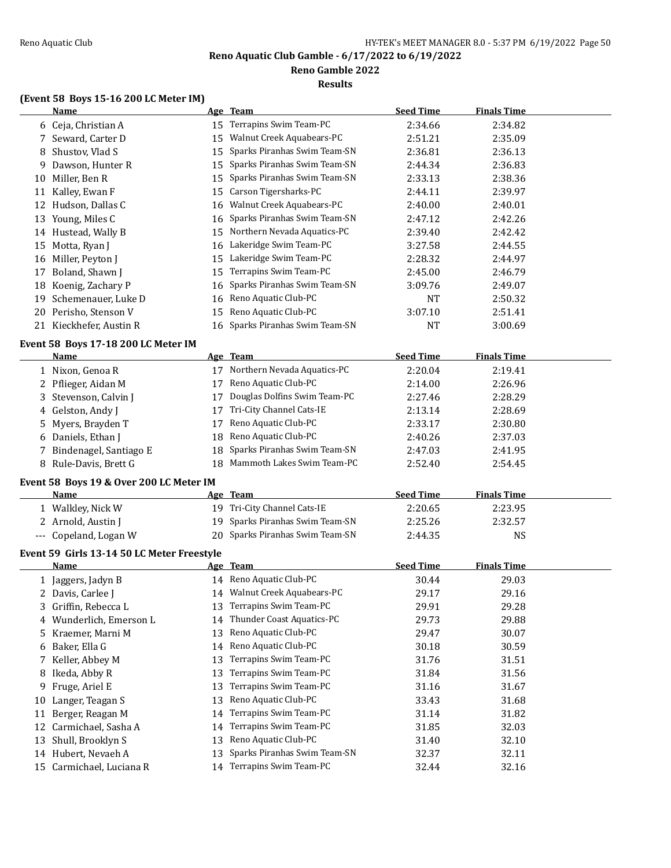# **Reno Gamble 2022**

**Results**

### **(Event 58 Boys 15-16 200 LC Meter IM)**

|    | <b>Name</b>                                |          | Age Team                                   | <b>Seed Time</b> | <b>Finals Time</b> |  |
|----|--------------------------------------------|----------|--------------------------------------------|------------------|--------------------|--|
|    | 6 Ceja, Christian A                        |          | 15 Terrapins Swim Team-PC                  | 2:34.66          | 2:34.82            |  |
|    | 7 Seward, Carter D                         | 15       | Walnut Creek Aquabears-PC                  | 2:51.21          | 2:35.09            |  |
| 8  | Shustov, Vlad S                            | 15       | Sparks Piranhas Swim Team-SN               | 2:36.81          | 2:36.13            |  |
| 9  | Dawson, Hunter R                           | 15       | Sparks Piranhas Swim Team-SN               | 2:44.34          | 2:36.83            |  |
| 10 | Miller, Ben R                              | 15       | Sparks Piranhas Swim Team-SN               | 2:33.13          | 2:38.36            |  |
|    | 11 Kalley, Ewan F                          | 15       | Carson Tigersharks-PC                      | 2:44.11          | 2:39.97            |  |
|    | 12 Hudson, Dallas C                        | 16       | Walnut Creek Aquabears-PC                  | 2:40.00          | 2:40.01            |  |
|    | 13 Young, Miles C                          | 16       | Sparks Piranhas Swim Team-SN               | 2:47.12          | 2:42.26            |  |
|    | 14 Hustead, Wally B                        | 15       | Northern Nevada Aquatics-PC                | 2:39.40          | 2:42.42            |  |
|    | 15 Motta, Ryan J                           | 16       | Lakeridge Swim Team-PC                     | 3:27.58          | 2:44.55            |  |
|    | 16 Miller, Peyton J                        | 15       | Lakeridge Swim Team-PC                     | 2:28.32          | 2:44.97            |  |
| 17 | Boland, Shawn J                            | 15       | Terrapins Swim Team-PC                     | 2:45.00          | 2:46.79            |  |
| 18 | Koenig, Zachary P                          | 16       | Sparks Piranhas Swim Team-SN               | 3:09.76          | 2:49.07            |  |
| 19 | Schemenauer, Luke D                        | 16       | Reno Aquatic Club-PC                       | <b>NT</b>        | 2:50.32            |  |
| 20 | Perisho, Stenson V                         | 15       | Reno Aquatic Club-PC                       | 3:07.10          | 2:51.41            |  |
|    | 21 Kieckhefer, Austin R                    |          | 16 Sparks Piranhas Swim Team-SN            | <b>NT</b>        | 3:00.69            |  |
|    |                                            |          |                                            |                  |                    |  |
|    | Event 58 Boys 17-18 200 LC Meter IM        |          |                                            |                  |                    |  |
|    | <u>Name</u>                                |          | Age Team<br>17 Northern Nevada Aquatics-PC | <b>Seed Time</b> | <b>Finals Time</b> |  |
|    | 1 Nixon, Genoa R                           |          | Reno Aquatic Club-PC                       | 2:20.04          | 2:19.41            |  |
|    | 2 Pflieger, Aidan M                        | 17       | Douglas Dolfins Swim Team-PC               | 2:14.00          | 2:26.96            |  |
| 3  | Stevenson, Calvin J                        | 17<br>17 |                                            | 2:27.46          | 2:28.29            |  |
| 4  | Gelston, Andy J                            |          | Tri-City Channel Cats-IE                   | 2:13.14          | 2:28.69            |  |
| 5  | Myers, Brayden T                           | 17       | Reno Aquatic Club-PC                       | 2:33.17          | 2:30.80            |  |
|    | 6 Daniels, Ethan J                         | 18       | Reno Aquatic Club-PC                       | 2:40.26          | 2:37.03            |  |
|    | Bindenagel, Santiago E                     | 18       | Sparks Piranhas Swim Team-SN               | 2:47.03          | 2:41.95            |  |
|    | 8 Rule-Davis, Brett G                      |          | 18 Mammoth Lakes Swim Team-PC              | 2:52.40          | 2:54.45            |  |
|    | Event 58 Boys 19 & Over 200 LC Meter IM    |          |                                            |                  |                    |  |
|    | Name                                       |          | Age Team                                   | <b>Seed Time</b> | <b>Finals Time</b> |  |
|    | 1 Walkley, Nick W                          |          | 19 Tri-City Channel Cats-IE                | 2:20.65          | 2:23.95            |  |
|    | 2 Arnold, Austin J                         | 19       | Sparks Piranhas Swim Team-SN               | 2:25.26          | 2:32.57            |  |
|    | --- Copeland, Logan W                      |          | 20 Sparks Piranhas Swim Team-SN            | 2:44.35          | <b>NS</b>          |  |
|    | Event 59 Girls 13-14 50 LC Meter Freestyle |          |                                            |                  |                    |  |
|    | <u>Name</u>                                |          | Age Team                                   | <b>Seed Time</b> | <b>Finals Time</b> |  |
|    | 1 Jaggers, Jadyn B                         |          | 14 Reno Aquatic Club-PC                    | 30.44            | 29.03              |  |
|    | 2 Davis, Carlee J                          |          | 14 Walnut Creek Aquabears-PC               | 29.17            | 29.16              |  |
|    | 3 Griffin, Rebecca L                       | 13       | Terrapins Swim Team-PC                     | 29.91            | 29.28              |  |
|    | 4 Wunderlich, Emerson L                    | 14       | Thunder Coast Aquatics-PC                  | 29.73            | 29.88              |  |
| 5. | Kraemer, Marni M                           | 13       | Reno Aquatic Club-PC                       | 29.47            | 30.07              |  |
|    | 6 Baker, Ella G                            | 14       | Reno Aquatic Club-PC                       | 30.18            | 30.59              |  |
| 7. | Keller, Abbey M                            | 13       | Terrapins Swim Team-PC                     | 31.76            | 31.51              |  |
| 8  | Ikeda, Abby R                              | 13       | Terrapins Swim Team-PC                     | 31.84            | 31.56              |  |
| 9  | Fruge, Ariel E                             | 13       | Terrapins Swim Team-PC                     | 31.16            | 31.67              |  |
| 10 | Langer, Teagan S                           | 13       | Reno Aquatic Club-PC                       | 33.43            | 31.68              |  |
| 11 | Berger, Reagan M                           | 14       | Terrapins Swim Team-PC                     | 31.14            | 31.82              |  |
| 12 | Carmichael, Sasha A                        | 14       | Terrapins Swim Team-PC                     | 31.85            | 32.03              |  |
| 13 | Shull, Brooklyn S                          | 13       | Reno Aquatic Club-PC                       | 31.40            | 32.10              |  |
|    | 14 Hubert, Nevaeh A                        | 13       | Sparks Piranhas Swim Team-SN               | 32.37            | 32.11              |  |
|    | 15 Carmichael, Luciana R                   | 14       | Terrapins Swim Team-PC                     | 32.44            | 32.16              |  |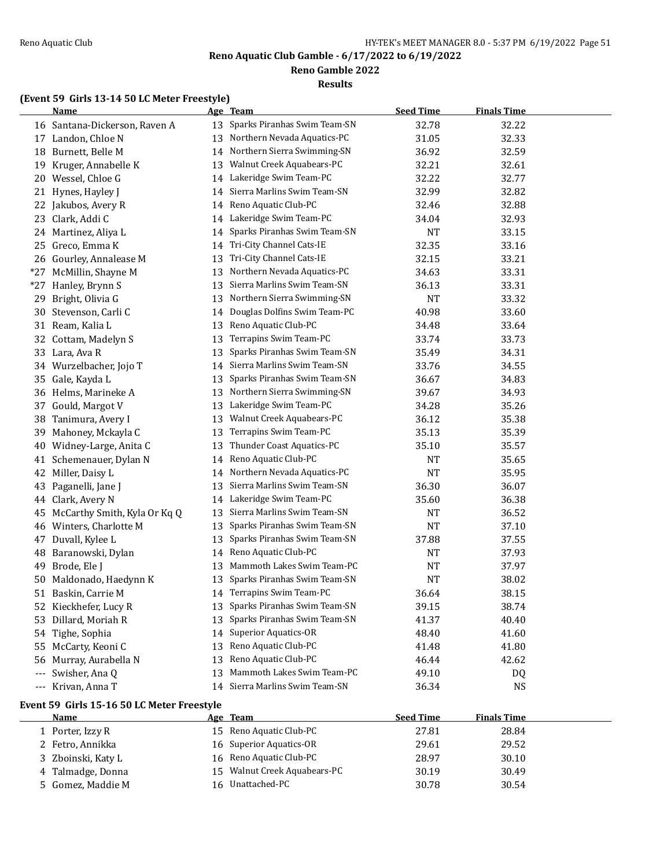**Reno Gamble 2022**

**Results**

# **(Event 59 Girls 13-14 50 LC Meter Freestyle)**

|          | <b>Name</b>                                |          | Age Team                       | <b>Seed Time</b>       | <b>Finals Time</b> |  |
|----------|--------------------------------------------|----------|--------------------------------|------------------------|--------------------|--|
|          | 16 Santana-Dickerson, Raven A              | 13       | Sparks Piranhas Swim Team-SN   | 32.78                  | 32.22              |  |
| 17       | Landon, Chloe N                            | 13       | Northern Nevada Aquatics-PC    | 31.05                  | 32.33              |  |
| 18       | Burnett, Belle M                           | 14       | Northern Sierra Swimming-SN    | 36.92                  | 32.59              |  |
| 19       | Kruger, Annabelle K                        | 13       | Walnut Creek Aquabears-PC      | 32.21                  | 32.61              |  |
| 20       | Wessel, Chloe G                            | 14       | Lakeridge Swim Team-PC         | 32.22                  | 32.77              |  |
|          | 21 Hynes, Hayley J                         | 14       | Sierra Marlins Swim Team-SN    | 32.99                  | 32.82              |  |
| 22       | Jakubos, Avery R                           | 14       | Reno Aquatic Club-PC           | 32.46                  | 32.88              |  |
| 23       | Clark, Addi C                              | 14       | Lakeridge Swim Team-PC         | 34.04                  | 32.93              |  |
| 24       | Martinez, Aliya L                          | 14       | Sparks Piranhas Swim Team-SN   | NT                     | 33.15              |  |
| 25       | Greco, Emma K                              | 14       | Tri-City Channel Cats-IE       | 32.35                  | 33.16              |  |
|          | 26 Gourley, Annalease M                    | 13       | Tri-City Channel Cats-IE       | 32.15                  | 33.21              |  |
| $*27$    | McMillin, Shayne M                         | 13       | Northern Nevada Aquatics-PC    | 34.63                  | 33.31              |  |
| $*27$    | Hanley, Brynn S                            | 13       | Sierra Marlins Swim Team-SN    | 36.13                  | 33.31              |  |
| 29       | Bright, Olivia G                           | 13       | Northern Sierra Swimming-SN    | <b>NT</b>              | 33.32              |  |
| 30       | Stevenson, Carli C                         | 14       | Douglas Dolfins Swim Team-PC   | 40.98                  | 33.60              |  |
| 31       | Ream, Kalia L                              | 13       | Reno Aquatic Club-PC           | 34.48                  | 33.64              |  |
| 32       | Cottam, Madelyn S                          | 13       | Terrapins Swim Team-PC         | 33.74                  | 33.73              |  |
| 33       | Lara, Ava R                                | 13       | Sparks Piranhas Swim Team-SN   | 35.49                  | 34.31              |  |
| 34       | Wurzelbacher, Jojo T                       | 14       | Sierra Marlins Swim Team-SN    | 33.76                  | 34.55              |  |
| 35       | Gale, Kayda L                              | 13       | Sparks Piranhas Swim Team-SN   | 36.67                  | 34.83              |  |
| 36       | Helms, Marineke A                          | 13       | Northern Sierra Swimming-SN    | 39.67                  | 34.93              |  |
| 37       | Gould, Margot V                            | 13       | Lakeridge Swim Team-PC         | 34.28                  | 35.26              |  |
| 38       | Tanimura, Avery I                          | 13       | Walnut Creek Aquabears-PC      | 36.12                  | 35.38              |  |
| 39       | Mahoney, Mckayla C                         | 13       | Terrapins Swim Team-PC         | 35.13                  | 35.39              |  |
| 40       | Widney-Large, Anita C                      | 13       | Thunder Coast Aquatics-PC      | 35.10                  | 35.57              |  |
| 41       | Schemenauer, Dylan N                       | 14       | Reno Aquatic Club-PC           | NT                     | 35.65              |  |
| 42       | Miller, Daisy L                            | 14       | Northern Nevada Aquatics-PC    | <b>NT</b>              | 35.95              |  |
| 43       | Paganelli, Jane J                          | 13       | Sierra Marlins Swim Team-SN    | 36.30                  | 36.07              |  |
| 44       | Clark, Avery N                             | 14       | Lakeridge Swim Team-PC         | 35.60                  | 36.38              |  |
|          | McCarthy Smith, Kyla Or Kq Q               | 13       | Sierra Marlins Swim Team-SN    |                        | 36.52              |  |
| 45<br>46 | Winters, Charlotte M                       | 13       | Sparks Piranhas Swim Team-SN   | <b>NT</b><br><b>NT</b> | 37.10              |  |
|          |                                            |          | Sparks Piranhas Swim Team-SN   |                        |                    |  |
| 47       | Duvall, Kylee L                            | 13       | Reno Aquatic Club-PC           | 37.88                  | 37.55              |  |
| 48       | Baranowski, Dylan                          | 14       | Mammoth Lakes Swim Team-PC     | NT                     | 37.93              |  |
| 49       | Brode, Ele J                               | 13<br>13 | Sparks Piranhas Swim Team-SN   | <b>NT</b><br><b>NT</b> | 37.97<br>38.02     |  |
| 50       | Maldonado, Haedynn K                       |          | Terrapins Swim Team-PC         |                        |                    |  |
| 51       | Baskin, Carrie M                           | 14       | Sparks Piranhas Swim Team-SN   | 36.64                  | 38.15<br>38.74     |  |
|          | 52 Kieckhefer, Lucy R                      | 13       | Sparks Piranhas Swim Team-SN   | 39.15                  |                    |  |
| 53       | Dillard, Moriah R                          | 13       | <b>Superior Aquatics-OR</b>    | 41.37                  | 40.40              |  |
| 54       | Tighe, Sophia                              | 14       | Reno Aquatic Club-PC           | 48.40                  | 41.60              |  |
| 55       | McCarty, Keoni C                           | 13       | Reno Aquatic Club-PC           | 41.48                  | 41.80              |  |
| 56       | Murray, Aurabella N                        | 13       | Mammoth Lakes Swim Team-PC     | 46.44                  | 42.62              |  |
| $---$    | Swisher, Ana Q                             | 13       |                                | 49.10                  | DQ                 |  |
| $\cdots$ | Krivan, Anna T                             |          | 14 Sierra Marlins Swim Team-SN | 36.34                  | <b>NS</b>          |  |
|          | Event 59 Girls 15-16 50 LC Meter Freestyle |          |                                |                        |                    |  |
|          | <u>Name</u>                                |          | Age Team                       | <b>Seed Time</b>       | <b>Finals Time</b> |  |
|          | 1 Porter, Izzy R                           | 15       | Reno Aquatic Club-PC           | 27.81                  | 28.84              |  |
|          | 2 Fetro, Annikka                           | 16       | Superior Aquatics-OR           | 29.61                  | 29.52              |  |
| 3        | Zboinski, Katy L                           | 16       | Reno Aquatic Club-PC           | 28.97                  | 30.10              |  |
| 4        | Talmadge, Donna                            | 15       | Walnut Creek Aquabears-PC      | 30.19                  | 30.49              |  |
| 5        | Gomez, Maddie M                            |          | 16 Unattached-PC               | 30.78                  | 30.54              |  |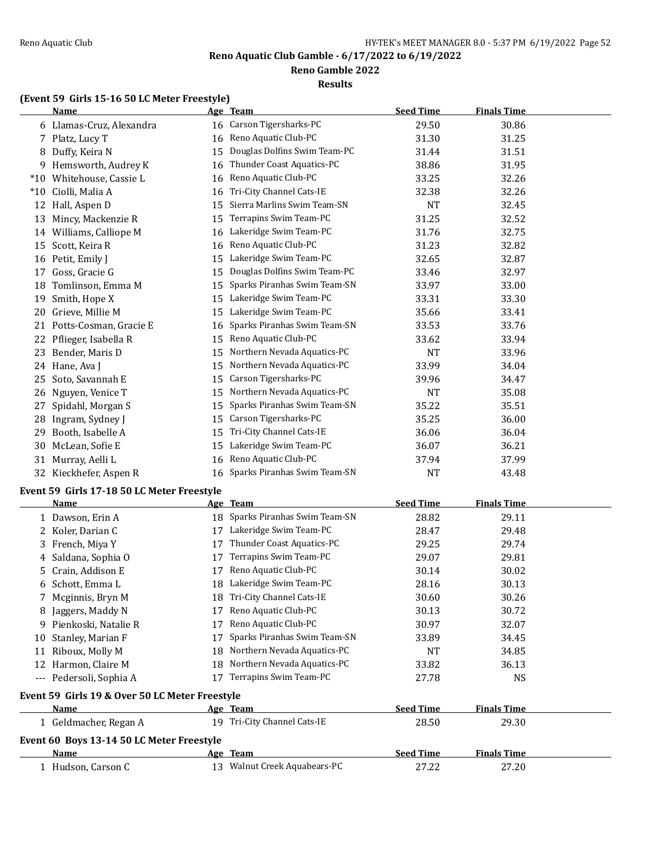**Reno Gamble 2022**

#### **Results**

# **(Event 59 Girls 15-16 50 LC Meter Freestyle)**

|        | <b>Name</b>                                    |    | Age Team                     | <b>Seed Time</b> | <b>Finals Time</b> |  |
|--------|------------------------------------------------|----|------------------------------|------------------|--------------------|--|
|        | 6 Llamas-Cruz, Alexandra                       | 16 | Carson Tigersharks-PC        | 29.50            | 30.86              |  |
|        | 7 Platz, Lucy T                                | 16 | Reno Aquatic Club-PC         | 31.30            | 31.25              |  |
| 8      | Duffy, Keira N                                 | 15 | Douglas Dolfins Swim Team-PC | 31.44            | 31.51              |  |
| 9      | Hemsworth, Audrey K                            | 16 | Thunder Coast Aquatics-PC    | 38.86            | 31.95              |  |
| $^*10$ | Whitehouse, Cassie L                           | 16 | Reno Aquatic Club-PC         | 33.25            | 32.26              |  |
| $*10$  | Ciolli, Malia A                                | 16 | Tri-City Channel Cats-IE     | 32.38            | 32.26              |  |
| 12     | Hall, Aspen D                                  | 15 | Sierra Marlins Swim Team-SN  | NT               | 32.45              |  |
| 13     | Mincy, Mackenzie R                             | 15 | Terrapins Swim Team-PC       | 31.25            | 32.52              |  |
|        | 14 Williams, Calliope M                        | 16 | Lakeridge Swim Team-PC       | 31.76            | 32.75              |  |
| 15     | Scott, Keira R                                 | 16 | Reno Aquatic Club-PC         | 31.23            | 32.82              |  |
| 16     | Petit, Emily J                                 | 15 | Lakeridge Swim Team-PC       | 32.65            | 32.87              |  |
| 17     | Goss, Gracie G                                 | 15 | Douglas Dolfins Swim Team-PC | 33.46            | 32.97              |  |
| 18     | Tomlinson, Emma M                              | 15 | Sparks Piranhas Swim Team-SN | 33.97            | 33.00              |  |
| 19     | Smith, Hope X                                  | 15 | Lakeridge Swim Team-PC       | 33.31            | 33.30              |  |
| 20     | Grieve, Millie M                               | 15 | Lakeridge Swim Team-PC       | 35.66            | 33.41              |  |
| 21     | Potts-Cosman, Gracie E                         | 16 | Sparks Piranhas Swim Team-SN | 33.53            | 33.76              |  |
| 22     | Pflieger, Isabella R                           | 15 | Reno Aquatic Club-PC         | 33.62            | 33.94              |  |
| 23     | Bender, Maris D                                | 15 | Northern Nevada Aquatics-PC  | <b>NT</b>        | 33.96              |  |
| 24     | Hane, Ava J                                    | 15 | Northern Nevada Aquatics-PC  | 33.99            | 34.04              |  |
| 25     | Soto, Savannah E                               | 15 | Carson Tigersharks-PC        | 39.96            | 34.47              |  |
| 26     | Nguyen, Venice T                               | 15 | Northern Nevada Aquatics-PC  | NT               | 35.08              |  |
| 27     | Spidahl, Morgan S                              | 15 | Sparks Piranhas Swim Team-SN | 35.22            | 35.51              |  |
| 28     | Ingram, Sydney J                               | 15 | Carson Tigersharks-PC        | 35.25            | 36.00              |  |
| 29     | Booth, Isabelle A                              | 15 | Tri-City Channel Cats-IE     | 36.06            | 36.04              |  |
| 30     | McLean, Sofie E                                | 15 | Lakeridge Swim Team-PC       | 36.07            | 36.21              |  |
| 31     | Murray, Aelli L                                | 16 | Reno Aquatic Club-PC         | 37.94            | 37.99              |  |
|        | 32 Kieckhefer, Aspen R                         | 16 | Sparks Piranhas Swim Team-SN | NT               | 43.48              |  |
|        | Event 59 Girls 17-18 50 LC Meter Freestyle     |    |                              |                  |                    |  |
|        | <u>Name</u>                                    |    | Age Team                     | <b>Seed Time</b> | <b>Finals Time</b> |  |
|        | 1 Dawson, Erin A                               | 18 | Sparks Piranhas Swim Team-SN | 28.82            | 29.11              |  |
|        | 2 Koler, Darian C                              | 17 | Lakeridge Swim Team-PC       | 28.47            | 29.48              |  |
| 3      | French, Miya Y                                 | 17 | Thunder Coast Aquatics-PC    | 29.25            | 29.74              |  |
| 4      | Saldana, Sophia O                              | 17 | Terrapins Swim Team-PC       | 29.07            | 29.81              |  |
| 5      | Crain, Addison E                               | 17 | Reno Aquatic Club-PC         | 30.14            | 30.02              |  |
| 6      | Schott, Emma L                                 |    | 18 Lakeridge Swim Team-PC    | 28.16            | 30.13              |  |
|        | Mcginnis, Bryn M                               |    | 18 Tri-City Channel Cats-IE  | 30.60            | 30.26              |  |
|        | 8 Jaggers, Maddy N                             |    | 17 Reno Aquatic Club-PC      | 30.13            | 30.72              |  |
| 9.     | Pienkoski, Natalie R                           | 17 | Reno Aquatic Club-PC         | 30.97            | 32.07              |  |
| 10     | Stanley, Marian F                              | 17 | Sparks Piranhas Swim Team-SN | 33.89            | 34.45              |  |
|        | 11 Riboux, Molly M                             | 18 | Northern Nevada Aquatics-PC  | <b>NT</b>        | 34.85              |  |
|        | 12 Harmon, Claire M                            | 18 | Northern Nevada Aquatics-PC  | 33.82            | 36.13              |  |
|        | --- Pedersoli, Sophia A                        | 17 | Terrapins Swim Team-PC       | 27.78            | <b>NS</b>          |  |
|        | Event 59 Girls 19 & Over 50 LC Meter Freestyle |    |                              |                  |                    |  |
|        | Name                                           |    | Age Team                     | <b>Seed Time</b> | <b>Finals Time</b> |  |
|        | 1 Geldmacher, Regan A                          |    | 19 Tri-City Channel Cats-IE  | 28.50            | 29.30              |  |

| <b>Event 60 Boys 13-14 50 LC Meter Freestyle</b> |                              |                  |                    |  |  |
|--------------------------------------------------|------------------------------|------------------|--------------------|--|--|
| <b>Name</b>                                      | Age Team                     | <b>Seed Time</b> | <b>Finals Time</b> |  |  |
| Hudson. Carson C                                 | 13 Walnut Creek Aquabears-PC | 27.22            | 27.20              |  |  |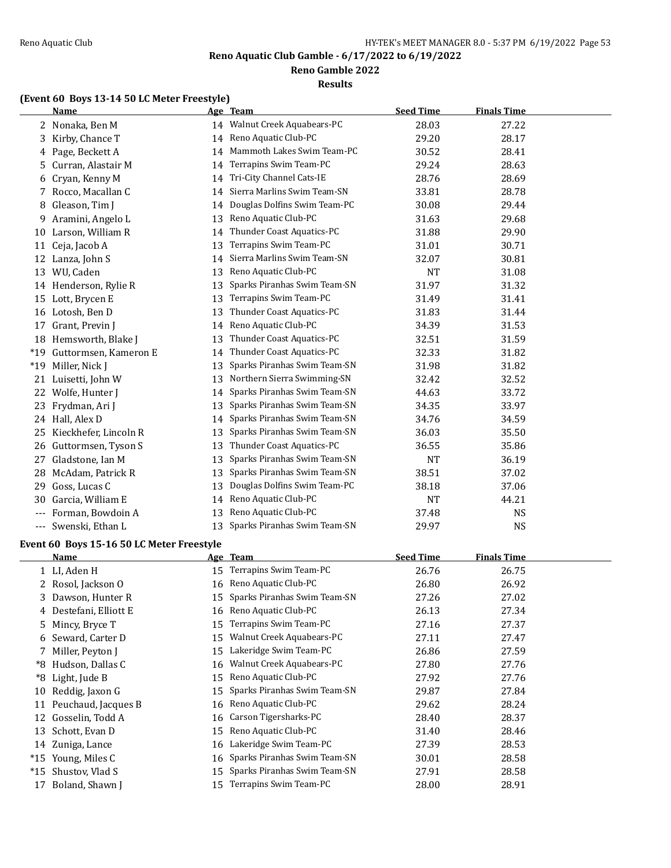**Reno Gamble 2022**

**Results**

# **(Event 60 Boys 13-14 50 LC Meter Freestyle)**

|       | <b>Name</b>           |    | Age Team                     | <b>Seed Time</b> | <b>Finals Time</b> |  |
|-------|-----------------------|----|------------------------------|------------------|--------------------|--|
| 2     | Nonaka, Ben M         |    | 14 Walnut Creek Aquabears-PC | 28.03            | 27.22              |  |
| 3     | Kirby, Chance T       |    | 14 Reno Aquatic Club-PC      | 29.20            | 28.17              |  |
| 4     | Page, Beckett A       | 14 | Mammoth Lakes Swim Team-PC   | 30.52            | 28.41              |  |
| 5     | Curran, Alastair M    | 14 | Terrapins Swim Team-PC       | 29.24            | 28.63              |  |
| 6     | Cryan, Kenny M        | 14 | Tri-City Channel Cats-IE     | 28.76            | 28.69              |  |
| 7     | Rocco, Macallan C     | 14 | Sierra Marlins Swim Team-SN  | 33.81            | 28.78              |  |
| 8     | Gleason, Tim J        | 14 | Douglas Dolfins Swim Team-PC | 30.08            | 29.44              |  |
| 9     | Aramini, Angelo L     | 13 | Reno Aquatic Club-PC         | 31.63            | 29.68              |  |
| 10    | Larson, William R     | 14 | Thunder Coast Aquatics-PC    | 31.88            | 29.90              |  |
| 11    | Ceja, Jacob A         | 13 | Terrapins Swim Team-PC       | 31.01            | 30.71              |  |
| 12    | Lanza, John S         | 14 | Sierra Marlins Swim Team-SN  | 32.07            | 30.81              |  |
| 13    | WU, Caden             | 13 | Reno Aquatic Club-PC         | <b>NT</b>        | 31.08              |  |
|       | 14 Henderson, Rylie R | 13 | Sparks Piranhas Swim Team-SN | 31.97            | 31.32              |  |
| 15    | Lott, Brycen E        | 13 | Terrapins Swim Team-PC       | 31.49            | 31.41              |  |
| 16    | Lotosh, Ben D         | 13 | Thunder Coast Aquatics-PC    | 31.83            | 31.44              |  |
| 17    | Grant, Previn J       | 14 | Reno Aquatic Club-PC         | 34.39            | 31.53              |  |
| 18    | Hemsworth, Blake J    | 13 | Thunder Coast Aquatics-PC    | 32.51            | 31.59              |  |
| $*19$ | Guttormsen, Kameron E | 14 | Thunder Coast Aquatics-PC    | 32.33            | 31.82              |  |
| $*19$ | Miller, Nick J        | 13 | Sparks Piranhas Swim Team-SN | 31.98            | 31.82              |  |
| 21    | Luisetti, John W      | 13 | Northern Sierra Swimming-SN  | 32.42            | 32.52              |  |
| 22    | Wolfe, Hunter J       | 14 | Sparks Piranhas Swim Team-SN | 44.63            | 33.72              |  |
| 23    | Frydman, Ari J        | 13 | Sparks Piranhas Swim Team-SN | 34.35            | 33.97              |  |
|       | 24 Hall, Alex D       | 14 | Sparks Piranhas Swim Team-SN | 34.76            | 34.59              |  |
| 25    | Kieckhefer, Lincoln R | 13 | Sparks Piranhas Swim Team-SN | 36.03            | 35.50              |  |
| 26    | Guttormsen, Tyson S   | 13 | Thunder Coast Aquatics-PC    | 36.55            | 35.86              |  |
| 27    | Gladstone, Ian M      | 13 | Sparks Piranhas Swim Team-SN | <b>NT</b>        | 36.19              |  |
| 28    | McAdam, Patrick R     | 13 | Sparks Piranhas Swim Team-SN | 38.51            | 37.02              |  |
| 29    | Goss, Lucas C         | 13 | Douglas Dolfins Swim Team-PC | 38.18            | 37.06              |  |
| 30    | Garcia, William E     | 14 | Reno Aquatic Club-PC         | <b>NT</b>        | 44.21              |  |
|       | Forman, Bowdoin A     | 13 | Reno Aquatic Club-PC         | 37.48            | <b>NS</b>          |  |
| ---   | Swenski, Ethan L      | 13 | Sparks Piranhas Swim Team-SN | 29.97            | <b>NS</b>          |  |
|       |                       |    |                              |                  |                    |  |

# **Event 60 Boys 15-16 50 LC Meter Freestyle**

|       | Name                   |    | Age Team                     | <b>Seed Time</b> | <b>Finals Time</b> |  |
|-------|------------------------|----|------------------------------|------------------|--------------------|--|
|       | 1 LI, Aden H           | 15 | Terrapins Swim Team-PC       | 26.76            | 26.75              |  |
|       | 2 Rosol, Jackson O     | 16 | Reno Aquatic Club-PC         | 26.80            | 26.92              |  |
|       | 3 Dawson, Hunter R     | 15 | Sparks Piranhas Swim Team-SN | 27.26            | 27.02              |  |
|       | 4 Destefani, Elliott E | 16 | Reno Aquatic Club-PC         | 26.13            | 27.34              |  |
|       | 5 Mincy, Bryce T       | 15 | Terrapins Swim Team-PC       | 27.16            | 27.37              |  |
|       | 6 Seward, Carter D     | 15 | Walnut Creek Aquabears-PC    | 27.11            | 27.47              |  |
|       | 7 Miller, Peyton J     | 15 | Lakeridge Swim Team-PC       | 26.86            | 27.59              |  |
| *8    | Hudson, Dallas C       | 16 | Walnut Creek Aquabears-PC    | 27.80            | 27.76              |  |
| *8    | Light, Jude B          | 15 | Reno Aquatic Club-PC         | 27.92            | 27.76              |  |
| 10    | Reddig, Jaxon G        | 15 | Sparks Piranhas Swim Team-SN | 29.87            | 27.84              |  |
| 11    | Peuchaud, Jacques B    |    | 16 Reno Aquatic Club-PC      | 29.62            | 28.24              |  |
| 12    | Gosselin, Todd A       | 16 | Carson Tigersharks-PC        | 28.40            | 28.37              |  |
| 13    | Schott, Evan D         | 15 | Reno Aquatic Club-PC         | 31.40            | 28.46              |  |
| 14    | Zuniga, Lance          | 16 | Lakeridge Swim Team-PC       | 27.39            | 28.53              |  |
| $*15$ | Young, Miles C         | 16 | Sparks Piranhas Swim Team-SN | 30.01            | 28.58              |  |
| $*15$ | Shustov, Vlad S        | 15 | Sparks Piranhas Swim Team-SN | 27.91            | 28.58              |  |
| 17    | Boland, Shawn J        | 15 | Terrapins Swim Team-PC       | 28.00            | 28.91              |  |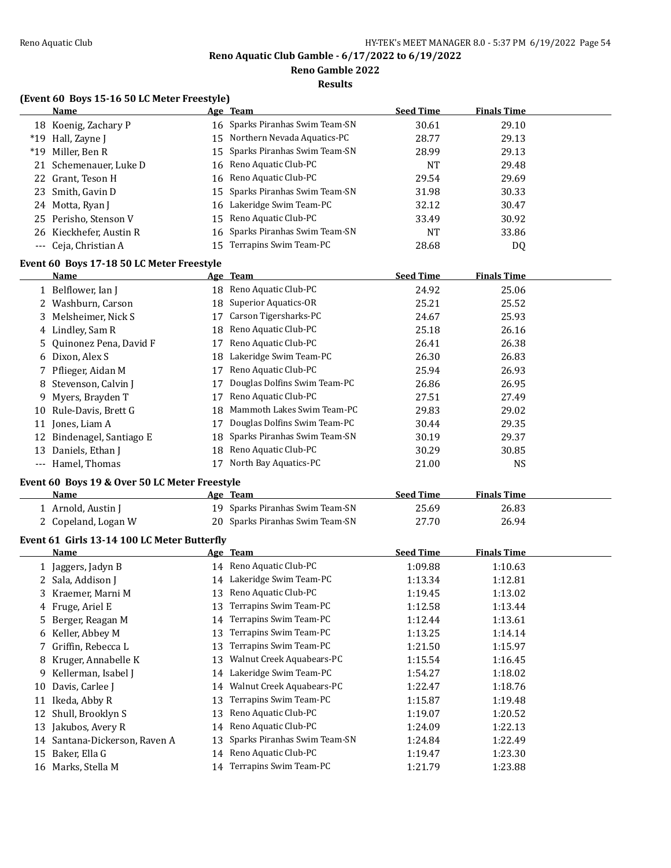**Reno Gamble 2022**

**Results**

# **(Event 60 Boys 15-16 50 LC Meter Freestyle)**

|       | <b>Name</b>             |     | Age Team                        | <b>Seed Time</b> | <b>Finals Time</b> |
|-------|-------------------------|-----|---------------------------------|------------------|--------------------|
|       | 18 Koenig, Zachary P    |     | 16 Sparks Piranhas Swim Team-SN | 30.61            | 29.10              |
|       | *19 Hall, Zayne J       |     | 15 Northern Nevada Aquatics-PC  | 28.77            | 29.13              |
| $*19$ | Miller, Ben R           |     | 15 Sparks Piranhas Swim Team-SN | 28.99            | 29.13              |
|       | 21 Schemenauer, Luke D  |     | 16 Reno Aquatic Club-PC         | NT               | 29.48              |
|       | 22 Grant, Teson H       |     | 16 Reno Aquatic Club-PC         | 29.54            | 29.69              |
|       | 23 Smith, Gavin D       |     | 15 Sparks Piranhas Swim Team-SN | 31.98            | 30.33              |
| 24    | Motta, Ryan J           |     | 16 Lakeridge Swim Team-PC       | 32.12            | 30.47              |
|       | 25 Perisho, Stenson V   |     | 15 Reno Aquatic Club-PC         | 33.49            | 30.92              |
|       | 26 Kieckhefer, Austin R |     | 16 Sparks Piranhas Swim Team-SN | NT               | 33.86              |
|       | --- Ceja, Christian A   | 15. | Terrapins Swim Team-PC          | 28.68            | DQ                 |

### **Event 60 Boys 17-18 50 LC Meter Freestyle**

|       | Name                      |     | Age Team                     | <b>Seed Time</b> | <b>Finals Time</b> |  |
|-------|---------------------------|-----|------------------------------|------------------|--------------------|--|
|       | 1 Belflower, Ian J        |     | 18 Reno Aquatic Club-PC      | 24.92            | 25.06              |  |
|       | 2 Washburn, Carson        |     | 18 Superior Aquatics-OR      | 25.21            | 25.52              |  |
|       | 3 Melsheimer, Nick S      | 17  | Carson Tigersharks-PC        | 24.67            | 25.93              |  |
|       | 4 Lindley, Sam R          | 18  | Reno Aquatic Club-PC         | 25.18            | 26.16              |  |
|       | 5 Ouinonez Pena, David F  | 17  | Reno Aquatic Club-PC         | 26.41            | 26.38              |  |
|       | 6 Dixon, Alex S           | 18  | Lakeridge Swim Team-PC       | 26.30            | 26.83              |  |
|       | 7 Pflieger, Aidan M       | 17  | Reno Aquatic Club-PC         | 25.94            | 26.93              |  |
|       | 8 Stevenson, Calvin J     | 17  | Douglas Dolfins Swim Team-PC | 26.86            | 26.95              |  |
|       | 9 Myers, Brayden T        | 17  | Reno Aquatic Club-PC         | 27.51            | 27.49              |  |
| 10    | Rule-Davis, Brett G       | 18  | Mammoth Lakes Swim Team-PC   | 29.83            | 29.02              |  |
| 11    | Jones, Liam A             | 17  | Douglas Dolfins Swim Team-PC | 30.44            | 29.35              |  |
|       | 12 Bindenagel, Santiago E | 18. | Sparks Piranhas Swim Team-SN | 30.19            | 29.37              |  |
| 13    | Daniels, Ethan J          | 18  | Reno Aquatic Club-PC         | 30.29            | 30.85              |  |
| $---$ | Hamel, Thomas             |     | North Bay Aquatics-PC        | 21.00            | <b>NS</b>          |  |

# **Event 60 Boys 19 & Over 50 LC Meter Freestyle**

| Name                | Age | Team                            | <b>Seed Time</b> | <b>Finals Time</b> |
|---------------------|-----|---------------------------------|------------------|--------------------|
| ⊥ Arnold, Austin J  |     | 19 Sparks Piranhas Swim Team-SN | 25.69            | 26.83              |
| 2 Copeland, Logan W |     | 20 Sparks Piranhas Swim Team-SN | 27.70            | 26.94              |

# **Event 61 Girls 13-14 100 LC Meter Butterfly**

|    | Name                          |    | Age Team                     | <b>Seed Time</b> | <b>Finals Time</b> |  |
|----|-------------------------------|----|------------------------------|------------------|--------------------|--|
|    | 1 Jaggers, Jadyn B            |    | 14 Reno Aquatic Club-PC      | 1:09.88          | 1:10.63            |  |
|    | 2 Sala, Addison J             | 14 | Lakeridge Swim Team-PC       | 1:13.34          | 1:12.81            |  |
|    | 3 Kraemer, Marni M            | 13 | Reno Aquatic Club-PC         | 1:19.45          | 1:13.02            |  |
|    | 4 Fruge, Ariel E              | 13 | Terrapins Swim Team-PC       | 1:12.58          | 1:13.44            |  |
| 5. | Berger, Reagan M              | 14 | Terrapins Swim Team-PC       | 1:12.44          | 1:13.61            |  |
|    | 6 Keller, Abbey M             | 13 | Terrapins Swim Team-PC       | 1:13.25          | 1:14.14            |  |
|    | 7 Griffin, Rebecca L          | 13 | Terrapins Swim Team-PC       | 1:21.50          | 1:15.97            |  |
|    | 8 Kruger, Annabelle K         | 13 | Walnut Creek Aquabears-PC    | 1:15.54          | 1:16.45            |  |
|    | 9 Kellerman, Isabel J         | 14 | Lakeridge Swim Team-PC       | 1:54.27          | 1:18.02            |  |
| 10 | Davis, Carlee J               | 14 | Walnut Creek Aquabears-PC    | 1:22.47          | 1:18.76            |  |
| 11 | Ikeda, Abby R                 | 13 | Terrapins Swim Team-PC       | 1:15.87          | 1:19.48            |  |
| 12 | Shull, Brooklyn S             | 13 | Reno Aquatic Club-PC         | 1:19.07          | 1:20.52            |  |
| 13 | Jakubos, Avery R              | 14 | Reno Aquatic Club-PC         | 1:24.09          | 1:22.13            |  |
|    | 14 Santana-Dickerson, Raven A | 13 | Sparks Piranhas Swim Team-SN | 1:24.84          | 1:22.49            |  |
| 15 | Baker, Ella G                 | 14 | Reno Aquatic Club-PC         | 1:19.47          | 1:23.30            |  |
| 16 | Marks, Stella M               | 14 | Terrapins Swim Team-PC       | 1:21.79          | 1:23.88            |  |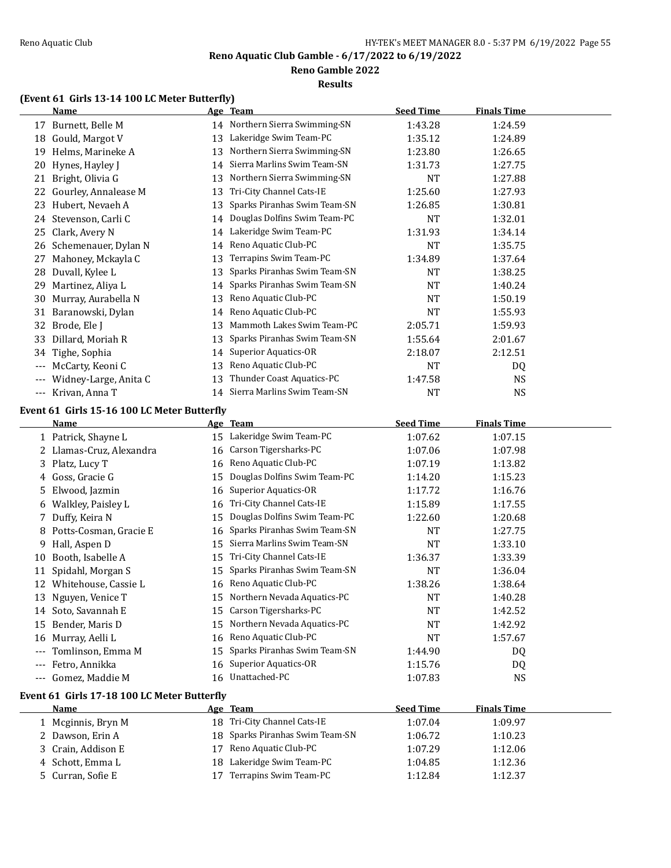### **Reno Gamble 2022**

#### **Results**

# **(Event 61 Girls 13-14 100 LC Meter Butterfly)**

|                     | <b>Name</b>                                 |    | Age Team                       | <b>Seed Time</b> | <b>Finals Time</b> |  |
|---------------------|---------------------------------------------|----|--------------------------------|------------------|--------------------|--|
| 17                  | Burnett, Belle M                            |    | 14 Northern Sierra Swimming-SN | 1:43.28          | 1:24.59            |  |
| 18                  | Gould, Margot V                             | 13 | Lakeridge Swim Team-PC         | 1:35.12          | 1:24.89            |  |
| 19                  | Helms, Marineke A                           | 13 | Northern Sierra Swimming-SN    | 1:23.80          | 1:26.65            |  |
| 20                  | Hynes, Hayley J                             | 14 | Sierra Marlins Swim Team-SN    | 1:31.73          | 1:27.75            |  |
| 21                  | Bright, Olivia G                            | 13 | Northern Sierra Swimming-SN    | <b>NT</b>        | 1:27.88            |  |
| 22                  | Gourley, Annalease M                        | 13 | Tri-City Channel Cats-IE       | 1:25.60          | 1:27.93            |  |
| 23                  | Hubert, Nevaeh A                            | 13 | Sparks Piranhas Swim Team-SN   | 1:26.85          | 1:30.81            |  |
| 24                  | Stevenson, Carli C                          | 14 | Douglas Dolfins Swim Team-PC   | <b>NT</b>        | 1:32.01            |  |
| 25                  | Clark, Avery N                              | 14 | Lakeridge Swim Team-PC         | 1:31.93          | 1:34.14            |  |
| 26                  | Schemenauer, Dylan N                        | 14 | Reno Aquatic Club-PC           | <b>NT</b>        | 1:35.75            |  |
| 27                  | Mahoney, Mckayla C                          | 13 | Terrapins Swim Team-PC         | 1:34.89          | 1:37.64            |  |
| 28                  | Duvall, Kylee L                             | 13 | Sparks Piranhas Swim Team-SN   | <b>NT</b>        | 1:38.25            |  |
| 29                  | Martinez, Aliya L                           | 14 | Sparks Piranhas Swim Team-SN   | <b>NT</b>        | 1:40.24            |  |
| 30                  | Murray, Aurabella N                         | 13 | Reno Aquatic Club-PC           | <b>NT</b>        | 1:50.19            |  |
| 31                  | Baranowski, Dylan                           | 14 | Reno Aquatic Club-PC           | NT               | 1:55.93            |  |
| 32                  | Brode, Ele J                                | 13 | Mammoth Lakes Swim Team-PC     | 2:05.71          | 1:59.93            |  |
| 33                  | Dillard, Moriah R                           | 13 | Sparks Piranhas Swim Team-SN   | 1:55.64          | 2:01.67            |  |
| 34                  | Tighe, Sophia                               | 14 | Superior Aquatics-OR           | 2:18.07          | 2:12.51            |  |
| ---                 | McCarty, Keoni C                            | 13 | Reno Aquatic Club-PC           | <b>NT</b>        | DQ                 |  |
| $\qquad \qquad - -$ | Widney-Large, Anita C                       | 13 | Thunder Coast Aquatics-PC      | 1:47.58          | NS.                |  |
|                     | --- Krivan, Anna T                          | 14 | Sierra Marlins Swim Team-SN    | NT               | <b>NS</b>          |  |
|                     | Event 61 Girls 15-16 100 LC Meter Butterfly |    |                                |                  |                    |  |

|       | Name                     |    | Age Team                     | <b>Seed Time</b> | <b>Finals Time</b> |  |
|-------|--------------------------|----|------------------------------|------------------|--------------------|--|
|       | 1 Patrick, Shayne L      | 15 | Lakeridge Swim Team-PC       | 1:07.62          | 1:07.15            |  |
|       | 2 Llamas-Cruz, Alexandra | 16 | Carson Tigersharks-PC        | 1:07.06          | 1:07.98            |  |
|       | 3 Platz, Lucy T          | 16 | Reno Aquatic Club-PC         | 1:07.19          | 1:13.82            |  |
| 4     | Goss, Gracie G           | 15 | Douglas Dolfins Swim Team-PC | 1:14.20          | 1:15.23            |  |
| 5.    | Elwood, Jazmin           | 16 | <b>Superior Aquatics-OR</b>  | 1:17.72          | 1:16.76            |  |
| 6     | Walkley, Paisley L       | 16 | Tri-City Channel Cats-IE     | 1:15.89          | 1:17.55            |  |
|       | Duffy, Keira N           | 15 | Douglas Dolfins Swim Team-PC | 1:22.60          | 1:20.68            |  |
| 8     | Potts-Cosman, Gracie E   | 16 | Sparks Piranhas Swim Team-SN | <b>NT</b>        | 1:27.75            |  |
| 9     | Hall, Aspen D            | 15 | Sierra Marlins Swim Team-SN  | NT               | 1:33.10            |  |
| 10    | Booth, Isabelle A        | 15 | Tri-City Channel Cats-IE     | 1:36.37          | 1:33.39            |  |
| 11    | Spidahl, Morgan S        | 15 | Sparks Piranhas Swim Team-SN | <b>NT</b>        | 1:36.04            |  |
| 12    | Whitehouse, Cassie L     | 16 | Reno Aquatic Club-PC         | 1:38.26          | 1:38.64            |  |
| 13    | Nguyen, Venice T         | 15 | Northern Nevada Aquatics-PC  | NT               | 1:40.28            |  |
| 14    | Soto, Savannah E         | 15 | Carson Tigersharks-PC        | NT               | 1:42.52            |  |
| 15    | Bender, Maris D          | 15 | Northern Nevada Aquatics-PC  | NT               | 1:42.92            |  |
| 16    | Murray, Aelli L          | 16 | Reno Aquatic Club-PC         | <b>NT</b>        | 1:57.67            |  |
| $---$ | Tomlinson, Emma M        | 15 | Sparks Piranhas Swim Team-SN | 1:44.90          | DQ                 |  |
| $---$ | Fetro, Annikka           | 16 | Superior Aquatics-OR         | 1:15.76          | DQ                 |  |
|       | Gomez, Maddie M          |    | 16 Unattached-PC             | 1:07.83          | <b>NS</b>          |  |

# **Event 61 Girls 17-18 100 LC Meter Butterfly**

| Name               | Age Team                        | Seed Time | <b>Finals Time</b> |  |
|--------------------|---------------------------------|-----------|--------------------|--|
| 1 Mcginnis, Bryn M | 18 Tri-City Channel Cats-IE     | 1:07.04   | 1:09.97            |  |
| 2 Dawson, Erin A   | 18 Sparks Piranhas Swim Team-SN | 1:06.72   | 1:10.23            |  |
| 3 Crain, Addison E | 17 Reno Aquatic Club-PC         | 1:07.29   | 1:12.06            |  |
| 4 Schott, Emma L   | 18 Lakeridge Swim Team-PC       | 1:04.85   | 1:12.36            |  |
| 5 Curran, Sofie E  | Terrapins Swim Team-PC          | 1:12.84   | 1:12.37            |  |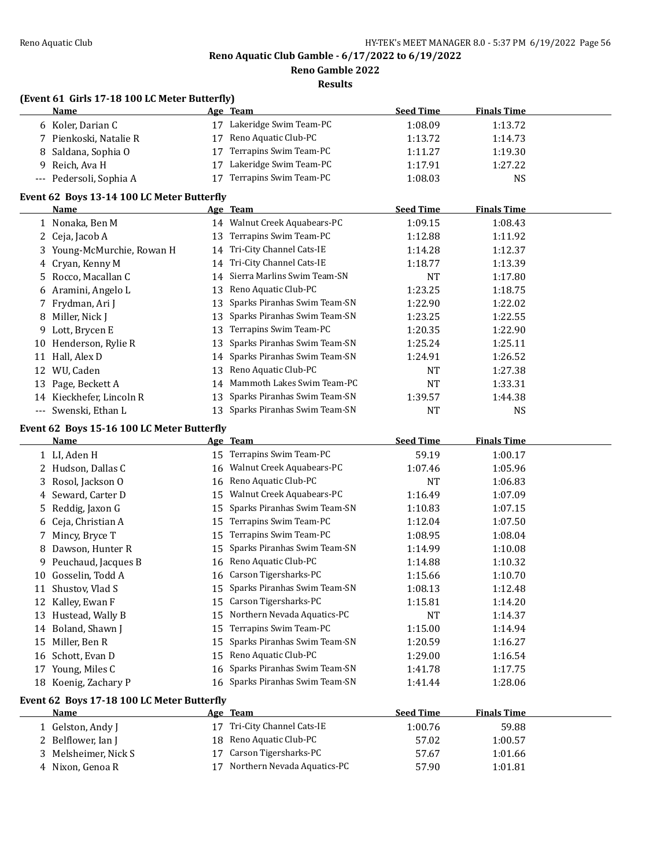**Reno Gamble 2022**

**Results**

|     | (Event 61 Girls 17-18 100 LC Meter Butterfly) |    |                                                     |                  |                    |  |
|-----|-----------------------------------------------|----|-----------------------------------------------------|------------------|--------------------|--|
|     | <u>Name</u>                                   |    | Age Team                                            | <b>Seed Time</b> | <b>Finals Time</b> |  |
|     | 6 Koler, Darian C                             |    | 17 Lakeridge Swim Team-PC                           | 1:08.09          | 1:13.72            |  |
|     | 7 Pienkoski, Natalie R                        | 17 | Reno Aquatic Club-PC                                | 1:13.72          | 1:14.73            |  |
| 8   | Saldana, Sophia O                             | 17 | Terrapins Swim Team-PC                              | 1:11.27          | 1:19.30            |  |
| 9   | Reich, Ava H                                  | 17 | Lakeridge Swim Team-PC                              | 1:17.91          | 1:27.22            |  |
| --- | Pedersoli, Sophia A                           |    | 17 Terrapins Swim Team-PC                           | 1:08.03          | <b>NS</b>          |  |
|     | Event 62 Boys 13-14 100 LC Meter Butterfly    |    |                                                     |                  |                    |  |
|     | Name                                          |    | Age Team                                            | <b>Seed Time</b> | <b>Finals Time</b> |  |
|     | 1 Nonaka, Ben M                               |    | 14 Walnut Creek Aquabears-PC                        | 1:09.15          | 1:08.43            |  |
|     | 2 Ceja, Jacob A                               | 13 | Terrapins Swim Team-PC                              | 1:12.88          | 1:11.92            |  |
|     | 3 Young-McMurchie, Rowan H                    | 14 | Tri-City Channel Cats-IE                            | 1:14.28          | 1:12.37            |  |
|     | 4 Cryan, Kenny M                              | 14 | Tri-City Channel Cats-IE                            | 1:18.77          | 1:13.39            |  |
|     | 5 Rocco, Macallan C                           | 14 | Sierra Marlins Swim Team-SN                         | NT               | 1:17.80            |  |
|     | 6 Aramini, Angelo L                           | 13 | Reno Aquatic Club-PC                                | 1:23.25          | 1:18.75            |  |
|     | Frydman, Ari J                                | 13 | Sparks Piranhas Swim Team-SN                        | 1:22.90          | 1:22.02            |  |
| 7   |                                               | 13 | Sparks Piranhas Swim Team-SN                        | 1:23.25          |                    |  |
|     | 8 Miller, Nick J                              |    | Terrapins Swim Team-PC                              |                  | 1:22.55            |  |
| 9   | Lott, Brycen E                                | 13 | Sparks Piranhas Swim Team-SN                        | 1:20.35          | 1:22.90            |  |
| 10  | Henderson, Rylie R                            | 13 |                                                     | 1:25.24          | 1:25.11            |  |
| 11  | Hall, Alex D                                  | 14 | Sparks Piranhas Swim Team-SN                        | 1:24.91          | 1:26.52            |  |
| 12  | WU, Caden                                     | 13 | Reno Aquatic Club-PC                                | NT               | 1:27.38            |  |
|     | 13 Page, Beckett A                            | 14 | Mammoth Lakes Swim Team-PC                          | NT               | 1:33.31            |  |
|     | 14 Kieckhefer, Lincoln R                      | 13 | Sparks Piranhas Swim Team-SN                        | 1:39.57          | 1:44.38            |  |
|     | --- Swenski, Ethan L                          |    | 13 Sparks Piranhas Swim Team-SN                     | NT               | <b>NS</b>          |  |
|     | Event 62 Boys 15-16 100 LC Meter Butterfly    |    |                                                     |                  |                    |  |
|     | Name                                          |    | Age Team                                            | <b>Seed Time</b> | <b>Finals Time</b> |  |
|     |                                               |    |                                                     |                  |                    |  |
|     | 1 LI, Aden H                                  |    | 15 Terrapins Swim Team-PC                           | 59.19            | 1:00.17            |  |
|     | 2 Hudson, Dallas C                            |    | 16 Walnut Creek Aquabears-PC                        | 1:07.46          | 1:05.96            |  |
| 3   | Rosol, Jackson O                              | 16 | Reno Aquatic Club-PC                                | NT               | 1:06.83            |  |
| 4   | Seward, Carter D                              |    | 15 Walnut Creek Aquabears-PC                        | 1:16.49          | 1:07.09            |  |
| 5   | Reddig, Jaxon G                               | 15 | Sparks Piranhas Swim Team-SN                        | 1:10.83          | 1:07.15            |  |
| 6   | Ceja, Christian A                             | 15 | Terrapins Swim Team-PC                              | 1:12.04          | 1:07.50            |  |
| 7   | Mincy, Bryce T                                | 15 | Terrapins Swim Team-PC                              | 1:08.95          | 1:08.04            |  |
| 8   | Dawson, Hunter R                              | 15 | Sparks Piranhas Swim Team-SN                        | 1:14.99          | 1:10.08            |  |
| 9   | Peuchaud, Jacques B                           | 16 | Reno Aquatic Club-PC                                | 1:14.88          | 1:10.32            |  |
|     | 10 Gosselin, Todd A                           | 16 | Carson Tigersharks-PC                               | 1:15.66          | 1:10.70            |  |
|     | 11 Shustov, Vlad S                            | 15 | Sparks Piranhas Swim Team-SN                        | 1:08.13          | 1:12.48            |  |
|     | 12 Kalley, Ewan F                             | 15 | Carson Tigersharks-PC                               | 1:15.81          | 1:14.20            |  |
|     | 13 Hustead, Wally B                           | 15 | Northern Nevada Aquatics-PC                         | NT               | 1:14.37            |  |
|     | 14 Boland, Shawn J                            | 15 | Terrapins Swim Team-PC                              | 1:15.00          | 1:14.94            |  |
|     | 15 Miller, Ben R                              | 15 | Sparks Piranhas Swim Team-SN                        | 1:20.59          | 1:16.27            |  |
| 16  | Schott, Evan D                                | 15 | Reno Aquatic Club-PC                                | 1:29.00          | 1:16.54            |  |
| 17  | Young, Miles C                                | 16 | Sparks Piranhas Swim Team-SN                        | 1:41.78          | 1:17.75            |  |
|     | 18 Koenig, Zachary P                          | 16 | Sparks Piranhas Swim Team-SN                        | 1:41.44          | 1:28.06            |  |
|     |                                               |    |                                                     |                  |                    |  |
|     | Event 62 Boys 17-18 100 LC Meter Butterfly    |    |                                                     |                  |                    |  |
|     | <u>Name</u>                                   |    | Age Team                                            | <b>Seed Time</b> | <b>Finals Time</b> |  |
|     | 1 Gelston, Andy J<br>2 Belflower, Ian J       | 18 | 17 Tri-City Channel Cats-IE<br>Reno Aquatic Club-PC | 1:00.76<br>57.02 | 59.88<br>1:00.57   |  |

4 Nixon, Genoa R 17 Northern Nevada Aquatics-PC 57.90 1:01.81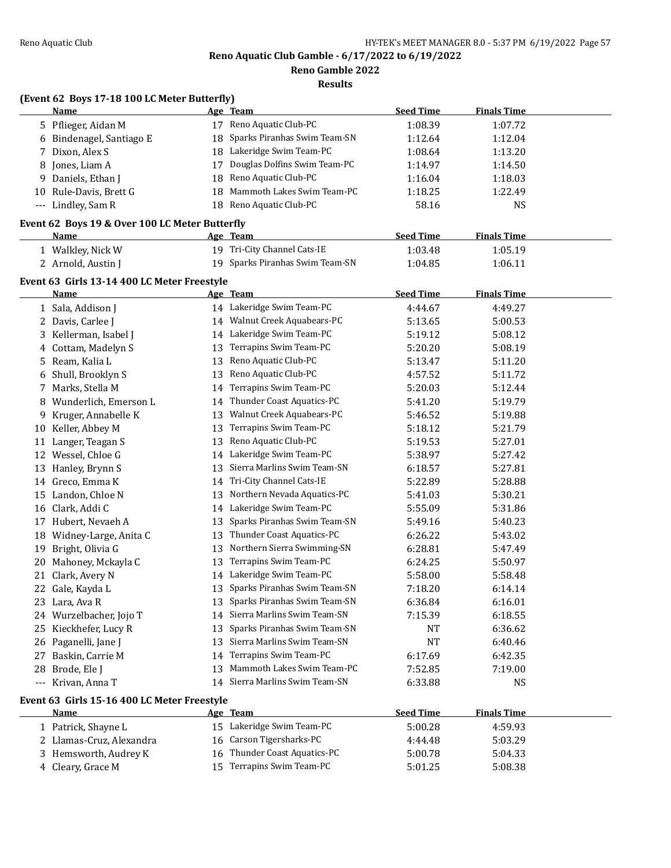**Reno Gamble 2022**

**Results**

# **(Event 62 Boys 17-18 100 LC Meter Butterfly)**

|    | <u>Name</u>                                         |          | <u>Age Team</u>                              | <b>Seed Time</b>            | <b>Finals Time</b>            |  |
|----|-----------------------------------------------------|----------|----------------------------------------------|-----------------------------|-------------------------------|--|
|    | 5 Pflieger, Aidan M                                 |          | 17 Reno Aquatic Club-PC                      | 1:08.39                     | 1:07.72                       |  |
|    | 6 Bindenagel, Santiago E                            | 18       | Sparks Piranhas Swim Team-SN                 | 1:12.64                     | 1:12.04                       |  |
| 7  | Dixon, Alex S                                       |          | 18 Lakeridge Swim Team-PC                    | 1:08.64                     | 1:13.20                       |  |
| 8  | Jones, Liam A                                       | 17       | Douglas Dolfins Swim Team-PC                 | 1:14.97                     | 1:14.50                       |  |
| 9. | Daniels, Ethan J                                    | 18       | Reno Aquatic Club-PC                         | 1:16.04                     | 1:18.03                       |  |
| 10 | Rule-Davis, Brett G                                 | 18       | Mammoth Lakes Swim Team-PC                   | 1:18.25                     | 1:22.49                       |  |
|    | --- Lindley, Sam R                                  |          | 18 Reno Aquatic Club-PC                      | 58.16                       | <b>NS</b>                     |  |
|    | Event 62 Boys 19 & Over 100 LC Meter Butterfly      |          |                                              |                             |                               |  |
|    | Name                                                |          | Age Team                                     | <b>Seed Time</b>            | <b>Finals Time</b>            |  |
|    | 1 Walkley, Nick W                                   |          | 19 Tri-City Channel Cats-IE                  | 1:03.48                     | 1:05.19                       |  |
|    | 2 Arnold, Austin J                                  |          | 19 Sparks Piranhas Swim Team-SN              | 1:04.85                     | 1:06.11                       |  |
|    |                                                     |          |                                              |                             |                               |  |
|    | Event 63 Girls 13-14 400 LC Meter Freestyle<br>Name |          |                                              | <b>Seed Time</b>            | <b>Finals Time</b>            |  |
|    |                                                     |          | <u>Age Team</u><br>14 Lakeridge Swim Team-PC |                             |                               |  |
|    | 1 Sala, Addison J<br>2 Davis, Carlee J              |          | 14 Walnut Creek Aquabears-PC                 | 4:44.67                     | 4:49.27                       |  |
|    |                                                     |          | 14 Lakeridge Swim Team-PC                    | 5:13.65<br>5:19.12          | 5:00.53                       |  |
| 3  | Kellerman, Isabel J                                 | 13       | Terrapins Swim Team-PC                       |                             | 5:08.12                       |  |
|    | 4 Cottam, Madelyn S<br>Ream, Kalia L                | 13       | Reno Aquatic Club-PC                         | 5:20.20<br>5:13.47          | 5:08.19                       |  |
| 5. |                                                     |          | Reno Aquatic Club-PC                         | 4:57.52                     | 5:11.20                       |  |
| 6  | Shull, Brooklyn S<br>Marks, Stella M                | 13       | Terrapins Swim Team-PC                       |                             | 5:11.72                       |  |
| 7. | Wunderlich, Emerson L                               | 14       | Thunder Coast Aquatics-PC                    | 5:20.03<br>5:41.20          | 5:12.44                       |  |
| 8  | Kruger, Annabelle K                                 | 14       | 13 Walnut Creek Aquabears-PC                 | 5:46.52                     | 5:19.79<br>5:19.88            |  |
| 9  | Keller, Abbey M                                     |          | Terrapins Swim Team-PC                       |                             |                               |  |
| 10 | Langer, Teagan S                                    | 13<br>13 | Reno Aquatic Club-PC                         | 5:18.12<br>5:19.53          | 5:21.79<br>5:27.01            |  |
| 11 | 12 Wessel, Chloe G                                  | 14       | Lakeridge Swim Team-PC                       | 5:38.97                     | 5:27.42                       |  |
| 13 | Hanley, Brynn S                                     | 13       | Sierra Marlins Swim Team-SN                  | 6:18.57                     | 5:27.81                       |  |
|    | 14 Greco, Emma K                                    |          | 14 Tri-City Channel Cats-IE                  | 5:22.89                     | 5:28.88                       |  |
|    | 15 Landon, Chloe N                                  | 13       | Northern Nevada Aquatics-PC                  | 5:41.03                     | 5:30.21                       |  |
|    | 16 Clark, Addi C                                    |          | 14 Lakeridge Swim Team-PC                    | 5:55.09                     | 5:31.86                       |  |
| 17 | Hubert, Nevaeh A                                    | 13       | Sparks Piranhas Swim Team-SN                 | 5:49.16                     | 5:40.23                       |  |
|    | 18 Widney-Large, Anita C                            | 13       | Thunder Coast Aquatics-PC                    | 6:26.22                     | 5:43.02                       |  |
| 19 | Bright, Olivia G                                    | 13       | Northern Sierra Swimming-SN                  | 6:28.81                     | 5:47.49                       |  |
| 20 | Mahoney, Mckayla C                                  | 13       | Terrapins Swim Team-PC                       | 6:24.25                     | 5:50.97                       |  |
|    | 21 Clark, Avery N                                   |          | 14 Lakeridge Swim Team-PC                    | 5:58.00                     | 5:58.48                       |  |
|    | 22 Gale, Kayda L                                    |          | 13 Sparks Piranhas Swim Team-SN              | 7:18.20                     | 6:14.14                       |  |
|    | 23 Lara, Ava R                                      |          | 13 Sparks Piranhas Swim Team-SN              | 6:36.84                     | 6:16.01                       |  |
|    | 24 Wurzelbacher, Jojo T                             | 14       | Sierra Marlins Swim Team-SN                  | 7:15.39                     | 6:18.55                       |  |
| 25 | Kieckhefer, Lucy R                                  | 13       | Sparks Piranhas Swim Team-SN                 | NT                          | 6:36.62                       |  |
|    | 26 Paganelli, Jane J                                | 13       | Sierra Marlins Swim Team-SN                  | <b>NT</b>                   | 6:40.46                       |  |
| 27 | Baskin, Carrie M                                    | 14       | Terrapins Swim Team-PC                       | 6:17.69                     | 6:42.35                       |  |
| 28 | Brode, Ele J                                        | 13       | Mammoth Lakes Swim Team-PC                   | 7:52.85                     | 7:19.00                       |  |
|    | --- Krivan, Anna T                                  | 14       | Sierra Marlins Swim Team-SN                  | 6:33.88                     | <b>NS</b>                     |  |
|    |                                                     |          |                                              |                             |                               |  |
|    | Event 63 Girls 15-16 400 LC Meter Freestyle         |          |                                              |                             |                               |  |
|    | <b>Name</b><br>1 Patrick, Shayne L                  |          | Age Team<br>15 Lakeridge Swim Team-PC        | <b>Seed Time</b><br>5:00.28 | <b>Finals Time</b><br>4:59.93 |  |
|    | 2 Llamas-Cruz, Alexandra                            |          | 16 Carson Tigersharks-PC                     |                             |                               |  |
|    | 3 Hemsworth, Audrey K                               | 16       | Thunder Coast Aquatics-PC                    | 4:44.48<br>5:00.78          | 5:03.29<br>5:04.33            |  |
|    | 4 Cleary, Grace M                                   |          | 15 Terrapins Swim Team-PC                    | 5:01.25                     | 5:08.38                       |  |
|    |                                                     |          |                                              |                             |                               |  |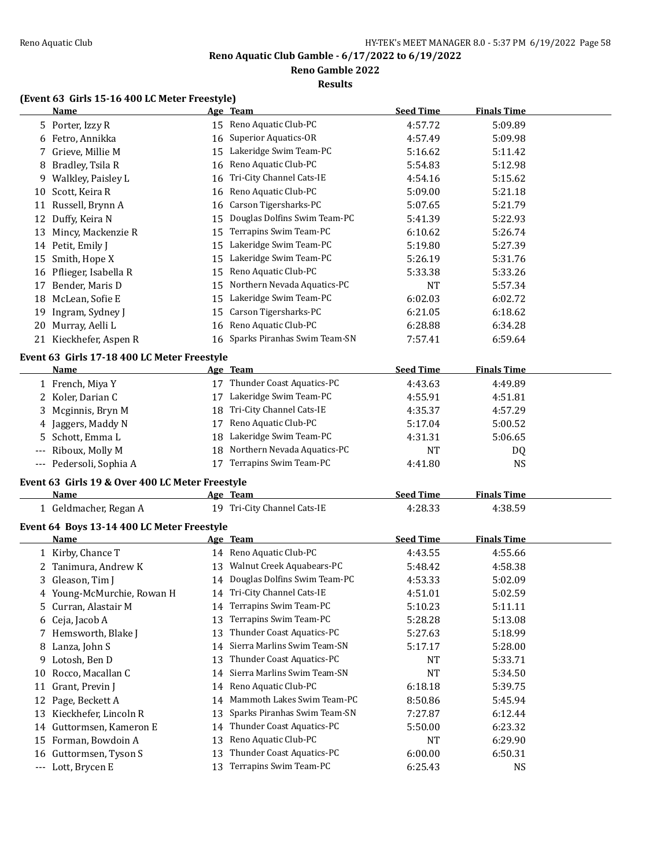**Reno Gamble 2022**

**Results**

# **(Event 63 Girls 15-16 400 LC Meter Freestyle)**

|    | <u>Name</u>                                     |    | <u>Age Team</u>                         | <b>Seed Time</b> | <b>Finals Time</b> |  |
|----|-------------------------------------------------|----|-----------------------------------------|------------------|--------------------|--|
|    | 5 Porter, Izzy R                                |    | 15 Reno Aquatic Club-PC                 | 4:57.72          | 5:09.89            |  |
|    | 6 Fetro, Annikka                                |    | 16 Superior Aquatics-OR                 | 4:57.49          | 5:09.98            |  |
|    | 7 Grieve, Millie M                              |    | 15 Lakeridge Swim Team-PC               | 5:16.62          | 5:11.42            |  |
|    | 8 Bradley, Tsila R                              | 16 | Reno Aquatic Club-PC                    | 5:54.83          | 5:12.98            |  |
|    | 9 Walkley, Paisley L                            | 16 | Tri-City Channel Cats-IE                | 4:54.16          | 5:15.62            |  |
|    | 10 Scott, Keira R                               | 16 | Reno Aquatic Club-PC                    | 5:09.00          | 5:21.18            |  |
|    | 11 Russell, Brynn A                             | 16 | Carson Tigersharks-PC                   | 5:07.65          | 5:21.79            |  |
|    | 12 Duffy, Keira N                               | 15 | Douglas Dolfins Swim Team-PC            | 5:41.39          | 5:22.93            |  |
|    | 13 Mincy, Mackenzie R                           | 15 | Terrapins Swim Team-PC                  | 6:10.62          | 5:26.74            |  |
|    |                                                 | 15 | Lakeridge Swim Team-PC                  |                  |                    |  |
|    | 14 Petit, Emily J                               |    |                                         | 5:19.80          | 5:27.39            |  |
|    | 15 Smith, Hope X                                |    | 15 Lakeridge Swim Team-PC               | 5:26.19          | 5:31.76            |  |
|    | 16 Pflieger, Isabella R                         | 15 | Reno Aquatic Club-PC                    | 5:33.38          | 5:33.26            |  |
|    | 17 Bender, Maris D                              | 15 | Northern Nevada Aquatics-PC             | NT               | 5:57.34            |  |
|    | 18 McLean, Sofie E                              | 15 | Lakeridge Swim Team-PC                  | 6:02.03          | 6:02.72            |  |
|    | 19 Ingram, Sydney J                             | 15 | Carson Tigersharks-PC                   | 6:21.05          | 6:18.62            |  |
|    | 20 Murray, Aelli L                              | 16 | Reno Aquatic Club-PC                    | 6:28.88          | 6:34.28            |  |
|    | 21 Kieckhefer, Aspen R                          | 16 | Sparks Piranhas Swim Team-SN            | 7:57.41          | 6:59.64            |  |
|    | Event 63 Girls 17-18 400 LC Meter Freestyle     |    |                                         |                  |                    |  |
|    | <b>Name</b>                                     |    | Age Team                                | <b>Seed Time</b> | <b>Finals Time</b> |  |
|    | 1 French, Miya Y                                |    | 17 Thunder Coast Aquatics-PC            | 4:43.63          | 4:49.89            |  |
|    | 2 Koler, Darian C                               |    | 17 Lakeridge Swim Team-PC               | 4:55.91          | 4:51.81            |  |
|    | 3 Mcginnis, Bryn M                              | 18 | Tri-City Channel Cats-IE                | 4:35.37          | 4:57.29            |  |
| 4  | Jaggers, Maddy N                                | 17 | Reno Aquatic Club-PC                    | 5:17.04          | 5:00.52            |  |
| 5  | Schott, Emma L                                  |    | 18 Lakeridge Swim Team-PC               | 4:31.31          | 5:06.65            |  |
|    | Riboux, Molly M                                 | 18 | Northern Nevada Aquatics-PC             | <b>NT</b>        | DQ                 |  |
|    | --- Pedersoli, Sophia A                         |    | 17 Terrapins Swim Team-PC               | 4:41.80          | <b>NS</b>          |  |
|    |                                                 |    |                                         |                  |                    |  |
|    | Event 63 Girls 19 & Over 400 LC Meter Freestyle |    |                                         |                  |                    |  |
|    | Name                                            |    | Age Team<br>19 Tri-City Channel Cats-IE | <b>Seed Time</b> | <b>Finals Time</b> |  |
|    | 1 Geldmacher, Regan A                           |    |                                         | 4:28.33          | 4:38.59            |  |
|    | Event 64 Boys 13-14 400 LC Meter Freestyle      |    |                                         |                  |                    |  |
|    | Name                                            |    | Age Team                                | <b>Seed Time</b> | <b>Finals Time</b> |  |
|    | 1 Kirby, Chance T                               |    | 14 Reno Aquatic Club-PC                 | 4:43.55          | 4:55.66            |  |
|    | 2 Tanimura, Andrew K                            |    | 13 Walnut Creek Aquabears-PC            | 5:48.42          | 4:58.38            |  |
|    | 3 Gleason, Tim J                                |    | 14 Douglas Dolfins Swim Team-PC         | 4:53.33          | 5:02.09            |  |
|    | 4 Young-McMurchie, Rowan H                      |    | 14 Tri-City Channel Cats-IE             | 4:51.01          | 5:02.59            |  |
| 5. | Curran, Alastair M                              |    | 14 Terrapins Swim Team-PC               | 5:10.23          | 5:11.11            |  |
|    | 6 Ceja, Jacob A                                 | 13 | Terrapins Swim Team-PC                  | 5:28.28          | 5:13.08            |  |
|    | 7 Hemsworth, Blake J                            | 13 | Thunder Coast Aquatics-PC               | 5:27.63          | 5:18.99            |  |
|    | 8 Lanza, John S                                 | 14 | Sierra Marlins Swim Team-SN             | 5:17.17          | 5:28.00            |  |
|    | 9 Lotosh, Ben D                                 | 13 | Thunder Coast Aquatics-PC               | NT               | 5:33.71            |  |
| 10 | Rocco, Macallan C                               | 14 | Sierra Marlins Swim Team-SN             | <b>NT</b>        | 5:34.50            |  |
| 11 | Grant, Previn J                                 | 14 | Reno Aquatic Club-PC                    | 6:18.18          | 5:39.75            |  |
|    | 12 Page, Beckett A                              | 14 | Mammoth Lakes Swim Team-PC              | 8:50.86          | 5:45.94            |  |
| 13 | Kieckhefer, Lincoln R                           | 13 | Sparks Piranhas Swim Team-SN            | 7:27.87          | 6:12.44            |  |
| 14 | Guttormsen, Kameron E                           | 14 | Thunder Coast Aquatics-PC               | 5:50.00          | 6:23.32            |  |
|    | 15 Forman, Bowdoin A                            | 13 | Reno Aquatic Club-PC                    | NT               | 6:29.90            |  |
|    | 16 Guttormsen, Tyson S                          | 13 | Thunder Coast Aquatics-PC               | 6:00.00          | 6:50.31            |  |
|    | --- Lott, Brycen E                              |    | 13 Terrapins Swim Team-PC               | 6:25.43          | <b>NS</b>          |  |
|    |                                                 |    |                                         |                  |                    |  |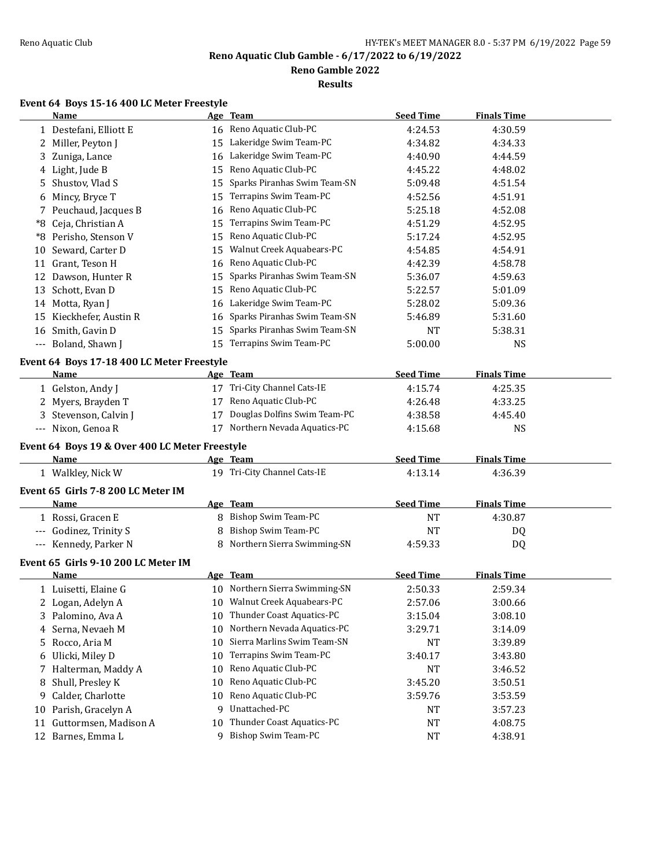**Reno Gamble 2022**

**Results**

#### **Event 64 Boys 15-16 400 LC Meter Freestyle**

|    | Name                                           |    | Age Team                        | <b>Seed Time</b> | <b>Finals Time</b> |
|----|------------------------------------------------|----|---------------------------------|------------------|--------------------|
|    | 1 Destefani, Elliott E                         |    | 16 Reno Aquatic Club-PC         | 4:24.53          | 4:30.59            |
|    | 2 Miller, Peyton J                             |    | 15 Lakeridge Swim Team-PC       | 4:34.82          | 4:34.33            |
| 3  | Zuniga, Lance                                  | 16 | Lakeridge Swim Team-PC          | 4:40.90          | 4:44.59            |
|    | 4 Light, Jude B                                | 15 | Reno Aquatic Club-PC            | 4:45.22          | 4:48.02            |
| 5  | Shustov, Vlad S                                | 15 | Sparks Piranhas Swim Team-SN    | 5:09.48          | 4:51.54            |
| 6  | Mincy, Bryce T                                 | 15 | Terrapins Swim Team-PC          | 4:52.56          | 4:51.91            |
|    | 7 Peuchaud, Jacques B                          | 16 | Reno Aquatic Club-PC            | 5:25.18          | 4:52.08            |
|    | *8 Ceja, Christian A                           | 15 | Terrapins Swim Team-PC          | 4:51.29          | 4:52.95            |
|    | *8 Perisho, Stenson V                          | 15 | Reno Aquatic Club-PC            | 5:17.24          | 4:52.95            |
| 10 | Seward, Carter D                               | 15 | Walnut Creek Aquabears-PC       | 4:54.85          | 4:54.91            |
|    | 11 Grant, Teson H                              | 16 | Reno Aquatic Club-PC            | 4:42.39          | 4:58.78            |
|    | 12 Dawson, Hunter R                            | 15 | Sparks Piranhas Swim Team-SN    | 5:36.07          | 4:59.63            |
|    | 13 Schott, Evan D                              | 15 | Reno Aquatic Club-PC            | 5:22.57          | 5:01.09            |
|    | 14 Motta, Ryan J                               | 16 | Lakeridge Swim Team-PC          | 5:28.02          | 5:09.36            |
|    | 15 Kieckhefer, Austin R                        | 16 | Sparks Piranhas Swim Team-SN    | 5:46.89          | 5:31.60            |
|    | 16 Smith, Gavin D                              | 15 | Sparks Piranhas Swim Team-SN    | <b>NT</b>        | 5:38.31            |
|    | --- Boland, Shawn J                            | 15 | Terrapins Swim Team-PC          | 5:00.00          | <b>NS</b>          |
|    | Event 64 Boys 17-18 400 LC Meter Freestyle     |    |                                 |                  |                    |
|    | Name                                           |    | Age Team                        | <b>Seed Time</b> | <b>Finals Time</b> |
|    | 1 Gelston, Andy J                              |    | 17 Tri-City Channel Cats-IE     | 4:15.74          | 4:25.35            |
|    | 2 Myers, Brayden T                             |    | 17 Reno Aquatic Club-PC         | 4:26.48          | 4:33.25            |
| 3  | Stevenson, Calvin J                            |    | 17 Douglas Dolfins Swim Team-PC | 4:38.58          | 4:45.40            |
|    | --- Nixon, Genoa R                             |    | 17 Northern Nevada Aquatics-PC  | 4:15.68          | <b>NS</b>          |
|    | Event 64 Boys 19 & Over 400 LC Meter Freestyle |    |                                 |                  |                    |
|    | <u>Name</u>                                    |    | Age Team                        | <b>Seed Time</b> | <b>Finals Time</b> |
|    | 1 Walkley, Nick W                              |    | 19 Tri-City Channel Cats-IE     | 4:13.14          | 4:36.39            |
|    | Event 65 Girls 7-8 200 LC Meter IM             |    |                                 |                  |                    |
|    | Name                                           |    | Age Team                        | <b>Seed Time</b> | <b>Finals Time</b> |
|    | 1 Rossi, Gracen E                              |    | 8 Bishop Swim Team-PC           | <b>NT</b>        | 4:30.87            |
|    | --- Godinez, Trinity S                         | 8  | Bishop Swim Team-PC             | <b>NT</b>        | DQ                 |
|    | --- Kennedy, Parker N                          |    | 8 Northern Sierra Swimming-SN   | 4:59.33          | DQ                 |
|    |                                                |    |                                 |                  |                    |
|    | Event 65 Girls 9-10 200 LC Meter IM<br>Name    |    | Age Team                        | <b>Seed Time</b> | <b>Finals Time</b> |
|    | 1 Luisetti, Elaine G                           |    | 10 Northern Sierra Swimming-SN  | 2:50.33          | 2:59.34            |
|    | 2 Logan, Adelyn A                              |    | 10 Walnut Creek Aquabears-PC    | 2:57.06          | 3:00.66            |
| 3  | Palomino, Ava A                                |    | 10 Thunder Coast Aquatics-PC    | 3:15.04          | 3:08.10            |
| 4  | Serna, Nevaeh M                                | 10 | Northern Nevada Aquatics-PC     | 3:29.71          | 3:14.09            |
| 5. | Rocco, Aria M                                  | 10 | Sierra Marlins Swim Team-SN     | NT               | 3:39.89            |
|    | 6 Ulicki, Miley D                              | 10 | Terrapins Swim Team-PC          | 3:40.17          | 3:43.80            |
| 7  | Halterman, Maddy A                             | 10 | Reno Aquatic Club-PC            | NT               | 3:46.52            |
| 8  | Shull, Presley K                               | 10 | Reno Aquatic Club-PC            | 3:45.20          | 3:50.51            |
| 9  | Calder, Charlotte                              | 10 | Reno Aquatic Club-PC            | 3:59.76          | 3:53.59            |
| 10 | Parish, Gracelyn A                             | 9  | Unattached-PC                   | NT               | 3:57.23            |
|    | 11 Guttormsen, Madison A                       | 10 | Thunder Coast Aquatics-PC       | <b>NT</b>        | 4:08.75            |
|    | 12 Barnes, Emma L                              |    | 9 Bishop Swim Team-PC           | NT               | 4:38.91            |
|    |                                                |    |                                 |                  |                    |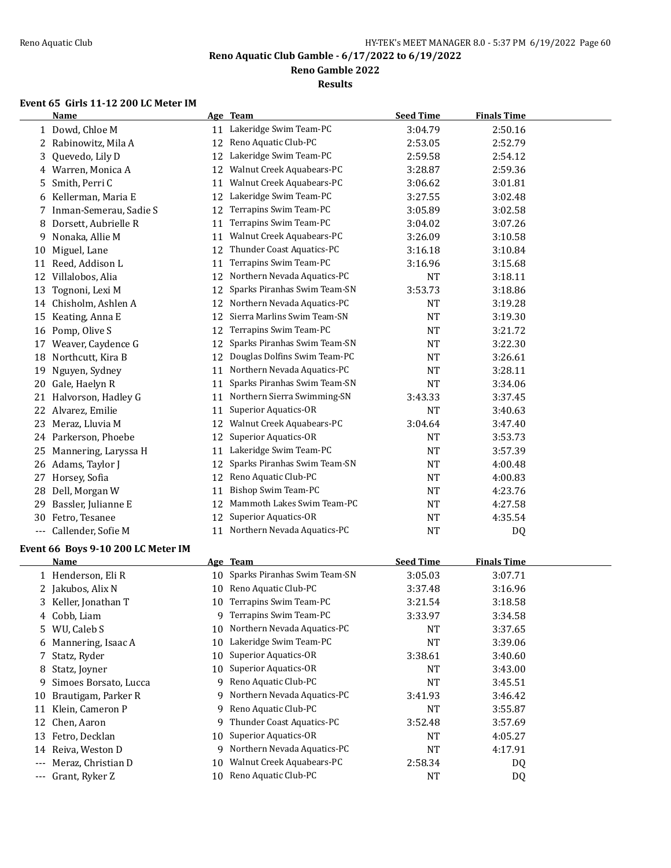**Reno Gamble 2022**

**Results**

# **Event 65 Girls 11-12 200 LC Meter IM**

|          | <b>Name</b>            |    | Age Team                     | <b>Seed Time</b> | <b>Finals Time</b> |  |
|----------|------------------------|----|------------------------------|------------------|--------------------|--|
|          | 1 Dowd, Chloe M        | 11 | Lakeridge Swim Team-PC       | 3:04.79          | 2:50.16            |  |
|          | 2 Rabinowitz, Mila A   | 12 | Reno Aquatic Club-PC         | 2:53.05          | 2:52.79            |  |
| 3.       | Quevedo, Lily D        | 12 | Lakeridge Swim Team-PC       | 2:59.58          | 2:54.12            |  |
| 4        | Warren, Monica A       | 12 | Walnut Creek Aquabears-PC    | 3:28.87          | 2:59.36            |  |
| 5        | Smith, Perri C         | 11 | Walnut Creek Aquabears-PC    | 3:06.62          | 3:01.81            |  |
| 6        | Kellerman, Maria E     | 12 | Lakeridge Swim Team-PC       | 3:27.55          | 3:02.48            |  |
|          | Inman-Semerau, Sadie S | 12 | Terrapins Swim Team-PC       | 3:05.89          | 3:02.58            |  |
| 8        | Dorsett, Aubrielle R   | 11 | Terrapins Swim Team-PC       | 3:04.02          | 3:07.26            |  |
| 9        | Nonaka, Allie M        | 11 | Walnut Creek Aquabears-PC    | 3:26.09          | 3:10.58            |  |
| 10       | Miguel, Lane           | 12 | Thunder Coast Aquatics-PC    | 3:16.18          | 3:10.84            |  |
| 11       | Reed, Addison L        | 11 | Terrapins Swim Team-PC       | 3:16.96          | 3:15.68            |  |
| 12       | Villalobos, Alia       | 12 | Northern Nevada Aquatics-PC  | <b>NT</b>        | 3:18.11            |  |
| 13       | Tognoni, Lexi M        | 12 | Sparks Piranhas Swim Team-SN | 3:53.73          | 3:18.86            |  |
| 14       | Chisholm, Ashlen A     | 12 | Northern Nevada Aquatics-PC  | <b>NT</b>        | 3:19.28            |  |
| 15       | Keating, Anna E        | 12 | Sierra Marlins Swim Team-SN  | <b>NT</b>        | 3:19.30            |  |
| 16       | Pomp, Olive S          | 12 | Terrapins Swim Team-PC       | <b>NT</b>        | 3:21.72            |  |
| 17       | Weaver, Caydence G     | 12 | Sparks Piranhas Swim Team-SN | NT               | 3:22.30            |  |
| 18       | Northcutt, Kira B      | 12 | Douglas Dolfins Swim Team-PC | <b>NT</b>        | 3:26.61            |  |
| 19       | Nguyen, Sydney         | 11 | Northern Nevada Aquatics-PC  | NT               | 3:28.11            |  |
| 20       | Gale, Haelyn R         | 11 | Sparks Piranhas Swim Team-SN | <b>NT</b>        | 3:34.06            |  |
| 21       | Halvorson, Hadley G    | 11 | Northern Sierra Swimming-SN  | 3:43.33          | 3:37.45            |  |
| 22       | Alvarez, Emilie        | 11 | Superior Aquatics-OR         | <b>NT</b>        | 3:40.63            |  |
| 23       | Meraz, Lluvia M        | 12 | Walnut Creek Aquabears-PC    | 3:04.64          | 3:47.40            |  |
|          | 24 Parkerson, Phoebe   | 12 | Superior Aquatics-OR         | NT               | 3:53.73            |  |
| 25       | Mannering, Laryssa H   | 11 | Lakeridge Swim Team-PC       | NT               | 3:57.39            |  |
| 26       | Adams, Taylor J        | 12 | Sparks Piranhas Swim Team-SN | <b>NT</b>        | 4:00.48            |  |
| 27       | Horsey, Sofia          | 12 | Reno Aquatic Club-PC         | <b>NT</b>        | 4:00.83            |  |
| 28       | Dell, Morgan W         | 11 | <b>Bishop Swim Team-PC</b>   | NT               | 4:23.76            |  |
| 29       | Bassler, Julianne E    | 12 | Mammoth Lakes Swim Team-PC   | NT               | 4:27.58            |  |
| 30       | Fetro, Tesanee         | 12 | Superior Aquatics-OR         | <b>NT</b>        | 4:35.54            |  |
| $\cdots$ | Callender, Sofie M     | 11 | Northern Nevada Aquatics-PC  | <b>NT</b>        | D <sub>0</sub>     |  |

# **Event 66 Boys 9-10 200 LC Meter IM**

|       | Name                  |    | Age Team                        | <b>Seed Time</b> | <b>Finals Time</b> |  |
|-------|-----------------------|----|---------------------------------|------------------|--------------------|--|
|       | 1 Henderson, Eli R    |    | 10 Sparks Piranhas Swim Team-SN | 3:05.03          | 3:07.71            |  |
|       | 2 Jakubos, Alix N     | 10 | Reno Aquatic Club-PC            | 3:37.48          | 3:16.96            |  |
|       | 3 Keller, Jonathan T  | 10 | Terrapins Swim Team-PC          | 3:21.54          | 3:18.58            |  |
|       | 4 Cobb, Liam          | 9  | Terrapins Swim Team-PC          | 3:33.97          | 3:34.58            |  |
|       | 5 WU, Caleb S         | 10 | Northern Nevada Aquatics-PC     | <b>NT</b>        | 3:37.65            |  |
|       | 6 Mannering, Isaac A  | 10 | Lakeridge Swim Team-PC          | <b>NT</b>        | 3:39.06            |  |
|       | 7 Statz, Ryder        | 10 | Superior Aquatics-OR            | 3:38.61          | 3:40.60            |  |
| 8     | Statz, Joyner         | 10 | Superior Aquatics-OR            | <b>NT</b>        | 3:43.00            |  |
| 9.    | Simoes Borsato, Lucca | 9  | Reno Aquatic Club-PC            | <b>NT</b>        | 3:45.51            |  |
| 10    | Brautigam, Parker R   | 9  | Northern Nevada Aquatics-PC     | 3:41.93          | 3:46.42            |  |
| 11    | Klein, Cameron P      | 9  | Reno Aquatic Club-PC            | <b>NT</b>        | 3:55.87            |  |
| 12    | Chen, Aaron           | 9  | Thunder Coast Aquatics-PC       | 3:52.48          | 3:57.69            |  |
| 13    | Fetro, Decklan        |    | 10 Superior Aquatics-OR         | <b>NT</b>        | 4:05.27            |  |
| 14    | Reiva, Weston D       | 9  | Northern Nevada Aquatics-PC     | <b>NT</b>        | 4:17.91            |  |
| $---$ | Meraz, Christian D    | 10 | Walnut Creek Aquabears-PC       | 2:58.34          | DQ                 |  |
|       | Grant, Ryker Z        | 10 | Reno Aquatic Club-PC            | <b>NT</b>        | DQ                 |  |
|       |                       |    |                                 |                  |                    |  |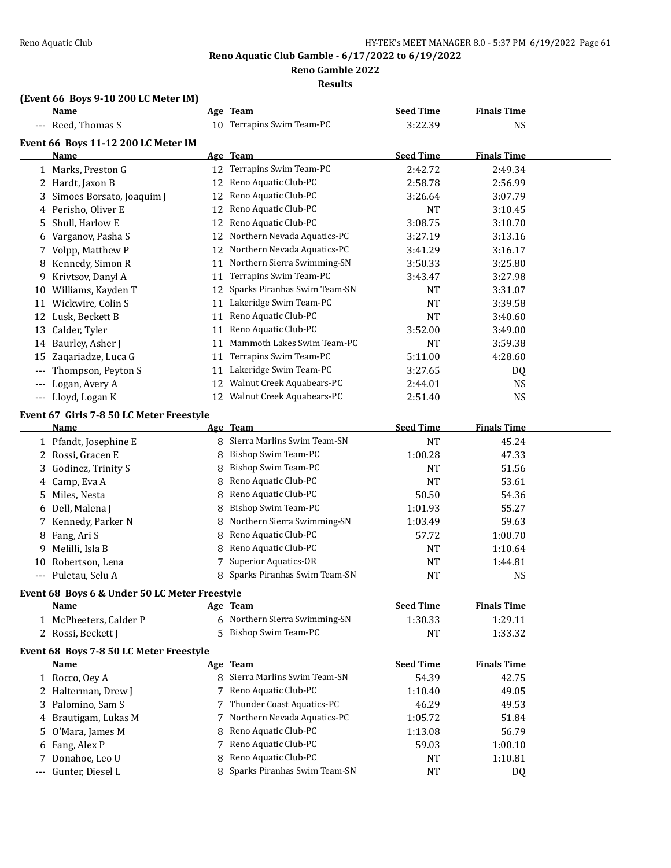**Reno Gamble 2022**

**Results**

# **(Event 66 Boys 9-10 200 LC Meter IM)**

|                     | <b>Name</b>                                   |    | Age Team                                             | <b>Seed Time</b> | <b>Finals Time</b> |  |
|---------------------|-----------------------------------------------|----|------------------------------------------------------|------------------|--------------------|--|
|                     | --- Reed, Thomas S                            |    | 10 Terrapins Swim Team-PC                            | 3:22.39          | <b>NS</b>          |  |
|                     | Event 66 Boys 11-12 200 LC Meter IM           |    |                                                      |                  |                    |  |
|                     | Name                                          |    | Age Team                                             | <b>Seed Time</b> | <b>Finals Time</b> |  |
|                     | 1 Marks, Preston G                            |    | 12 Terrapins Swim Team-PC                            | 2:42.72          | 2:49.34            |  |
|                     | 2 Hardt, Jaxon B                              | 12 | Reno Aquatic Club-PC                                 | 2:58.78          | 2:56.99            |  |
| 3                   | Simoes Borsato, Joaquim J                     | 12 | Reno Aquatic Club-PC                                 | 3:26.64          | 3:07.79            |  |
|                     | 4 Perisho, Oliver E                           | 12 | Reno Aquatic Club-PC                                 | <b>NT</b>        | 3:10.45            |  |
| 5                   | Shull, Harlow E                               | 12 | Reno Aquatic Club-PC                                 | 3:08.75          | 3:10.70            |  |
|                     | 6 Varganov, Pasha S                           | 12 | Northern Nevada Aquatics-PC                          | 3:27.19          | 3:13.16            |  |
|                     | 7 Volpp, Matthew P                            | 12 | Northern Nevada Aquatics-PC                          | 3:41.29          | 3:16.17            |  |
| 8                   | Kennedy, Simon R                              | 11 | Northern Sierra Swimming-SN                          | 3:50.33          | 3:25.80            |  |
| 9.                  | Krivtsov, Danyl A                             | 11 | Terrapins Swim Team-PC                               | 3:43.47          | 3:27.98            |  |
|                     | 10 Williams, Kayden T                         |    | 12 Sparks Piranhas Swim Team-SN                      | <b>NT</b>        | 3:31.07            |  |
|                     | 11 Wickwire, Colin S                          |    | 11 Lakeridge Swim Team-PC                            | <b>NT</b>        | 3:39.58            |  |
|                     | 12 Lusk, Beckett B                            |    | 11 Reno Aquatic Club-PC                              | <b>NT</b>        | 3:40.60            |  |
| 13                  | Calder, Tyler                                 | 11 | Reno Aquatic Club-PC                                 | 3:52.00          | 3:49.00            |  |
| 14                  | Baurley, Asher J                              | 11 | Mammoth Lakes Swim Team-PC                           | <b>NT</b>        | 3:59.38            |  |
| 15                  | Zaqariadze, Luca G                            | 11 | Terrapins Swim Team-PC                               | 5:11.00          | 4:28.60            |  |
|                     | Thompson, Peyton S                            | 11 | Lakeridge Swim Team-PC                               | 3:27.65          | DQ                 |  |
| $\qquad \qquad - -$ | Logan, Avery A                                | 12 | Walnut Creek Aquabears-PC                            | 2:44.01          | <b>NS</b>          |  |
|                     | --- Lloyd, Logan K                            | 12 | Walnut Creek Aquabears-PC                            | 2:51.40          | <b>NS</b>          |  |
|                     | Event 67 Girls 7-8 50 LC Meter Freestyle      |    |                                                      |                  |                    |  |
|                     | <b>Name</b>                                   |    | Age Team                                             | <b>Seed Time</b> | <b>Finals Time</b> |  |
|                     | 1 Pfandt, Josephine E                         |    | 8 Sierra Marlins Swim Team-SN                        | <b>NT</b>        | 45.24              |  |
| 2                   | Rossi, Gracen E                               | 8  | Bishop Swim Team-PC                                  | 1:00.28          | 47.33              |  |
| 3                   | Godinez, Trinity S                            | 8  | Bishop Swim Team-PC                                  | NT               | 51.56              |  |
| 4                   | Camp, Eva A                                   | 8  | Reno Aquatic Club-PC                                 | <b>NT</b>        | 53.61              |  |
| 5                   | Miles, Nesta                                  | 8  | Reno Aquatic Club-PC                                 | 50.50            | 54.36              |  |
| 6                   | Dell, Malena J                                | 8  | Bishop Swim Team-PC                                  | 1:01.93          | 55.27              |  |
|                     | Kennedy, Parker N                             | 8  | Northern Sierra Swimming-SN                          | 1:03.49          | 59.63              |  |
| 8                   | Fang, Ari S                                   | 8  | Reno Aquatic Club-PC                                 | 57.72            | 1:00.70            |  |
| 9                   | Melilli, Isla B                               | 8  | Reno Aquatic Club-PC                                 | <b>NT</b>        | 1:10.64            |  |
|                     | 10 Robertson, Lena                            | 7  | <b>Superior Aquatics-OR</b>                          | NT               | 1:44.81            |  |
|                     | --- Puletau, Selu A                           |    | 8 Sparks Piranhas Swim Team-SN                       | <b>NT</b>        | <b>NS</b>          |  |
|                     | Event 68 Boys 6 & Under 50 LC Meter Freestyle |    |                                                      |                  |                    |  |
|                     | <b>Name</b>                                   |    | Age Team                                             | <b>Seed Time</b> | <b>Finals Time</b> |  |
|                     | 1 McPheeters, Calder P                        |    | 6 Northern Sierra Swimming-SN                        | 1:30.33          | 1:29.11            |  |
|                     | 2 Rossi, Beckett J                            |    | 5 Bishop Swim Team-PC                                | <b>NT</b>        | 1:33.32            |  |
|                     |                                               |    |                                                      |                  |                    |  |
|                     | Event 68 Boys 7-8 50 LC Meter Freestyle       |    |                                                      |                  |                    |  |
|                     | <b>Name</b>                                   |    | Age Team                                             | <b>Seed Time</b> | <b>Finals Time</b> |  |
|                     | 1 Rocco, Oey A                                |    | 8 Sierra Marlins Swim Team-SN                        | 54.39            | 42.75              |  |
| 2                   | Halterman, Drew J                             |    | Reno Aquatic Club-PC                                 | 1:10.40          | 49.05              |  |
| 3                   | Palomino, Sam S                               | 7  | Thunder Coast Aquatics-PC                            | 46.29            | 49.53              |  |
| 4                   | Brautigam, Lukas M                            | 7  | Northern Nevada Aquatics-PC                          | 1:05.72          | 51.84              |  |
| 5                   | O'Mara, James M                               | 8  | Reno Aquatic Club-PC                                 | 1:13.08          | 56.79              |  |
| 6                   | Fang, Alex P                                  | 7  | Reno Aquatic Club-PC                                 | 59.03            | 1:00.10            |  |
| 7                   | Donahoe, Leo U                                | 8  | Reno Aquatic Club-PC<br>Sparks Piranhas Swim Team-SN | NT               | 1:10.81            |  |
|                     | Gunter, Diesel L                              | 8  |                                                      | NT               | DQ                 |  |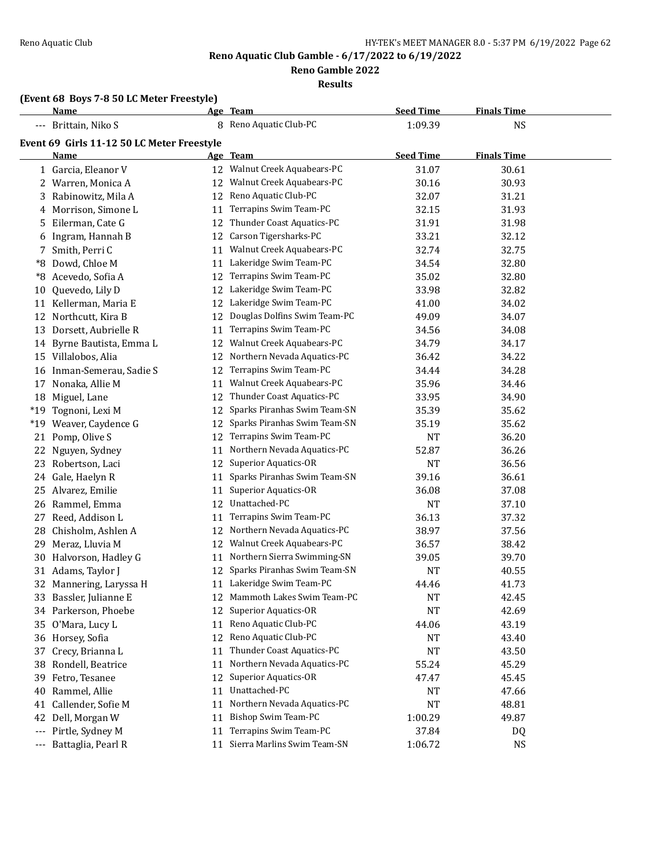**Reno Gamble 2022**

**Results**

#### **(Event 68 Boys 7-8 50 LC Meter Freestyle)**

|          | <b>Name</b>                                |    | Age Team                       | <b>Seed Time</b> | <b>Finals Time</b> |  |
|----------|--------------------------------------------|----|--------------------------------|------------------|--------------------|--|
|          | --- Brittain, Niko S                       |    | 8 Reno Aquatic Club-PC         | 1:09.39          | <b>NS</b>          |  |
|          | Event 69 Girls 11-12 50 LC Meter Freestyle |    |                                |                  |                    |  |
|          | Name                                       |    | Age Team                       | <b>Seed Time</b> | <b>Finals Time</b> |  |
|          | 1 Garcia, Eleanor V                        |    | 12 Walnut Creek Aquabears-PC   | 31.07            | 30.61              |  |
|          | 2 Warren, Monica A                         |    | 12 Walnut Creek Aquabears-PC   | 30.16            | 30.93              |  |
|          | 3 Rabinowitz, Mila A                       | 12 | Reno Aquatic Club-PC           | 32.07            | 31.21              |  |
|          | 4 Morrison, Simone L                       | 11 | Terrapins Swim Team-PC         | 32.15            | 31.93              |  |
|          | 5 Eilerman, Cate G                         |    | 12 Thunder Coast Aquatics-PC   | 31.91            | 31.98              |  |
| 6        | Ingram, Hannah B                           |    | 12 Carson Tigersharks-PC       | 33.21            | 32.12              |  |
| 7        | Smith, Perri C                             | 11 | Walnut Creek Aquabears-PC      | 32.74            | 32.75              |  |
| *8       | Dowd, Chloe M                              | 11 | Lakeridge Swim Team-PC         | 34.54            | 32.80              |  |
| *8       | Acevedo, Sofia A                           | 12 | Terrapins Swim Team-PC         | 35.02            | 32.80              |  |
| 10       | Quevedo, Lily D                            | 12 | Lakeridge Swim Team-PC         | 33.98            | 32.82              |  |
|          | 11 Kellerman, Maria E                      |    | 12 Lakeridge Swim Team-PC      | 41.00            | 34.02              |  |
|          | 12 Northcutt, Kira B                       | 12 | Douglas Dolfins Swim Team-PC   | 49.09            | 34.07              |  |
|          | 13 Dorsett, Aubrielle R                    | 11 | Terrapins Swim Team-PC         | 34.56            | 34.08              |  |
|          | 14 Byrne Bautista, Emma L                  | 12 | Walnut Creek Aquabears-PC      | 34.79            | 34.17              |  |
|          | 15 Villalobos, Alia                        | 12 | Northern Nevada Aquatics-PC    | 36.42            | 34.22              |  |
| 16       | Inman-Semerau, Sadie S                     | 12 | Terrapins Swim Team-PC         | 34.44            | 34.28              |  |
|          | 17 Nonaka, Allie M                         | 11 | Walnut Creek Aquabears-PC      | 35.96            | 34.46              |  |
| 18       | Miguel, Lane                               | 12 | Thunder Coast Aquatics-PC      | 33.95            | 34.90              |  |
| $*19$    | Tognoni, Lexi M                            | 12 | Sparks Piranhas Swim Team-SN   | 35.39            | 35.62              |  |
| $*19$    | Weaver, Caydence G                         | 12 | Sparks Piranhas Swim Team-SN   | 35.19            | 35.62              |  |
| 21       | Pomp, Olive S                              | 12 | Terrapins Swim Team-PC         | <b>NT</b>        | 36.20              |  |
| 22       | Nguyen, Sydney                             | 11 | Northern Nevada Aquatics-PC    | 52.87            | 36.26              |  |
| 23       | Robertson, Laci                            | 12 | <b>Superior Aquatics-OR</b>    | <b>NT</b>        | 36.56              |  |
| 24       | Gale, Haelyn R                             | 11 | Sparks Piranhas Swim Team-SN   | 39.16            | 36.61              |  |
| 25.      | Alvarez, Emilie                            | 11 | <b>Superior Aquatics-OR</b>    | 36.08            | 37.08              |  |
|          | 26 Rammel, Emma                            | 12 | Unattached-PC                  | NT               | 37.10              |  |
| 27       | Reed, Addison L                            | 11 | Terrapins Swim Team-PC         | 36.13            | 37.32              |  |
| 28       | Chisholm, Ashlen A                         | 12 | Northern Nevada Aquatics-PC    | 38.97            | 37.56              |  |
| 29       | Meraz, Lluvia M                            |    | 12 Walnut Creek Aquabears-PC   | 36.57            | 38.42              |  |
| 30       | Halvorson, Hadley G                        |    | 11 Northern Sierra Swimming-SN | 39.05            | 39.70              |  |
|          | 31 Adams, Taylor J                         | 12 | Sparks Piranhas Swim Team-SN   | <b>NT</b>        | 40.55              |  |
|          | 32 Mannering, Laryssa H                    |    | 11 Lakeridge Swim Team-PC      | 44.46            | 41.73              |  |
|          | 33 Bassler, Julianne E                     |    | 12 Mammoth Lakes Swim Team-PC  | <b>NT</b>        | 42.45              |  |
|          | 34 Parkerson, Phoebe                       |    | 12 Superior Aquatics-OR        | NT               | 42.69              |  |
|          | 35 O'Mara, Lucy L                          | 11 | Reno Aquatic Club-PC           | 44.06            | 43.19              |  |
|          | 36 Horsey, Sofia                           | 12 | Reno Aquatic Club-PC           | NT               | 43.40              |  |
| 37       | Crecy, Brianna L                           | 11 | Thunder Coast Aquatics-PC      | NT               | 43.50              |  |
| 38       | Rondell, Beatrice                          | 11 | Northern Nevada Aquatics-PC    | 55.24            | 45.29              |  |
| 39       | Fetro, Tesanee                             | 12 | <b>Superior Aquatics-OR</b>    | 47.47            | 45.45              |  |
| 40       | Rammel, Allie                              | 11 | Unattached-PC                  | NT               | 47.66              |  |
| 41       | Callender, Sofie M                         | 11 | Northern Nevada Aquatics-PC    | NT               | 48.81              |  |
| 42       | Dell, Morgan W                             | 11 | Bishop Swim Team-PC            | 1:00.29          | 49.87              |  |
| $\cdots$ | Pirtle, Sydney M                           | 11 | Terrapins Swim Team-PC         | 37.84            | DQ                 |  |
| ---      | Battaglia, Pearl R                         |    | 11 Sierra Marlins Swim Team-SN | 1:06.72          | <b>NS</b>          |  |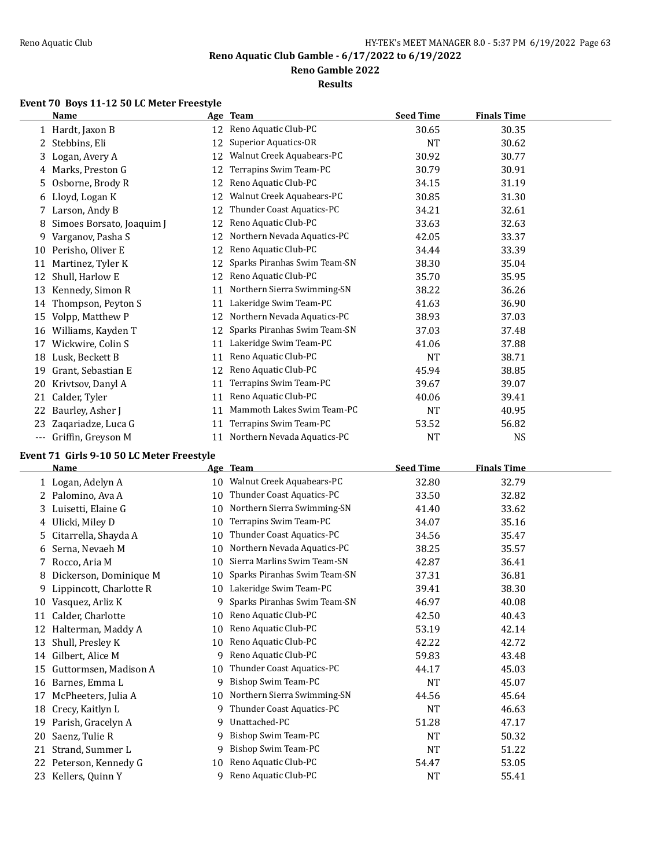**Reno Gamble 2022**

**Results**

# **Event 70 Boys 11-12 50 LC Meter Freestyle**

|     | <b>Name</b>               | Age | Team                         | <b>Seed Time</b> | <b>Finals Time</b> |  |
|-----|---------------------------|-----|------------------------------|------------------|--------------------|--|
|     | 1 Hardt, Jaxon B          | 12  | Reno Aquatic Club-PC         | 30.65            | 30.35              |  |
| 2   | Stebbins, Eli             | 12  | Superior Aquatics-OR         | <b>NT</b>        | 30.62              |  |
| 3.  | Logan, Avery A            | 12  | Walnut Creek Aquabears-PC    | 30.92            | 30.77              |  |
|     | 4 Marks, Preston G        | 12  | Terrapins Swim Team-PC       | 30.79            | 30.91              |  |
| 5.  | Osborne, Brody R          | 12  | Reno Aquatic Club-PC         | 34.15            | 31.19              |  |
|     | 6 Lloyd, Logan K          | 12  | Walnut Creek Aquabears-PC    | 30.85            | 31.30              |  |
| 7   | Larson, Andy B            | 12  | Thunder Coast Aquatics-PC    | 34.21            | 32.61              |  |
| 8   | Simoes Borsato, Joaquim J | 12  | Reno Aquatic Club-PC         | 33.63            | 32.63              |  |
| 9   | Varganov, Pasha S         | 12  | Northern Nevada Aquatics-PC  | 42.05            | 33.37              |  |
| 10  | Perisho, Oliver E         | 12  | Reno Aquatic Club-PC         | 34.44            | 33.39              |  |
| 11  | Martinez, Tyler K         | 12  | Sparks Piranhas Swim Team-SN | 38.30            | 35.04              |  |
| 12  | Shull, Harlow E           | 12  | Reno Aquatic Club-PC         | 35.70            | 35.95              |  |
| 13  | Kennedy, Simon R          | 11  | Northern Sierra Swimming-SN  | 38.22            | 36.26              |  |
| 14  | Thompson, Peyton S        | 11  | Lakeridge Swim Team-PC       | 41.63            | 36.90              |  |
| 15  | Volpp, Matthew P          | 12  | Northern Nevada Aquatics-PC  | 38.93            | 37.03              |  |
| 16  | Williams, Kayden T        | 12  | Sparks Piranhas Swim Team-SN | 37.03            | 37.48              |  |
| 17  | Wickwire, Colin S         | 11  | Lakeridge Swim Team-PC       | 41.06            | 37.88              |  |
| 18  | Lusk, Beckett B           | 11  | Reno Aquatic Club-PC         | <b>NT</b>        | 38.71              |  |
| 19  | Grant, Sebastian E        | 12  | Reno Aquatic Club-PC         | 45.94            | 38.85              |  |
| 20  | Krivtsov, Danyl A         | 11  | Terrapins Swim Team-PC       | 39.67            | 39.07              |  |
| 21  | Calder, Tyler             | 11  | Reno Aquatic Club-PC         | 40.06            | 39.41              |  |
| 22  | Baurley, Asher J          | 11  | Mammoth Lakes Swim Team-PC   | NT               | 40.95              |  |
| 23  | Zaqariadze, Luca G        | 11  | Terrapins Swim Team-PC       | 53.52            | 56.82              |  |
| --- | Griffin, Greyson M        | 11  | Northern Nevada Aquatics-PC  | NT               | NS                 |  |

# **Event 71 Girls 9-10 50 LC Meter Freestyle**

|    | <b>Name</b>             |    | Age Team                     | <b>Seed Time</b> | <b>Finals Time</b> |  |
|----|-------------------------|----|------------------------------|------------------|--------------------|--|
|    | 1 Logan, Adelyn A       | 10 | Walnut Creek Aquabears-PC    | 32.80            | 32.79              |  |
|    | 2 Palomino, Ava A       | 10 | Thunder Coast Aquatics-PC    | 33.50            | 32.82              |  |
|    | 3 Luisetti, Elaine G    | 10 | Northern Sierra Swimming-SN  | 41.40            | 33.62              |  |
| 4  | Ulicki, Miley D         | 10 | Terrapins Swim Team-PC       | 34.07            | 35.16              |  |
| 5. | Citarrella, Shayda A    | 10 | Thunder Coast Aquatics-PC    | 34.56            | 35.47              |  |
| 6  | Serna, Nevaeh M         | 10 | Northern Nevada Aquatics-PC  | 38.25            | 35.57              |  |
| 7  | Rocco, Aria M           | 10 | Sierra Marlins Swim Team-SN  | 42.87            | 36.41              |  |
| 8  | Dickerson, Dominique M  | 10 | Sparks Piranhas Swim Team-SN | 37.31            | 36.81              |  |
| 9  | Lippincott, Charlotte R | 10 | Lakeridge Swim Team-PC       | 39.41            | 38.30              |  |
| 10 | Vasquez, Arliz K        | 9  | Sparks Piranhas Swim Team-SN | 46.97            | 40.08              |  |
| 11 | Calder, Charlotte       | 10 | Reno Aquatic Club-PC         | 42.50            | 40.43              |  |
| 12 | Halterman, Maddy A      | 10 | Reno Aquatic Club-PC         | 53.19            | 42.14              |  |
| 13 | Shull, Presley K        | 10 | Reno Aquatic Club-PC         | 42.22            | 42.72              |  |
| 14 | Gilbert, Alice M        | 9  | Reno Aquatic Club-PC         | 59.83            | 43.48              |  |
| 15 | Guttormsen, Madison A   | 10 | Thunder Coast Aquatics-PC    | 44.17            | 45.03              |  |
| 16 | Barnes, Emma L          | 9  | Bishop Swim Team-PC          | <b>NT</b>        | 45.07              |  |
| 17 | McPheeters, Julia A     | 10 | Northern Sierra Swimming-SN  | 44.56            | 45.64              |  |
| 18 | Crecy, Kaitlyn L        | 9  | Thunder Coast Aquatics-PC    | <b>NT</b>        | 46.63              |  |
| 19 | Parish, Gracelyn A      | 9  | Unattached-PC                | 51.28            | 47.17              |  |
| 20 | Saenz, Tulie R          | 9  | Bishop Swim Team-PC          | NT               | 50.32              |  |
| 21 | Strand, Summer L        | 9  | Bishop Swim Team-PC          | <b>NT</b>        | 51.22              |  |
| 22 | Peterson, Kennedy G     | 10 | Reno Aquatic Club-PC         | 54.47            | 53.05              |  |
| 23 | Kellers, Quinn Y        | 9  | Reno Aquatic Club-PC         | NT               | 55.41              |  |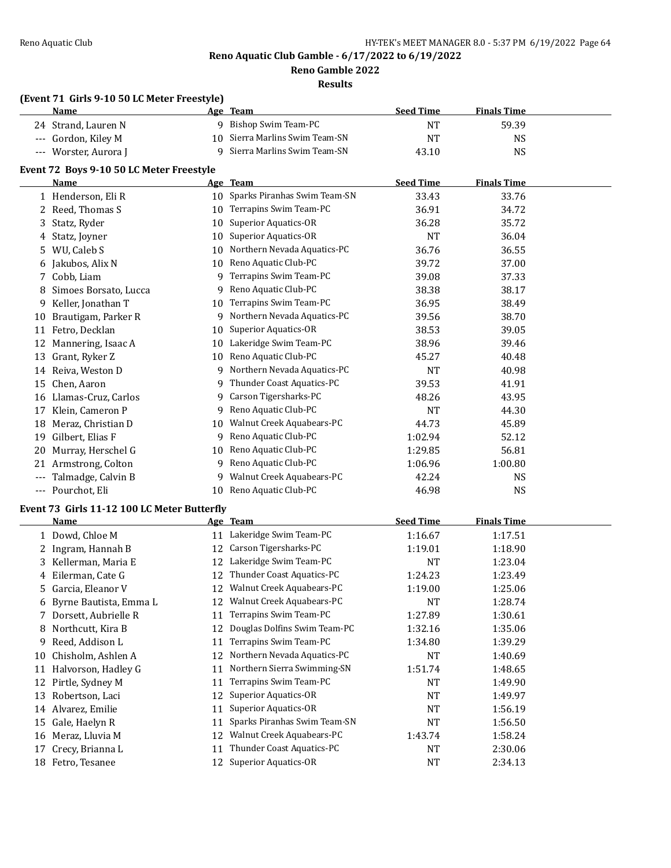**Reno Gamble 2022**

**Results**

### **(Event 71 Girls 9-10 50 LC Meter Freestyle)**

|     | <u>Name</u>                                 |    | Age Team                        | <b>Seed Time</b> | <b>Finals Time</b> |  |
|-----|---------------------------------------------|----|---------------------------------|------------------|--------------------|--|
|     | 24 Strand, Lauren N                         |    | 9 Bishop Swim Team-PC           | <b>NT</b>        | 59.39              |  |
|     | --- Gordon, Kiley M                         | 10 | Sierra Marlins Swim Team-SN     | <b>NT</b>        | <b>NS</b>          |  |
|     | --- Worster, Aurora J                       | 9  | Sierra Marlins Swim Team-SN     | 43.10            | <b>NS</b>          |  |
|     | Event 72 Boys 9-10 50 LC Meter Freestyle    |    |                                 |                  |                    |  |
|     | <b>Name</b>                                 |    | Age Team                        | <b>Seed Time</b> | <b>Finals Time</b> |  |
|     | 1 Henderson, Eli R                          |    | 10 Sparks Piranhas Swim Team-SN | 33.43            | 33.76              |  |
|     | 2 Reed, Thomas S                            | 10 | Terrapins Swim Team-PC          | 36.91            | 34.72              |  |
| 3   | Statz, Ryder                                | 10 | <b>Superior Aquatics-OR</b>     | 36.28            | 35.72              |  |
|     | Statz, Joyner                               | 10 | <b>Superior Aquatics-OR</b>     | <b>NT</b>        | 36.04              |  |
| 4   | WU, Caleb S                                 | 10 | Northern Nevada Aquatics-PC     | 36.76            | 36.55              |  |
| 5   | Jakubos, Alix N                             | 10 | Reno Aquatic Club-PC            | 39.72            | 37.00              |  |
| 6   | 7 Cobb, Liam                                | 9  | Terrapins Swim Team-PC          | 39.08            | 37.33              |  |
|     | Simoes Borsato, Lucca                       | 9  | Reno Aquatic Club-PC            | 38.38            | 38.17              |  |
| 8   |                                             |    | Terrapins Swim Team-PC          |                  |                    |  |
| 9   | Keller, Jonathan T                          | 10 |                                 | 36.95            | 38.49              |  |
| 10  | Brautigam, Parker R                         | 9  | Northern Nevada Aquatics-PC     | 39.56            | 38.70              |  |
| 11  | Fetro, Decklan                              | 10 | <b>Superior Aquatics-OR</b>     | 38.53            | 39.05              |  |
| 12  | Mannering, Isaac A                          | 10 | Lakeridge Swim Team-PC          | 38.96            | 39.46              |  |
|     | 13 Grant, Ryker Z                           | 10 | Reno Aquatic Club-PC            | 45.27            | 40.48              |  |
|     | 14 Reiva, Weston D                          | 9  | Northern Nevada Aquatics-PC     | <b>NT</b>        | 40.98              |  |
|     | 15 Chen, Aaron                              | 9  | Thunder Coast Aquatics-PC       | 39.53            | 41.91              |  |
|     | 16 Llamas-Cruz, Carlos                      | 9  | Carson Tigersharks-PC           | 48.26            | 43.95              |  |
|     | 17 Klein, Cameron P                         | 9  | Reno Aquatic Club-PC            | <b>NT</b>        | 44.30              |  |
| 18  | Meraz, Christian D                          | 10 | Walnut Creek Aquabears-PC       | 44.73            | 45.89              |  |
| 19  | Gilbert, Elias F                            | 9  | Reno Aquatic Club-PC            | 1:02.94          | 52.12              |  |
|     | 20 Murray, Herschel G                       | 10 | Reno Aquatic Club-PC            | 1:29.85          | 56.81              |  |
|     | 21 Armstrong, Colton                        | 9  | Reno Aquatic Club-PC            | 1:06.96          | 1:00.80            |  |
| --- | Talmadge, Calvin B                          | 9  | Walnut Creek Aquabears-PC       | 42.24            | <b>NS</b>          |  |
|     | --- Pourchot, Eli                           |    | 10 Reno Aquatic Club-PC         | 46.98            | <b>NS</b>          |  |
|     | Event 73 Girls 11-12 100 LC Meter Butterfly |    |                                 |                  |                    |  |
|     | Name                                        |    | Age Team                        | <b>Seed Time</b> | <b>Finals Time</b> |  |
|     | 1 Dowd, Chloe M                             |    | 11 Lakeridge Swim Team-PC       | 1:16.67          | 1:17.51            |  |
|     | 2 Ingram, Hannah B                          |    | 12 Carson Tigersharks-PC        | 1:19.01          | 1:18.90            |  |
|     | 3 Kellerman, Maria E                        |    | 12 Lakeridge Swim Team-PC       | <b>NT</b>        | 1:23.04            |  |
|     | 4 Eilerman, Cate G                          |    | 12 Thunder Coast Aquatics-PC    | 1:24.23          | 1:23.49            |  |
|     | 5 Garcia, Eleanor V                         |    | 12 Walnut Creek Aquabears-PC    | 1:19.00          | 1:25.06            |  |
|     | 6 Byrne Bautista, Emma L                    |    | 12 Walnut Creek Aquabears-PC    | <b>NT</b>        | 1:28.74            |  |
|     | 7 Dorsett, Aubrielle R                      | 11 | Terrapins Swim Team-PC          | 1:27.89          | 1:30.61            |  |
| 8   | Northcutt, Kira B                           | 12 | Douglas Dolfins Swim Team-PC    | 1:32.16          | 1:35.06            |  |
| 9   | Reed, Addison L                             | 11 | Terrapins Swim Team-PC          | 1:34.80          | 1:39.29            |  |
| 10  | Chisholm, Ashlen A                          | 12 | Northern Nevada Aquatics-PC     | <b>NT</b>        | 1:40.69            |  |
|     | 11 Halvorson, Hadley G                      | 11 | Northern Sierra Swimming-SN     | 1:51.74          | 1:48.65            |  |
|     | 12 Pirtle, Sydney M                         | 11 | Terrapins Swim Team-PC          | NT               | 1:49.90            |  |
|     | 13 Robertson, Laci                          | 12 | Superior Aquatics-OR            | NT               | 1:49.97            |  |
|     | 14 Alvarez, Emilie                          | 11 | Superior Aquatics-OR            | NT               | 1:56.19            |  |
|     | 15 Gale, Haelyn R                           | 11 | Sparks Piranhas Swim Team-SN    | <b>NT</b>        | 1:56.50            |  |
|     | 16 Meraz, Lluvia M                          | 12 | Walnut Creek Aquabears-PC       | 1:43.74          | 1:58.24            |  |
| 17  | Crecy, Brianna L                            | 11 | Thunder Coast Aquatics-PC       | <b>NT</b>        | 2:30.06            |  |
|     | 18 Fetro, Tesanee                           | 12 | <b>Superior Aquatics-OR</b>     | <b>NT</b>        | 2:34.13            |  |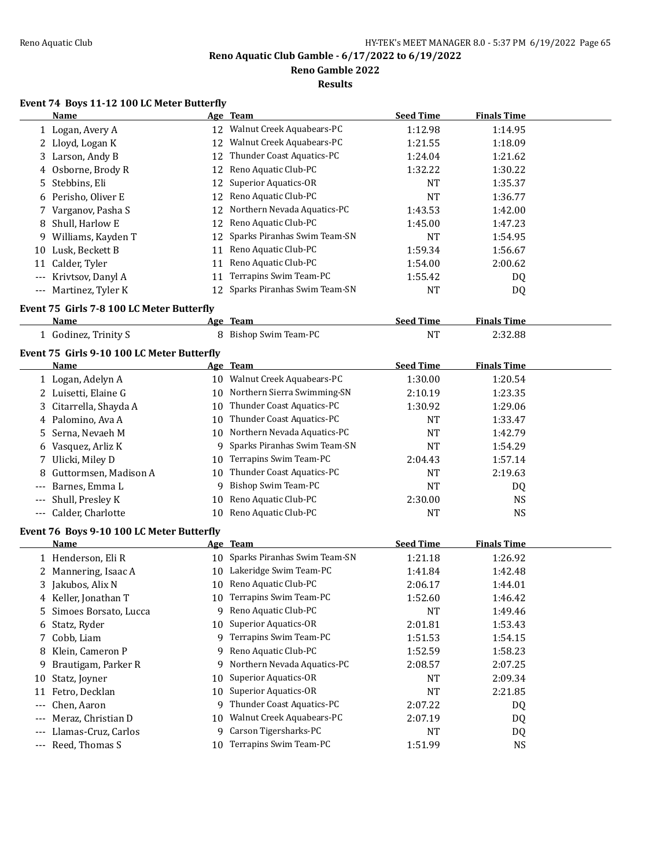**Reno Gamble 2022**

**Results**

# **Event 74 Boys 11-12 100 LC Meter Butterfly**

|       | Name                                       |    | Age Team                     | <b>Seed Time</b> | <b>Finals Time</b> |  |
|-------|--------------------------------------------|----|------------------------------|------------------|--------------------|--|
|       | 1 Logan, Avery A                           |    | 12 Walnut Creek Aquabears-PC | 1:12.98          | 1:14.95            |  |
| 2     | Lloyd, Logan K                             | 12 | Walnut Creek Aquabears-PC    | 1:21.55          | 1:18.09            |  |
|       | 3 Larson, Andy B                           | 12 | Thunder Coast Aquatics-PC    | 1:24.04          | 1:21.62            |  |
| 4     | Osborne, Brody R                           | 12 | Reno Aquatic Club-PC         | 1:32.22          | 1:30.22            |  |
| 5.    | Stebbins, Eli                              | 12 | Superior Aquatics-OR         | <b>NT</b>        | 1:35.37            |  |
| 6     | Perisho, Oliver E                          | 12 | Reno Aquatic Club-PC         | <b>NT</b>        | 1:36.77            |  |
| 7     | Varganov, Pasha S                          | 12 | Northern Nevada Aquatics-PC  | 1:43.53          | 1:42.00            |  |
| 8     | Shull, Harlow E                            | 12 | Reno Aquatic Club-PC         | 1:45.00          | 1:47.23            |  |
| 9.    | Williams, Kayden T                         | 12 | Sparks Piranhas Swim Team-SN | <b>NT</b>        | 1:54.95            |  |
| 10    | Lusk, Beckett B                            | 11 | Reno Aquatic Club-PC         | 1:59.34          | 1:56.67            |  |
|       | 11 Calder, Tyler                           | 11 | Reno Aquatic Club-PC         | 1:54.00          | 2:00.62            |  |
|       | --- Krivtsov, Danyl A                      | 11 | Terrapins Swim Team-PC       | 1:55.42          | DQ                 |  |
|       | --- Martinez, Tyler K                      | 12 | Sparks Piranhas Swim Team-SN | <b>NT</b>        | DQ                 |  |
|       | Event 75 Girls 7-8 100 LC Meter Butterfly  |    |                              |                  |                    |  |
|       | Name                                       |    | Age Team                     | <b>Seed Time</b> | <b>Finals Time</b> |  |
|       | 1 Godinez, Trinity S                       |    | 8 Bishop Swim Team-PC        | <b>NT</b>        | 2:32.88            |  |
|       | Event 75 Girls 9-10 100 LC Meter Butterfly |    |                              |                  |                    |  |
|       | <b>Name</b>                                |    | Age Team                     | <b>Seed Time</b> | <b>Finals Time</b> |  |
|       | 1 Logan, Adelyn A                          |    | 10 Walnut Creek Aquabears-PC | 1:30.00          | 1:20.54            |  |
| 2     | Luisetti, Elaine G                         | 10 | Northern Sierra Swimming-SN  | 2:10.19          | 1:23.35            |  |
| 3     | Citarrella, Shayda A                       | 10 | Thunder Coast Aquatics-PC    | 1:30.92          | 1:29.06            |  |
| 4     | Palomino, Ava A                            | 10 | Thunder Coast Aquatics-PC    | <b>NT</b>        | 1:33.47            |  |
| 5     | Serna, Nevaeh M                            | 10 | Northern Nevada Aquatics-PC  | <b>NT</b>        | 1:42.79            |  |
| 6     | Vasquez, Arliz K                           | 9  | Sparks Piranhas Swim Team-SN | <b>NT</b>        | 1:54.29            |  |
| 7     | Ulicki, Miley D                            | 10 | Terrapins Swim Team-PC       | 2:04.43          | 1:57.14            |  |
| 8     | Guttormsen, Madison A                      | 10 | Thunder Coast Aquatics-PC    | <b>NT</b>        | 2:19.63            |  |
| ---   | Barnes, Emma L                             | 9  | Bishop Swim Team-PC          | <b>NT</b>        | DQ                 |  |
| ---   | Shull, Presley K                           | 10 | Reno Aquatic Club-PC         | 2:30.00          | <b>NS</b>          |  |
|       | Calder, Charlotte                          | 10 | Reno Aquatic Club-PC         | <b>NT</b>        | <b>NS</b>          |  |
|       | Event 76 Boys 9-10 100 LC Meter Butterfly  |    |                              |                  |                    |  |
|       | <b>Name</b>                                |    | Age Team                     | <b>Seed Time</b> | <b>Finals Time</b> |  |
|       | 1 Henderson, Eli R                         | 10 | Sparks Piranhas Swim Team-SN | 1:21.18          | 1:26.92            |  |
| 2     | Mannering, Isaac A                         | 10 | Lakeridge Swim Team-PC       | 1:41.84          | 1:42.48            |  |
|       | 3 Jakubos, Alix N                          | 10 | Reno Aquatic Club-PC         | 2:06.17          | 1:44.01            |  |
|       | 4 Keller, Jonathan T                       | 10 | Terrapins Swim Team-PC       | 1:52.60          | 1:46.42            |  |
| 5     | Simoes Borsato, Lucca                      | 9  | Reno Aquatic Club-PC         | NT               | 1:49.46            |  |
| 6     | Statz, Ryder                               | 10 | <b>Superior Aquatics-OR</b>  | 2:01.81          | 1:53.43            |  |
| 7     | Cobb, Liam                                 | 9  | Terrapins Swim Team-PC       | 1:51.53          | 1:54.15            |  |
| 8     | Klein, Cameron P                           | 9  | Reno Aquatic Club-PC         | 1:52.59          | 1:58.23            |  |
| 9     | Brautigam, Parker R                        | 9  | Northern Nevada Aquatics-PC  | 2:08.57          | 2:07.25            |  |
| 10    | Statz, Joyner                              | 10 | <b>Superior Aquatics-OR</b>  | NT               | 2:09.34            |  |
| 11    | Fetro, Decklan                             | 10 | Superior Aquatics-OR         | NT               | 2:21.85            |  |
| $---$ | Chen, Aaron                                | 9  | Thunder Coast Aquatics-PC    | 2:07.22          | DQ                 |  |
|       | Meraz, Christian D                         | 10 | Walnut Creek Aquabears-PC    | 2:07.19          | DQ                 |  |
|       | Llamas-Cruz, Carlos                        | 9  | Carson Tigersharks-PC        | NT               | DQ                 |  |
|       | --- Reed, Thomas S                         | 10 | Terrapins Swim Team-PC       | 1:51.99          | <b>NS</b>          |  |